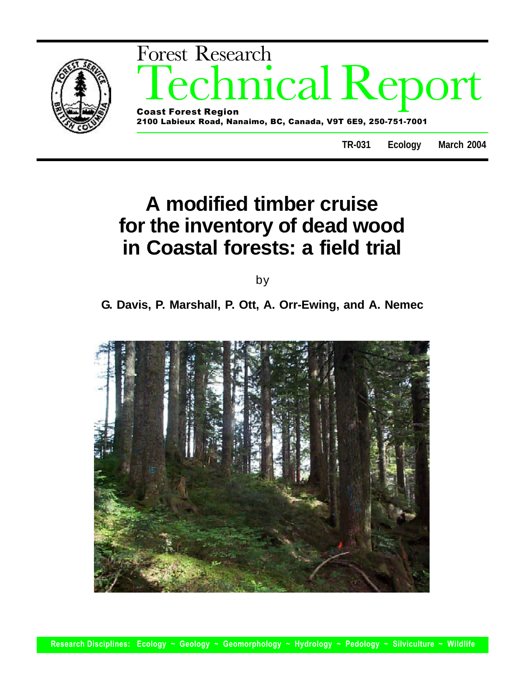

# **A modified timber cruise for the inventory of dead wood in Coastal forests: a field trial**

by

**G. Davis, P. Marshall, P. Ott, A. Orr-Ewing, and A. Nemec**

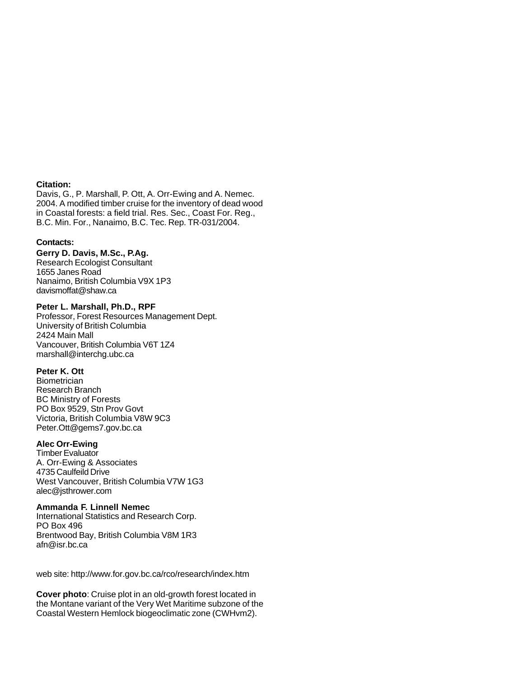#### **Citation:**

Davis, G., P. Marshall, P. Ott, A. Orr-Ewing and A. Nemec. 2004. A modified timber cruise for the inventory of dead wood in Coastal forests: a field trial. Res. Sec., Coast For. Reg., B.C. Min. For., Nanaimo, B.C. Tec. Rep. TR-031/2004.

## **Contacts:**

## **Gerry D. Davis, M.Sc., P.Ag.**

Research Ecologist Consultant 1655 Janes Road Nanaimo, British Columbia V9X 1P3 davismoffat@shaw.ca

## **Peter L. Marshall, Ph.D., RPF**

Professor, Forest Resources Management Dept. University of British Columbia 2424 Main Mall Vancouver, British Columbia V6T 1Z4 marshall@interchg.ubc.ca

## **Peter K. Ott**

**Biometrician** Research Branch BC Ministry of Forests PO Box 9529, Stn Prov Govt Victoria, British Columbia V8W 9C3 Peter.Ott@gems7.gov.bc.ca

## **Alec Orr-Ewing**

Timber Evaluator A. Orr-Ewing & Associates 4735 Caulfeild Drive West Vancouver, British Columbia V7W 1G3 alec@jsthrower.com

## **Ammanda F. Linnell Nemec**

International Statistics and Research Corp. PO Box 496 Brentwood Bay, British Columbia V8M 1R3 afn@isr.bc.ca

web site: http://www.for.gov.bc.ca/rco/research/index.htm

**Cover photo**: Cruise plot in an old-growth forest located in the Montane variant of the Very Wet Maritime subzone of the Coastal Western Hemlock biogeoclimatic zone (CWHvm2).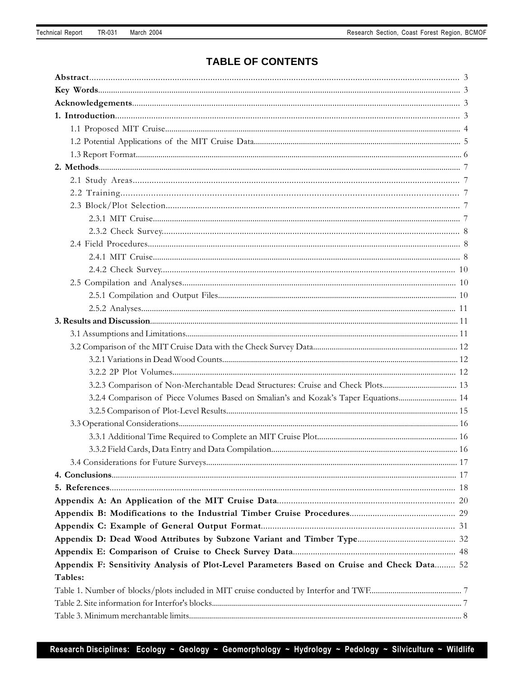# **TABLE OF CONTENTS**

| 3.2.3 Comparison of Non-Merchantable Dead Structures: Cruise and Check Plots 13             |  |
|---------------------------------------------------------------------------------------------|--|
| 3.2.4 Comparison of Piece Volumes Based on Smalian's and Kozak's Taper Equations 14         |  |
|                                                                                             |  |
|                                                                                             |  |
|                                                                                             |  |
|                                                                                             |  |
|                                                                                             |  |
|                                                                                             |  |
|                                                                                             |  |
|                                                                                             |  |
|                                                                                             |  |
|                                                                                             |  |
|                                                                                             |  |
|                                                                                             |  |
| Appendix F: Sensitivity Analysis of Plot-Level Parameters Based on Cruise and Check Data 52 |  |
| Tables:                                                                                     |  |
|                                                                                             |  |
|                                                                                             |  |
|                                                                                             |  |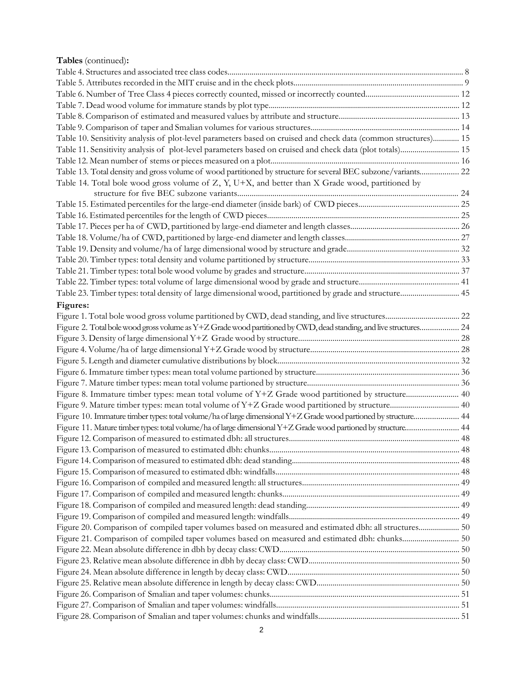# **Tables** (continued)**:**

| Table 10. Sensitivity analysis of plot-level parameters based on cruised and check data (common structures) 15     |  |
|--------------------------------------------------------------------------------------------------------------------|--|
| Table 11. Sensitivity analysis of plot-level parameters based on cruised and check data (plot totals) 15           |  |
|                                                                                                                    |  |
| Table 13. Total density and gross volume of wood partitioned by structure for several BEC subzone/variants 22      |  |
| Table 14. Total bole wood gross volume of Z, Y, U+X, and better than X Grade wood, partitioned by                  |  |
|                                                                                                                    |  |
|                                                                                                                    |  |
|                                                                                                                    |  |
|                                                                                                                    |  |
|                                                                                                                    |  |
|                                                                                                                    |  |
|                                                                                                                    |  |
|                                                                                                                    |  |
|                                                                                                                    |  |
|                                                                                                                    |  |
| Figures:                                                                                                           |  |
|                                                                                                                    |  |
| Figure 2. Total bole wood gross volume as Y+Z Grade wood partitioned by CWD, dead standing, and live structures 24 |  |
|                                                                                                                    |  |
|                                                                                                                    |  |
|                                                                                                                    |  |
|                                                                                                                    |  |
|                                                                                                                    |  |
| Figure 8. Immature timber types: mean total volume of Y+Z Grade wood partitioned by structure 40                   |  |
|                                                                                                                    |  |
| Figure 10. Immature timber types: total volume/ha of large dimensional Y+Z Grade wood partioned by structure 44    |  |
| Figure 11. Mature timber types: total volume/ha of large dimensional Y+Z Grade wood partioned by structure 44      |  |
|                                                                                                                    |  |
|                                                                                                                    |  |
|                                                                                                                    |  |
|                                                                                                                    |  |
|                                                                                                                    |  |
|                                                                                                                    |  |
|                                                                                                                    |  |
|                                                                                                                    |  |
| Figure 20. Comparison of compiled taper volumes based on measured and estimated dbh: all structures 50             |  |
| Figure 21. Comparison of compiled taper volumes based on measured and estimated dbh: chunks 50                     |  |
|                                                                                                                    |  |
|                                                                                                                    |  |
|                                                                                                                    |  |
|                                                                                                                    |  |
|                                                                                                                    |  |
|                                                                                                                    |  |
|                                                                                                                    |  |
|                                                                                                                    |  |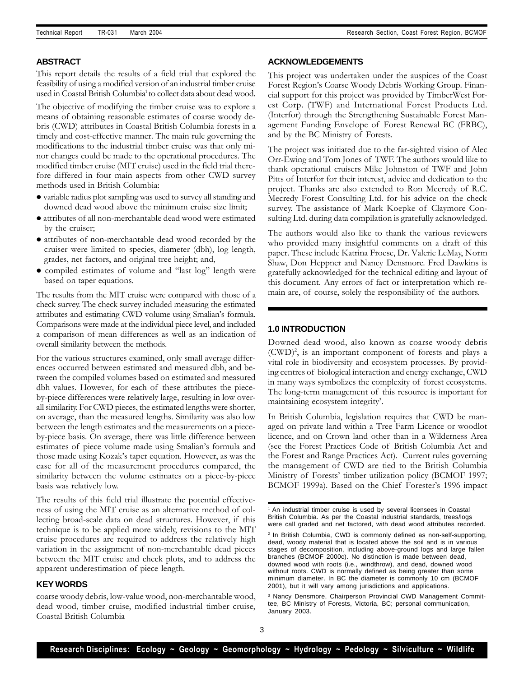## **ABSTRACT**

This report details the results of a field trial that explored the feasibility of using a modified version of an industrial timber cruise used in Coastal British Columbia<sup>1</sup> to collect data about dead wood.

The objective of modifying the timber cruise was to explore a means of obtaining reasonable estimates of coarse woody debris (CWD) attributes in Coastal British Columbia forests in a timely and cost-effective manner. The main rule governing the modifications to the industrial timber cruise was that only minor changes could be made to the operational procedures. The modified timber cruise (MIT cruise) used in the field trial therefore differed in four main aspects from other CWD survey methods used in British Columbia:

- l variable radius plot sampling was used to survey all standing and downed dead wood above the minimum cruise size limit;
- attributes of all non-merchantable dead wood were estimated by the cruiser;
- l attributes of non-merchantable dead wood recorded by the cruiser were limited to species, diameter (dbh), log length, grades, net factors, and original tree height; and,
- compiled estimates of volume and "last log" length were based on taper equations.

The results from the MIT cruise were compared with those of a check survey. The check survey included measuring the estimated attributes and estimating CWD volume using Smalian's formula. Comparisons were made at the individual piece level, and included a comparison of mean differences as well as an indication of overall similarity between the methods.

For the various structures examined, only small average differences occurred between estimated and measured dbh, and between the compiled volumes based on estimated and measured dbh values. However, for each of these attributes the pieceby-piece differences were relatively large, resulting in low overall similarity. For CWD pieces, the estimated lengths were shorter, on average, than the measured lengths. Similarity was also low between the length estimates and the measurements on a pieceby-piece basis. On average, there was little difference between estimates of piece volume made using Smalian's formula and those made using Kozak's taper equation. However, as was the case for all of the measurement procedures compared, the similarity between the volume estimates on a piece-by-piece basis was relatively low.

The results of this field trial illustrate the potential effectiveness of using the MIT cruise as an alternative method of collecting broad-scale data on dead structures. However, if this technique is to be applied more widely, revisions to the MIT cruise procedures are required to address the relatively high variation in the assignment of non-merchantable dead pieces between the MIT cruise and check plots, and to address the apparent underestimation of piece length.

## **KEY WORDS**

coarse woody debris, low-value wood, non-merchantable wood, dead wood, timber cruise, modified industrial timber cruise, Coastal British Columbia

#### **ACKNOWLEDGEMENTS**

This project was undertaken under the auspices of the Coast Forest Region's Coarse Woody Debris Working Group. Financial support for this project was provided by TimberWest Forest Corp. (TWF) and International Forest Products Ltd. (Interfor) through the Strengthening Sustainable Forest Management Funding Envelope of Forest Renewal BC (FRBC), and by the BC Ministry of Forests.

The project was initiated due to the far-sighted vision of Alec Orr-Ewing and Tom Jones of TWF. The authors would like to thank operational cruisers Mike Johnston of TWF and John Pitts of Interfor for their interest, advice and dedication to the project. Thanks are also extended to Ron Mecredy of R.C. Mecredy Forest Consulting Ltd. for his advice on the check survey. The assistance of Mark Koepke of Claymore Consulting Ltd. during data compilation is gratefully acknowledged.

The authors would also like to thank the various reviewers who provided many insightful comments on a draft of this paper. These include Katrina Froese, Dr. Valerie LeMay, Norm Shaw, Don Heppner and Nancy Densmore. Fred Dawkins is gratefully acknowledged for the technical editing and layout of this document. Any errors of fact or interpretation which remain are, of course, solely the responsibility of the authors.

#### **1.0 INTRODUCTION**

Downed dead wood, also known as coarse woody debris (CWD)<sup>2</sup> , is an important component of forests and plays a vital role in biodiversity and ecosystem processes. By providing centres of biological interaction and energy exchange, CWD in many ways symbolizes the complexity of forest ecosystems. The long-term management of this resource is important for maintaining ecosystem integrity<sup>3</sup>.

In British Columbia, legislation requires that CWD be managed on private land within a Tree Farm Licence or woodlot licence, and on Crown land other than in a Wilderness Area (see the Forest Practices Code of British Columbia Act and the Forest and Range Practices Act). Current rules governing the management of CWD are tied to the British Columbia Ministry of Forests' timber utilization policy (BCMOF 1997; BCMOF 1999a). Based on the Chief Forester's 1996 impact

<sup>&</sup>lt;sup>1</sup> An industrial timber cruise is used by several licensees in Coastal British Columbia. As per the Coastal industrial standards, trees/logs were call graded and net factored, with dead wood attributes recorded.

<sup>2</sup> In British Columbia, CWD is commonly defined as non-self-supporting, dead, woody material that is located above the soil and is in various stages of decomposition, including above-ground logs and large fallen branches (BCMOF 2000c). No distinction is made between dead, downed wood with roots (i.e., windthrow), and dead, downed wood without roots. CWD is normally defined as being greater than some minimum diameter. In BC the diameter is commonly 10 cm (BCMOF 2001), but it will vary among jurisdictions and applications.

<sup>3</sup> Nancy Densmore, Chairperson Provincial CWD Management Committee, BC Ministry of Forests, Victoria, BC; personal communication, January 2003.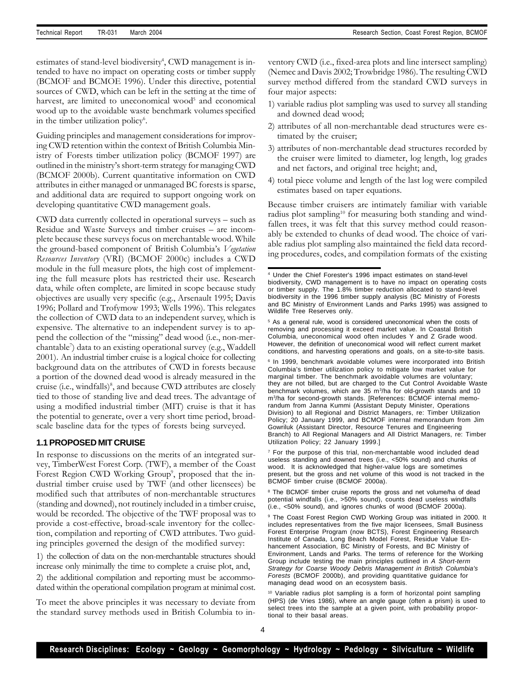estimates of stand-level biodiversity<sup>4</sup>, CWD management is intended to have no impact on operating costs or timber supply (BCMOF and BCMOE 1996). Under this directive, potential sources of CWD, which can be left in the setting at the time of harvest, are limited to uneconomical wood<sup>5</sup> and economical wood up to the avoidable waste benchmark volumes specified in the timber utilization policy<sup>6</sup>.

Guiding principles and management considerations for improving CWD retention within the context of British Columbia Ministry of Forests timber utilization policy (BCMOF 1997) are outlined in the ministry's short-term strategy for managing CWD (BCMOF 2000b). Current quantitative information on CWD attributes in either managed or unmanaged BC forests is sparse, and additional data are required to support ongoing work on developing quantitative CWD management goals.

CWD data currently collected in operational surveys – such as Residue and Waste Surveys and timber cruises – are incomplete because these surveys focus on merchantable wood. While the ground-based component of British Columbia's *Vegetation Resources Inventory* (VRI) (BCMOF 2000c) includes a CWD module in the full measure plots, the high cost of implementing the full measure plots has restricted their use. Research data, while often complete, are limited in scope because study objectives are usually very specific (e.g., Arsenault 1995; Davis 1996; Pollard and Trofymow 1993; Wells 1996). This relegates the collection of CWD data to an independent survey, which is expensive. The alternative to an independent survey is to append the collection of the "missing" dead wood (i.e., non-merchantable<sup>7</sup> ) data to an existing operational survey (e.g., Waddell 2001). An industrial timber cruise is a logical choice for collecting background data on the attributes of CWD in forests because a portion of the downed dead wood is already measured in the cruise (i.e., windfalls)<sup>8</sup>, and because CWD attributes are closely tied to those of standing live and dead trees. The advantage of using a modified industrial timber (MIT) cruise is that it has the potential to generate, over a very short time period, broadscale baseline data for the types of forests being surveyed.

## **1.1 PROPOSED MIT CRUISE**

In response to discussions on the merits of an integrated survey, TimberWest Forest Corp. (TWF), a member of the Coast Forest Region CWD Working Group<sup>9</sup>, proposed that the industrial timber cruise used by TWF (and other licensees) be modified such that attributes of non-merchantable structures (standing and downed), not routinely included in a timber cruise, would be recorded. The objective of the TWF proposal was to provide a cost-effective, broad-scale inventory for the collection, compilation and reporting of CWD attributes. Two guiding principles governed the design of the modified survey:

1) the collection of data on the non-merchantable structures should increase only minimally the time to complete a cruise plot, and,

2) the additional compilation and reporting must be accommodated within the operational compilation program at minimal cost.

To meet the above principles it was necessary to deviate from the standard survey methods used in British Columbia to inventory CWD (i.e., fixed-area plots and line intersect sampling) (Nemec and Davis 2002; Trowbridge 1986). The resulting CWD survey method differed from the standard CWD surveys in four major aspects:

- 1) variable radius plot sampling was used to survey all standing and downed dead wood;
- 2) attributes of all non-merchantable dead structures were estimated by the cruiser;
- 3) attributes of non-merchantable dead structures recorded by the cruiser were limited to diameter, log length, log grades and net factors, and original tree height; and,
- 4) total piece volume and length of the last log were compiled estimates based on taper equations.

Because timber cruisers are intimately familiar with variable radius plot sampling<sup>10</sup> for measuring both standing and windfallen trees, it was felt that this survey method could reasonably be extended to chunks of dead wood. The choice of variable radius plot sampling also maintained the field data recording procedures, codes, and compilation formats of the existing

<sup>7</sup> For the purpose of this trial, non-merchantable wood included dead useless standing and downed trees (i.e., <50% sound) and chunks of wood. It is acknowledged that higher-value logs are sometimes present, but the gross and net volume of this wood is not tracked in the BCMOF timber cruise (BCMOF 2000a).

<sup>8</sup> The BCMOF timber cruise reports the gross and net volume/ha of dead potential windfalls (i.e., >50% sound), counts dead useless windfalls (i.e., <50% sound), and ignores chunks of wood (BCMOF 2000a).

9 The Coast Forest Region CWD Working Group was initiated in 2000. It includes representatives from the five major licensees, Small Business Forest Enterprise Program (now BCTS), Forest Engineering Research Institute of Canada, Long Beach Model Forest, Residue Value Enhancement Association, BC Ministry of Forests, and BC Ministry of Environment, Lands and Parks. The terms of reference for the Working Group include testing the main principles outlined in *A Short-term Strategy for Coarse Woody Debris Management in British Columbia's Forests* (BCMOF 2000b), and providing quantitative guidance for managing dead wood on an ecosystem basis.

<sup>10</sup> Variable radius plot sampling is a form of horizontal point sampling (HPS) (de Vries 1986), where an angle gauge (often a prism) is used to select trees into the sample at a given point, with probability proportional to their basal areas.

<sup>4</sup> Under the Chief Forester's 1996 impact estimates on stand-level biodiversity, CWD management is to have no impact on operating costs or timber supply. The 1.8% timber reduction allocated to stand-level biodiversity in the 1996 timber supply analysis (BC Ministry of Forests and BC Ministry of Environment Lands and Parks 1995) was assigned to Wildlife Tree Reserves only.

<sup>&</sup>lt;sup>5</sup> As a general rule, wood is considered uneconomical when the costs of removing and processing it exceed market value. In Coastal British Columbia, uneconomical wood often includes Y and Z Grade wood. However, the definition of uneconomical wood will reflect current market conditions, and harvesting operations and goals, on a site-to-site basis.

<sup>&</sup>lt;sup>6</sup> In 1999, benchmark avoidable volumes were incorporated into British Columbia's timber utilization policy to mitigate low market value for marginal timber. The benchmark avoidable volumes are voluntary; they are not billed, but are charged to the Cut Control Avoidable Waste benchmark volumes, which are 35 m<sup>3</sup>/ha for old-growth stands and 10 m<sup>3</sup> /ha for second-growth stands. [References: BCMOF internal memorandum from Janna Kummi (Assistant Deputy Minister, Operations Division) to all Regional and District Managers, re: Timber Utilization Policy; 20 January 1999, and BCMOF internal memorandum from Jim Gowriluk (Assistant Director, Resource Tenures and Engineering Branch) to All Regional Managers and All District Managers, re: Timber Utilization Policy; 22 January 1999.]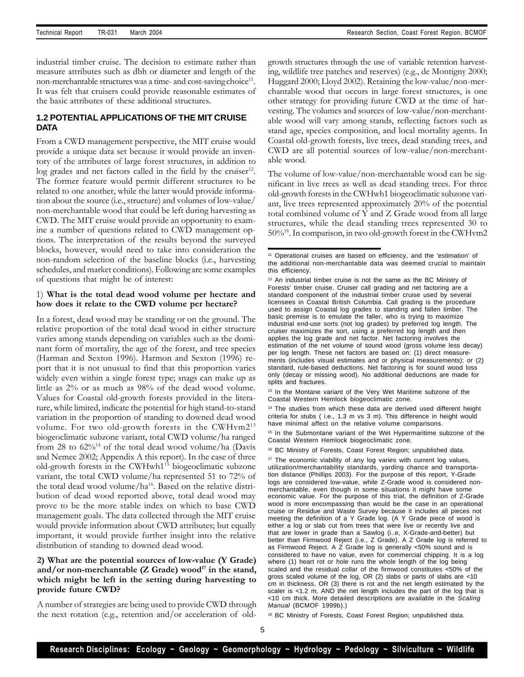industrial timber cruise. The decision to estimate rather than measure attributes such as dbh or diameter and length of the non-merchantable structures was a time- and cost-saving choice<sup>11</sup>. It was felt that cruisers could provide reasonable estimates of the basic attributes of these additional structures.

## **1.2 POTENTIAL APPLICATIONS OF THE MIT CRUISE DATA**

From a CWD management perspective, the MIT cruise would provide a unique data set because it would provide an inventory of the attributes of large forest structures, in addition to log grades and net factors called in the field by the cruiser<sup>12</sup>. The former feature would permit different structures to be related to one another, while the latter would provide information about the source (i.e., structure) and volumes of low-value/ non-merchantable wood that could be left during harvesting as CWD. The MIT cruise would provide an opportunity to examine a number of questions related to CWD management options. The interpretation of the results beyond the surveyed blocks, however, would need to take into consideration the non-random selection of the baseline blocks (i.e., harvesting schedules, and market conditions). Following are some examples of questions that might be of interest:

## 1) **What is the total dead wood volume per hectare and how does it relate to the CWD volume per hectare?**

In a forest, dead wood may be standing or on the ground. The relative proportion of the total dead wood in either structure varies among stands depending on variables such as the dominant form of mortality, the age of the forest, and tree species (Harman and Sexton 1996). Harmon and Sexton (1996) report that it is not unusual to find that this proportion varies widely even within a single forest type; snags can make up as little as 2% or as much as 98% of the dead wood volume. Values for Coastal old-growth forests provided in the literature, while limited, indicate the potential for high stand-to-stand variation in the proportion of standing to downed dead wood volume. For two old-growth forests in the CWHvm2<sup>13</sup> biogeoclimatic subzone variant, total CWD volume/ha ranged from 28 to  $62\%^{14}$  of the total dead wood volume/ha (Davis and Nemec 2002; Appendix A this report). In the case of three old-growth forests in the CWHwh1<sup>15</sup> biogeoclimatic subzone variant, the total CWD volume/ha represented 51 to 72% of the total dead wood volume/ha<sup>16</sup>. Based on the relative distribution of dead wood reported above, total dead wood may prove to be the more stable index on which to base CWD management goals. The data collected through the MIT cruise would provide information about CWD attributes; but equally important, it would provide further insight into the relative distribution of standing to downed dead wood.

## **2) What are the potential sources of low-value (Y Grade) and/or non-merchantable (Z Grade) wood<sup>17</sup> in the stand, which might be left in the setting during harvesting to provide future CWD?**

A number of strategies are being used to provide CWD through the next rotation (e.g., retention and/or acceleration of oldgrowth structures through the use of variable retention harvesting, wildlife tree patches and reserves) (e.g., de Montigny 2000; Huggard 2000; Lloyd 2002). Retaining the low-value/non-merchantable wood that occurs in large forest structures, is one other strategy for providing future CWD at the time of harvesting. The volumes and sources of low-value/non-merchantable wood will vary among stands, reflecting factors such as stand age, species composition, and local mortality agents. In Coastal old-growth forests, live trees, dead standing trees, and CWD are all potential sources of low-value/non-merchantable wood.

The volume of low-value/non-merchantable wood can be significant in live trees as well as dead standing trees. For three old-growth forests in the CWHwh1 biogeoclimatic subzone variant, live trees represented approximately 20% of the potential total combined volume of Y and Z Grade wood from all large structures, while the dead standing trees represented 30 to 50%<sup>18</sup>. In comparison, in two old-growth forest in the CWHvm2

<sup>13</sup> In the Montane variant of the Very Wet Maritime subzone of the Coastal Western Hemlock biogeoclimatic zone.

<sup>15</sup> In the Submontane variant of the Wet Hypermaritime subzone of the Coastal Western Hemlock biogeoclimatic zone.

<sup>16</sup> BC Ministry of Forests, Coast Forest Region; unpublished data.

<sup>17</sup> The economic viability of any log varies with current log values, utilization/merchantability standards, yarding chance and transportation distance (Phillips 2003). For the purpose of this report, Y-Grade logs are considered low-value, while Z-Grade wood is considered nonmerchantable, even though in some situations it might have some economic value. For the purpose of this trial, the definition of Z-Grade wood is more encompassing than would be the case in an operational cruise or Residue and Waste Survey because it includes all pieces not meeting the definition of a Y Grade log. (A Y Grade piece of wood is either a log or slab cut from trees that were live or recently live and that are lower in grade than a Sawlog (i..e, X-Grade-and-better) but better than Firmwood Reject (i.e., Z Grade). A Z Grade log is referred to as Firmwood Reject. A Z Grade log is generally <50% sound and is considered to have no value, even for commercial chipping. It is a log where (1) heart rot or hole runs the whole length of the log being scaled and the residual collar of the firmwood constitutes <50% of the gross scaled volume of the log, OR (2) slabs or parts of slabs are <10 cm in thickness, OR (3) there is rot and the net length estimated by the scaler is <1.2 m, AND the net length includes the part of the log that is <10 cm thick. More detailed descriptions are available in the *Scaling Manual* (BCMOF 1999b).)

<sup>18</sup> BC Ministry of Forests, Coast Forest Region; unpublished data.

<sup>11</sup> Operational cruises are based on efficiency, and the 'estimation' of the additional non-merchantable data was deemed crucial to maintain this efficiency.

<sup>&</sup>lt;sup>12</sup> An industrial timber cruise is not the same as the BC Ministry of Forests' timber cruise. Cruiser call grading and net factoring are a standard component of the industrial timber cruise used by several licensees in Coastal British Columbia. Call grading is the procedure used to assign Coastal log grades to standing and fallen timber. The basic premise is to emulate the faller, who is trying to maximize industrial end-use sorts (not log grades) by preferred log length. The cruiser maximizes the sort, using a preferred log length and then applies the log grade and net factor. Net factoring involves the estimation of the net volume of sound wood (gross volume less decay) per log length. These net factors are based on: (1) direct measurements (includes visual estimates and or physical measurements); or (2) standard, rule-based deductions. Net factoring is for sound wood loss only (decay or missing wood). No additional deductions are made for splits and fractures.

<sup>&</sup>lt;sup>14</sup> The studies from which these data are derived used different height criteria for stubs ( i.e., 1.3 m vs 3 m). This difference in height would have minimal affect on the relative volume comparisons.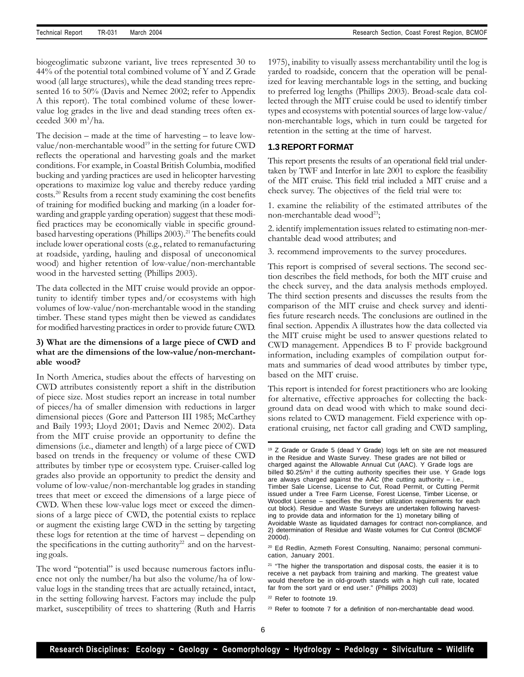biogeoglimatic subzone variant, live trees represented 30 to 44% of the potential total combined volume of Y and Z Grade wood (all large structures), while the dead standing trees represented 16 to 50% (Davis and Nemec 2002; refer to Appendix A this report). The total combined volume of these lowervalue log grades in the live and dead standing trees often exceeded  $300 \text{ m}^3/\text{ha}$ .

The decision – made at the time of harvesting – to leave lowvalue/non-merchantable wood<sup>19</sup> in the setting for future CWD reflects the operational and harvesting goals and the market conditions. For example, in Coastal British Columbia, modified bucking and yarding practices are used in helicopter harvesting operations to maximize log value and thereby reduce yarding costs.<sup>20</sup> Results from a recent study examining the cost benefits of training for modified bucking and marking (in a loader forwarding and grapple yarding operation) suggest that these modified practices may be economically viable in specific groundbased harvesting operations (Phillips 2003).<sup>21</sup> The benefits could include lower operational costs (e.g., related to remanufacturing at roadside, yarding, hauling and disposal of uneconomical wood) and higher retention of low-value/non-merchantable wood in the harvested setting (Phillips 2003).

The data collected in the MIT cruise would provide an opportunity to identify timber types and/or ecosystems with high volumes of low-value/non-merchantable wood in the standing timber. These stand types might then be viewed as candidates for modified harvesting practices in order to provide future CWD.

## **3) What are the dimensions of a large piece of CWD and what are the dimensions of the low-value/non-merchantable wood?**

In North America, studies about the effects of harvesting on CWD attributes consistently report a shift in the distribution of piece size. Most studies report an increase in total number of pieces/ha of smaller dimension with reductions in larger dimensional pieces (Gore and Patterson III 1985; McCarthey and Baily 1993; Lloyd 2001; Davis and Nemec 2002). Data from the MIT cruise provide an opportunity to define the dimensions (i.e., diameter and length) of a large piece of CWD based on trends in the frequency or volume of these CWD attributes by timber type or ecosystem type. Cruiser-called log grades also provide an opportunity to predict the density and volume of low-value/non-merchantable log grades in standing trees that meet or exceed the dimensions of a large piece of CWD. When these low-value logs meet or exceed the dimensions of a large piece of CWD, the potential exists to replace or augment the existing large CWD in the setting by targeting these logs for retention at the time of harvest – depending on the specifications in the cutting authority<sup>22</sup> and on the harvesting goals.

The word "potential" is used because numerous factors influence not only the number/ha but also the volume/ha of lowvalue logs in the standing trees that are actually retained, intact, in the setting following harvest. Factors may include the pulp market, susceptibility of trees to shattering (Ruth and Harris 1975), inability to visually assess merchantability until the log is yarded to roadside, concern that the operation will be penalized for leaving merchantable logs in the setting, and bucking to preferred log lengths (Phillips 2003). Broad-scale data collected through the MIT cruise could be used to identify timber types and ecosystems with potential sources of large low-value/ non-merchantable logs, which in turn could be targeted for retention in the setting at the time of harvest.

#### **1.3 REPORT FORMAT**

This report presents the results of an operational field trial undertaken by TWF and Interfor in late 2001 to explore the feasibility of the MIT cruise. This field trial included a MIT cruise and a check survey. The objectives of the field trial were to:

1. examine the reliability of the estimated attributes of the non-merchantable dead wood<sup>23</sup>;

2. identify implementation issues related to estimating non-merchantable dead wood attributes; and

3. recommend improvements to the survey procedures.

This report is comprised of several sections. The second section describes the field methods, for both the MIT cruise and the check survey, and the data analysis methods employed. The third section presents and discusses the results from the comparison of the MIT cruise and check survey and identifies future research needs. The conclusions are outlined in the final section. Appendix A illustrates how the data collected via the MIT cruise might be used to answer questions related to CWD management. Appendices B to F provide background information, including examples of compilation output formats and summaries of dead wood attributes by timber type, based on the MIT cruise.

This report is intended for forest practitioners who are looking for alternative, effective approaches for collecting the background data on dead wood with which to make sound decisions related to CWD management. Field experience with operational cruising, net factor call grading and CWD sampling,

<sup>&</sup>lt;sup>19</sup> Z Grade or Grade 5 (dead Y Grade) logs left on site are not measured in the Residue and Waste Survey. These grades are not billed or charged against the Allowable Annual Cut (AAC). Y Grade logs are billed \$0.25/m<sup>3</sup> if the cutting authority specifies their use. Y Grade logs are always charged against the AAC (the cutting authority – i.e., Timber Sale License, License to Cut, Road Permit, or Cutting Permit issued under a Tree Farm License, Forest License, Timber License, or Woodlot License – specifies the timber utilization requirements for each cut block). Residue and Waste Surveys are undertaken following harvesting to provide data and information for the 1) monetary billing of Avoidable Waste as liquidated damages for contract non-compliance, and 2) determination of Residue and Waste volumes for Cut Control (BCMOF 2000d).

<sup>20</sup> Ed Redlin, Azmeth Forest Consulting, Nanaimo; personal communication, January 2001.

<sup>&</sup>lt;sup>21</sup> "The higher the transportation and disposal costs, the easier it is to receive a net payback from training and marking. The greatest value would therefore be in old-growth stands with a high cull rate, located far from the sort yard or end user." (Phillips 2003)

<sup>22</sup> Refer to footnote 19.

<sup>&</sup>lt;sup>23</sup> Refer to footnote 7 for a definition of non-merchantable dead wood.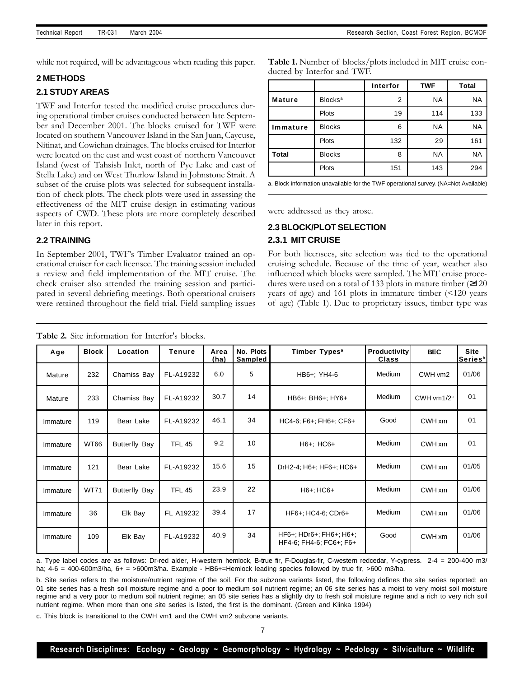while not required, will be advantageous when reading this paper.

#### **2 METHODS**

#### **2.1 STUDY AREAS**

TWF and Interfor tested the modified cruise procedures during operational timber cruises conducted between late September and December 2001. The blocks cruised for TWF were located on southern Vancouver Island in the San Juan, Caycuse, Nitinat, and Cowichan drainages. The blocks cruised for Interfor were located on the east and west coast of northern Vancouver Island (west of Tahsish Inlet, north of Pye Lake and east of Stella Lake) and on West Thurlow Island in Johnstone Strait. A subset of the cruise plots was selected for subsequent installation of check plots. The check plots were used in assessing the effectiveness of the MIT cruise design in estimating various aspects of CWD. These plots are more completely described later in this report.

## **2.2 TRAINING**

In September 2001, TWF's Timber Evaluator trained an operational cruiser for each licensee. The training session included a review and field implementation of the MIT cruise. The check cruiser also attended the training session and participated in several debriefing meetings. Both operational cruisers were retained throughout the field trial. Field sampling issues

| Table 1. Number of blocks/plots included in MIT cruise con- |  |
|-------------------------------------------------------------|--|
| ducted by Interfor and TWF.                                 |  |

|               |                            | Interfor | <b>TWF</b> | <b>Total</b> |
|---------------|----------------------------|----------|------------|--------------|
| <b>Mature</b> | <b>Blocks</b> <sup>a</sup> |          | <b>NA</b>  | <b>NA</b>    |
|               | Plots                      | 19       | 114        | 133          |
| Immature      | <b>Blocks</b>              | 6        | <b>NA</b>  | <b>NA</b>    |
|               | Plots                      | 132      | 29         | 161          |
| <b>Total</b>  | <b>Blocks</b>              | 8        | <b>NA</b>  | <b>NA</b>    |
|               | Plots                      | 151      | 143        | 294          |

a. Block information unavailable for the TWF operational survey. (NA=Not Available)

were addressed as they arose.

# **2.3 BLOCK/PLOT SELECTION 2.3.1 MIT CRUISE**

For both licensees, site selection was tied to the operational cruising schedule. Because of the time of year, weather also influenced which blocks were sampled. The MIT cruise procedures were used on a total of 133 plots in mature timber (≥120 years of age) and 161 plots in immature timber (<120 years of age) (Table 1). Due to proprietary issues, timber type was

| Age      | <b>Block</b> | Location             | <b>Tenure</b> | Area<br>(ha) | No. Plots<br>Sampled         | Timber Types <sup>a</sup>                             | Productivity<br><b>Class</b> | <b>BEC</b>     | <b>Site</b><br>Series <sup>b</sup> |
|----------|--------------|----------------------|---------------|--------------|------------------------------|-------------------------------------------------------|------------------------------|----------------|------------------------------------|
| Mature   | 232          | Chamiss Bay          | FL-A19232     | 6.0          | 5<br>HB6+: YH4-6             |                                                       | Medium                       | CWH vm2        | 01/06                              |
| Mature   | 233          | Chamiss Bay          | FL-A19232     | 30.7         | 14<br>HB6+; BH6+; HY6+       |                                                       | Medium                       | CWH vm $1/2^c$ | 01                                 |
| Immature | 119          | Bear Lake            | FL-A19232     | 46.1         | 34<br>HC4-6; F6+; FH6+; CF6+ |                                                       | Good                         | CWH xm         | 01                                 |
| Immature | <b>WT66</b>  | <b>Butterfly Bay</b> | <b>TFL 45</b> | 9.2          | 10                           | $H6+$ ; $HC6+$                                        |                              | CWH xm         | 0 <sub>1</sub>                     |
| Immature | 121          | Bear Lake            | FL-A19232     | 15.6         | 15                           | DrH2-4; H6+; HF6+; HC6+                               |                              | CWH xm         | 01/05                              |
| Immature | <b>WT71</b>  | Butterfly Bay        | <b>TFL 45</b> | 23.9         | 22                           | Medium<br>$H6+; HCG+$                                 |                              | CWH xm         | 01/06                              |
| Immature | 36           | Elk Bay              | FL A19232     | 39.4         | 17                           | Medium<br>HF6+; HC4-6; CDr6+                          |                              | CWH xm         | 01/06                              |
| Immature | 109          | Elk Bay              | FL-A19232     | 40.9         | 34                           | $HF6+$ ; HDr6+; FH6+; H6+;<br>HF4-6; FH4-6; FC6+; F6+ |                              | CWH xm         | 01/06                              |

**Table 2.** Site information for Interfor's blocks.

a. Type label codes are as follows: Dr-red alder, H-western hemlock, B-true fir, F-Douglas-fir, C-western redcedar, Y-cypress. 2-4 = 200-400 m3/ ha; 4-6 = 400-600m3/ha, 6+ = >600m3/ha. Example - HB6+=Hemlock leading species followed by true fir, >600 m3/ha.

b. Site series refers to the moisture/nutrient regime of the soil. For the subzone variants listed, the following defines the site series reported: an 01 site series has a fresh soil moisture regime and a poor to medium soil nutrient regime; an 06 site series has a moist to very moist soil moisture regime and a very poor to medium soil nutrient regime; an 05 site series has a slightly dry to fresh soil moisture regime and a rich to very rich soil nutrient regime. When more than one site series is listed, the first is the dominant. (Green and Klinka 1994)

c. This block is transitional to the CWH vm1 and the CWH vm2 subzone variants.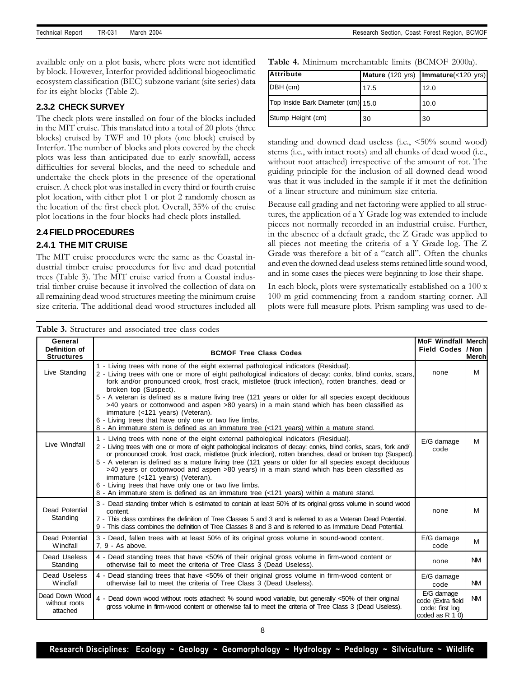available only on a plot basis, where plots were not identified by block. However, Interfor provided additional biogeoclimatic ecosystem classification (BEC) subzone variant (site series) data for its eight blocks (Table 2).

## **2.3.2 CHECK SURVEY**

The check plots were installed on four of the blocks included in the MIT cruise. This translated into a total of 20 plots (three blocks) cruised by TWF and 10 plots (one block) cruised by Interfor. The number of blocks and plots covered by the check plots was less than anticipated due to early snowfall, access difficulties for several blocks, and the need to schedule and undertake the check plots in the presence of the operational cruiser. A check plot was installed in every third or fourth cruise plot location, with either plot 1 or plot 2 randomly chosen as the location of the first check plot. Overall, 35% of the cruise plot locations in the four blocks had check plots installed.

## **2.4 FIELD PROCEDURES**

## **2.4.1 THE MIT CRUISE**

The MIT cruise procedures were the same as the Coastal industrial timber cruise procedures for live and dead potential trees (Table 3). The MIT cruise varied from a Coastal industrial timber cruise because it involved the collection of data on all remaining dead wood structures meeting the minimum cruise size criteria. The additional dead wood structures included all

**Table 4.** Minimum merchantable limits (BCMOF 2000a).

| <b>Attribute</b>                   |      | Mature (120 yrs)   Immature(<120 yrs) |
|------------------------------------|------|---------------------------------------|
| DBH (cm)                           | 17.5 | 12.0                                  |
| Top Inside Bark Diameter (cm) 15.0 |      | 10.0                                  |
| Stump Height (cm)                  | 30   | 30                                    |

standing and downed dead useless (i.e., <50% sound wood) stems (i.e., with intact roots) and all chunks of dead wood (i.e., without root attached) irrespective of the amount of rot. The guiding principle for the inclusion of all downed dead wood was that it was included in the sample if it met the definition of a linear structure and minimum size criteria.

Because call grading and net factoring were applied to all structures, the application of a Y Grade log was extended to include pieces not normally recorded in an industrial cruise. Further, in the absence of a default grade, the Z Grade was applied to all pieces not meeting the criteria of a Y Grade log. The Z Grade was therefore a bit of a "catch all". Often the chunks and even the downed dead useless stems retained little sound wood, and in some cases the pieces were beginning to lose their shape.

In each block, plots were systematically established on a 100 x 100 m grid commencing from a random starting corner. All plots were full measure plots. Prism sampling was used to de-

| General                                     |                                                                                                                                                                                                                                                                                                                                                                                                                                                                                                                                                                                                                                                                                                                             | <b>MoF Windfall Merchl</b>                                             |              |
|---------------------------------------------|-----------------------------------------------------------------------------------------------------------------------------------------------------------------------------------------------------------------------------------------------------------------------------------------------------------------------------------------------------------------------------------------------------------------------------------------------------------------------------------------------------------------------------------------------------------------------------------------------------------------------------------------------------------------------------------------------------------------------------|------------------------------------------------------------------------|--------------|
| Definition of<br><b>Structures</b>          | <b>BCMOF Tree Class Codes</b>                                                                                                                                                                                                                                                                                                                                                                                                                                                                                                                                                                                                                                                                                               | Field Codes I/Non                                                      | <b>Merch</b> |
| Live Standing                               | 1 - Living trees with none of the eight external pathological indicators (Residual).<br>2 - Living trees with one or more of eight pathological indicators of decay: conks, blind conks, scars,<br>fork and/or pronounced crook, frost crack, mistletoe (truck infection), rotten branches, dead or<br>broken top (Suspect).<br>5 - A veteran is defined as a mature living tree (121 years or older for all species except deciduous<br>>40 years or cottonwood and aspen >80 years) in a main stand which has been classified as<br>immature (<121 years) (Veteran).<br>6 - Living trees that have only one or two live limbs.<br>8 - An immature stem is defined as an immature tree (<121 years) within a mature stand. | none                                                                   | м            |
| Live Windfall                               | 1 - Living trees with none of the eight external pathological indicators (Residual).<br>2 - Living trees with one or more of eight pathological indicators of decay: conks, blind conks, scars, fork and/<br>or pronounced crook, frost crack, mistletoe (truck infection), rotten branches, dead or broken top (Suspect).<br>5 - A veteran is defined as a mature living tree (121 years or older for all species except deciduous<br>>40 years or cottonwood and aspen >80 years) in a main stand which has been classified as<br>immature (<121 years) (Veteran).<br>6 - Living trees that have only one or two live limbs.<br>8 - An immature stem is defined as an immature tree (<121 years) within a mature stand.   | E/G damage<br>code                                                     | М            |
| Dead Potential<br>Standing                  | 3 - Dead standing timber which is estimated to contain at least 50% of its original gross volume in sound wood<br>content.<br>7 - This class combines the definition of Tree Classes 5 and 3 and is referred to as a Veteran Dead Potential.<br>9 - This class combines the definition of Tree Classes 8 and 3 and is referred to as Immature Dead Potential.                                                                                                                                                                                                                                                                                                                                                               | none                                                                   | м            |
| <b>Dead Potential</b><br>Windfall           | 3 - Dead, fallen trees with at least 50% of its original gross volume in sound-wood content.<br>7. 9 - As above.                                                                                                                                                                                                                                                                                                                                                                                                                                                                                                                                                                                                            | E/G damage<br>code                                                     | M            |
| Dead Useless<br>Standing                    | 4 - Dead standing trees that have <50% of their original gross volume in firm-wood content or<br>otherwise fail to meet the criteria of Tree Class 3 (Dead Useless).                                                                                                                                                                                                                                                                                                                                                                                                                                                                                                                                                        | none                                                                   | <b>NM</b>    |
| Dead Useless<br>Windfall                    | 4 - Dead standing trees that have <50% of their original gross volume in firm-wood content or<br>otherwise fail to meet the criteria of Tree Class 3 (Dead Useless).                                                                                                                                                                                                                                                                                                                                                                                                                                                                                                                                                        | E/G damage<br>code                                                     | <b>NM</b>    |
| Dead Down Wood<br>without roots<br>attached | 4 - Dead down wood without roots attached: % sound wood variable, but generally <50% of their original<br>gross volume in firm-wood content or otherwise fail to meet the criteria of Tree Class 3 (Dead Useless).                                                                                                                                                                                                                                                                                                                                                                                                                                                                                                          | E/G damage<br>code (Extra field<br>code: first log<br>coded as $R 1 0$ | <b>NM</b>    |

8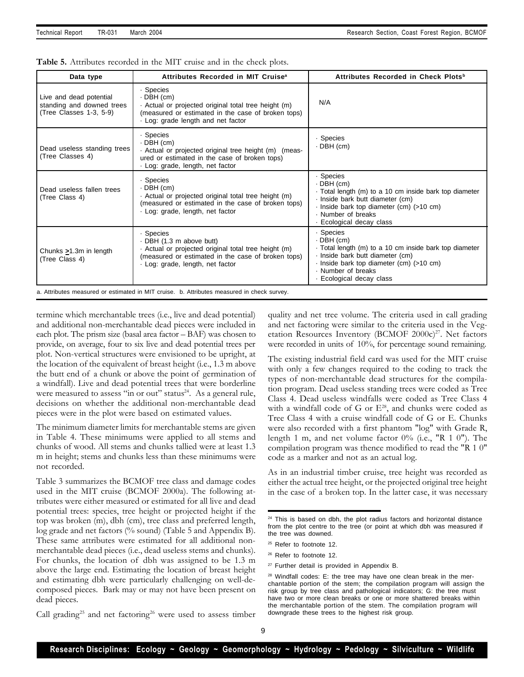| Data type                                                                       | Attributes Recorded in MIT Cruise <sup>a</sup>                                                                                                                                      | Attributes Recorded in Check Plots <sup>b</sup>                                                                                                                                                                    |
|---------------------------------------------------------------------------------|-------------------------------------------------------------------------------------------------------------------------------------------------------------------------------------|--------------------------------------------------------------------------------------------------------------------------------------------------------------------------------------------------------------------|
| Live and dead potential<br>standing and downed trees<br>(Tree Classes 1-3, 5-9) | · Species<br>$\cdot$ DBH (cm)<br>Actual or projected original total tree height (m)<br>(measured or estimated in the case of broken tops)<br>. Log: grade length and net factor     | N/A                                                                                                                                                                                                                |
| Dead useless standing trees<br>(Tree Classes 4)                                 | · Species<br>$\cdot$ DBH (cm)<br>. Actual or projected original tree height (m) (meas-<br>ured or estimated in the case of broken tops)<br>· Log: grade, length, net factor         | · Species<br>$-DBH$ (cm)                                                                                                                                                                                           |
| Dead useless fallen trees<br>(Tree Class 4)                                     | · Species<br>· DBH (cm)<br>Actual or projected original total tree height (m)<br>(measured or estimated in the case of broken tops)<br>· Log: grade, length, net factor             | · Species<br>$-DBH$ (cm)<br>Total length (m) to a 10 cm inside bark top diameter<br>· Inside bark butt diameter (cm)<br>- Inside bark top diameter (cm) (>10 cm)<br>· Number of breaks<br>· Ecological decay class |
| Chunks $>1.3m$ in length<br>(Tree Class 4)                                      | · Species<br>DBH (1.3 m above butt)<br>Actual or projected original total tree height (m)<br>(measured or estimated in the case of broken tops)<br>· Log: grade, length, net factor | · Species<br>· DBH (cm)<br>Total length (m) to a 10 cm inside bark top diameter<br>· Inside bark butt diameter (cm)<br>- Inside bark top diameter (cm) (>10 cm)<br>. Number of breaks<br>· Ecological decay class  |
|                                                                                 | a. Attributes measured or estimated in MIT cruise. b. Attributes measured in check survey.                                                                                          |                                                                                                                                                                                                                    |

**Table 5.** Attributes recorded in the MIT cruise and in the check plots.

termine which merchantable trees (i.e., live and dead potential) and additional non-merchantable dead pieces were included in each plot. The prism size (basal area factor – BAF) was chosen to provide, on average, four to six live and dead potential trees per plot. Non-vertical structures were envisioned to be upright, at the location of the equivalent of breast height (i.e., 1.3 m above the butt end of a chunk or above the point of germination of a windfall). Live and dead potential trees that were borderline were measured to assess "in or out" status<sup>24</sup>. As a general rule, decisions on whether the additional non-merchantable dead pieces were in the plot were based on estimated values.

The minimum diameter limits for merchantable stems are given in Table 4. These minimums were applied to all stems and chunks of wood. All stems and chunks tallied were at least 1.3 m in height; stems and chunks less than these minimums were not recorded.

Table 3 summarizes the BCMOF tree class and damage codes used in the MIT cruise (BCMOF 2000a). The following attributes were either measured or estimated for all live and dead potential trees: species, tree height or projected height if the top was broken (m), dbh (cm), tree class and preferred length, log grade and net factors (% sound) (Table 5 and Appendix B). These same attributes were estimated for all additional nonmerchantable dead pieces (i.e., dead useless stems and chunks). For chunks, the location of dbh was assigned to be 1.3 m above the large end. Estimating the location of breast height and estimating dbh were particularly challenging on well-decomposed pieces. Bark may or may not have been present on dead pieces.

Call grading<sup>25</sup> and net factoring<sup>26</sup> were used to assess timber

quality and net tree volume. The criteria used in call grading and net factoring were similar to the criteria used in the Vegetation Resources Inventory (BCMOF  $2000c$ )<sup>27</sup>. Net factors were recorded in units of 10%, for percentage sound remaining.

The existing industrial field card was used for the MIT cruise with only a few changes required to the coding to track the types of non-merchantable dead structures for the compilation program. Dead useless standing trees were coded as Tree Class 4. Dead useless windfalls were coded as Tree Class 4 with a windfall code of G or E <sup>28</sup>, and chunks were coded as Tree Class 4 with a cruise windfall code of G or E. Chunks were also recorded with a first phantom "log" with Grade R, length 1 m, and net volume factor 0% (i.e., "R 1 0"). The compilation program was thence modified to read the "R 1 0" code as a marker and not as an actual log.

As in an industrial timber cruise, tree height was recorded as either the actual tree height, or the projected original tree height in the case of a broken top. In the latter case, it was necessary

<sup>26</sup> Refer to footnote 12.

<sup>27</sup> Further detail is provided in Appendix B.

 $24$  This is based on dbh, the plot radius factors and horizontal distance from the plot centre to the tree (or point at which dbh was measured if the tree was downed.

<sup>&</sup>lt;sup>25</sup> Refer to footnote 12.

<sup>&</sup>lt;sup>28</sup> Windfall codes: E: the tree may have one clean break in the merchantable portion of the stem; the compilation program will assign the risk group by tree class and pathological indicators; G: the tree must have two or more clean breaks or one or more shattered breaks within the merchantable portion of the stem. The compilation program will downgrade these trees to the highest risk group.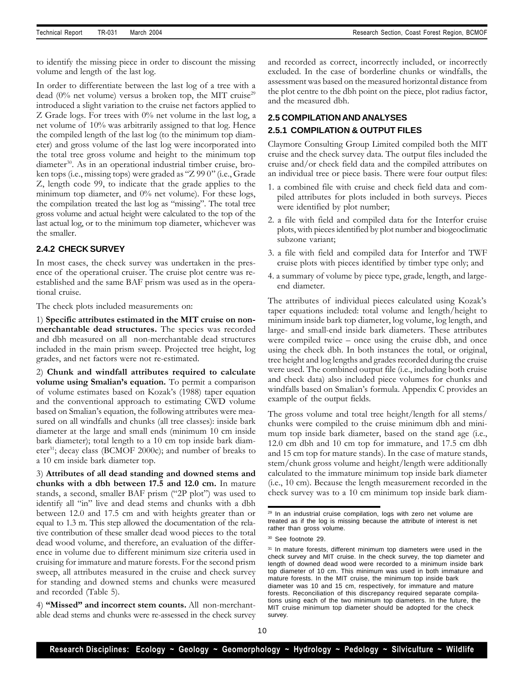to identify the missing piece in order to discount the missing volume and length of the last log.

In order to differentiate between the last log of a tree with a dead  $(0\%$  net volume) versus a broken top, the MIT cruise<sup>29</sup> introduced a slight variation to the cruise net factors applied to Z Grade logs. For trees with 0% net volume in the last log, a net volume of 10% was arbitrarily assigned to that log. Hence the compiled length of the last log (to the minimum top diameter) and gross volume of the last log were incorporated into the total tree gross volume and height to the minimum top diameter<sup>30</sup>. As in an operational industrial timber cruise, broken tops (i.e., missing tops) were graded as "Z 99 0" (i.e., Grade Z, length code 99, to indicate that the grade applies to the minimum top diameter, and 0% net volume). For these logs, the compilation treated the last log as "missing". The total tree gross volume and actual height were calculated to the top of the last actual log, or to the minimum top diameter, whichever was the smaller.

## **2.4.2 CHECK SURVEY**

In most cases, the check survey was undertaken in the presence of the operational cruiser. The cruise plot centre was reestablished and the same BAF prism was used as in the operational cruise.

The check plots included measurements on:

1) **Specific attributes estimated in the MIT cruise on nonmerchantable dead structures.** The species was recorded and dbh measured on all non-merchantable dead structures included in the main prism sweep. Projected tree height, log grades, and net factors were not re-estimated.

2) **Chunk and windfall attributes required to calculate volume using Smalian's equation.** To permit a comparison of volume estimates based on Kozak's (1988) taper equation and the conventional approach to estimating CWD volume based on Smalian's equation, the following attributes were measured on all windfalls and chunks (all tree classes): inside bark diameter at the large and small ends (minimum 10 cm inside bark diameter); total length to a 10 cm top inside bark diameter<sup>31</sup>; decay class (BCMOF 2000c); and number of breaks to a 10 cm inside bark diameter top.

3) **Attributes of all dead standing and downed stems and chunks with a dbh between 17.5 and 12.0 cm.** In mature stands, a second, smaller BAF prism ("2P plot") was used to identify all "in" live and dead stems and chunks with a dbh between 12.0 and 17.5 cm and with heights greater than or equal to 1.3 m. This step allowed the documentation of the relative contribution of these smaller dead wood pieces to the total dead wood volume, and therefore, an evaluation of the difference in volume due to different minimum size criteria used in cruising for immature and mature forests. For the second prism sweep, all attributes measured in the cruise and check survey for standing and downed stems and chunks were measured and recorded (Table 5).

4) **"Missed" and incorrect stem counts.** All non-merchantable dead stems and chunks were re-assessed in the check survey and recorded as correct, incorrectly included, or incorrectly excluded. In the case of borderline chunks or windfalls, the assessment was based on the measured horizontal distance from the plot centre to the dbh point on the piece, plot radius factor, and the measured dbh.

## **2.5 COMPILATION AND ANALYSES 2.5.1 COMPILATION & OUTPUT FILES**

Claymore Consulting Group Limited compiled both the MIT cruise and the check survey data. The output files included the cruise and/or check field data and the compiled attributes on an individual tree or piece basis. There were four output files:

- 1. a combined file with cruise and check field data and compiled attributes for plots included in both surveys. Pieces were identified by plot number;
- 2. a file with field and compiled data for the Interfor cruise plots, with pieces identified by plot number and biogeoclimatic subzone variant;
- 3. a file with field and compiled data for Interfor and TWF cruise plots with pieces identified by timber type only; and
- 4. a summary of volume by piece type, grade, length, and largeend diameter.

The attributes of individual pieces calculated using Kozak's taper equations included: total volume and length/height to minimum inside bark top diameter, log volume, log length, and large- and small-end inside bark diameters. These attributes were compiled twice – once using the cruise dbh, and once using the check dbh. In both instances the total, or original, tree height and log lengths and grades recorded during the cruise were used. The combined output file (i.e., including both cruise and check data) also included piece volumes for chunks and windfalls based on Smalian's formula. Appendix C provides an example of the output fields.

The gross volume and total tree height/length for all stems/ chunks were compiled to the cruise minimum dbh and minimum top inside bark diameter, based on the stand age (i.e., 12.0 cm dbh and 10 cm top for immature, and 17.5 cm dbh and 15 cm top for mature stands). In the case of mature stands, stem/chunk gross volume and height/length were additionally calculated to the immature minimum top inside bark diameter (i.e., 10 cm). Because the length measurement recorded in the check survey was to a 10 cm minimum top inside bark diam-

<sup>&</sup>lt;sup>29</sup> In an industrial cruise compilation, logs with zero net volume are treated as if the log is missing because the attribute of interest is net rather than gross volume.

<sup>30</sup> See footnote 29.

<sup>&</sup>lt;sup>31</sup> In mature forests, different minimum top diameters were used in the check survey and MIT cruise. In the check survey, the top diameter and length of downed dead wood were recorded to a minimum inside bark top diameter of 10 cm. This minimum was used in both immature and mature forests. In the MIT cruise, the minimum top inside bark diameter was 10 and 15 cm, respectively, for immature and mature forests. Reconciliation of this discrepancy required separate compilations using each of the two minimum top diameters. In the future, the MIT cruise minimum top diameter should be adopted for the check survey.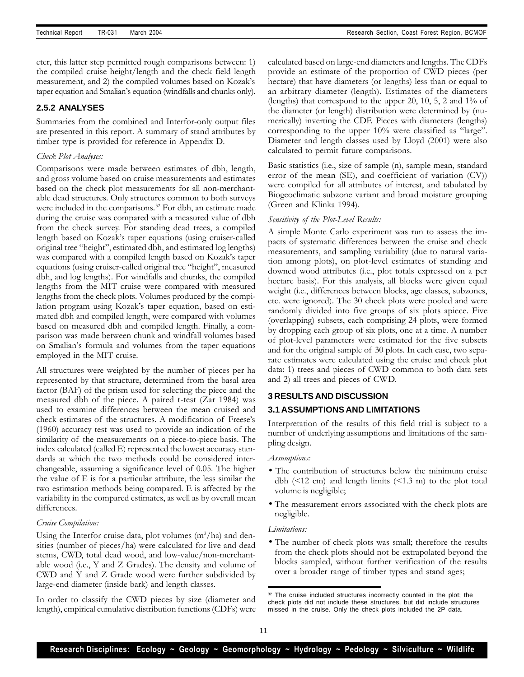eter, this latter step permitted rough comparisons between: 1) the compiled cruise height/length and the check field length measurement, and 2) the compiled volumes based on Kozak's taper equation and Smalian's equation (windfalls and chunks only).

## **2.5.2 ANALYSES**

Summaries from the combined and Interfor-only output files are presented in this report. A summary of stand attributes by timber type is provided for reference in Appendix D.

## *Check Plot Analyses:*

Comparisons were made between estimates of dbh, length, and gross volume based on cruise measurements and estimates based on the check plot measurements for all non-merchantable dead structures. Only structures common to both surveys were included in the comparisons.<sup>32</sup> For dbh, an estimate made during the cruise was compared with a measured value of dbh from the check survey. For standing dead trees, a compiled length based on Kozak's taper equations (using cruiser-called original tree "height", estimated dbh, and estimated log lengths) was compared with a compiled length based on Kozak's taper equations (using cruiser-called original tree "height", measured dbh, and log lengths). For windfalls and chunks, the compiled lengths from the MIT cruise were compared with measured lengths from the check plots. Volumes produced by the compilation program using Kozak's taper equation, based on estimated dbh and compiled length, were compared with volumes based on measured dbh and compiled length. Finally, a comparison was made between chunk and windfall volumes based on Smalian's formula and volumes from the taper equations employed in the MIT cruise.

All structures were weighted by the number of pieces per ha represented by that structure, determined from the basal area factor (BAF) of the prism used for selecting the piece and the measured dbh of the piece. A paired t-test (Zar 1984) was used to examine differences between the mean cruised and check estimates of the structures. A modification of Freese's (1960) accuracy test was used to provide an indication of the similarity of the measurements on a piece-to-piece basis. The index calculated (called E) represented the lowest accuracy standards at which the two methods could be considered interchangeable, assuming a significance level of 0.05. The higher the value of E is for a particular attribute, the less similar the two estimation methods being compared. E is affected by the variability in the compared estimates, as well as by overall mean differences.

#### *Cruise Compilation:*

Using the Interfor cruise data, plot volumes  $(m^3/ha)$  and densities (number of pieces/ha) were calculated for live and dead stems, CWD, total dead wood, and low-value/non-merchantable wood (i.e., Y and Z Grades). The density and volume of CWD and Y and Z Grade wood were further subdivided by large-end diameter (inside bark) and length classes.

In order to classify the CWD pieces by size (diameter and length), empirical cumulative distribution functions (CDFs) were calculated based on large-end diameters and lengths. The CDFs provide an estimate of the proportion of CWD pieces (per hectare) that have diameters (or lengths) less than or equal to an arbitrary diameter (length). Estimates of the diameters (lengths) that correspond to the upper 20, 10, 5, 2 and 1% of the diameter (or length) distribution were determined by (numerically) inverting the CDF. Pieces with diameters (lengths) corresponding to the upper 10% were classified as "large". Diameter and length classes used by Lloyd (2001) were also calculated to permit future comparisons.

Basic statistics (i.e., size of sample (n), sample mean, standard error of the mean (SE), and coefficient of variation (CV)) were compiled for all attributes of interest, and tabulated by Biogeoclimatic subzone variant and broad moisture grouping (Green and Klinka 1994).

## *Sensitivity of the Plot-Level Results:*

A simple Monte Carlo experiment was run to assess the impacts of systematic differences between the cruise and check measurements, and sampling variability (due to natural variation among plots), on plot-level estimates of standing and downed wood attributes (i.e., plot totals expressed on a per hectare basis). For this analysis, all blocks were given equal weight (i.e., differences between blocks, age classes, subzones, etc. were ignored). The 30 check plots were pooled and were randomly divided into five groups of six plots apiece. Five (overlapping) subsets, each comprising 24 plots, were formed by dropping each group of six plots, one at a time. A number of plot-level parameters were estimated for the five subsets and for the original sample of 30 plots. In each case, two separate estimates were calculated using the cruise and check plot data: 1) trees and pieces of CWD common to both data sets and 2) all trees and pieces of CWD.

## **3 RESULTS AND DISCUSSION**

## **3.1 ASSUMPTIONS AND LIMITATIONS**

Interpretation of the results of this field trial is subject to a number of underlying assumptions and limitations of the sampling design.

#### *Assumptions:*

- The contribution of structures below the minimum cruise dbh  $(\leq 12 \text{ cm})$  and length limits  $(\leq 1.3 \text{ m})$  to the plot total volume is negligible;
- The measurement errors associated with the check plots are negligible.

#### *Limitations:*

• The number of check plots was small; therefore the results from the check plots should not be extrapolated beyond the blocks sampled, without further verification of the results over a broader range of timber types and stand ages;

<sup>&</sup>lt;sup>32</sup> The cruise included structures incorrectly counted in the plot; the check plots did not include these structures, but did include structures missed in the cruise. Only the check plots included the 2P data.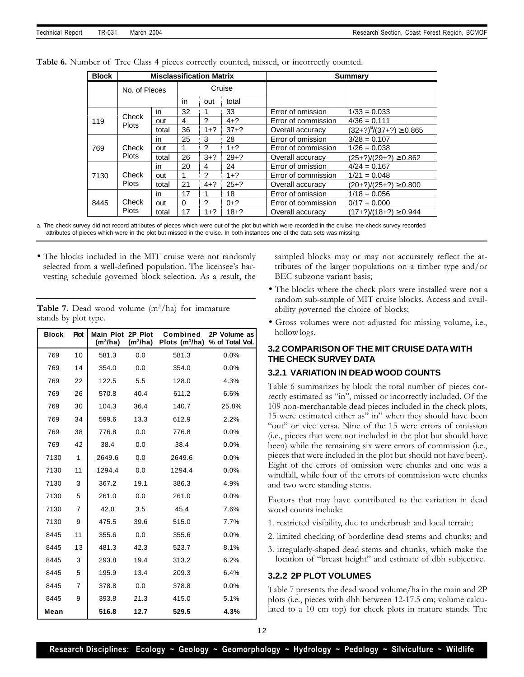| <b>Block</b> |                       | <b>Misclassification Matrix</b> |    |         |          |                     | <b>Summary</b>              |
|--------------|-----------------------|---------------------------------|----|---------|----------|---------------------|-----------------------------|
|              | No. of Pieces         |                                 |    |         | Cruise   |                     |                             |
|              |                       |                                 | in | out     | total    |                     |                             |
|              |                       | in.                             | 32 |         | 33       | Error of omission   | $1/33 = 0.033$              |
| 119          | Check<br><b>Plots</b> | out                             | 4  | 2       | $4 + ?$  | Error of commission | $4/36 = 0.111$              |
|              |                       | total                           | 36 | $1+?$   | $37+?$   | Overall accuracy    | $(32+?)^8/(37+?) \ge 0.865$ |
|              | Check<br><b>Plots</b> | in.                             | 25 | 3       | 28       | Error of omission   | $3/28 = 0.107$              |
| 769          |                       | out                             | 1  | ?       | $1 + ?$  | Error of commission | $1/26 = 0.038$              |
|              |                       | total                           | 26 | $3+?$   | $29 + ?$ | Overall accuracy    | (25+?)/(29+?) ≥ 0.862       |
|              | Check                 | in.                             | 20 | 4       | 24       | Error of omission   | $4/24 = 0.167$              |
| 7130         |                       | out                             |    | ?       | $1 + ?$  | Error of commission | $1/21 = 0.048$              |
|              | <b>Plots</b>          | total                           | 21 | $4 + ?$ | $25+?$   | Overall accuracy    | $(20+?)/(25+?) \ge 0.800$   |
|              |                       | in.                             | 17 |         | 18       | Error of omission   | $1/18 = 0.056$              |
| 8445         | Check                 | out                             | 0  | ?       | $0+?$    | Error of commission | $0/17 = 0.000$              |
|              | <b>Plots</b>          | total                           | 17 | $1 + ?$ | $18 + ?$ | Overall accuracy    | $(17+?)/(18+?) \ge 0.944$   |

**Table 6.** Number of Tree Class 4 pieces correctly counted, missed, or incorrectly counted.

a. The check survey did not record attributes of pieces which were out of the plot but which were recorded in the cruise; the check survey recorded attributes of pieces which were in the plot but missed in the cruise. In both instances one of the data sets was missing.

• The blocks included in the MIT cruise were not randomly selected from a well-defined population. The licensee's harvesting schedule governed block selection. As a result, the

**Table 7.** Dead wood volume  $(m^3/ha)$  for immature stands by plot type.

| <b>Block</b> | <b>Plot</b>    | Main Plot 2P Plot<br>$(m^3/ha)$ | (m <sup>3</sup> /ha) | Combined<br>Plots $(m^3/ha)$ | 2P Volume as<br>% of Total Vol. |      |
|--------------|----------------|---------------------------------|----------------------|------------------------------|---------------------------------|------|
| 769          | 10             | 581.3                           | 0.0                  | 581.3                        | 0.0%                            |      |
| 769          | 14             | 354.0                           | 0.0                  | 354.0                        | 0.0%                            |      |
| 769          | 22             | 122.5                           | 5.5                  | 128.0                        | 4.3%                            |      |
| 769          | 26             | 570.8                           | 40.4                 | 611.2                        | 6.6%                            |      |
| 769          | 30             | 104.3                           | 36.4                 | 140.7                        | 25.8%                           |      |
| 769          | 34             | 599.6                           | 13.3                 | 612.9                        | 2.2%                            |      |
| 769          | 38             | 776.8                           | 0.0                  | 776.8                        | 0.0%                            |      |
| 769          | 42             | 38.4                            |                      | 0.0                          | 38.4                            | 0.0% |
| 7130         | 1              | 2649.6                          | 0.0                  | 2649.6                       | 0.0%                            |      |
| 7130         | 11             | 1294.4                          | 0.0                  | 1294.4                       | 0.0%                            |      |
| 7130         | 3              | 367.2                           | 19.1                 | 386.3                        | 4.9%                            |      |
| 7130         | 5              | 261.0                           | 0.0                  | 261.0                        | 0.0%                            |      |
| 7130         | $\overline{7}$ | 42.0                            | 3.5                  | 45.4                         | 7.6%                            |      |
| 7130         | 9              | 475.5                           | 39.6<br>515.0        |                              | 7.7%                            |      |
| 8445         | 11             | 355.6                           | 0.0                  | 355.6                        | 0.0%                            |      |
| 8445         | 13             | 481.3                           | 42.3                 | 523.7                        | 8.1%                            |      |
| 8445         | 3              | 293.8                           | 19.4                 | 313.2                        | 6.2%                            |      |
| 8445         | 5              | 195.9                           | 13.4                 | 209.3                        | 6.4%                            |      |
| 8445         | $\overline{7}$ | 378.8                           | 0.0                  | 378.8                        | 0.0%                            |      |
| 8445         | 9              | 393.8                           | 21.3                 | 415.0                        | 5.1%                            |      |
| Mean         |                | 516.8                           | 12.7                 | 529.5                        | 4.3%                            |      |

sampled blocks may or may not accurately reflect the attributes of the larger populations on a timber type and/or BEC subzone variant basis;

- The blocks where the check plots were installed were not a random sub-sample of MIT cruise blocks. Access and availability governed the choice of blocks;
- Gross volumes were not adjusted for missing volume, i.e., hollow logs.

## **3.2 COMPARISON OF THE MIT CRUISE DATA WITH THE CHECK SURVEY DATA**

## **3.2.1 VARIATION IN DEAD WOOD COUNTS**

Table 6 summarizes by block the total number of pieces correctly estimated as "in", missed or incorrectly included. Of the 109 non-merchantable dead pieces included in the check plots, 15 were estimated either as" in" when they should have been "out" or vice versa. Nine of the 15 were errors of omission (i.e., pieces that were not included in the plot but should have been) while the remaining six were errors of commission (i.e., pieces that were included in the plot but should not have been). Eight of the errors of omission were chunks and one was a windfall, while four of the errors of commission were chunks and two were standing stems.

Factors that may have contributed to the variation in dead wood counts include:

- 1. restricted visibility, due to underbrush and local terrain;
- 2. limited checking of borderline dead stems and chunks; and
- 3. irregularly-shaped dead stems and chunks, which make the location of "breast height" and estimate of dbh subjective.

## **3.2.2 2P PLOT VOLUMES**

Table 7 presents the dead wood volume/ha in the main and 2P plots (i.e., pieces with dbh between 12-17.5 cm; volume calculated to a 10 cm top) for check plots in mature stands. The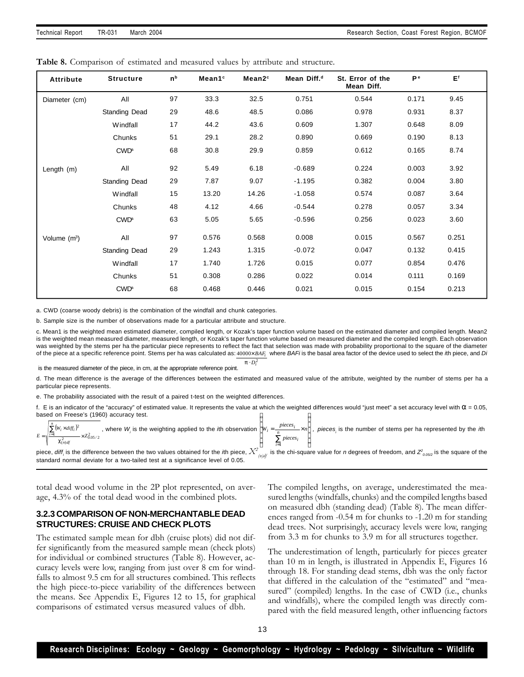| Table 8. Comparison of estimated and measured values by attribute and structure. |
|----------------------------------------------------------------------------------|
|----------------------------------------------------------------------------------|

| <b>Attribute</b> | <b>Structure</b>       | n <sub>b</sub> | Mean1 <sup>c</sup> | Mean2 <sup>c</sup> | Mean Diff. <sup>d</sup> | St. Error of the<br>Mean Diff. | Рe    | E <sup>f</sup> |
|------------------|------------------------|----------------|--------------------|--------------------|-------------------------|--------------------------------|-------|----------------|
| Diameter (cm)    | All                    | 97             | 33.3               | 32.5               | 0.751                   | 0.544                          | 0.171 | 9.45           |
|                  | <b>Standing Dead</b>   | 29             | 48.6               | 48.5               | 0.086                   | 0.978                          | 0.931 | 8.37           |
|                  | Windfall               | 17             | 44.2               | 43.6               | 0.609                   | 1.307                          | 0.648 | 8.09           |
|                  | Chunks                 | 51             | 29.1               | 28.2               | 0.890                   | 0.669                          | 0.190 | 8.13           |
|                  | <b>CWD<sup>a</sup></b> | 68             | 30.8               | 29.9               | 0.859                   | 0.612                          | 0.165 | 8.74           |
| Length (m)       | All                    | 92             | 5.49               | 6.18               | $-0.689$                | 0.224                          | 0.003 | 3.92           |
|                  | Standing Dead          | 29             | 7.87               | 9.07               | $-1.195$                | 0.382                          | 0.004 | 3.80           |
|                  | Windfall               | 15             | 13.20              | 14.26              | $-1.058$                | 0.574                          | 0.087 | 3.64           |
|                  | Chunks                 | 48             | 4.12               | 4.66               | $-0.544$                | 0.278                          | 0.057 | 3.34           |
|                  | <b>CWD<sup>a</sup></b> | 63             | 5.05               | 5.65               | $-0.596$                | 0.256                          | 0.023 | 3.60           |
| Volume $(m^3)$   | All                    | 97             | 0.576              | 0.568              | 0.008                   | 0.015                          | 0.567 | 0.251          |
|                  | <b>Standing Dead</b>   | 29             | 1.243              | 1.315              | $-0.072$                | 0.047                          | 0.132 | 0.415          |
|                  | Windfall               | 17             | 1.740              | 1.726              | 0.015                   | 0.077                          | 0.854 | 0.476          |
|                  | Chunks                 | 51             | 0.308              | 0.286              | 0.022                   | 0.014                          | 0.111 | 0.169          |
|                  | <b>CWD<sup>a</sup></b> | 68             | 0.468              | 0.446              | 0.021                   | 0.015                          | 0.154 | 0.213          |

a. CWD (coarse woody debris) is the combination of the windfall and chunk categories.

b. Sample size is the number of observations made for a particular attribute and structure.

of the piece at a specific reference point. Stems per ha was calculated as:  $4000 \times BAF_i$  where  $B$ AFi is the basal area factor of the device used to select the *i*th piece, and *Di* c. Mean1 is the weighted mean estimated diameter, compiled length, or Kozak's taper function volume based on the estimated diameter and compiled length. Mean2 is the weighted mean measured diameter, measured length, or Kozak's taper function volume based on measured diameter and the compiled length. Each observation was weighted by the stems per ha the particular piece represents to reflect the fact that selection was made with probability proportional to the square of the diameter

 $\boldsymbol{p} \cdot D_i^2$ 

is the measured diameter of the piece, in cm, at the appropriate reference point.

d. The mean difference is the average of the differences between the estimated and measured value of the attribute, weighted by the number of stems per ha a particular piece represents.

e. The probability associated with the result of a paired t-test on the weighted differences.

I Ì I ſ f. E is an indicator of the "accuracy" of estimated value. It represents the value at which the weighted differences would "just meet" a set accuracy level with  $\alpha$  = 0.05, based on Freese's (1960) accuracy test.

| $\sum (W_i \times diff_i)^2$ | where $W_i$ is the weighting applied to the <i>i</i> th observation $ W_i = \frac{pieces_i}{\cdot} \times n + 1$ . | $\times n$   $.$ $\sim$ | pieces is the number of stems per ha represented by the ith |
|------------------------------|--------------------------------------------------------------------------------------------------------------------|-------------------------|-------------------------------------------------------------|
|                              |                                                                                                                    | <i>pieces</i>           |                                                             |

piece, diff<sub>i</sub> is the difference between the two values obtained for the *i*th piece,  $X^2$  is the chi-square value for *n* degrees of freedom, and  $Z^2_{\omega_{052}}$  is the square of the standard normal deviate for a two-tailed test at a significance level of 0.05.

total dead wood volume in the 2P plot represented, on average, 4.3% of the total dead wood in the combined plots.

## **3.2.3 COMPARISON OF NON-MERCHANTABLE DEAD STRUCTURES: CRUISE AND CHECK PLOTS**

The estimated sample mean for dbh (cruise plots) did not differ significantly from the measured sample mean (check plots) for individual or combined structures (Table 8). However, accuracy levels were low, ranging from just over 8 cm for windfalls to almost 9.5 cm for all structures combined. This reflects the high piece-to-piece variability of the differences between the means. See Appendix E, Figures 12 to 15, for graphical comparisons of estimated versus measured values of dbh.

The compiled lengths, on average, underestimated the measured lengths (windfalls, chunks) and the compiled lengths based on measured dbh (standing dead) (Table 8). The mean differences ranged from -0.54 m for chunks to -1.20 m for standing dead trees. Not surprisingly, accuracy levels were low, ranging from 3.3 m for chunks to 3.9 m for all structures together.

The underestimation of length, particularly for pieces greater than 10 m in length, is illustrated in Appendix E, Figures 16 through 18. For standing dead stems, dbh was the only factor that differed in the calculation of the "estimated" and "measured" (compiled) lengths. In the case of CWD (i.e., chunks and windfalls), where the compiled length was directly compared with the field measured length, other influencing factors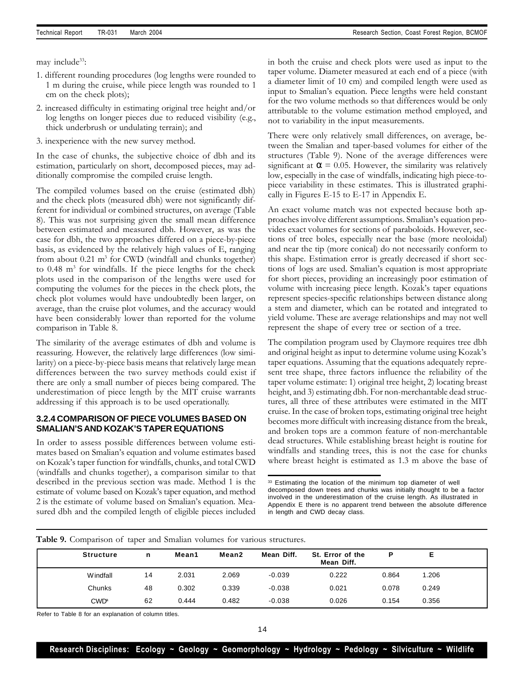may include<sup>33</sup>:

- 1. different rounding procedures (log lengths were rounded to 1 m during the cruise, while piece length was rounded to 1 cm on the check plots);
- 2. increased difficulty in estimating original tree height and/or log lengths on longer pieces due to reduced visibility (e.g., thick underbrush or undulating terrain); and
- 3. inexperience with the new survey method.

In the case of chunks, the subjective choice of dbh and its estimation, particularly on short, decomposed pieces, may additionally compromise the compiled cruise length.

The compiled volumes based on the cruise (estimated dbh) and the check plots (measured dbh) were not significantly different for individual or combined structures, on average (Table 8). This was not surprising given the small mean difference between estimated and measured dbh. However, as was the case for dbh, the two approaches differed on a piece-by-piece basis, as evidenced by the relatively high values of E, ranging from about 0.21 m<sup>3</sup> for CWD (windfall and chunks together) to 0.48 m<sup>3</sup> for windfalls. If the piece lengths for the check plots used in the comparison of the lengths were used for computing the volumes for the pieces in the check plots, the check plot volumes would have undoubtedly been larger, on average, than the cruise plot volumes, and the accuracy would have been considerably lower than reported for the volume comparison in Table 8.

The similarity of the average estimates of dbh and volume is reassuring. However, the relatively large differences (low similarity) on a piece-by-piece basis means that relatively large mean differences between the two survey methods could exist if there are only a small number of pieces being compared. The underestimation of piece length by the MIT cruise warrants addressing if this approach is to be used operationally.

## **3.2.4 COMPARISON OF PIECE VOLUMES BASED ON SMALIAN'S AND KOZAK'S TAPER EQUATIONS**

In order to assess possible differences between volume estimates based on Smalian's equation and volume estimates based on Kozak's taper function for windfalls, chunks, and total CWD (windfalls and chunks together), a comparison similar to that described in the previous section was made. Method 1 is the estimate of volume based on Kozak's taper equation, and method 2 is the estimate of volume based on Smalian's equation. Measured dbh and the compiled length of eligible pieces included in both the cruise and check plots were used as input to the taper volume. Diameter measured at each end of a piece (with a diameter limit of 10 cm) and compiled length were used as input to Smalian's equation. Piece lengths were held constant for the two volume methods so that differences would be only attributable to the volume estimation method employed, and not to variability in the input measurements.

There were only relatively small differences, on average, between the Smalian and taper-based volumes for either of the structures (Table 9). None of the average differences were significant at  $\alpha$  = 0.05. However, the similarity was relatively low, especially in the case of windfalls, indicating high piece-topiece variability in these estimates. This is illustrated graphically in Figures E-15 to E-17 in Appendix E.

An exact volume match was not expected because both approaches involve different assumptions. Smalian's equation provides exact volumes for sections of paraboloids. However, sections of tree boles, especially near the base (more neoloidal) and near the tip (more conical) do not necessarily conform to this shape. Estimation error is greatly decreased if short sections of logs are used. Smalian's equation is most appropriate for short pieces, providing an increasingly poor estimation of volume with increasing piece length. Kozak's taper equations represent species-specific relationships between distance along a stem and diameter, which can be rotated and integrated to yield volume. These are average relationships and may not well represent the shape of every tree or section of a tree.

The compilation program used by Claymore requires tree dbh and original height as input to determine volume using Kozak's taper equations. Assuming that the equations adequately represent tree shape, three factors influence the reliability of the taper volume estimate: 1) original tree height, 2) locating breast height, and 3) estimating dbh. For non-merchantable dead structures, all three of these attributes were estimated in the MIT cruise. In the case of broken tops, estimating original tree height becomes more difficult with increasing distance from the break, and broken tops are a common feature of non-merchantable dead structures. While establishing breast height is routine for windfalls and standing trees, this is not the case for chunks where breast height is estimated as 1.3 m above the base of

<sup>33</sup> Estimating the location of the minimum top diameter of well decomposed down trees and chunks was initially thought to be a factor involved in the underestimation of the cruise length. As illustrated in Appendix E there is no apparent trend between the absolute difference in length and CWD decay class.

| <b>Structure</b>       | n  | Mean1 | Mean2 | Mean Diff. | St. Error of the<br>Mean Diff. | Р     |       |  |
|------------------------|----|-------|-------|------------|--------------------------------|-------|-------|--|
| Windfall               | 14 | 2.031 | 2.069 | $-0.039$   | 0.222                          | 0.864 | 1.206 |  |
| Chunks                 | 48 | 0.302 | 0.339 | $-0.038$   | 0.021                          | 0.078 | 0.249 |  |
| <b>CWD<sup>®</sup></b> | 62 | 0.444 | 0.482 | $-0.038$   | 0.026                          | 0.154 | 0.356 |  |

**Table 9.** Comparison of taper and Smalian volumes for various structures.

Refer to Table 8 for an explanation of column titles.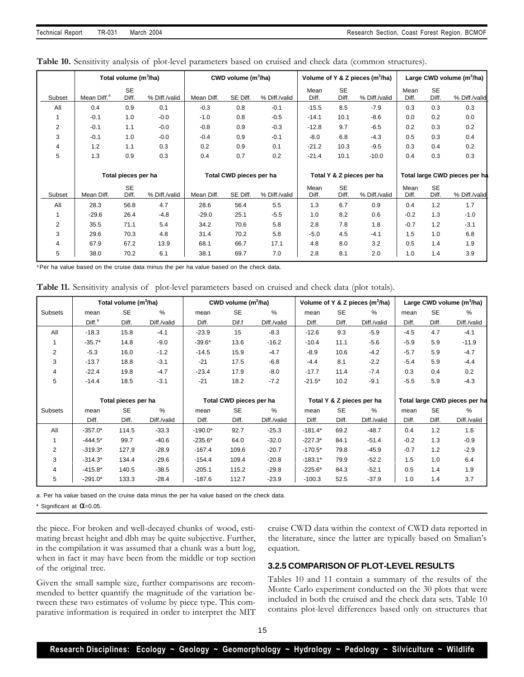|                |                         | Total volume (m <sup>3</sup> /ha) |               | CWD volume $(m^3/ha)$   |          |               |               |                           | Volume of Y & Z pieces $(m^3/ha)$ | Large CWD volume (m <sup>3</sup> /ha) |                               |               |  |  |
|----------------|-------------------------|-----------------------------------|---------------|-------------------------|----------|---------------|---------------|---------------------------|-----------------------------------|---------------------------------------|-------------------------------|---------------|--|--|
| Subset         | Mean Diff. <sup>a</sup> | <b>SE</b><br>Diff.                | % Diff./valid | Mean Diff.              | SE Diff. | % Diff /valid | Mean<br>Diff. | <b>SE</b><br>Diff.        | % Diff./valid                     | Mean<br>Diff.                         | <b>SE</b><br>Diff.            | % Diff /valid |  |  |
| All            | 0.4                     | 0.9                               | 0.1           | $-0.3$                  | 0.8      | $-0.1$        | $-15.5$       | 8.5                       | $-7.9$                            | 0.3                                   | 0.3                           | 0.3           |  |  |
|                | $-0.1$                  | 1.0                               | $-0.0$        | $-1.0$                  | 0.8      | $-0.5$        | $-14.1$       | 10.1                      | $-8.6$                            | 0.0                                   | 0.2                           | 0.0           |  |  |
| $\overline{2}$ | $-0.1$                  | 1.1                               | $-0.0$        | $-0.8$                  | 0.9      | $-0.3$        | $-12.8$       | 9.7                       | $-6.5$                            | 0.2                                   | 0.3                           | 0.2           |  |  |
| 3              | $-0.1$                  | 1.0                               | $-0.0$        | $-0.4$                  | 0.9      | $-0.1$        | $-8.0$        | 6.8                       | $-4.3$                            | 0.5                                   | 0.3                           | 0.4           |  |  |
| 4              | 1.2<br>1.1<br>0.3       |                                   | 0.2           | 0.9                     | 0.1      | $-21.2$       | 10.3          | $-9.5$                    | 0.3                               | 0.4                                   | 0.2                           |               |  |  |
| 5              | 1.3<br>0.9<br>0.3       |                                   | 0.4           | 0.7                     | 0.2      | $-21.4$       | 10.1          | $-10.0$                   | 0.4                               | 0.3                                   | 0.3                           |               |  |  |
|                | Total pieces per ha     |                                   |               |                         |          |               |               | Total Y & Z pieces per ha |                                   |                                       | Total large CWD pieces per ha |               |  |  |
|                |                         |                                   |               | Total CWD pieces per ha |          |               |               |                           |                                   |                                       |                               |               |  |  |
| Subset         | Mean Diff.              | <b>SE</b><br>Diff.                | % Diff./valid | Mean Diff.              | SE Diff. | % Diff./valid | Mean<br>Diff. | <b>SE</b><br>Diff.        | % Diff./valid                     | Mean<br>Diff.                         | <b>SE</b><br>Diff.            | % Diff /valid |  |  |
| All            | 28.3                    | 56.8                              | 4.7           | 28.6                    | 56.4     | 5.5           | 1.3           | 6.7                       | 0.9                               | 0.4                                   | 1.2                           | 1.7           |  |  |
|                | $-29.6$                 | 26.4                              | $-4.8$        | $-29.0$                 | 25.1     | $-5.5$        | 1.0           | 8.2                       | 0.6                               | $-0.2$                                | 1.3                           | $-1.0$        |  |  |
| 2              | 35.5<br>5.4<br>71.1     |                                   | 34.2          | 70.6                    | 5.8      | 2.8           | 7.8           | 1.8                       | $-0.7$                            | 1.2                                   | $-3.1$                        |               |  |  |
| 3              | 4.8<br>29.6<br>70.3     |                                   | 31.4          | 70.2                    | 5.8      | $-5.0$        | 4.5           | $-4.1$                    | 1.5                               | 1.0                                   | 6.8                           |               |  |  |
| 4              | 67.9                    | 67.2                              | 13.9          | 68.1                    | 66.7     | 17.1          | 4.8           | 8.0                       | 3.2                               | 0.5                                   | 1.4                           | 1.9           |  |  |
| 5              | 38.0                    | 70.2                              | 6.1           | 38.1                    | 69.7     | 7.0           | 2.8           | 8.1                       | 2.0                               | 1.0                                   | 1.4                           | 3.9           |  |  |

| Table 10. Sensitivity analysis of plot-level parameters based on cruised and check data (common structures). |  |  |  |  |  |  |  |  |
|--------------------------------------------------------------------------------------------------------------|--|--|--|--|--|--|--|--|
|--------------------------------------------------------------------------------------------------------------|--|--|--|--|--|--|--|--|

a Per ha value based on the cruise data minus the per ha value based on the check data.

**Table 11.** Sensitivity analysis of plot-level parameters based on cruised and check data (plot totals).

|                |                    | Total volume (m <sup>3</sup> /ha) |             |           | CWD volume $(m^3/ha)$                      |             |           |           | Volume of Y & Z pieces (m <sup>3</sup> /ha) |        |           | Large CWD volume $(m^3/ha)$   |
|----------------|--------------------|-----------------------------------|-------------|-----------|--------------------------------------------|-------------|-----------|-----------|---------------------------------------------|--------|-----------|-------------------------------|
| <b>Subsets</b> | mean               | <b>SE</b>                         | %           | mean      | <b>SE</b><br>Dif.f<br>Diff./valid<br>Diff. |             | mean      | <b>SE</b> | $\%$                                        | mean   | <b>SE</b> | %                             |
|                | Diff. <sup>a</sup> | Diff.                             | Diff./valid |           |                                            |             | Diff.     | Diff.     | Diff./valid                                 | Diff.  | Diff.     | Diff./valid                   |
| All            | $-18.3$            | 15.8                              | $-4.1$      | $-23.9$   | 15                                         | $-8.3$      | $-12.6$   | 9.3       | $-5.9$                                      | $-4.5$ | 4.7       | $-4.1$                        |
| 1              | $-35.7*$           | 14.8                              | $-9.0$      | $-39.6*$  | 13.6                                       | $-16.2$     | $-10.4$   | 11.1      | $-5.6$                                      | $-5.9$ | 5.9       | $-11.9$                       |
| 2              | $-5.3$             | 16.0                              | $-1.2$      | $-14.5$   | 15.9                                       | $-4.7$      | $-8.9$    | 10.6      | $-4.2$                                      | $-5.7$ | 5.9       | $-4.7$                        |
| 3              | $-13.7$            | 18.8                              | $-3.1$      | $-21$     | 17.5                                       | $-6.8$      | $-4.4$    | 8.1       | $-2.2$                                      | $-5.4$ | 5.9       | $-4.4$                        |
| 4              | $-22.4$            | 19.8                              | $-4.7$      | $-23.4$   | 17.9                                       | $-8.0$      | $-17.7$   | 11.4      | $-7.4$                                      | 0.3    | 0.4       | 0.2                           |
| 5              | $-14.4$            | 18.5                              | $-3.1$      | $-21$     | 18.2                                       | $-7.2$      | $-21.5*$  | 10.2      | $-9.1$                                      | $-5.5$ | 5.9       | $-4.3$                        |
|                |                    |                                   |             |           |                                            |             |           |           |                                             |        |           |                               |
|                |                    | Total pieces per ha               |             |           | Total CWD pieces per ha                    |             |           |           | Total Y & Z pieces per ha                   |        |           | Total large CWD pieces per ha |
| <b>Subsets</b> | mean               | SE                                | %           | mean      | <b>SE</b>                                  | %           | mean      | <b>SE</b> | $\%$                                        | mean   | <b>SE</b> | %                             |
|                | Diff.              | Diff.                             | Diff./valid | Diff.     | Diff.                                      | Diff./valid | Diff.     | Diff.     | Diff./valid                                 | Diff.  | Diff.     | Diff./valid                   |
| All            | $-357.0*$          | 114.5                             | $-33.3$     | $-190.0*$ | 92.7                                       | $-25.3$     | $-181.4*$ | 69.2      | $-48.7$                                     | 0.4    | 1.2       | 1.6                           |
|                | $-444.5*$          | 99.7                              | $-40.6$     | $-235.6*$ | 64.0                                       | $-32.0$     | $-227.3*$ | 84.1      | $-51.4$                                     | $-0.2$ | 1.3       | $-0.9$                        |
| 2              | $-319.3*$          | 127.9                             | $-28.9$     | $-167.4$  | 109.6                                      | $-20.7$     | $-170.5*$ | 79.8      | $-45.9$                                     | $-0.7$ | 1.2       | $-2.9$                        |
| 3              | $-314.3*$          | 134.4                             | $-29.6$     | $-154.4$  | 109.4                                      | $-20.8$     | $-183.1*$ | 79.9      | $-52.2$                                     | 1.5    | 1.0       | 6.4                           |
| 4              | $-415.8*$          | 140.5                             | $-38.5$     | $-205.1$  | 115.2                                      | $-29.8$     | $-225.6*$ | 84.3      | $-52.1$                                     | 0.5    | 1.4       | 1.9                           |
| 5              | $-291.0*$          | 133.3                             | $-28.4$     | $-187.6$  | 112.7                                      | $-23.9$     | $-100.3$  | 52.5      | $-37.9$                                     | 1.0    | 1.4       | 3.7                           |

a. Per ha value based on the cruise data minus the per ha value based on the check data.

\* Significant at  $\alpha$ =0.05.

the piece. For broken and well-decayed chunks of wood, estimating breast height and dbh may be quite subjective. Further, in the compilation it was assumed that a chunk was a butt log, when in fact it may have been from the middle or top section of the original tree.

Given the small sample size, further comparisons are recommended to better quantify the magnitude of the variation between these two estimates of volume by piece type. This comparative information is required in order to interpret the MIT

cruise CWD data within the context of CWD data reported in the literature, since the latter are typically based on Smalian's equation.

## **3.2.5 COMPARISON OF PLOT-LEVEL RESULTS**

Tables 10 and 11 contain a summary of the results of the Monte Carlo experiment conducted on the 30 plots that were included in both the cruised and the check data sets. Table 10 contains plot-level differences based only on structures that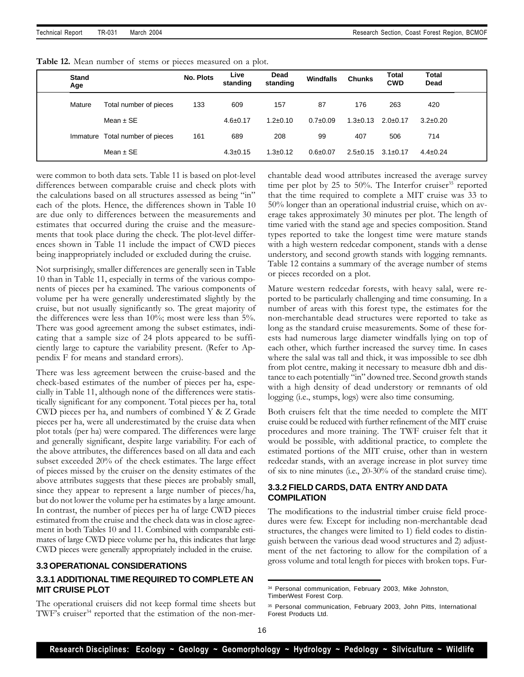| Table 12. Mean number of stems or pieces measured on a plot. |
|--------------------------------------------------------------|
|--------------------------------------------------------------|

| <b>Stand</b><br>Age |                                 | <b>No. Plots</b> | Live<br>standing | Dead<br>standing | <b>Windfalls</b> | <b>Chunks</b>  | Total<br><b>CWD</b> | <b>Total</b><br>Dead |  |
|---------------------|---------------------------------|------------------|------------------|------------------|------------------|----------------|---------------------|----------------------|--|
| Mature              | Total number of pieces          | 133              | 609              | 157              | 87               | 176            | 263                 | 420                  |  |
|                     | Mean $\pm$ SE                   |                  | $4.6 \pm 0.17$   | $1.2 \pm 0.10$   | $0.7 \pm 0.09$   | $1.3 \pm 0.13$ | $2.0 \pm 0.17$      | $3.2 \pm 0.20$       |  |
|                     | Immature Total number of pieces | 161              | 689              | 208              | 99               | 407            | 506                 | 714                  |  |
|                     | Mean $\pm$ SE                   |                  | $4.3 \pm 0.15$   | $1.3 \pm 0.12$   | $0.6 \pm 0.07$   | $2.5 \pm 0.15$ | $3.1 \pm 0.17$      | $4.4 \pm 0.24$       |  |

were common to both data sets. Table 11 is based on plot-level differences between comparable cruise and check plots with the calculations based on all structures assessed as being "in" each of the plots. Hence, the differences shown in Table 10 are due only to differences between the measurements and estimates that occurred during the cruise and the measurements that took place during the check. The plot-level differences shown in Table 11 include the impact of CWD pieces being inappropriately included or excluded during the cruise.

Not surprisingly, smaller differences are generally seen in Table 10 than in Table 11, especially in terms of the various components of pieces per ha examined. The various components of volume per ha were generally underestimated slightly by the cruise, but not usually significantly so. The great majority of the differences were less than 10%; most were less than 5%. There was good agreement among the subset estimates, indicating that a sample size of 24 plots appeared to be sufficiently large to capture the variability present. (Refer to Appendix F for means and standard errors).

There was less agreement between the cruise-based and the check-based estimates of the number of pieces per ha, especially in Table 11, although none of the differences were statistically significant for any component. Total pieces per ha, total CWD pieces per ha, and numbers of combined Y & Z Grade pieces per ha, were all underestimated by the cruise data when plot totals (per ha) were compared. The differences were large and generally significant, despite large variability. For each of the above attributes, the differences based on all data and each subset exceeded 20% of the check estimates. The large effect of pieces missed by the cruiser on the density estimates of the above attributes suggests that these pieces are probably small, since they appear to represent a large number of pieces/ha, but do not lower the volume per ha estimates by a large amount. In contrast, the number of pieces per ha of large CWD pieces estimated from the cruise and the check data was in close agreement in both Tables 10 and 11. Combined with comparable estimates of large CWD piece volume per ha, this indicates that large CWD pieces were generally appropriately included in the cruise.

## **3.3 OPERATIONAL CONSIDERATIONS**

## **3.3.1 ADDITIONAL TIME REQUIRED TO COMPLETE AN MIT CRUISE PLOT**

The operational cruisers did not keep formal time sheets but TWF's cruiser<sup>34</sup> reported that the estimation of the non-merchantable dead wood attributes increased the average survey time per plot by 25 to 50%. The Interfor cruiser $35$  reported that the time required to complete a MIT cruise was 33 to 50% longer than an operational industrial cruise, which on average takes approximately 30 minutes per plot. The length of time varied with the stand age and species composition. Stand types reported to take the longest time were mature stands with a high western redcedar component, stands with a dense understory, and second growth stands with logging remnants. Table 12 contains a summary of the average number of stems or pieces recorded on a plot.

Mature western redcedar forests, with heavy salal, were reported to be particularly challenging and time consuming. In a number of areas with this forest type, the estimates for the non-merchantable dead structures were reported to take as long as the standard cruise measurements. Some of these forests had numerous large diameter windfalls lying on top of each other, which further increased the survey time. In cases where the salal was tall and thick, it was impossible to see dbh from plot centre, making it necessary to measure dbh and distance to each potentially "in" downed tree. Second growth stands with a high density of dead understory or remnants of old logging (i.e., stumps, logs) were also time consuming.

Both cruisers felt that the time needed to complete the MIT cruise could be reduced with further refinement of the MIT cruise procedures and more training. The TWF cruiser felt that it would be possible, with additional practice, to complete the estimated portions of the MIT cruise, other than in western redcedar stands, with an average increase in plot survey time of six to nine minutes (i.e., 20-30% of the standard cruise time).

## **3.3.2 FIELD CARDS, DATA ENTRYAND DATA COMPILATION**

The modifications to the industrial timber cruise field procedures were few. Except for including non-merchantable dead structures, the changes were limited to 1) field codes to distinguish between the various dead wood structures and 2) adjustment of the net factoring to allow for the compilation of a gross volume and total length for pieces with broken tops. Fur-

<sup>34</sup> Personal communication, February 2003, Mike Johnston, TimberWest Forest Corp.

<sup>35</sup> Personal communication, February 2003, John Pitts, International Forest Products Ltd.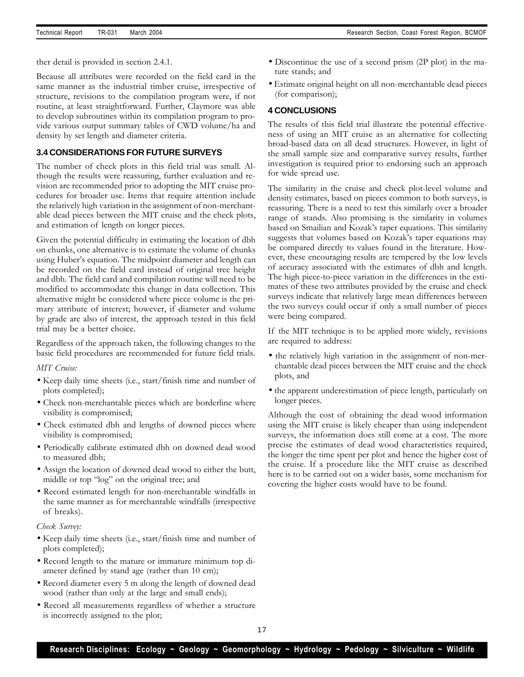ther detail is provided in section 2.4.1.

Because all attributes were recorded on the field card in the same manner as the industrial timber cruise, irrespective of structure, revisions to the compilation program were, if not routine, at least straightforward. Further, Claymore was able to develop subroutines within its compilation program to provide various output summary tables of CWD volume/ha and density by set length and diameter criteria.

## **3.4 CONSIDERATIONS FOR FUTURE SURVEYS**

The number of check plots in this field trial was small. Although the results were reassuring, further evaluation and revision are recommended prior to adopting the MIT cruise procedures for broader use. Items that require attention include the relatively high variation in the assignment of non-merchantable dead pieces between the MIT cruise and the check plots, and estimation of length on longer pieces.

Given the potential difficulty in estimating the location of dbh on chunks, one alternative is to estimate the volume of chunks using Huber's equation. The midpoint diameter and length can be recorded on the field card instead of original tree height and dbh. The field card and compilation routine will need to be modified to accommodate this change in data collection. This alternative might be considered where piece volume is the primary attribute of interest; however, if diameter and volume by grade are also of interest, the approach tested in this field trial may be a better choice.

Regardless of the approach taken, the following changes to the basic field procedures are recommended for future field trials.

#### *MIT Cruise:*

- Keep daily time sheets (i.e., start/finish time and number of plots completed);
- Check non-merchantable pieces which are borderline where visibility is compromised;
- Check estimated dbh and lengths of downed pieces where visibility is compromised;
- Periodically calibrate estimated dbh on downed dead wood to measured dbh;
- Assign the location of downed dead wood to either the butt, middle or top "log" on the original tree; and
- Record estimated length for non-merchantable windfalls in the same manner as for merchantable windfalls (irrespective of breaks).

#### *Check Survey:*

- Keep daily time sheets (i.e., start/finish time and number of plots completed);
- Record length to the mature or immature minimum top diameter defined by stand age (rather than 10 cm);
- Record diameter every 5 m along the length of downed dead wood (rather than only at the large and small ends);
- Record all measurements regardless of whether a structure is incorrectly assigned to the plot;
- Discontinue the use of a second prism (2P plot) in the mature stands; and
- Estimate original height on all non-merchantable dead pieces (for comparison);

#### **4 CONCLUSIONS**

The results of this field trial illustrate the potential effectiveness of using an MIT cruise as an alternative for collecting broad-based data on all dead structures. However, in light of the small sample size and comparative survey results, further investigation is required prior to endorsing such an approach for wide spread use.

The similarity in the cruise and check plot-level volume and density estimates, based on pieces common to both surveys, is reassuring. There is a need to test this similarly over a broader range of stands. Also promising is the similarity in volumes based on Smailian and Kozak's taper equations. This similarity suggests that volumes based on Kozak's taper equations may be compared directly to values found in the literature. However, these encouraging results are tempered by the low levels of accuracy associated with the estimates of dbh and length. The high piece-to-piece variation in the differences in the estimates of these two attributes provided by the cruise and check surveys indicate that relatively large mean differences between the two surveys could occur if only a small number of pieces were being compared.

If the MIT technique is to be applied more widely, revisions are required to address:

- the relatively high variation in the assignment of non-merchantable dead pieces between the MIT cruise and the check plots, and
- the apparent underestimation of piece length, particularly on longer pieces.

Although the cost of obtaining the dead wood information using the MIT cruise is likely cheaper than using independent surveys, the information does still come at a cost. The more precise the estimates of dead wood characteristics required, the longer the time spent per plot and hence the higher cost of the cruise. If a procedure like the MIT cruise as described here is to be carried out on a wider basis, some mechanism for covering the higher costs would have to be found.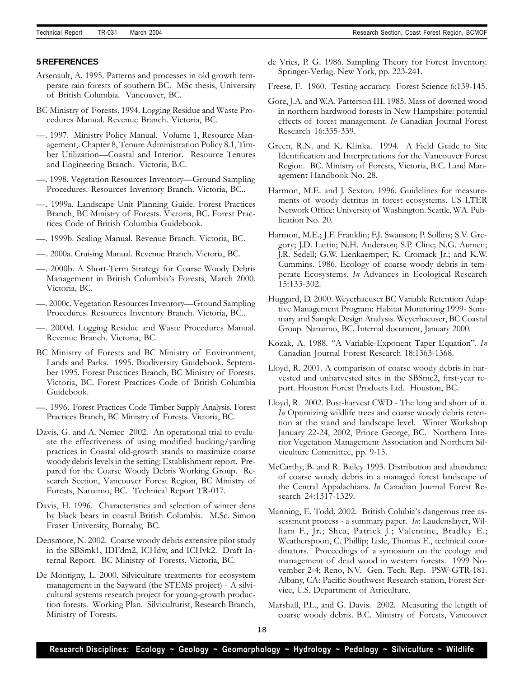#### **5 REFERENCES**

- Arsenault, A. 1995. Patterns and processes in old growth temperate rain forests of southern BC. MSc thesis, University of British Columbia. Vancouver, BC.
- BC Ministry of Forests. 1994. Logging Residue and Waste Procedures Manual. Revenue Branch. Victoria, BC.
- —. 1997. Ministry Policy Manual. Volume 1, Resource Management,. Chapter 8, Tenure Administration Policy 8.1, Timber Utilization—Coastal and Interior. Resource Tenures and Engineering Branch. Victoria, B.C.
- —. 1998. Vegetation Resources Inventory—Ground Sampling Procedures. Resources Inventory Branch. Victoria, BC..
- —. 1999a. Landscape Unit Planning Guide. Forest Practices Branch, BC Ministry of Forests. Victoria, BC. Forest Practices Code of British Columbia Guidebook.
- —. 1999b. Scaling Manual. Revenue Branch. Victoria, BC.
- —. 2000a. Cruising Manual. Revenue Branch. Victoria, BC.
- —. 2000b. A Short-Term Strategy for Coarse Woody Debris Management in British Columbia's Forests, March 2000. Victoria, BC.
- —. 2000c. Vegetation Resources Inventory—Ground Sampling Procedures. Resources Inventory Branch. Victoria, BC..
- —. 2000d. Logging Residue and Waste Procedures Manual. Revenue Branch. Victoria, BC.
- BC Ministry of Forests and BC Ministry of Environment, Lands and Parks. 1995. Biodiversity Guidebook. September 1995. Forest Practices Branch, BC Ministry of Forests. Victoria, BC. Forest Practices Code of British Columbia Guidebook.
- —. 1996. Forest Practices Code Timber Supply Analysis. Forest Practices Branch, BC Ministry of Forests. Victoria, BC.
- Davis, G. and A. Nemec 2002. An operational trial to evaluate the effectiveness of using modified bucking/yarding practices in Coastal old-growth stands to maximize coarse woody debris levels in the setting: Establishment report. Prepared for the Coarse Woody Debris Working Group. Research Section, Vancouver Forest Region, BC Ministry of Forests, Nanaimo, BC. Technical Report TR-017.
- Davis, H. 1996. Characteristics and selection of winter dens by black bears in coastal British Columbia. M.Sc. Simon Fraser University, Burnaby, BC.
- Densmore, N. 2002. Coarse woody debris extensive pilot study in the SBSmk1, IDFdm2, ICHdw, and ICHvk2. Draft Internal Report. BC Ministry of Forests, Victoria, BC.
- De Montigny, L. 2000. Silviculture treatments for ecosystem management in the Sayward (the STEMS project) - A silvicultural systems research project for young-growth production forests. Working Plan. Silviculturist, Research Branch, Ministry of Forests.
- de Vries, P. G. 1986. Sampling Theory for Forest Inventory. Springer-Verlag. New York, pp. 223-241.
- Freese, F. 1960. Testing accuracy. Forest Science 6:139-145.
- Gore, J.A. and W.A. Patterson III. 1985. Mass of downed wood in northern hardwood forests in New Hampshire: potential effects of forest management. *In* Canadian Journal Forest Research 16:335-339.
- Green, R.N. and K. Klinka. 1994. A Field Guide to Site Identification and Interpretations for the Vancouver Forest Region. BC. Ministry of Forests, Victoria, B.C. Land Management Handbook No. 28.
- Harmon, M.E. and J. Sexton. 1996. Guidelines for measurements of woody detritus in forest ecosystems. US LTER Network Office: University of Washington. Seattle, WA. Publication No. 20.
- Harmon, M.E.; J.F. Franklin; F.J. Swanson; P. Sollins; S.V. Gregory; J.D. Lattin; N.H. Anderson; S.P. Cline; N.G. Aumen; J.R. Sedell; G.W. Lienkaemper; K. Cromack Jr.; and K.W. Cummins. 1986. Ecology of coarse woody debris in temperate Ecosystems. *In* Advances in Ecological Research 15:133-302.
- Huggard, D. 2000. Weyerhaeuser BC Variable Retention Adaptive Management Program: Habitat Monitoring 1999- Summary and Sample Design Analysis. Weyerhaeuser, BC Coastal Group. Nanaimo, BC. Internal document, January 2000.
- Kozak, A. 1988. "A Variable-Exponent Taper Equation". *In* Canadian Journal Forest Research 18:1363-1368.
- Lloyd, R. 2001. A comparison of coarse woody debris in harvested and unharvested sites in the SBSmc2, first-year report. Houston Forest Products Ltd. Houston, BC.
- Lloyd, R. 2002. Post-harvest CWD The long and short of it. *In* Optimizing wildlife trees and coarse woody debris retention at the stand and landscape level. Winter Workshop January 22-24, 2002, Prince George, BC. Northern Interior Vegetation Management Association and Northern Silviculture Committee, pp. 9-15.
- McCarthy, B. and R. Bailey 1993. Distribution and abundance of coarse woody debris in a managed forest landscape of the Central Appalachians. *In* Canadian Journal Forest Research 24:1317-1329.
- Manning, E. Todd. 2002. British Colubia's dangerous tree assessment process - a summary paper. *In*: Laudenslayer, William F., Jr.; Shea, Patrick J.; Valentine, Bradley E.; Weatherspoon, C. Phillip; Lisle, Thomas E., technical coordinators. Proceedings of a symosium on the ecology and management of dead wood in western forests. 1999 November 2-4; Reno, NV. Gen. Tech. Rep. PSW-GTR-181. Albany, CA: Pacific Southwest Research station, Forest Service, U.S. Department of Atriculture.
- Marshall, P.L., and G. Davis. 2002. Measuring the length of coarse woody debris. B.C. Ministry of Forests, Vancouver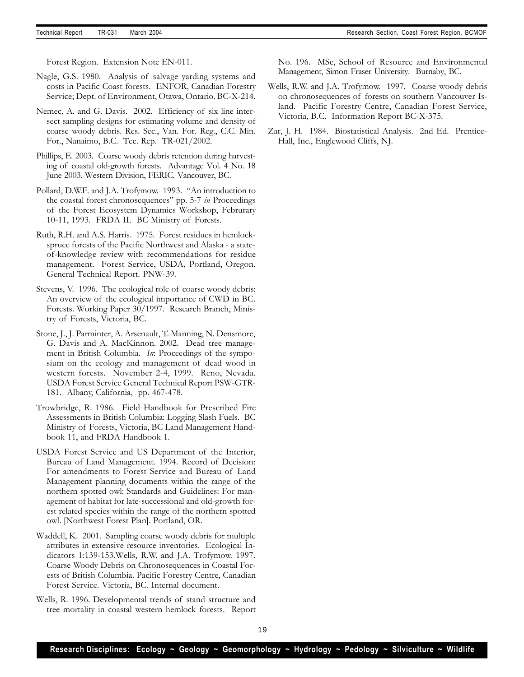Forest Region. Extension Note EN-011.

- Nagle, G.S. 1980. Analysis of salvage yarding systems and costs in Pacific Coast forests. ENFOR, Canadian Forestry Service; Dept. of Environment, Otawa, Ontario. BC-X-214.
- Nemec, A. and G. Davis. 2002. Efficiency of six line intersect sampling designs for estimating volume and density of coarse woody debris. Res. Sec., Van. For. Reg., C.C. Min. For., Nanaimo, B.C. Tec. Rep. TR-021/2002.
- Phillips, E. 2003. Coarse woody debris retention during harvesting of coastal old-growth forests. Advantage Vol. 4 No. 18 June 2003. Western Division, FERIC. Vancouver, BC.
- Pollard, D.W.F. and J.A. Trofymow. 1993. "An introduction to the coastal forest chronosequences" pp. 5-7 *in* Proceedings of the Forest Ecosystem Dynamics Workshop, Februrary 10-11, 1993. FRDA II. BC Ministry of Forests.
- Ruth, R.H. and A.S. Harris. 1975. Forest residues in hemlockspruce forests of the Pacific Northwest and Alaska - a stateof-knowledge review with recommendations for residue management. Forest Service, USDA, Portland, Oregon. General Technical Report. PNW-39.
- Stevens, V. 1996. The ecological role of coarse woody debris: An overview of the ecological importance of CWD in BC. Forests. Working Paper 30/1997. Research Branch, Ministry of Forests, Victoria, BC.
- Stone, J., J. Parminter, A. Arsenault, T. Manning, N. Densmore, G. Davis and A. MacKinnon. 2002. Dead tree management in British Columbia. *In*: Proceedings of the symposium on the ecology and management of dead wood in western forests. November 2-4, 1999. Reno, Nevada. USDA Forest Service General Technical Report PSW-GTR-181. Albany, California, pp. 467-478.
- Trowbridge, R. 1986. Field Handbook for Prescribed Fire Assessments in British Columbia: Logging Slash Fuels. BC Ministry of Forests, Victoria, BC Land Management Handbook 11, and FRDA Handbook 1.
- USDA Forest Service and US Department of the Interior, Bureau of Land Management. 1994. Record of Decision: For amendments to Forest Service and Bureau of Land Management planning documents within the range of the northern spotted owl: Standards and Guidelines: For management of habitat for late-successional and old-growth forest related species within the range of the northern spotted owl. [Northwest Forest Plan]. Portland, OR.
- Waddell, K. 2001. Sampling coarse woody debris for multiple attributes in extensive resource inventories. Ecological Indicators 1:139-153.Wells, R.W. and J.A. Trofymow. 1997. Coarse Woody Debris on Chronosequences in Coastal Forests of British Columbia. Pacific Forestry Centre, Canadian Forest Service. Victoria, BC. Internal document.
- Wells, R. 1996. Developmental trends of stand structure and tree mortality in coastal western hemlock forests. Report

No. 196. MSc, School of Resource and Environmental Management, Simon Fraser University. Burnaby, BC.

- Wells, R.W. and J.A. Trofymow. 1997. Coarse woody debris on chronosequences of forests on southern Vancouver Island. Pacific Forestry Centre, Canadian Forest Service, Victoria, B.C. Information Report BC-X-375.
- Zar, J. H. 1984. Biostatistical Analysis. 2nd Ed. Prentice-Hall, Inc., Englewood Cliffs, NJ.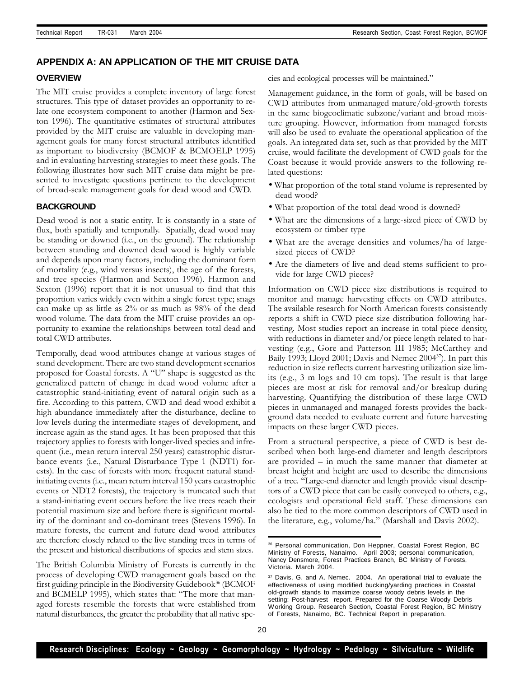## **APPENDIX A: AN APPLICATION OF THE MIT CRUISE DATA**

#### **OVERVIEW**

The MIT cruise provides a complete inventory of large forest structures. This type of dataset provides an opportunity to relate one ecosystem component to another (Harmon and Sexton 1996). The quantitative estimates of structural attributes provided by the MIT cruise are valuable in developing management goals for many forest structural attributes identified as important to biodiversity (BCMOF & BCMOELP 1995) and in evaluating harvesting strategies to meet these goals. The following illustrates how such MIT cruise data might be presented to investigate questions pertinent to the development of broad-scale management goals for dead wood and CWD.

#### **BACKGROUND**

Dead wood is not a static entity. It is constantly in a state of flux, both spatially and temporally. Spatially, dead wood may be standing or downed (i.e., on the ground). The relationship between standing and downed dead wood is highly variable and depends upon many factors, including the dominant form of mortality (e.g., wind versus insects), the age of the forests, and tree species (Harmon and Sexton 1996). Harmon and Sexton (1996) report that it is not unusual to find that this proportion varies widely even within a single forest type; snags can make up as little as 2% or as much as 98% of the dead wood volume. The data from the MIT cruise provides an opportunity to examine the relationships between total dead and total CWD attributes.

Temporally, dead wood attributes change at various stages of stand development. There are two stand development scenarios proposed for Coastal forests. A "U" shape is suggested as the generalized pattern of change in dead wood volume after a catastrophic stand-initiating event of natural origin such as a fire. According to this pattern, CWD and dead wood exhibit a high abundance immediately after the disturbance, decline to low levels during the intermediate stages of development, and increase again as the stand ages. It has been proposed that this trajectory applies to forests with longer-lived species and infrequent (i.e., mean return interval 250 years) catastrophic disturbance events (i.e., Natural Disturbance Type 1 (NDT1) forests). In the case of forests with more frequent natural standinitiating events (i.e., mean return interval 150 years catastrophic events or NDT2 forests), the trajectory is truncated such that a stand-initiating event occurs before the live trees reach their potential maximum size and before there is significant mortality of the dominant and co-dominant trees (Stevens 1996). In mature forests, the current and future dead wood attributes are therefore closely related to the live standing trees in terms of the present and historical distributions of species and stem sizes.

The British Columbia Ministry of Forests is currently in the process of developing CWD management goals based on the first guiding principle in the Biodiversity Guidebook<sup>36</sup> (BCMOF and BCMELP 1995), which states that: "The more that managed forests resemble the forests that were established from natural disturbances, the greater the probability that all native species and ecological processes will be maintained."

Management guidance, in the form of goals, will be based on CWD attributes from unmanaged mature/old-growth forests in the same biogeoclimatic subzone/variant and broad moisture grouping. However, information from managed forests will also be used to evaluate the operational application of the goals. An integrated data set, such as that provided by the MIT cruise, would facilitate the development of CWD goals for the Coast because it would provide answers to the following related questions:

- What proportion of the total stand volume is represented by dead wood?
- What proportion of the total dead wood is downed?
- What are the dimensions of a large-sized piece of CWD by ecosystem or timber type
- What are the average densities and volumes/ha of largesized pieces of CWD?
- Are the diameters of live and dead stems sufficient to provide for large CWD pieces?

Information on CWD piece size distributions is required to monitor and manage harvesting effects on CWD attributes. The available research for North American forests consistently reports a shift in CWD piece size distribution following harvesting. Most studies report an increase in total piece density, with reductions in diameter and/or piece length related to harvesting (e.g., Gore and Patterson III 1985; McCarthey and Baily 1993; Lloyd 2001; Davis and Nemec 2004<sup>37</sup>). In part this reduction in size reflects current harvesting utilization size limits (e.g., 3 m logs and 10 cm tops). The result is that large pieces are most at risk for removal and/or breakup during harvesting. Quantifying the distribution of these large CWD pieces in unmanaged and managed forests provides the background data needed to evaluate current and future harvesting impacts on these larger CWD pieces.

From a structural perspective, a piece of CWD is best described when both large-end diameter and length descriptors are provided – in much the same manner that diameter at breast height and height are used to describe the dimensions of a tree. "Large-end diameter and length provide visual descriptors of a CWD piece that can be easily conveyed to others, e.g., ecologists and operational field staff. These dimensions can also be tied to the more common descriptors of CWD used in the literature, e.g., volume/ha." (Marshall and Davis 2002).

<sup>36</sup> Personal communication, Don Heppner, Coastal Forest Region, BC Ministry of Forests, Nanaimo. April 2003; personal communication, Nancy Densmore, Forest Practices Branch, BC Ministry of Forests, Victoria. March 2004.

<sup>&</sup>lt;sup>37</sup> Davis, G. and A. Nemec. 2004. An operational trial to evaluate the effectiveness of using modified bucking/yarding practices in Coastal old-growth stands to maximize coarse woody debris levels in the setting: Post-harvest report. Prepared for the Coarse Woody Debris Working Group. Research Section, Coastal Forest Region, BC Ministry of Forests, Nanaimo, BC. Technical Report in preparation.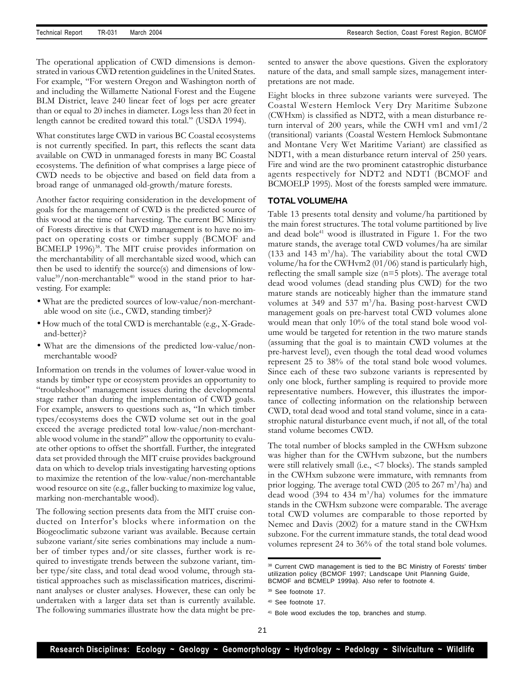The operational application of CWD dimensions is demonstrated in various CWD retention guidelines in the United States. For example, "For western Oregon and Washington north of and including the Willamette National Forest and the Eugene BLM District, leave 240 linear feet of logs per acre greater than or equal to 20 inches in diameter. Logs less than 20 feet in length cannot be credited toward this total." (USDA 1994).

What constitutes large CWD in various BC Coastal ecosystems is not currently specified. In part, this reflects the scant data available on CWD in unmanaged forests in many BC Coastal ecosystems. The definition of what comprises a large piece of CWD needs to be objective and based on field data from a broad range of unmanaged old-growth/mature forests.

Another factor requiring consideration in the development of goals for the management of CWD is the predicted source of this wood at the time of harvesting. The current BC Ministry of Forests directive is that CWD management is to have no impact on operating costs or timber supply (BCMOF and BCMELP 1996)<sup>38</sup>. The MIT cruise provides information on the merchantability of all merchantable sized wood, which can then be used to identify the source(s) and dimensions of lowvalue<sup>39</sup>/non-merchantable<sup>40</sup> wood in the stand prior to harvesting. For example:

- What are the predicted sources of low-value/non-merchantable wood on site (i.e., CWD, standing timber)?
- How much of the total CWD is merchantable (e.g., X-Gradeand-better)?
- What are the dimensions of the predicted low-value/nonmerchantable wood?

Information on trends in the volumes of lower-value wood in stands by timber type or ecosystem provides an opportunity to "troubleshoot" management issues during the developmental stage rather than during the implementation of CWD goals. For example, answers to questions such as, "In which timber types/ecosystems does the CWD volume set out in the goal exceed the average predicted total low-value/non-merchantable wood volume in the stand?" allow the opportunity to evaluate other options to offset the shortfall. Further, the integrated data set provided through the MIT cruise provides background data on which to develop trials investigating harvesting options to maximize the retention of the low-value/non-merchantable wood resource on site (e.g., faller bucking to maximize log value, marking non-merchantable wood).

The following section presents data from the MIT cruise conducted on Interfor's blocks where information on the Biogeoclimatic subzone variant was available. Because certain subzone variant/site series combinations may include a number of timber types and/or site classes, further work is required to investigate trends between the subzone variant, timber type/site class, and total dead wood volume, through statistical approaches such as misclassification matrices, discriminant analyses or cluster analyses. However, these can only be undertaken with a larger data set than is currently available. The following summaries illustrate how the data might be presented to answer the above questions. Given the exploratory nature of the data, and small sample sizes, management interpretations are not made.

Eight blocks in three subzone variants were surveyed. The Coastal Western Hemlock Very Dry Maritime Subzone (CWHxm) is classified as NDT2, with a mean disturbance return interval of 200 years, while the CWH vm1 and vm1/2 (transitional) variants (Coastal Western Hemlock Submontane and Montane Very Wet Maritime Variant) are classified as NDT1, with a mean disturbance return interval of 250 years. Fire and wind are the two prominent catastrophic disturbance agents respectively for NDT2 and NDT1 (BCMOF and BCMOELP 1995). Most of the forests sampled were immature.

#### **TOTAL VOLUME/HA**

Table 13 presents total density and volume/ha partitioned by the main forest structures. The total volume partitioned by live and dead bole<sup>41</sup> wood is illustrated in Figure 1. For the two mature stands, the average total CWD volumes/ha are similar (133 and 143 m<sup>3</sup>/ha). The variability about the total CWD volume/ha for the CWHvm2 (01/06) stand is particularly high, reflecting the small sample size (n=5 plots). The average total dead wood volumes (dead standing plus CWD) for the two mature stands are noticeably higher than the immature stand volumes at 349 and 537  $m^3/ha$ . Basing post-harvest CWD management goals on pre-harvest total CWD volumes alone would mean that only 10% of the total stand bole wood volume would be targeted for retention in the two mature stands (assuming that the goal is to maintain CWD volumes at the pre-harvest level), even though the total dead wood volumes represent 25 to 38% of the total stand bole wood volumes. Since each of these two subzone variants is represented by only one block, further sampling is required to provide more representative numbers. However, this illustrates the importance of collecting information on the relationship between CWD, total dead wood and total stand volume, since in a catastrophic natural disturbance event much, if not all, of the total stand volume becomes CWD.

The total number of blocks sampled in the CWHxm subzone was higher than for the CWHvm subzone, but the numbers were still relatively small (i.e., <7 blocks). The stands sampled in the CWHxm subzone were immature, with remnants from prior logging. The average total CWD (205 to 267 m<sup>3</sup>/ha) and dead wood (394 to 434 m<sup>3</sup>/ha) volumes for the immature stands in the CWHxm subzone were comparable. The average total CWD volumes are comparable to those reported by Nemec and Davis (2002) for a mature stand in the CWHxm subzone. For the current immature stands, the total dead wood volumes represent 24 to 36% of the total stand bole volumes.

<sup>&</sup>lt;sup>38</sup> Current CWD management is tied to the BC Ministry of Forests' timber utilization policy (BCMOF 1997; Landscape Unit Planning Guide, BCMOF and BCMELP 1999a). Also refer to footnote 4.

<sup>39</sup> See footnote 17.

<sup>40</sup> See footnote 17.

<sup>41</sup> Bole wood excludes the top, branches and stump.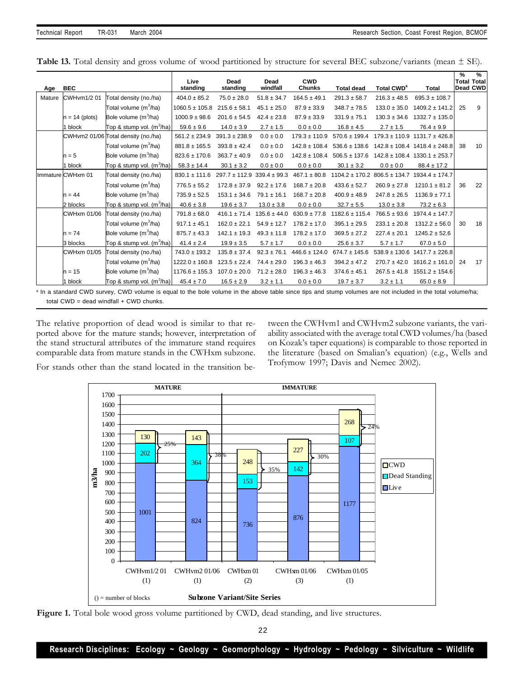|  |  |  |  |  |  |  | <b>Table 13.</b> Total density and gross volume of wood partitioned by structure for several BEC subzone/variants (mean $\pm$ SE). |  |  |  |  |
|--|--|--|--|--|--|--|------------------------------------------------------------------------------------------------------------------------------------|--|--|--|--|
|--|--|--|--|--|--|--|------------------------------------------------------------------------------------------------------------------------------------|--|--|--|--|

| Age    | <b>BEC</b>         |                                       | Live<br>standing   | Dead<br>standing                   | Dead<br>windfall | <b>CWD</b><br><b>Chunks</b> | <b>Total dead</b>                    | <b>Total CWD<sup>a</sup></b> | <b>Total</b>                         | $\frac{9}{6}$ | $\frac{9}{6}$<br><b>Total Total</b><br><b>Dead CWD</b> |
|--------|--------------------|---------------------------------------|--------------------|------------------------------------|------------------|-----------------------------|--------------------------------------|------------------------------|--------------------------------------|---------------|--------------------------------------------------------|
| Mature | CWHvm1/2 01        | Total density (no./ha)                | $404.0 \pm 85.2$   | $75.0 \pm 28.0$                    | $51.8 \pm 34.7$  | $164.5 \pm 49.1$            | $291.3 \pm 58.7$                     | $216.3 \pm 48.5$             | $695.3 \pm 108.7$                    |               |                                                        |
|        |                    | Total volume (m <sup>3</sup> /ha)     | $1060.5 \pm 105.8$ | $215.6 \pm 58.1$                   | $45.1 \pm 25.0$  | $87.9 \pm 33.9$             | $348.7 \pm 78.5$                     | $133.0 \pm 35.0$             | $1409.2 \pm 141.2$                   | 25            | 9                                                      |
|        | $n = 14$ (plots)   | Bole volume $(m^3/ha)$                | $1000.9 \pm 98.6$  | $201.6 \pm 54.5$                   | $42.4 \pm 23.8$  | $87.9 \pm 33.9$             | $331.9 \pm 75.1$                     | $130.3 \pm 34.6$             | $1332.7 \pm 135.0$                   |               |                                                        |
|        | 1 block            | Top & stump vol. $(m^3/ha)$           | $59.6 \pm 9.6$     | $14.0 \pm 3.9$                     | $2.7 \pm 1.5$    | $0.0 \pm 0.0$               | $16.8 \pm 4.5$                       | $2.7 \pm 1.5$                | $76.4 \pm 9.9$                       |               |                                                        |
|        |                    | CWHvm2 01/06 Total density (no./ha)   | $561.2 \pm 234.9$  | $391.3 \pm 238.9$                  | $0.0 \pm 0.0$    | $179.3 \pm 110.9$           | $570.6 \pm 199.4$                    | $179.3 \pm 110.9$            | $1131.7 \pm 426.8$                   |               |                                                        |
|        |                    | Total volume (m <sup>3</sup> /ha)     | $881.8 \pm 165.5$  | $393.8 \pm 42.4$                   | $0.0 \pm 0.0$    | $142.8 \pm 108.4$           | $536.6 \pm 138.6$                    |                              | $142.8 \pm 108.4$ 1418.4 $\pm$ 248.8 | 38            | 10                                                     |
|        | $n = 5$            | Bole volume (m <sup>3</sup> /ha)      | $823.6 \pm 170.6$  | $363.7 \pm 40.9$                   | $0.0 \pm 0.0$    | $142.8 \pm 108.4$           | $506.5 \pm 137.6$                    | $142.8 \pm 108.4$            | $1330.1 \pm 253.7$                   |               |                                                        |
|        | 1 block            | Top & stump vol. $(m^3/ha)$           | $58.3 \pm 14.4$    | $30.1 \pm 3.2$                     | $0.0 \pm 0.0$    | $0.0\pm0.0$                 | $30.1 \pm 3.2$                       | $0.0 \pm 0.0$                | $88.4 \pm 17.2$                      |               |                                                        |
|        | Immature CWHxm 01  | Total density (no./ha)                | $830.1 \pm 111.6$  | $297.7 \pm 112.9$ 339.4 $\pm$ 99.3 |                  | $467.1 \pm 80.8$            | $1104.2 \pm 170.2$ 806.5 $\pm$ 134.7 |                              | $1934.4 \pm 174.7$                   |               |                                                        |
|        |                    | Total volume (m <sup>3</sup> /ha)     | $776.5 \pm 55.2$   | $172.8 \pm 37.9$                   | $92.2 \pm 17.6$  | $168.7 \pm 20.8$            | $433.6 \pm 52.7$                     | $260.9 \pm 27.8$             | $1210.1 \pm 81.2$                    | 36            | 22                                                     |
|        | $n = 44$           | Bole volume (m <sup>3</sup> /ha)      | $735.9 \pm 52.5$   | $153.1 \pm 34.6$                   | $79.1 \pm 16.1$  | $168.7 \pm 20.8$            | $400.9 \pm 48.9$                     | $247.8 \pm 26.5$             | $1136.9 \pm 77.1$                    |               |                                                        |
|        | 2 blocks           | Top & stump vol. $(m^3/ha)$           | $40.6 \pm 3.8$     | $19.6 \pm 3.7$                     | $13.0 \pm 3.8$   | $0.0 \pm 0.0$               | $32.7 \pm 5.5$                       | $13.0 \pm 3.8$               | $73.2 \pm 6.3$                       |               |                                                        |
|        | <b>CWHxm 01/06</b> | Total density (no./ha)                | $791.8 \pm 68.0$   | $416.1 \pm 71.4$                   | $135.6 \pm 44.0$ | $630.9 \pm 77.8$            | $1182.6 \pm 115.4$                   | $766.5 \pm 93.6$             | $1974.4 \pm 147.7$                   |               |                                                        |
|        |                    | Total volume (m <sup>3</sup> /ha)     | $917.1 \pm 45.1$   | $162.0 \pm 22.1$                   | $54.9 \pm 12.7$  | $178.2 \pm 17.0$            | $395.1 \pm 29.5$                     | $233.1 \pm 20.8$             | $1312.2 \pm 56.0$                    | 30            | 18                                                     |
|        | $n = 74$           | Bole volume (m <sup>3</sup> /ha)      | $875.7 \pm 43.3$   | $142.1 \pm 19.3$                   | $49.3 \pm 11.8$  | $178.2 \pm 17.0$            | $369.5 \pm 27.2$                     | $227.4 \pm 20.1$             | $1245.2 \pm 52.6$                    |               |                                                        |
|        | 3 blocks           | Top & stump vol. (m <sup>3</sup> /ha) | $41.4 \pm 2.4$     | $19.9 \pm 3.5$                     | $5.7 \pm 1.7$    | $0.0 \pm 0.0$               | $25.6 \pm 3.7$                       | $5.7 \pm 1.7$                | $67.0 \pm 5.0$                       |               |                                                        |
|        | <b>CWHxm 01/05</b> | Total density (no./ha)                | $743.0 \pm 193.2$  | $135.8 \pm 37.4$                   | $92.3 \pm 76.1$  | $446.6 \pm 124.0$           | $674.7 \pm 145.6$                    | $538.9 \pm 130.6$            | $1417.7 \pm 226.8$                   |               |                                                        |
|        |                    | Total volume (m <sup>3</sup> /ha)     | $1222.0 \pm 160.8$ | $123.5 \pm 22.4$                   | $74.4 \pm 29.0$  | $196.3 \pm 46.3$            | $394.2 \pm 47.2$                     | $270.7 \pm 42.0$             | $1616.2 \pm 161.0$                   | 24            | 17                                                     |
|        | $n = 15$           | Bole volume (m <sup>3</sup> /ha)      | $1176.6 \pm 155.3$ | $107.0 \pm 20.0$                   | $71.2 \pm 28.0$  | $196.3 \pm 46.3$            | $374.6 \pm 45.1$                     | $267.5 \pm 41.8$             | $1551.2 \pm 154.6$                   |               |                                                        |
|        | 1 block            | Top & stump vol. $(m^3/ha)$           | $45.4 \pm 7.0$     | $16.5 \pm 2.9$                     | $3.2 \pm 1.1$    | $0.0 \pm 0.0$               | $19.7 \pm 3.7$                       | $3.2 \pm 1.1$                | $65.0 \pm 8.9$                       |               |                                                        |

<sup>a</sup> In a standard CWD survey, CWD volume is equal to the bole volume in the above table since tips and stump volumes are not included in the total volume/ha; total  $CWD = dead$  windfall  $+$   $CWD$  chunks.

The relative proportion of dead wood is similar to that reported above for the mature stands; however, interpretation of the stand structural attributes of the immature stand requires comparable data from mature stands in the CWHxm subzone.

tween the CWHvm1 and CWHvm2 subzone variants, the variability associated with the average total CWD volumes/ha (based on Kozak's taper equations) is comparable to those reported in the literature (based on Smalian's equation) (e.g., Wells and Trofymow 1997; Davis and Nemec 2002).

For stands other than the stand located in the transition be-



Figure 1. Total bole wood gross volume partitioned by CWD, dead standing, and live structures.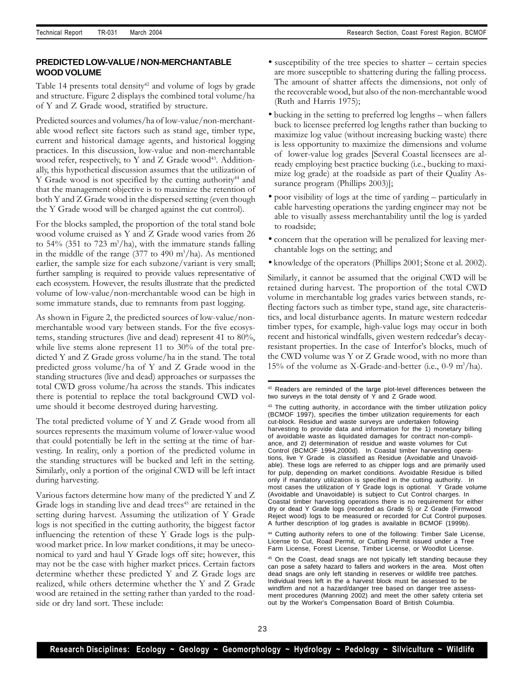## **PREDICTED LOW-VALUE / NON-MERCHANTABLE WOOD VOLUME**

Table 14 presents total density<sup>42</sup> and volume of logs by grade and structure. Figure 2 displays the combined total volume/ha of Y and Z Grade wood, stratified by structure.

Predicted sources and volumes/ha of low-value/non-merchantable wood reflect site factors such as stand age, timber type, current and historical damage agents, and historical logging practices. In this discussion, low-value and non-merchantable wood refer, respectively, to Y and Z Grade wood<sup>43</sup>. Additionally, this hypothetical discussion assumes that the utilization of Y Grade wood is not specified by the cutting authority<sup>44</sup> and that the management objective is to maximize the retention of both Y and Z Grade wood in the dispersed setting (even though the Y Grade wood will be charged against the cut control).

For the blocks sampled, the proportion of the total stand bole wood volume cruised as Y and Z Grade wood varies from 26 to 54% (351 to 723 m<sup>3</sup>/ha), with the immature stands falling in the middle of the range  $(377 \text{ to } 490 \text{ m}^3/\text{ha})$ . As mentioned earlier, the sample size for each subzone/variant is very small; further sampling is required to provide values representative of each ecosystem. However, the results illustrate that the predicted volume of low-value/non-merchantable wood can be high in some immature stands, due to remnants from past logging.

As shown in Figure 2, the predicted sources of low-value/nonmerchantable wood vary between stands. For the five ecosystems, standing structures (live and dead) represent 41 to 80%, while live stems alone represent 11 to 30% of the total predicted Y and Z Grade gross volume/ha in the stand. The total predicted gross volume/ha of Y and Z Grade wood in the standing structures (live and dead) approaches or surpasses the total CWD gross volume/ha across the stands. This indicates there is potential to replace the total background CWD volume should it become destroyed during harvesting.

The total predicted volume of Y and Z Grade wood from all sources represents the maximum volume of lower-value wood that could potentially be left in the setting at the time of harvesting. In reality, only a portion of the predicted volume in the standing structures will be bucked and left in the setting. Similarly, only a portion of the original CWD will be left intact during harvesting.

Various factors determine how many of the predicted Y and Z Grade logs in standing live and dead trees<sup>45</sup> are retained in the setting during harvest. Assuming the utilization of Y Grade logs is not specified in the cutting authority, the biggest factor influencing the retention of these Y Grade logs is the pulpwood market price. In low market conditions, it may be uneconomical to yard and haul Y Grade logs off site; however, this may not be the case with higher market prices. Certain factors determine whether these predicted Y and Z Grade logs are realized, while others determine whether the Y and Z Grade wood are retained in the setting rather than yarded to the roadside or dry land sort. These include:

- susceptibility of the tree species to shatter certain species are more susceptible to shattering during the falling process. The amount of shatter affects the dimensions, not only of the recoverable wood, but also of the non-merchantable wood (Ruth and Harris 1975);
- bucking in the setting to preferred log lengths when fallers buck to licensee preferred log lengths rather than bucking to maximize log value (without increasing bucking waste) there is less opportunity to maximize the dimensions and volume of lower-value log grades [Several Coastal licensees are already employing best practice bucking (i.e., bucking to maximize log grade) at the roadside as part of their Quality Assurance program (Phillips 2003)];
- poor visibility of logs at the time of yarding particularly in cable harvesting operations the yarding engineer may not be able to visually assess merchantability until the log is yarded to roadside;
- concern that the operation will be penalized for leaving merchantable logs on the setting; and
- knowledge of the operators (Phillips 2001; Stone et al. 2002).

Similarly, it cannot be assumed that the original CWD will be retained during harvest. The proportion of the total CWD volume in merchantable log grades varies between stands, reflecting factors such as timber type, stand age, site characteristics, and local disturbance agents. In mature western redcedar timber types, for example, high-value logs may occur in both recent and historical windfalls, given western redcedar's decayresistant properties. In the case of Interfor's blocks, much of the CWD volume was Y or Z Grade wood, with no more than 15% of the volume as X-Grade-and-better (i.e., 0-9 m<sup>3</sup>/ha).

<sup>44</sup> Cutting authority refers to one of the following: Timber Sale License, License to Cut, Road Permit, or Cutting Permit issued under a Tree Farm License, Forest License, Timber License, or Woodlot License.

<sup>42</sup> Readers are reminded of the large plot-level differences between the two surveys in the total density of Y and Z Grade wood.

<sup>43</sup> The cutting authority, in accordance with the timber utilization policy (BCMOF 1997), specifies the timber utilization requirements for each cut-block. Residue and waste surveys are undertaken following harvesting to provide data and information for the 1) monetary billing of avoidable waste as liquidated damages for contract non-compliance, and 2) determination of residue and waste volumes for Cut Control (BCMOF 1994,2000d). In Coastal timber harvesting operations, live Y Grade is classified as Residue (Avoidable and Unavoidable). These logs are referred to as chipper logs and are primarily used for pulp, depending on market conditions. Avoidable Residue is billed only if mandatory utilization is specified in the cutting authority. In most cases the utilization of Y Grade logs is optional. Y Grade volume (Avoidable and Unavoidable) is subject to Cut Control charges. In Coastal timber harvesting operations there is no requirement for either dry or dead Y Grade logs (recorded as Grade 5) or Z Grade (Firmwood Reject wood) logs to be measured or recorded for Cut Control purposes. A further description of log grades is available in BCMOF (1999b).

<sup>45</sup> On the Coast, dead snags are not typically left standing because they can pose a safety hazard to fallers and workers in the area. Most often dead snags are only left standing in reserves or wildlife tree patches. Individual trees left in the a harvest block must be assessed to be windfirm and not a hazard/danger tree based on danger tree assessment procedures (Manning 2002) and meet the other safety criteria set out by the Worker's Compensation Board of British Columbia.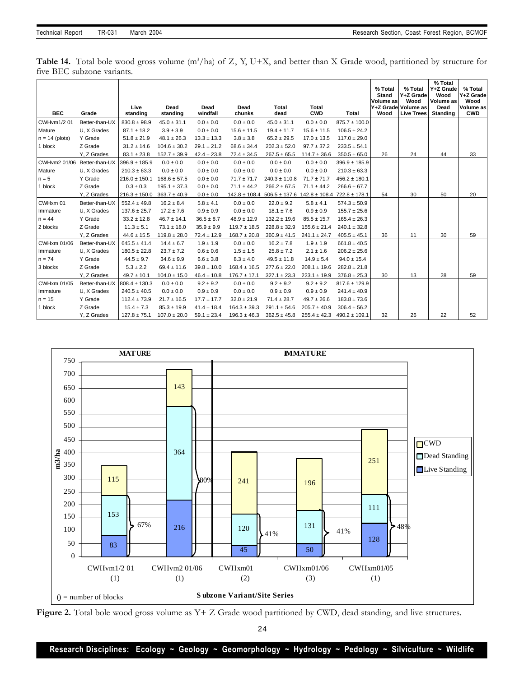Table 14. Total bole wood gross volume (m<sup>3</sup>/ha) of Z, Y, U+X, and better than X Grade wood, partitioned by structure for five BEC subzone variants.

|                             |                |                   |                  |                  |                   |                   |                                     |                   | % Total                           | % Total                                                       | % Total<br>Y+Z Grade                         | % Total                                      |
|-----------------------------|----------------|-------------------|------------------|------------------|-------------------|-------------------|-------------------------------------|-------------------|-----------------------------------|---------------------------------------------------------------|----------------------------------------------|----------------------------------------------|
| <b>BEC</b>                  | Grade          | Live<br>standing  | Dead<br>standing | Dead<br>windfall | Dead<br>chunks    | Total<br>dead     | Total<br><b>CWD</b>                 | Total             | <b>Stand</b><br>Volume as<br>Wood | Y+Z Grade<br>Wood<br>Y+Z Grade Volume as<br><b>Live Trees</b> | Wood<br>Volume as<br>Dead<br><b>Standing</b> | Y+Z Grade<br>Wood<br>Volume as<br><b>CWD</b> |
| <b>CWHvm1/201</b>           | Better-than-UX | $830.8 \pm 98.9$  | $45.0 \pm 31.1$  | $0.0 \pm 0.0$    | $0.0 \pm 0.0$     | $45.0 \pm 31.1$   | $0.0 \pm 0.0$                       | $875.7 \pm 100.0$ |                                   |                                                               |                                              |                                              |
| Mature                      | U, X Grades    | $87.1 \pm 18.2$   | $3.9 \pm 3.9$    | $0.0\pm0.0$      | $15.6 \pm 11.5$   | $19.4 \pm 11.7$   | $15.6 \pm 11.5$                     | $106.5 \pm 24.2$  |                                   |                                                               |                                              |                                              |
| $n = 14$ (plots)            | Y Grade        | $51.8 \pm 21.9$   | $48.1 \pm 26.3$  | $13.3 \pm 13.3$  | $3.8 \pm 3.8$     | $65.2 \pm 29.5$   | $17.0 \pm 13.5$                     | $117.0 \pm 29.0$  |                                   |                                                               |                                              |                                              |
| 1 block                     | Z Grade        | $31.2 \pm 14.6$   | $104.6 \pm 30.2$ | $29.1 \pm 21.2$  | $68.6 \pm 34.4$   | $202.3 \pm 52.0$  | $97.7 \pm 37.2$                     | $233.5 \pm 54.1$  |                                   |                                                               |                                              |                                              |
|                             | Y, Z Grades    | $83.1 \pm 23.8$   | $152.7 \pm 39.9$ | $42.4 \pm 23.8$  | $72.4 \pm 34.5$   | $267.5 \pm 65.5$  | $114.7 \pm 36.6$                    | $350.5 \pm 65.0$  | 26                                | 24                                                            | 44                                           | 33                                           |
| CWHvm2 01/06 Better-than-UX |                | $396.9 \pm 185.9$ | $0.0 \pm 0.0$    | $0.0 \pm 0.0$    | $0.0 \pm 0.0$     | $0.0 \pm 0.0$     | $0.0 \pm 0.0$                       | $396.9 \pm 185.9$ |                                   |                                                               |                                              |                                              |
| Mature                      | U. X Grades    | $210.3 \pm 63.3$  | $0.0 \pm 0.0$    | $0.0 \pm 0.0$    | $0.0 \pm 0.0$     | $0.0 \pm 0.0$     | $0.0 \pm 0.0$                       | $210.3 \pm 63.3$  |                                   |                                                               |                                              |                                              |
| $n = 5$                     | Y Grade        | $216.0 \pm 150.1$ | $168.6 \pm 57.5$ | $0.0 \pm 0.0$    | $71.7 \pm 71.7$   | $240.3 \pm 110.8$ | $71.7 \pm 71.7$                     | $456.2 \pm 180.1$ |                                   |                                                               |                                              |                                              |
| 1 block                     | Z Grade        | $0.3 \pm 0.3$     | $195.1 \pm 37.3$ | $0.0 \pm 0.0$    | $71.1 \pm 44.2$   | $266.2 \pm 67.5$  | $71.1 \pm 44.2$                     | $266.6 \pm 67.7$  |                                   |                                                               |                                              |                                              |
|                             | Y, Z Grades    | $216.3 \pm 150.0$ | $363.7 \pm 40.9$ | $0.0 \pm 0.0$    | $142.8 \pm 108.4$ | $506.5 \pm 137.6$ | $142.8 \pm 108.4$ 722.8 $\pm$ 178.1 |                   | 54                                | 30                                                            | 50                                           | 20                                           |
| CWHxm 01                    | Better-than-UX | $552.4 \pm 49.8$  | $16.2 \pm 8.4$   | $5.8 \pm 4.1$    | $0.0 \pm 0.0$     | $22.0 \pm 9.2$    | $5.8 \pm 4.1$                       | $574.3 \pm 50.9$  |                                   |                                                               |                                              |                                              |
| Immature                    | U. X Grades    | $137.6 \pm 25.7$  | $17.2 \pm 7.6$   | $0.9 \pm 0.9$    | $0.0 \pm 0.0$     | $18.1 \pm 7.6$    | $0.9 \pm 0.9$                       | $155.7 \pm 25.6$  |                                   |                                                               |                                              |                                              |
| $n = 44$                    | Y Grade        | $33.2 \pm 12.8$   | $46.7 \pm 14.1$  | $36.5 \pm 8.7$   | $48.9 \pm 12.9$   | $132.2 \pm 19.6$  | $85.5 \pm 15.7$                     | $165.4 \pm 26.3$  |                                   |                                                               |                                              |                                              |
| 2 blocks                    | Z Grade        | $11.3 \pm 5.1$    | $73.1 \pm 18.0$  | $35.9 \pm 9.9$   | $119.7 \pm 18.5$  | $228.8 \pm 32.9$  | $155.6 \pm 21.4$                    | $240.1 \pm 32.8$  |                                   |                                                               |                                              |                                              |
|                             | Y, Z Grades    | $44.6 \pm 15.5$   | $119.8 \pm 28.0$ | $72.4 \pm 12.9$  | $168.7 \pm 20.8$  | $360.9 \pm 41.5$  | $241.1 \pm 24.7$                    | $405.5 \pm 45.1$  | 36                                | 11                                                            | 30                                           | 59                                           |
| CWHxm 01/06                 | Better-than-UX | $645.5 \pm 41.4$  | $14.4 \pm 6.7$   | $1.9 \pm 1.9$    | $0.0 \pm 0.0$     | $16.2 \pm 7.8$    | $1.9 \pm 1.9$                       | $661.8 \pm 40.5$  |                                   |                                                               |                                              |                                              |
| Immature                    | U, X Grades    | $180.5 \pm 22.8$  | $23.7 \pm 7.2$   | $0.6 \pm 0.6$    | $1.5 \pm 1.5$     | $25.8 \pm 7.2$    | $2.1 \pm 1.6$                       | $206.2 \pm 25.6$  |                                   |                                                               |                                              |                                              |
| $n = 74$                    | Y Grade        | $44.5 \pm 9.7$    | $34.6 \pm 9.9$   | $6.6 \pm 3.8$    | $8.3 \pm 4.0$     | $49.5 \pm 11.8$   | $14.9 \pm 5.4$                      | $94.0 \pm 15.4$   |                                   |                                                               |                                              |                                              |
| 3 blocks                    | Z Grade        | $5.3 \pm 2.2$     | $69.4 \pm 11.6$  | $39.8 \pm 10.0$  | $168.4 \pm 16.5$  | $277.6 \pm 22.0$  | $208.1 \pm 19.6$                    | $282.8 \pm 21.8$  |                                   |                                                               |                                              |                                              |
|                             | Y, Z Grades    | $49.7 \pm 10.1$   | $104.0 \pm 15.0$ | $46.4 \pm 10.8$  | $176.7 \pm 17.1$  | $327.1 \pm 23.3$  | $223.1 \pm 19.9$                    | $376.8 \pm 25.3$  | 30                                | 13                                                            | 28                                           | 59                                           |
| CWHxm 01/05                 | Better-than-UX | $808.4 \pm 130.3$ | $0.0 \pm 0.0$    | $9.2 \pm 9.2$    | $0.0\pm0.0$       | $9.2 \pm 9.2$     | $9.2 \pm 9.2$                       | $817.6 \pm 129.9$ |                                   |                                                               |                                              |                                              |
| Immature                    | U. X Grades    | $240.5 \pm 40.5$  | $0.0 \pm 0.0$    | $0.9 \pm 0.9$    | $0.0 \pm 0.0$     | $0.9 \pm 0.9$     | $0.9 \pm 0.9$                       | $241.4 \pm 40.9$  |                                   |                                                               |                                              |                                              |
| $n = 15$                    | Y Grade        | $112.4 \pm 73.9$  | $21.7 \pm 16.5$  | $17.7 \pm 17.7$  | $32.0 \pm 21.9$   | $71.4 \pm 28.7$   | $49.7 \pm 26.6$                     | $183.8 \pm 73.6$  |                                   |                                                               |                                              |                                              |
| 1 block                     | Z Grade        | $15.4 \pm 7.3$    | $85.3 \pm 19.9$  | $41.4 \pm 18.4$  | $164.3 \pm 39.3$  | $291.1 \pm 54.6$  | $205.7 \pm 40.9$                    | $306.4 \pm 56.2$  |                                   |                                                               |                                              |                                              |
|                             | Y, Z Grades    | $127.8 \pm 75.1$  | $107.0 \pm 20.0$ | $59.1 \pm 23.4$  | $196.3 \pm 46.3$  | $362.5 \pm 45.8$  | $255.4 \pm 42.3$                    | $490.2 \pm 109.1$ | 32                                | 26                                                            | 22                                           | 52                                           |



Figure 2. Total bole wood gross volume as Y+ Z Grade wood partitioned by CWD, dead standing, and live structures.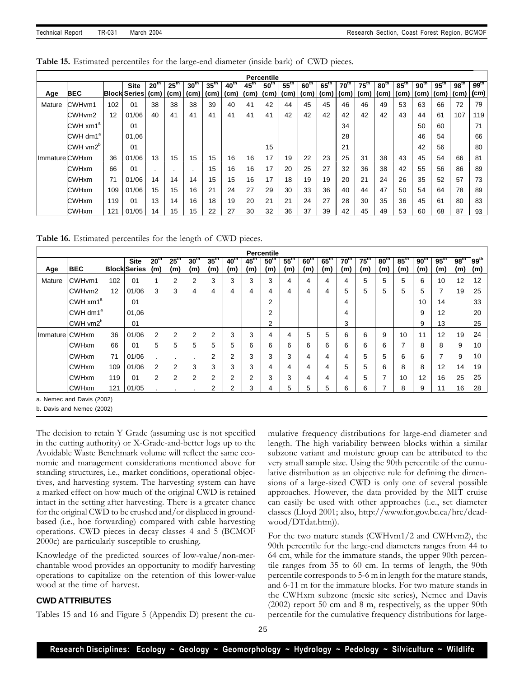| Table 15. Estimated percentiles for the large-end diameter (inside bark) of CWD pieces. |  |  |  |  |  |  |  |  |  |
|-----------------------------------------------------------------------------------------|--|--|--|--|--|--|--|--|--|
|-----------------------------------------------------------------------------------------|--|--|--|--|--|--|--|--|--|

|                      |                        |     |                                  |                  |                  |                  |                    |                                  |                    | <b>Percentile</b>    |                   |              |                   |                  |                                  |                 |                   |                  |                  |                  |                   |
|----------------------|------------------------|-----|----------------------------------|------------------|------------------|------------------|--------------------|----------------------------------|--------------------|----------------------|-------------------|--------------|-------------------|------------------|----------------------------------|-----------------|-------------------|------------------|------------------|------------------|-------------------|
|                      | <b>BEC</b>             |     | <b>Site</b><br>Block Series (cm) | 20 <sup>th</sup> | $25^{\text{th}}$ | 30 <sup>th</sup> | $35$ <sup>tn</sup> | 40 <sup>th</sup>                 | $45$ <sup>tn</sup> | 50 <sup>th</sup>     | $55^{\mathrm{m}}$ | $60^{\circ}$ | $65^{\mathrm{m}}$ | 70 <sup>th</sup> | $75^{\mathrm{m}}$                | 80 <sup>m</sup> | $85^{\mathrm{m}}$ | 90 <sup>th</sup> | $95^{\text{th}}$ | 98 <sup>th</sup> | $99^{th}$<br>(cm) |
| Age                  |                        |     |                                  |                  |                  |                  |                    | (cm)   (cm)   (cm)   (cm)   (cm) |                    | ∣ (cm)   (cm)   (cm) |                   |              |                   |                  | (cm)   (cm)   (cm)   (cm)   (cm) |                 |                   |                  |                  | l (cm)           |                   |
| Mature               | CWHvm1                 | 102 | 01                               | 38               | 38               | 38               | 39                 | 40                               | 41                 | 42                   | 44                | 45           | 45                | 46               | 46                               | 49              | 53                | 63               | 66               | 72               | 79                |
|                      | CWH <sub>vm2</sub>     | 12  | 01/06                            | 40               | 41               | 41               | 41                 | 41                               | 41                 | 41                   | 42                | 42           | 42                | 42               | 42                               | 42              | 43                | 44               | 61               | 107              | 119               |
|                      | $CWH$ xm1 <sup>a</sup> |     | 01                               |                  |                  |                  |                    |                                  |                    |                      |                   |              |                   | 34               |                                  |                 |                   | 50               | 60               |                  | 71                |
|                      | CWH dm1 <sup>a</sup>   |     | 01.06                            |                  |                  |                  |                    |                                  |                    |                      |                   |              |                   | 28               |                                  |                 |                   | 46               | 54               |                  | 66                |
|                      | CWH vm2 <sup>b</sup>   |     | 01                               |                  |                  |                  |                    |                                  |                    | 15                   |                   |              |                   | 21               |                                  |                 |                   | 42               | 56               |                  | 80                |
| <b>ImmatureCWHxm</b> |                        | 36  | 01/06                            | 13               | 15               | 15               | 15                 | 16                               | 16                 | 17                   | 19                | 22           | 23                | 25               | 31                               | 38              | 43                | 45               | 54               | 66               | 81                |
|                      | <b>CWHxm</b>           | 66  | 01                               |                  |                  |                  | 15                 | 16                               | 16                 | 17                   | 20                | 25           | 27                | 32               | 36                               | 38              | 42                | 55               | 56               | 86               | 89                |
|                      | <b>CWHxm</b>           | 71  | 01/06                            | 14               | 14               | 14               | 15                 | 15                               | 16                 | 17                   | 18                | 19           | 19                | 20               | 21                               | 24              | 26                | 35               | 52               | 57               | 73                |
|                      | <b>CWHxm</b>           | 109 | 01/06                            | 15               | 15               | 16               | 21                 | 24                               | 27                 | 29                   | 30                | 33           | 36                | 40               | 44                               | 47              | 50                | 54               | 64               | 78               | 89                |
|                      | <b>CWHxm</b>           | 119 | 01                               | 13               | 14               | 16               | 18                 | 19                               | 20                 | 21                   | 21                | 24           | 27                | 28               | 30                               | 35              | 36                | 45               | 61               | 80               | 83                |
|                      | <b>CWHxm</b>           | 121 | 01/05                            | 14               | 15               | 15               | 22                 | 27                               | 30                 | 32                   | 36                | 37           | 39                | 42               | 45                               | 49              | 53                | 60               | 68               | 87               | 93                |

**Table 16.** Estimated percentiles for the length of CWD pieces.

|                | <b>Percentile</b>       |     |                                    |                         |                         |                        |                         |                         |                         |                         |                         |                         |                          |                  |                         |                         |                        |                         |                         |                         |                         |
|----------------|-------------------------|-----|------------------------------------|-------------------------|-------------------------|------------------------|-------------------------|-------------------------|-------------------------|-------------------------|-------------------------|-------------------------|--------------------------|------------------|-------------------------|-------------------------|------------------------|-------------------------|-------------------------|-------------------------|-------------------------|
| Age            | <b>BEC</b>              |     | <b>Site</b><br><b>Block Series</b> | 20 <sup>th</sup><br>(m) | 25 <sup>th</sup><br>(m) | 30 <sup>th</sup><br>(m | 35 <sup>th</sup><br>(m) | 40 <sup>th</sup><br>(m) | $45^{\text{th}}$<br>(m) | 50 <sup>th</sup><br>(m) | $55^{\text{th}}$<br>(m) | 60 <sup>th</sup><br>(m) | $65$ <sup>tn</sup><br>(m | $70^{th}$<br>(m) | $75^{\text{th}}$<br>(m) | 80 <sup>th</sup><br>(m) | $85^{\text{th}}$<br>(m | 90 <sup>th</sup><br>(m) | $95^{\text{th}}$<br>(m) | 98 <sup>th</sup><br>(m) | 99 <sup>th</sup><br>(m) |
| Mature         | CWHvm1                  | 102 | 01                                 |                         | 2                       | 2                      | 3                       | 3                       | 3                       | 3                       | 4                       | 4                       | 4                        | 4                | 5                       | 5                       | 5                      | 6                       | 10                      | 12                      | 12                      |
|                | CWH <sub>vm2</sub>      | 12  | 01/06                              | 3                       | 3                       | 4                      | 4                       | 4                       | 4                       | 4                       | 4                       | 4                       | 4                        | 5                | 5                       | 5                       | 5                      | 5                       | ⇁                       | 19                      | 25                      |
|                | CWH $xm1^a$             |     | 01                                 |                         |                         |                        |                         |                         |                         | $\sim$                  |                         |                         |                          | 4                |                         |                         |                        | 10                      | 14                      |                         | 33                      |
|                | CWH dm1 <sup>a</sup>    |     | 01,06                              |                         |                         |                        |                         |                         |                         | C                       |                         |                         |                          | 4                |                         |                         |                        | 9                       | 12                      |                         | 20                      |
|                | CWH vm2 <sup>b</sup>    |     | 01                                 |                         |                         |                        |                         |                         |                         | ົ                       |                         |                         |                          | 3                |                         |                         |                        | 9                       | 13                      |                         | 25                      |
| Immature CWHxm |                         | 36  | 01/06                              | 2                       | 2                       | $\overline{2}$         | ⌒                       | 3                       | 3                       | 4                       | 4                       | 5                       | 5                        | 6                | 6                       | 9                       | 10                     | 11                      | 12                      | 19                      | 24                      |
|                | <b>CWHxm</b>            | 66  | 01                                 | 5                       | 5                       | 5                      | 5                       | 5                       | 6                       | 6                       | 6                       | 6                       | 6                        | 6                | 6                       | 6                       |                        | 8                       | 8                       | 9                       | 10                      |
|                | <b>CWHxm</b>            | 71  | 01/06                              |                         | $\cdot$                 | ٠.                     | $\Omega$                | ⌒<br>۷                  | 3                       | ົ                       | 3                       | 4                       | 4                        | 4                | 5                       | 5                       | 6                      | 6                       | ⇁                       | 9                       | 10                      |
|                | <b>CWHxm</b>            | 109 | 01/06                              | 2                       | 2                       | 3                      | 3                       | 3                       | 3                       | 4                       | 4                       | 4                       | 4                        | 5                | 5                       | 6                       | 8                      | 8                       | 12                      | 14                      | 19                      |
|                | <b>CWHxm</b>            | 119 | 01                                 | $\overline{2}$          | 2                       | $\overline{2}$         | ⌒                       | $\sim$<br>∠             | $\overline{2}$          | ົ                       | 3                       | 4                       | 4                        | 4                | 5                       |                         | 10                     | 12                      | 16                      | 25                      | 25                      |
|                | <b>CWH<sub>xm</sub></b> | 121 | 01/05                              |                         |                         |                        | ◠                       | 2                       | 3                       |                         | 5                       | 5                       | 5                        | 6                | 6                       |                         | 8                      | 9                       | 11                      | 16                      | 28                      |

a. Nemec and Davis (2002)

b. Davis and Nemec (2002)

The decision to retain Y Grade (assuming use is not specified in the cutting authority) or X-Grade-and-better logs up to the Avoidable Waste Benchmark volume will reflect the same economic and management considerations mentioned above for standing structures, i.e., market conditions, operational objectives, and harvesting system. The harvesting system can have a marked effect on how much of the original CWD is retained intact in the setting after harvesting. There is a greater chance for the original CWD to be crushed and/or displaced in groundbased (i.e., hoe forwarding) compared with cable harvesting operations. CWD pieces in decay classes 4 and 5 (BCMOF 2000c) are particularly susceptible to crushing.

Knowledge of the predicted sources of low-value/non-merchantable wood provides an opportunity to modify harvesting operations to capitalize on the retention of this lower-value wood at the time of harvest.

## **CWD ATTRIBUTES**

Tables 15 and 16 and Figure 5 (Appendix D) present the cu-

mulative frequency distributions for large-end diameter and length. The high variability between blocks within a similar subzone variant and moisture group can be attributed to the very small sample size. Using the 90th percentile of the cumulative distribution as an objective rule for defining the dimensions of a large-sized CWD is only one of several possible approaches. However, the data provided by the MIT cruise can easily be used with other approaches (i.e., set diameter classes (Lloyd 2001; also, http://www.for.gov.bc.ca/hre/deadwood/DTdat.htm)).

For the two mature stands (CWHvm1/2 and CWHvm2), the 90th percentile for the large-end diameters ranges from 44 to 64 cm, while for the immature stands, the upper 90th percentile ranges from 35 to 60 cm. In terms of length, the 90th percentile corresponds to 5-6 m in length for the mature stands, and 6-11 m for the immature blocks. For two mature stands in the CWHxm subzone (mesic site series), Nemec and Davis (2002) report 50 cm and 8 m, respectively, as the upper 90th percentile for the cumulative frequency distributions for large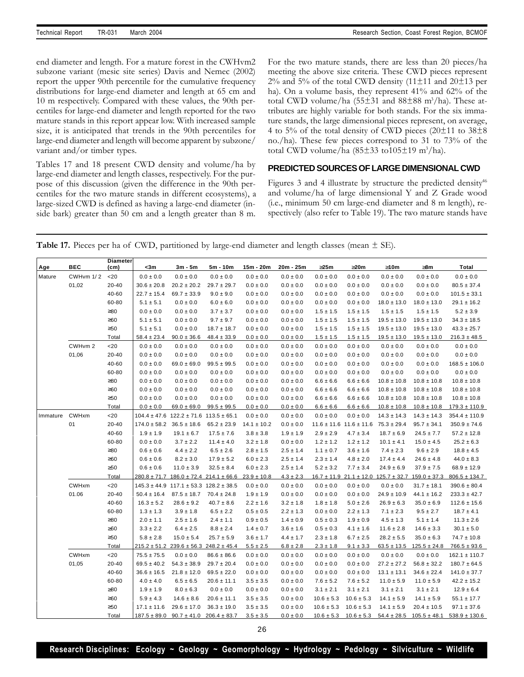end diameter and length. For a mature forest in the CWHvm2 subzone variant (mesic site series) Davis and Nemec (2002) report the upper 90th percentile for the cumulative frequency distributions for large-end diameter and length at 65 cm and 10 m respectively. Compared with these values, the 90th percentiles for large-end diameter and length reported for the two mature stands in this report appear low. With increased sample size, it is anticipated that trends in the 90th percentiles for large-end diameter and length will become apparent by subzone/ variant and/or timber types.

Tables 17 and 18 present CWD density and volume/ha by large-end diameter and length classes, respectively. For the purpose of this discussion (given the difference in the 90th percentiles for the two mature stands in different ecosystems), a large-sized CWD is defined as having a large-end diameter (inside bark) greater than 50 cm and a length greater than 8 m.

For the two mature stands, there are less than 20 pieces/ha meeting the above size criteria. These CWD pieces represent  $2\%$  and 5% of the total CWD density (11 $\pm$ 11 and 20 $\pm$ 13 per ha). On a volume basis, they represent 41% and 62% of the total CWD volume/ha  $(55\pm31$  and  $88\pm88$  m<sup>3</sup>/ha). These attributes are highly variable for both stands. For the six immature stands, the large dimensional pieces represent, on average, 4 to 5% of the total density of CWD pieces  $(20\pm 11)$  to  $38\pm 8$ no./ha). These few pieces correspond to 31 to 73% of the total CWD volume/ha  $(85±33 \text{ to } 105±19 \text{ m}^3/\text{ha}).$ 

### **PREDICTED SOURCES OF LARGE DIMENSIONAL CWD**

Figures 3 and 4 illustrate by structure the predicted density<sup>46</sup> and volume/ha of large dimensional Y and Z Grade wood (i.e., minimum 50 cm large-end diameter and 8 m length), respectively (also refer to Table 19). The two mature stands have

**Table 17.** Pieces per ha of CWD, partitioned by large-end diameter and length classes (mean  $\pm$  SE).

| Age      | <b>BEC</b> | <b>Diameter</b><br>(c <sub>m</sub> ) | <3m              | $3m - 5m$                                          | 5m - 10m                                           | 15m - 20m       | 20m - 25m     | 325m           | 320m                            | 310m                                                              | 38m              | Total             |
|----------|------------|--------------------------------------|------------------|----------------------------------------------------|----------------------------------------------------|-----------------|---------------|----------------|---------------------------------|-------------------------------------------------------------------|------------------|-------------------|
| Mature   | CWHvm 1/2  | < 20                                 | $0.0 \pm 0.0$    | $0.0 \pm 0.0$                                      | $0.0 \pm 0.0$                                      | $0.0 \pm 0.0$   | $0.0 \pm 0.0$ | $0.0 \pm 0.0$  | $0.0 \pm 0.0$                   | $0.0 \pm 0.0$                                                     | $0.0 \pm 0.0$    | $0.0 \pm 0.0$     |
|          | 01,02      | 20-40                                | $30.6 \pm 20.8$  | $20.2 \pm 20.2$                                    | $29.7 \pm 29.7$                                    | $0.0 \pm 0.0$   | $0.0 \pm 0.0$ | $0.0 \pm 0.0$  | $0.0 \pm 0.0$                   | $0.0 \pm 0.0$                                                     | $0.0 \pm 0.0$    | $80.5 \pm 37.4$   |
|          |            | 40-60                                | $22.7 \pm 15.4$  | $69.7 \pm 33.9$                                    | $9.0 \pm 9.0$                                      | $0.0 \pm 0.0$   | $0.0 \pm 0.0$ | $0.0 \pm 0.0$  | $0.0 \pm 0.0$                   | $0.0 \pm 0.0$                                                     | $0.0 \pm 0.0$    | $101.5 \pm 33.1$  |
|          |            | 60-80                                | $5.1 \pm 5.1$    | $0.0 \pm 0.0$                                      | $6.0 \pm 6.0$                                      | $0.0 \pm 0.0$   | $0.0 \pm 0.0$ | $0.0 \pm 0.0$  | $0.0 \pm 0.0$                   | $18.0 \pm 13.0$                                                   | $18.0 \pm 13.0$  | $29.1 \pm 16.2$   |
|          |            | $\geq 80$                            | $0.0 \pm 0.0$    | $0.0 \pm 0.0$                                      | $3.7 \pm 3.7$                                      | $0.0 \pm 0.0$   | $0.0 \pm 0.0$ | $1.5 \pm 1.5$  | $1.5 \pm 1.5$                   | $1.5 \pm 1.5$                                                     | $1.5 \pm 1.5$    | $5.2 \pm 3.9$     |
|          |            | $\geq 60$                            | $5.1 \pm 5.1$    | $0.0 \pm 0.0$                                      | $9.7 \pm 9.7$                                      | $0.0 \pm 0.0$   | $0.0 \pm 0.0$ | $1.5 \pm 1.5$  | $1.5 \pm 1.5$                   | $19.5 \pm 13.0$                                                   | $19.5 \pm 13.0$  | $34.3 \pm 18.5$   |
|          |            | $\geq 50$                            | $5.1 \pm 5.1$    | $0.0 \pm 0.0$                                      | $18.7 \pm 18.7$                                    | $0.0 \pm 0.0$   | $0.0 \pm 0.0$ | $1.5 \pm 1.5$  | $1.5 \pm 1.5$                   | $19.5 \pm 13.0$                                                   | $19.5 \pm 13.0$  | $43.3 \pm 25.7$   |
|          |            | Total                                | $58.4 \pm 23.4$  | $90.0 \pm 36.6$                                    | $48.4 \pm 33.9$                                    | $0.0 \pm 0.0$   | $0.0 \pm 0.0$ | $1.5 \pm 1.5$  | $1.5 \pm 1.5$                   | $19.5 \pm 13.0$                                                   | $19.5 \pm 13.0$  | $216.3 \pm 48.5$  |
|          | CWHvm 2    | $<$ 20                               | $0.0 \pm 0.0$    | $0.0 \pm 0.0$                                      | $0.0 \pm 0.0$                                      | $0.0 \pm 0.0$   | $0.0\pm0.0$   | $0.0 \pm 0.0$  | $0.0 \pm 0.0$                   | $0.0 \pm 0.0$                                                     | $0.0 \pm 0.0$    | $0.0 \pm 0.0$     |
|          | 01,06      | 20-40                                | $0.0 \pm 0.0$    | $0.0 \pm 0.0$                                      | $0.0 \pm 0.0$                                      | $0.0 \pm 0.0$   | $0.0 \pm 0.0$ | $0.0 \pm 0.0$  | $0.0 \pm 0.0$                   | $0.0\pm0.0$                                                       | $0.0 \pm 0.0$    | $0.0 \pm 0.0$     |
|          |            | 40-60                                | $0.0 \pm 0.0$    | $69.0 \pm 69.0$                                    | $99.5 \pm 99.5$                                    | $0.0 \pm 0.0$   | $0.0 \pm 0.0$ | $0.0 \pm 0.0$  | $0.0 \pm 0.0$                   | $0.0\pm0.0$                                                       | $0.0 \pm 0.0$    | $168.5 \pm 106.0$ |
|          |            | 60-80                                | $0.0 \pm 0.0$    | $0.0 \pm 0.0$                                      | $0.0 \pm 0.0$                                      | $0.0 \pm 0.0$   | $0.0 \pm 0.0$ | $0.0 \pm 0.0$  | $0.0 \pm 0.0$                   | $0.0 \pm 0.0$                                                     | $0.0 \pm 0.0$    | $0.0 \pm 0.0$     |
|          |            | $\geq 80$                            | $0.0 \pm 0.0$    | $0.0 \pm 0.0$                                      | $0.0 \pm 0.0$                                      | $0.0 \pm 0.0$   | $0.0 \pm 0.0$ | $6.6 \pm 6.6$  | $6.6 \pm 6.6$                   | $10.8 \pm 10.8$                                                   | $10.8 \pm 10.8$  | $10.8 \pm 10.8$   |
|          |            | $\geq 60$                            | $0.0 \pm 0.0$    | $0.0 \pm 0.0$                                      | $0.0 \pm 0.0$                                      | $0.0 \pm 0.0$   | $0.0 \pm 0.0$ | $6.6 \pm 6.6$  | $6.6 \pm 6.6$                   | $10.8 \pm 10.8$                                                   | $10.8 \pm 10.8$  | $10.8 \pm 10.8$   |
|          |            | $\geq 50$                            | $0.0 \pm 0.0$    | $0.0 \pm 0.0$                                      | $0.0 \pm 0.0$                                      | $0.0 \pm 0.0$   | $0.0 \pm 0.0$ | $6.6 \pm 6.6$  | $6.6 \pm 6.6$                   | $10.8 \pm 10.8$                                                   | $10.8 \pm 10.8$  | $10.8 \pm 10.8$   |
|          |            | Total                                | $0.0 \pm 0.0$    | $69.0 \pm 69.0$                                    | $99.5 \pm 99.5$                                    | $0.0 \pm 0.0$   | $0.0 \pm 0.0$ | $6.6 \pm 6.6$  | $6.6 \pm 6.6$                   | $10.8 \pm 10.8$                                                   | $10.8 \pm 10.8$  | $179.3 \pm 110.9$ |
| Immature | CWHxm      | $<$ 20                               |                  | $104.4 \pm 47.6$ 122.2 $\pm 71.6$ 113.5 $\pm 65.1$ |                                                    | $0.0 \pm 0.0$   | $0.0 \pm 0.0$ | $0.0 \pm 0.0$  | $0.0 \pm 0.0$                   | $14.3 \pm 14.3$                                                   | $14.3 \pm 14.3$  | $354.4 \pm 110.9$ |
|          | 01         | 20-40                                | $174.0 \pm 58.2$ | $36.5 \pm 18.6$                                    | $65.2 \pm 23.9$                                    | $14.1 \pm 10.2$ | $0.0 \pm 0.0$ |                | $11.6 \pm 11.6$ $11.6 \pm 11.6$ | $75.3 \pm 29.4$                                                   | $95.7 \pm 34.1$  | $350.9 \pm 74.6$  |
|          |            | 40-60                                | $1.9 \pm 1.9$    | $19.1 \pm 6.7$                                     | $17.5 \pm 7.6$                                     | $3.8 \pm 3.8$   | $1.9 \pm 1.9$ | $2.9 \pm 2.9$  | $4.7 \pm 3.4$                   | $18.7 \pm 6.9$                                                    | $24.5 \pm 7.7$   | $57.2 \pm 12.8$   |
|          |            | 60-80                                | $0.0 \pm 0.0$    | $3.7 \pm 2.2$                                      | $11.4 \pm 4.0$                                     | $3.2 \pm 1.8$   | $0.0 \pm 0.0$ | $1.2 \pm 1.2$  | $1.2 \pm 1.2$                   | $10.1 \pm 4.1$                                                    | $15.0 \pm 4.5$   | $25.2 \pm 6.3$    |
|          |            | $\geq 80$                            | $0.6 \pm 0.6$    | $4.4 \pm 2.2$                                      | $6.5 \pm 2.6$                                      | $2.8 \pm 1.5$   | $2.5 \pm 1.4$ | $1.1 \pm 0.7$  | $3.6 \pm 1.6$                   | $7.4 \pm 2.3$                                                     | $9.6 \pm 2.9$    | $18.8 \pm 4.5$    |
|          |            | $\geq 60$                            | $0.6 \pm 0.6$    | $8.2 \pm 3.0$                                      | $17.9 \pm 5.2$                                     | $6.0 \pm 2.3$   | $2.5 \pm 1.4$ | $2.3 \pm 1.4$  | $4.8 \pm 2.0$                   | $17.4 \pm 4.4$                                                    | $24.6 \pm 4.8$   | $44.0 \pm 8.3$    |
|          |            | $\geq 50$                            | $0.6 \pm 0.6$    | $11.0 \pm 3.9$                                     | $32.5 \pm 8.4$                                     | $6.0 \pm 2.3$   | $2.5 \pm 1.4$ | $5.2 \pm 3.2$  | $7.7 \pm 3.4$                   | $24.9 \pm 6.9$                                                    | $37.9 \pm 7.5$   | $68.9 \pm 12.9$   |
|          |            | Total                                |                  |                                                    | $280.8 \pm 71.7$ 186.0 $\pm$ 72.4 214.1 $\pm$ 66.6 | $23.9 \pm 10.8$ | $4.3 \pm 2.3$ |                |                                 | $16.7 \pm 11.9$ 21.1 $\pm$ 12.0 125.7 $\pm$ 32.7 159.0 $\pm$ 37.3 |                  | $806.5 \pm 134.7$ |
|          | CWHxm      | $<$ 20                               |                  |                                                    | $145.3 \pm 44.9$ 117.1 $\pm$ 53.3 128.2 $\pm$ 38.5 | $0.0 \pm 0.0$   | $0.0 \pm 0.0$ | $0.0 \pm 0.0$  | $0.0 \pm 0.0$                   | $0.0 \pm 0.0$                                                     | $31.7 \pm 18.1$  | $390.6 \pm 80.4$  |
|          | 01.06      | $20 - 40$                            | $50.4 \pm 16.4$  | $87.5 \pm 18.7$                                    | $70.4 \pm 24.8$                                    | $1.9 \pm 1.9$   | $0.0 \pm 0.0$ | $0.0 \pm 0.0$  | $0.0 \pm 0.0$                   | $24.9 \pm 10.9$                                                   | $44.1 \pm 16.2$  | $233.3 \pm 42.7$  |
|          |            | 40-60                                | $16.3 \pm 5.2$   | $28.6 \pm 9.2$                                     | $40.7 \pm 8.6$                                     | $2.2 \pm 1.6$   | $3.2 \pm 1.8$ | $1.8 \pm 1.8$  | $5.0 \pm 2.6$                   | $26.9 \pm 6.3$                                                    | $35.0\pm6.9$     | $112.6 \pm 15.6$  |
|          |            | 60-80                                | $1.3 \pm 1.3$    | $3.9 \pm 1.8$                                      | $6.5 \pm 2.2$                                      | $0.5 \pm 0.5$   | $2.2 \pm 1.3$ | $0.0 \pm 0.0$  | $2.2 \pm 1.3$                   | $7.1 \pm 2.3$                                                     | $9.5 \pm 2.7$    | $18.7 \pm 4.1$    |
|          |            | $\geq 80$                            | $2.0 \pm 1.1$    | $2.5 \pm 1.6$                                      | $2.4 \pm 1.1$                                      | $0.9 \pm 0.5$   | $1.4 \pm 0.9$ | $0.5 \pm 0.3$  | $1.9 \pm 0.9$                   | $4.5 \pm 1.3$                                                     | $5.1 \pm 1.4$    | $11.3 \pm 2.6$    |
|          |            | $\geq 60$                            | $3.3 \pm 2.2$    | $6.4 \pm 2.5$                                      | $8.8 \pm 2.4$                                      | $1.4 \pm 0.7$   | $3.6 \pm 1.6$ | $0.5 \pm 0.3$  | $4.1 \pm 1.6$                   | $11.6 \pm 2.8$                                                    | $14.6 \pm 3.3$   | $30.1 \pm 5.0$    |
|          |            | $\geq 50$                            | $5.8 \pm 2.8$    | $15.0 \pm 5.4$                                     | $25.7 \pm 5.9$                                     | $3.6 \pm 1.7$   | $4.4 \pm 1.7$ | $2.3 \pm 1.8$  | $6.7 \pm 2.5$                   | $28.2 \pm 5.5$                                                    | $35.0 \pm 6.3$   | $74.7 \pm 10.8$   |
|          |            | Total                                |                  |                                                    | $215.2 \pm 51.2$ 239.6 $\pm 56.3$ 248.2 $\pm 45.4$ | $5.5 \pm 2.5$   | $6.8 \pm 2.8$ | $2.3 \pm 1.8$  | $9.1 \pm 3.3$                   | $63.5 \pm 13.5$                                                   | $125.5 \pm 24.8$ | $766.5 \pm 93.6$  |
|          | CWHxm      | $20$                                 | $75.5 \pm 75.5$  | $0.0 \pm 0.0$                                      | $86.6 \pm 86.6$                                    | $0.0 \pm 0.0$   | $0.0 \pm 0.0$ | $0.0 \pm 0.0$  | $0.0 \pm 0.0$                   | $0.0 \pm 0.0$                                                     | $0.0 \pm 0.0$    | $162.1 \pm 110.7$ |
|          | 01,05      | 20-40                                | $69.5 \pm 40.2$  | $54.3 \pm 38.9$                                    | $29.7 \pm 20.4$                                    | $0.0 \pm 0.0$   | $0.0 \pm 0.0$ | $0.0 \pm 0.0$  | $0.0 \pm 0.0$                   | $27.2 \pm 27.2$                                                   | $56.8 \pm 32.2$  | $180.7 \pm 64.5$  |
|          |            | 40-60                                | $36.6 \pm 16.5$  | $21.8 \pm 12.0$                                    | $69.5 \pm 22.0$                                    | $0.0 \pm 0.0$   | $0.0 \pm 0.0$ | $0.0 \pm 0.0$  | $0.0 \pm 0.0$                   | $13.1 \pm 13.1$                                                   | $34.6 \pm 22.4$  | $141.0 \pm 37.7$  |
|          |            | 60-80                                | $4.0 \pm 4.0$    | $6.5 \pm 6.5$                                      | $20.6 \pm 11.1$                                    | $3.5 \pm 3.5$   | $0.0 \pm 0.0$ | $7.6 \pm 5.2$  | $7.6 \pm 5.2$                   | $11.0 \pm 5.9$                                                    | $11.0 \pm 5.9$   | $42.2 \pm 15.2$   |
|          |            | $\geq 80$                            | $1.9 \pm 1.9$    | $8.0 \pm 6.3$                                      | $0.0 \pm 0.0$                                      | $0.0 \pm 0.0$   | $0.0 \pm 0.0$ | $3.1 \pm 2.1$  | $3.1 \pm 2.1$                   | $3.1 \pm 2.1$                                                     | $3.1 \pm 2.1$    | $12.9 \pm 6.4$    |
|          |            | $\geq 60$                            | $5.9 \pm 4.3$    | $14.6 \pm 8.6$                                     | $20.6 \pm 11.1$                                    | $3.5 \pm 3.5$   | $0.0 \pm 0.0$ | $10.6 \pm 5.3$ | $10.6 \pm 5.3$                  | $14.1 \pm 5.9$                                                    | $14.1 \pm 5.9$   | $55.1 \pm 17.7$   |
|          |            | $\geq 50$                            | $17.1 \pm 11.6$  | $29.6 \pm 17.0$                                    | $36.3 \pm 19.0$                                    | $3.5 \pm 3.5$   | $0.0\pm0.0$   | $10.6 \pm 5.3$ | $10.6 \pm 5.3$                  | $14.1 \pm 5.9$                                                    | $20.4 \pm 10.5$  | $97.1 \pm 37.6$   |
|          |            | Total                                | $187.5 \pm 89.0$ | $90.7 \pm 41.0$                                    | $206.4 \pm 83.7$                                   | $3.5 \pm 3.5$   | $0.0 \pm 0.0$ | $10.6 \pm 5.3$ | $10.6 \pm 5.3$                  | $54.4 \pm 28.5$                                                   | $105.5 \pm 48.1$ | $538.9 \pm 130.6$ |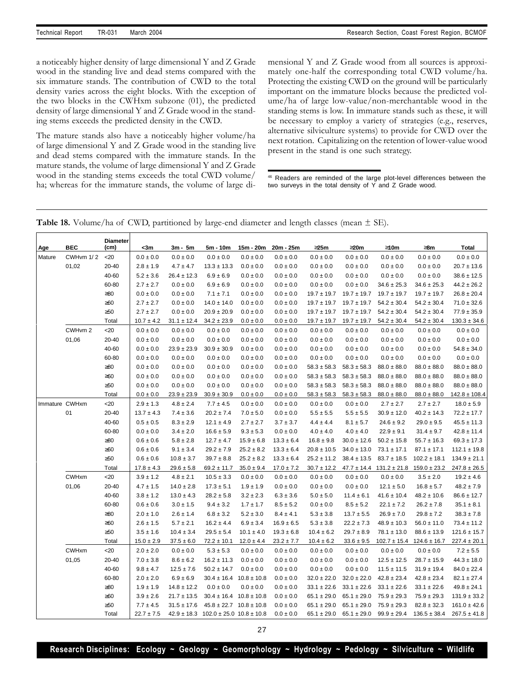a noticeably higher density of large dimensional Y and Z Grade wood in the standing live and dead stems compared with the six immature stands. The contribution of CWD to the total density varies across the eight blocks. With the exception of the two blocks in the CWHxm subzone (01), the predicted density of large dimensional Y and Z Grade wood in the standing stems exceeds the predicted density in the CWD.

The mature stands also have a noticeably higher volume/ha of large dimensional Y and Z Grade wood in the standing live and dead stems compared with the immature stands. In the mature stands, the volume of large dimensional Y and Z Grade wood in the standing stems exceeds the total CWD volume/ ha; whereas for the immature stands, the volume of large dimensional Y and Z Grade wood from all sources is approximately one-half the corresponding total CWD volume/ha. Protecting the existing CWD on the ground will be particularly important on the immature blocks because the predicted volume/ha of large low-value/non-merchantable wood in the standing stems is low. In immature stands such as these, it will be necessary to employ a variety of strategies (e.g., reserves, alternative silviculture systems) to provide for CWD over the next rotation. Capitalizing on the retention of lower-value wood present in the stand is one such strategy.

<sup>46</sup> Readers are reminded of the large plot-level differences between the two surveys in the total density of Y and Z Grade wood.

| Table 18. Volume/ha of CWD, partitioned by large-end diameter and length classes (mean $\pm$ SE). |  |  |  |
|---------------------------------------------------------------------------------------------------|--|--|--|
|---------------------------------------------------------------------------------------------------|--|--|--|

| Age            | BEC          | <b>Diameter</b><br>(cm) | <3m            | $3m - 5m$       | 5m - 10m                                         | 15m - 20m       | 20m - 25m      | 325m            | 320m            | 310m             | 38m              | <b>Total</b>      |
|----------------|--------------|-------------------------|----------------|-----------------|--------------------------------------------------|-----------------|----------------|-----------------|-----------------|------------------|------------------|-------------------|
| Mature         | CWHvm 1/2    | $20$                    | $0.0 \pm 0.0$  | $0.0\pm0.0$     | $0.0 \pm 0.0$                                    | $0.0 \pm 0.0$   | $0.0 \pm 0.0$  | $0.0 \pm 0.0$   | $0.0 \pm 0.0$   | $0.0 \pm 0.0$    | $0.0 \pm 0.0$    | $0.0 \pm 0.0$     |
|                | 01,02        | 20-40                   | $2.8 \pm 1.9$  | $4.7 \pm 4.7$   | $13.3 \pm 13.3$                                  | $0.0 \pm 0.0$   | $0.0 \pm 0.0$  | $0.0 \pm 0.0$   | $0.0 \pm 0.0$   | $0.0 \pm 0.0$    | $0.0 \pm 0.0$    | $20.7 \pm 13.6$   |
|                |              | 40-60                   | $5.2 \pm 3.6$  | $26.4 \pm 12.3$ | $6.9 \pm 6.9$                                    | $0.0 \pm 0.0$   | $0.0 \pm 0.0$  | $0.0 \pm 0.0$   | $0.0 \pm 0.0$   | $0.0 \pm 0.0$    | $0.0 \pm 0.0$    | $38.6 \pm 12.5$   |
|                |              | 60-80                   | $2.7 \pm 2.7$  | $0.0 \pm 0.0$   | $6.9 \pm 6.9$                                    | $0.0 \pm 0.0$   | $0.0 \pm 0.0$  | $0.0 \pm 0.0$   | $0.0 \pm 0.0$   | $34.6 \pm 25.3$  | $34.6 \pm 25.3$  | $44.2 \pm 26.2$   |
|                |              | $\geq 80$               | $0.0 \pm 0.0$  | $0.0 \pm 0.0$   | $7.1 \pm 7.1$                                    | $0.0 \pm 0.0$   | $0.0 \pm 0.0$  | $19.7 \pm 19.7$ | $19.7 \pm 19.7$ | $19.7 \pm 19.7$  | $19.7 \pm 19.7$  | $26.8 \pm 20.4$   |
|                |              | $\geq 60$               | $2.7 \pm 2.7$  | $0.0 \pm 0.0$   | $14.0 \pm 14.0$                                  | $0.0 \pm 0.0$   | $0.0 \pm 0.0$  | $19.7 \pm 19.7$ | $19.7 \pm 19.7$ | $54.2 \pm 30.4$  | $54.2 \pm 30.4$  | $71.0 \pm 32.6$   |
|                |              | $\geq 50$               | $2.7 \pm 2.7$  | $0.0\pm0.0$     | $20.9 \pm 20.9$                                  | $0.0\pm0.0$     | $0.0 \pm 0.0$  | $19.7 \pm 19.7$ | $19.7 \pm 19.7$ | $54.2 \pm 30.4$  | $54.2 \pm 30.4$  | $77.9 \pm 35.9$   |
|                |              | Total                   | $10.7 \pm 4.2$ | $31.1 \pm 12.4$ | $34.2 \pm 23.9$                                  | $0.0 \pm 0.0$   | $0.0 \pm 0.0$  | $19.7 \pm 19.7$ | $19.7 \pm 19.7$ | $54.2 \pm 30.4$  | $54.2 \pm 30.4$  | $130.3 \pm 34.6$  |
|                | CWHvm 2      | $20$                    | $0.0 \pm 0.0$  | $0.0 \pm 0.0$   | $0.0 \pm 0.0$                                    | $0.0 \pm 0.0$   | $0.0 \pm 0.0$  | $0.0 \pm 0.0$   | $0.0 \pm 0.0$   | $0.0 \pm 0.0$    | $0.0 \pm 0.0$    | $0.0 \pm 0.0$     |
|                | 01,06        | 20-40                   | $0.0 \pm 0.0$  | $0.0 \pm 0.0$   | $0.0 \pm 0.0$                                    | $0.0 \pm 0.0$   | $0.0 \pm 0.0$  | $0.0 \pm 0.0$   | $0.0 \pm 0.0$   | $0.0 \pm 0.0$    | $0.0 \pm 0.0$    | $0.0 \pm 0.0$     |
|                |              | 40-60                   | $0.0 \pm 0.0$  | $23.9 \pm 23.9$ | $30.9 \pm 30.9$                                  | $0.0 \pm 0.0$   | $0.0 \pm 0.0$  | $0.0 \pm 0.0$   | $0.0 \pm 0.0$   | $0.0 \pm 0.0$    | $0.0 \pm 0.0$    | $54.8 \pm 34.0$   |
|                |              | 60-80                   | $0.0 \pm 0.0$  | $0.0 \pm 0.0$   | $0.0 \pm 0.0$                                    | $0.0 \pm 0.0$   | $0.0 \pm 0.0$  | $0.0 \pm 0.0$   | $0.0 \pm 0.0$   | $0.0 \pm 0.0$    | $0.0 \pm 0.0$    | $0.0 \pm 0.0$     |
|                |              | $\geq 80$               | $0.0 \pm 0.0$  | $0.0 \pm 0.0$   | $0.0 \pm 0.0$                                    | $0.0 \pm 0.0$   | $0.0 \pm 0.0$  | $58.3 \pm 58.3$ | $58.3 \pm 58.3$ | $88.0 \pm 88.0$  | $88.0 \pm 88.0$  | $88.0 \pm 88.0$   |
|                |              | $\geq 60$               | $0.0 \pm 0.0$  | $0.0 \pm 0.0$   | $0.0 \pm 0.0$                                    | $0.0 \pm 0.0$   | $0.0 \pm 0.0$  | $58.3 \pm 58.3$ | $58.3 \pm 58.3$ | $88.0 \pm 88.0$  | $88.0 \pm 88.0$  | $88.0 \pm 88.0$   |
|                |              | $\geq 50$               | $0.0 \pm 0.0$  | $0.0 \pm 0.0$   | $0.0 \pm 0.0$                                    | $0.0 \pm 0.0$   | $0.0 \pm 0.0$  | $58.3 \pm 58.3$ | $58.3 \pm 58.3$ | $88.0 \pm 88.0$  | $88.0 \pm 88.0$  | $88.0 \pm 88.0$   |
|                |              | Total                   | $0.0 \pm 0.0$  | $23.9 \pm 23.9$ | $30.9 \pm 30.9$                                  | $0.0 \pm 0.0$   | $0.0 \pm 0.0$  | $58.3 \pm 58.3$ | $58.3 \pm 58.3$ | $88.0 \pm 88.0$  | $88.0 \pm 88.0$  | $142.8 \pm 108.4$ |
| Immature CWHxm |              | $20$                    | $2.9 \pm 1.3$  | $4.8 \pm 2.4$   | $7.7 \pm 4.5$                                    | $0.0 \pm 0.0$   | $0.0 \pm 0.0$  | $0.0 \pm 0.0$   | $0.0 \pm 0.0$   | $2.7 \pm 2.7$    | $2.7 \pm 2.7$    | $18.0 \pm 5.9$    |
|                | 01           | $20 - 40$               | $13.7 \pm 4.3$ | $7.4 \pm 3.6$   | $20.2 \pm 7.4$                                   | $7.0 \pm 5.0$   | $0.0 \pm 0.0$  | $5.5 \pm 5.5$   | $5.5 \pm 5.5$   | $30.9 \pm 12.0$  | $40.2 \pm 14.3$  | $72.2 \pm 17.7$   |
|                |              | 40-60                   | $0.5 \pm 0.5$  | $8.3 \pm 2.9$   | $12.1 \pm 4.9$                                   | $2.7 \pm 2.7$   | $3.7 \pm 3.7$  | $4.4 \pm 4.4$   | $8.1 \pm 5.7$   | $24.6 \pm 9.2$   | $29.0 \pm 9.5$   | $45.5 \pm 11.3$   |
|                |              | 60-80                   | $0.0 \pm 0.0$  | $3.4 \pm 2.0$   | $16.6 \pm 5.9$                                   | $9.3 \pm 5.3$   | $0.0 \pm 0.0$  | $4.0 \pm 4.0$   | $4.0 \pm 4.0$   | $22.9 \pm 9.1$   | $31.4 \pm 9.7$   | $42.8 \pm 11.4$   |
|                |              | $\geq 80$               | $0.6 \pm 0.6$  | $5.8 \pm 2.8$   | $12.7 \pm 4.7$                                   | $15.9 \pm 6.8$  | $13.3 \pm 6.4$ | $16.8 \pm 9.8$  | $30.0 \pm 12.6$ | $50.2 \pm 15.8$  | $55.7 \pm 16.3$  | $69.3 \pm 17.3$   |
|                |              | $\geq 60$               | $0.6 \pm 0.6$  | $9.1 \pm 3.4$   | $29.2 \pm 7.9$                                   | $25.2 \pm 8.2$  | $13.3 \pm 6.4$ | $20.8 \pm 10.5$ | $34.0 \pm 13.0$ | $73.1 \pm 17.1$  | $87.1 \pm 17.1$  | $112.1 \pm 19.8$  |
|                |              | $\geq 50$               | $0.6 \pm 0.6$  | $10.8 \pm 3.7$  | $39.7 \pm 8.8$                                   | $25.2 \pm 8.2$  | $13.3 \pm 6.4$ | $25.2 \pm 11.2$ | $38.4 \pm 13.5$ | $83.7 \pm 18.5$  | $102.2 \pm 18.1$ | $134.9 \pm 21.1$  |
|                |              | Total                   | $17.8 \pm 4.3$ | $29.6 \pm 5.8$  | $69.2 \pm 11.7$                                  | $35.0 \pm 9.4$  | $17.0 \pm 7.2$ | $30.7 \pm 12.2$ | $47.7 \pm 14.4$ | $131.2 \pm 21.8$ | $159.0 \pm 23.2$ | $247.8 \pm 26.5$  |
|                | <b>CWHxm</b> | $20$                    | $3.9 \pm 1.2$  | $4.8 \pm 2.1$   | $10.5 \pm 3.3$                                   | $0.0 \pm 0.0$   | $0.0 \pm 0.0$  | $0.0 \pm 0.0$   | $0.0 \pm 0.0$   | $0.0 \pm 0.0$    | $3.5 \pm 2.0$    | $19.2 \pm 4.6$    |
|                | 01,06        | $20 - 40$               | $4.7 \pm 1.5$  | $14.0 \pm 2.8$  | $17.3 \pm 5.1$                                   | $1.9 \pm 1.9$   | $0.0 \pm 0.0$  | $0.0 \pm 0.0$   | $0.0 \pm 0.0$   | $12.1 \pm 5.0$   | $16.8 \pm 5.7$   | $48.2 \pm 7.9$    |
|                |              | 40-60                   | $3.8 \pm 1.2$  | $13.0 \pm 4.3$  | $28.2 \pm 5.8$                                   | $3.2 \pm 2.3$   | $6.3 \pm 3.6$  | $5.0 \pm 5.0$   | $11.4 \pm 6.1$  | $41.6 \pm 10.4$  | $48.2 \pm 10.6$  | $86.6 \pm 12.7$   |
|                |              | 60-80                   | $0.6 \pm 0.6$  | $3.0 \pm 1.5$   | $9.4 \pm 3.2$                                    | $1.7 \pm 1.7$   | $8.5 \pm 5.2$  | $0.0 \pm 0.0$   | $8.5 \pm 5.2$   | $22.1 \pm 7.2$   | $26.2 \pm 7.8$   | $35.1 \pm 8.1$    |
|                |              | $\geq 80$               | $2.0 \pm 1.0$  | $2.6 \pm 1.4$   | $6.8 \pm 3.2$                                    | $5.2 \pm 3.0$   | $8.4 \pm 4.1$  | $5.3 \pm 3.8$   | $13.7 \pm 5.5$  | $26.9 \pm 7.0$   | $29.8 \pm 7.2$   | $38.3 \pm 7.8$    |
|                |              | $\geq 60$               | $2.6 \pm 1.5$  | $5.7 \pm 2.1$   | $16.2 \pm 4.4$                                   | $6.9 \pm 3.4$   | $16.9 \pm 6.5$ | $5.3 \pm 3.8$   | $22.2 \pm 7.3$  | $48.9 \pm 10.3$  | $56.0 \pm 11.0$  | $73.4 \pm 11.2$   |
|                |              | $\geq 50$               | $3.5 \pm 1.6$  | $10.4 \pm 3.4$  | $29.5 \pm 5.4$                                   | $10.1 \pm 4.0$  | $19.3 \pm 6.8$ | $10.4 \pm 6.2$  | $29.7 \pm 8.9$  | $78.1 \pm 13.0$  | $88.6 \pm 13.9$  | $121.6 \pm 15.7$  |
|                |              | Total                   | $15.0 \pm 2.9$ | $37.5 \pm 6.0$  | $72.2 \pm 10.1$                                  | $12.0 \pm 4.4$  | $23.2 \pm 7.7$ | $10.4 \pm 6.2$  | $33.6 \pm 9.5$  | $102.7 \pm 15.4$ | $124.6 \pm 16.7$ | $227.4 \pm 20.1$  |
|                | <b>CWHxm</b> | $20$                    | $2.0 \pm 2.0$  | $0.0 \pm 0.0$   | $5.3 \pm 5.3$                                    | $0.0 \pm 0.0$   | $0.0 \pm 0.0$  | $0.0 \pm 0.0$   | $0.0 \pm 0.0$   | $0.0 \pm 0.0$    | $0.0 \pm 0.0$    | $7.2 \pm 5.5$     |
|                | 01,05        | $20 - 40$               | $7.0 \pm 3.8$  | $8.6 \pm 6.2$   | $16.2 \pm 11.3$                                  | $0.0 \pm 0.0$   | $0.0 \pm 0.0$  | $0.0 \pm 0.0$   | $0.0 \pm 0.0$   | $12.5 \pm 12.5$  | $28.7 \pm 15.9$  | $44.3 \pm 18.0$   |
|                |              | 40-60                   | $9.8 \pm 4.7$  | $12.5 \pm 7.6$  | $50.2 \pm 14.7$                                  | $0.0 \pm 0.0$   | $0.0 \pm 0.0$  | $0.0 \pm 0.0$   | $0.0 \pm 0.0$   | $11.5 \pm 11.5$  | $31.9 \pm 19.4$  | $84.0 \pm 22.4$   |
|                |              | 60-80                   | $2.0 \pm 2.0$  | $6.9 \pm 6.9$   | $30.4 \pm 16.4$                                  | $10.8 \pm 10.8$ | $0.0 \pm 0.0$  | $32.0 \pm 22.0$ | $32.0 \pm 22.0$ | $42.8 \pm 23.4$  | $42.8 \pm 23.4$  | $82.1 \pm 27.4$   |
|                |              | $\geq 80$               | $1.9 \pm 1.9$  | $14.8 \pm 12.2$ | $0.0 \pm 0.0$                                    | $0.0 \pm 0.0$   | $0.0 \pm 0.0$  | $33.1 \pm 22.6$ | $33.1 \pm 22.6$ | $33.1 \pm 22.6$  | $33.1 \pm 22.6$  | $49.8 \pm 24.1$   |
|                |              | $\geq 60$               | $3.9 \pm 2.6$  | $21.7 \pm 13.5$ | $30.4 \pm 16.4$                                  | $10.8 \pm 10.8$ | $0.0 \pm 0.0$  | $65.1 \pm 29.0$ | $65.1 \pm 29.0$ | $75.9 \pm 29.3$  | $75.9 \pm 29.3$  | $131.9 \pm 33.2$  |
|                |              | $\geq 50$               | $7.7 \pm 4.5$  | $31.5 \pm 17.6$ | $45.8 \pm 22.7$                                  | $10.8 \pm 10.8$ | $0.0 \pm 0.0$  | $65.1 \pm 29.0$ | $65.1 \pm 29.0$ | $75.9 \pm 29.3$  | $82.8 \pm 32.3$  | $161.0 \pm 42.6$  |
|                |              | Total                   | $22.7 \pm 7.5$ |                 | $42.9 \pm 18.3$ $102.0 \pm 25.0$ $10.8 \pm 10.8$ |                 | $0.0 \pm 0.0$  | $65.1 \pm 29.0$ | $65.1 \pm 29.0$ | $99.9 \pm 29.4$  | $136.5 \pm 38.4$ | $267.5 \pm 41.8$  |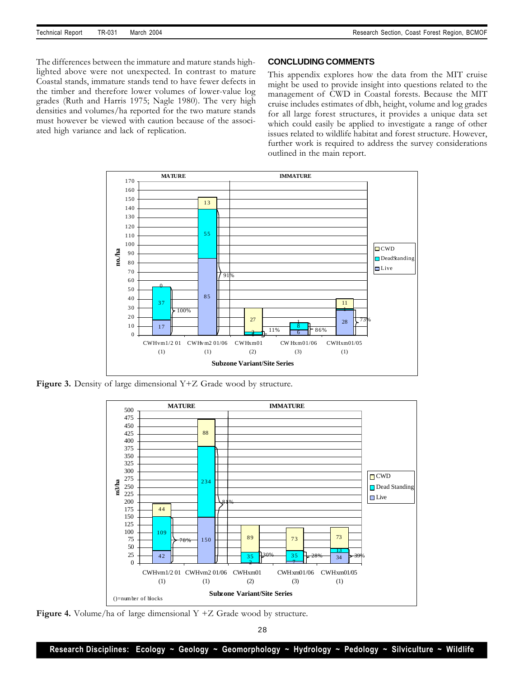The differences between the immature and mature stands highlighted above were not unexpected. In contrast to mature Coastal stands, immature stands tend to have fewer defects in the timber and therefore lower volumes of lower-value log grades (Ruth and Harris 1975; Nagle 1980). The very high densities and volumes/ha reported for the two mature stands must however be viewed with caution because of the associated high variance and lack of replication.

## **CONCLUDING COMMENTS**

This appendix explores how the data from the MIT cruise might be used to provide insight into questions related to the management of CWD in Coastal forests. Because the MIT cruise includes estimates of dbh, height, volume and log grades for all large forest structures, it provides a unique data set which could easily be applied to investigate a range of other issues related to wildlife habitat and forest structure. However, further work is required to address the survey considerations outlined in the main report.



**Figure 3.** Density of large dimensional Y+Z Grade wood by structure.



**Figure 4.** Volume/ha of large dimensional Y +Z Grade wood by structure.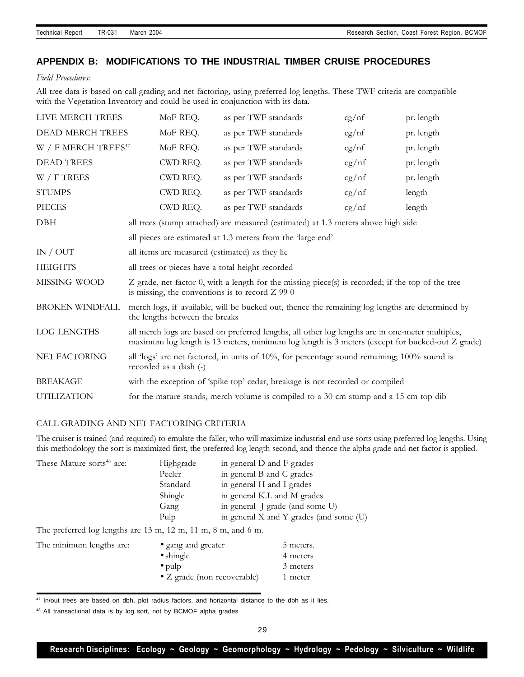# **APPENDIX B: MODIFICATIONS TO THE INDUSTRIAL TIMBER CRUISE PROCEDURES**

## *Field Procedures:*

All tree data is based on call grading and net factoring, using preferred log lengths. These TWF criteria are compatible with the Vegetation Inventory and could be used in conjunction with its data.

| LIVE MERCH TREES       | MoF REQ.                                          | as per TWF standards                                                                                                                                                                                | cg/nf | pr. length |
|------------------------|---------------------------------------------------|-----------------------------------------------------------------------------------------------------------------------------------------------------------------------------------------------------|-------|------------|
| DEAD MERCH TREES       | MoF REQ.                                          | as per TWF standards                                                                                                                                                                                | cg/nf | pr. length |
| W / F MERCH TREES $47$ | MoF REQ.                                          | as per TWF standards                                                                                                                                                                                | cg/nf | pr. length |
| <b>DEAD TREES</b>      | CWD REQ.                                          | as per TWF standards                                                                                                                                                                                | cg/nf | pr. length |
| $W / F$ TREES          | CWD REQ.                                          | as per TWF standards                                                                                                                                                                                | cg/nf | pr. length |
| <b>STUMPS</b>          | CWD REQ.                                          | as per TWF standards                                                                                                                                                                                | cg/nf | length     |
| <b>PIECES</b>          | CWD REQ.                                          | as per TWF standards                                                                                                                                                                                | cg/nf | length     |
| <b>DBH</b>             |                                                   | all trees (stump attached) are measured (estimated) at 1.3 meters above high side                                                                                                                   |       |            |
|                        |                                                   | all pieces are estimated at 1.3 meters from the 'large end'                                                                                                                                         |       |            |
| IN / OUT               | all items are measured (estimated) as they lie    |                                                                                                                                                                                                     |       |            |
| <b>HEIGHTS</b>         | all trees or pieces have a total height recorded  |                                                                                                                                                                                                     |       |            |
| MISSING WOOD           | is missing, the conventions is to record $Z$ 99 0 | Z grade, net factor 0, with a length for the missing piece(s) is recorded; if the top of the tree                                                                                                   |       |            |
| <b>BROKEN WINDFALL</b> | the lengths between the breaks                    | merch logs, if available, will be bucked out, thence the remaining log lengths are determined by                                                                                                    |       |            |
| <b>LOG LENGTHS</b>     |                                                   | all merch logs are based on preferred lengths, all other log lengths are in one-meter multiples,<br>maximum log length is 13 meters, minimum log length is 3 meters (except for bucked-out Z grade) |       |            |
| NET FACTORING          | recorded as a dash (-)                            | all 'logs' are net factored, in units of 10%, for percentage sound remaining; 100% sound is                                                                                                         |       |            |
| <b>BREAKAGE</b>        |                                                   | with the exception of 'spike top' cedar, breakage is not recorded or compiled                                                                                                                       |       |            |
| <b>UTILIZATION</b>     |                                                   | for the mature stands, merch volume is compiled to a 30 cm stump and a 15 cm top dib                                                                                                                |       |            |
|                        |                                                   |                                                                                                                                                                                                     |       |            |

## CALL GRADING AND NET FACTORING CRITERIA

The cruiser is trained (and required) to emulate the faller, who will maximize industrial end use sorts using preferred log lengths. Using this methodology the sort is maximized first, the preferred log length second, and thence the alpha grade and net factor is applied.

| These Mature sorts <sup>48</sup> are: | Highgrade         | in general D and F grades               |
|---------------------------------------|-------------------|-----------------------------------------|
|                                       | Peeler            | in general B and C grades               |
|                                       | Standard          | in general H and I grades               |
|                                       | Shingle           | in general K.L and M grades             |
|                                       | Gang              | in general J grade (and some U)         |
|                                       | Pulp              | in general X and Y grades (and some (U) |
| $F = 1$<br>$\mathbf{1}$               | $\Delta$ $\Delta$ |                                         |

The preferred log lengths are 13 m, 12 m, 11 m, 8 m, and 6 m.

| The minimum lengths are: | • gang and greater                  | 5 meters. |
|--------------------------|-------------------------------------|-----------|
|                          | $\bullet$ shingle                   | 4 meters  |
|                          | $\bullet$ pulp                      | 3 meters  |
|                          | $\bullet$ Z grade (non recoverable) | 1 meter   |

<sup>47</sup> In/out trees are based on dbh, plot radius factors, and horizontal distance to the dbh as it lies.

<sup>48</sup> All transactional data is by log sort, not by BCMOF alpha grades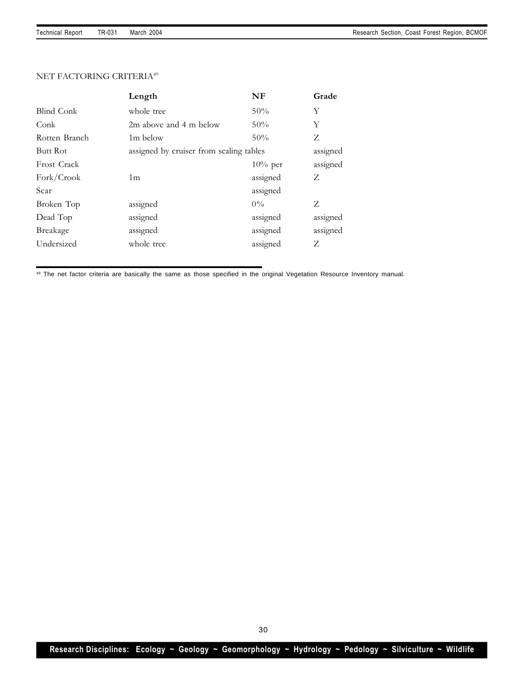## NET FACTORING CRITERIA<sup>49</sup>

|                    | Length                                  | NF         | Grade    |
|--------------------|-----------------------------------------|------------|----------|
| Blind Conk         | whole tree                              | 50%        | Y        |
| Conk               | 2m above and 4 m below                  | 50%        | Y        |
| Rotten Branch      | 1m below                                | 50%        | Z        |
| <b>Butt Rot</b>    | assigned by cruiser from scaling tables |            | assigned |
| <b>Frost Crack</b> |                                         | $10\%$ per | assigned |
| Fork/Crook         | 1 <sub>m</sub>                          | assigned   | Z        |
| Scar               |                                         | assigned   |          |
| Broken Top         | assigned                                | $0\%$      | Z        |
| Dead Top           | assigned                                | assigned   | assigned |
| <b>Breakage</b>    | assigned                                | assigned   | assigned |
| Undersized         | whole tree                              | assigned   | Z        |
|                    |                                         |            |          |

<sup>49</sup> The net factor criteria are basically the same as those specified in the original Vegetation Resource Inventory manual.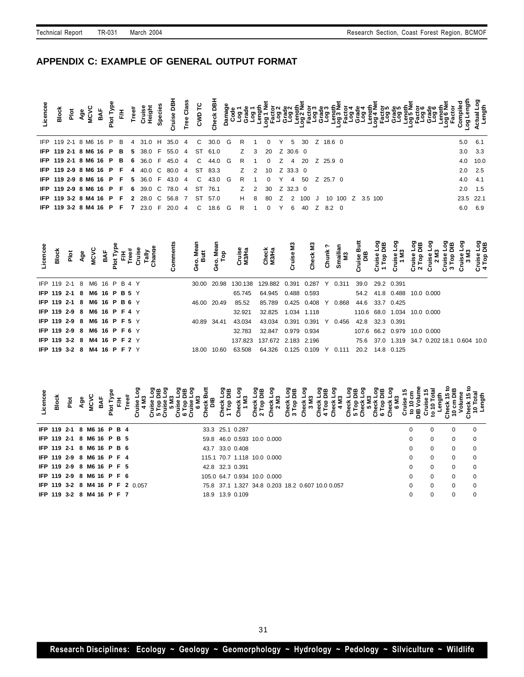# **APPENDIX C: EXAMPLE OF GENERAL OUTPUT FORMAT**

|                           | <b>Block</b> | ă |  |  |   | tee# | aight<br>Sign | Specie | uise DB                                                | នី<br>9 | <b>CWD</b>   | 흼<br>ě |   |             |               |          |   |                |           |          |  |                  |  |  |  |           |             |
|---------------------------|--------------|---|--|--|---|------|---------------|--------|--------------------------------------------------------|---------|--------------|--------|---|-------------|---------------|----------|---|----------------|-----------|----------|--|------------------|--|--|--|-----------|-------------|
| IFP 119 2-1 8 M6 16 P     |              |   |  |  | B | 4    |               |        | 31.0 H 35.0 4                                          |         | C.           | 30.0   | G | R           |               | $\Omega$ | Y | -5             | 30        | Z 18.6 0 |  |                  |  |  |  | 5.0       | 6.1         |
|                           |              |   |  |  |   |      |               |        | <b>IFP 119 2-1 8 M6 16 P B 5 38.0 F 55.0 4</b>         |         | ST           | 61.0   |   | $Z \quad 3$ |               | 20       |   | Z 30.6 0       |           |          |  |                  |  |  |  | 3.0       | 3.3         |
|                           |              |   |  |  |   |      |               |        | <b>IFP 119 2-1 8 M6 16 P B 6 36.0 F 45.0 4</b>         |         | $\mathbf{C}$ | 44.0 G |   | R           |               | $\Omega$ |   | Z 4 20         |           | Z 25.9 0 |  |                  |  |  |  |           | 4.0 10.0    |
|                           |              |   |  |  |   |      |               |        | <b>IFP 119 2-9 8 M6 16 P F 4 40.0 C 80.0 4 ST 83.3</b> |         |              |        |   | $Z$ 2       |               | 10       |   | Z 33.3 0       |           |          |  |                  |  |  |  |           | $2.0$ $2.5$ |
|                           |              |   |  |  |   |      |               |        | <b>IFP 119 2-9 8 M6 16 P F 5 36.0 F 43.0 4</b>         |         | C.           | 43.0   | G | R           |               | $\Omega$ | Y | $\overline{4}$ | 50        | Z 25.7 0 |  |                  |  |  |  | 4.0       | - 4.1       |
|                           |              |   |  |  |   |      |               |        | <b>IFP 119 2-9 8 M6 16 P F 6 39.0 C 78.0 4</b>         |         | ST           | 76.1   |   | Z           | $\mathcal{P}$ | 30       |   | Z 32.3 0       |           |          |  |                  |  |  |  | 2.0       | 1.5         |
|                           |              |   |  |  |   |      |               |        | <b>IFP 119 3-2 8 M4 16 P F 2 28.0 C 56.8 7</b>         |         | ST           | 57.0   |   | H           | 8             | 80       |   |                | Z 2 100 J |          |  | 10 100 Z 3.5 100 |  |  |  | 23.5 22.1 |             |
| IFP 119 3-2 8 M4 16 P F 7 |              |   |  |  |   |      | $23.0$ F      |        | $20.0 \quad 4$                                         |         | $\mathbf{C}$ | 18.6 G |   | R           |               | $\Omega$ | Y | 6              | 40        | Z 8.2 0  |  |                  |  |  |  |           | 6.0 6.9     |

| icencee<br>Block                   | Plot<br>Age<br>MCVC |  |  | BAF<br>Plot Tyl<br>F/H<br>Cruis<br>Chang<br>Tally |  | eo. Mea<br>Butt |             | Cruise<br>M3/Ha                                                 | Check<br>M3/Ha                                            | Cruise M3 | ទី<br>ě<br>ర్ | ් වි |                        |                 |                             | GN | ுற                                                                     | ខ្វិគ្គ |
|------------------------------------|---------------------|--|--|---------------------------------------------------|--|-----------------|-------------|-----------------------------------------------------------------|-----------------------------------------------------------|-----------|---------------|------|------------------------|-----------------|-----------------------------|----|------------------------------------------------------------------------|---------|
|                                    |                     |  |  |                                                   |  |                 |             |                                                                 |                                                           |           |               |      |                        |                 |                             |    |                                                                        |         |
| IFP 119 2-1 8 M6 16 P B 4 Y        |                     |  |  |                                                   |  |                 |             | 30.00 20.98 130.138 129.882 0.391 0.287 Y 0.311 39.0 29.2 0.391 |                                                           |           |               |      |                        |                 |                             |    |                                                                        |         |
| <b>IFP 119 2-1 8 M6 16 P B 5 Y</b> |                     |  |  |                                                   |  |                 |             | 65.745                                                          | 64.945  0.488  0.593                                      |           |               |      |                        |                 | 54.2 41.8 0.488 10.0 0.000  |    |                                                                        |         |
| <b>IFP 119 2-1 8 M6 16 P B 6 Y</b> |                     |  |  |                                                   |  | 46.00 20.49     |             | 85.52                                                           | 85.789  0.425  0.408  Y  0.868                            |           |               |      |                        | 44.6 33.7 0.425 |                             |    |                                                                        |         |
| <b>IFP 119 2-9 8 M6 16 P F 4 Y</b> |                     |  |  |                                                   |  |                 |             | 32.921                                                          | 32.825  1.034  1.118                                      |           |               |      |                        |                 | 110.6 68.0 1.034 10.0 0.000 |    |                                                                        |         |
| <b>IFP 119 2-9 8 M6 16 P F 5 Y</b> |                     |  |  |                                                   |  | 40.89 34.41     |             | 43.034                                                          | 43.034                                                    |           |               |      | 0.391  0.391  Y  0.456 | 42.8 32.3 0.391 |                             |    |                                                                        |         |
| <b>IFP 119 2-9 8 M6 16 P F 6 Y</b> |                     |  |  |                                                   |  |                 |             | 32.783                                                          | 32.847  0.979  0.934                                      |           |               |      |                        |                 | 107.6 66.2 0.979 10.0 0.000 |    |                                                                        |         |
| <b>IFP 119 3-2 8 M4 16 P F 2 Y</b> |                     |  |  |                                                   |  |                 |             |                                                                 |                                                           |           |               |      |                        |                 |                             |    | 137.823 137.672 2.183 2.196 75.6 37.0 1.319 34.7 0.202 18.1 0.604 10.0 |         |
| <b>IFP 119 3-2 8 M4 16 P F 7</b> Y |                     |  |  |                                                   |  |                 | 18.00 10.60 |                                                                 | 63.508  64.326  0.125  0.109  Y  0.111  20.2  14.8  0.125 |           |               |      |                        |                 |                             |    |                                                                        |         |
|                                    |                     |  |  |                                                   |  |                 |             |                                                                 |                                                           |           |               |      |                        |                 |                             |    |                                                                        |         |

**Licencee Block Plot Age MCVC BAF Plot Type F/H Tree# Cruise Log 4 M3 Cruise Log 5 Top DIB Cruise Log 5 M3 Cruise Log 6 Top DIB Cruise Log 6 M3 Check Butt DIB Check Log 1 Top DIB Check Log 1 M3 Check Log 2 Top DIB Check Log 2 M3 Check Log 3 Top DIB Check Log 3 M3 Check Log 4 Top DIB Check Log 4 M3 Check Log 5 Top DIB Check Log 5 M3 Check Log 6 Top DIB Check Log 6 M3 Cruise 15 to 10 cm DIB Volume Cruise 15 to 10 Total Length Check 15 to 10 cm DIB Volume Check 15 to 10 Total Length**

| IFP 119 2-1 8 M6 16 P B 4              | 33.3 25.1 0.287                                  | 0        | 0        | $\Omega$ |  |
|----------------------------------------|--------------------------------------------------|----------|----------|----------|--|
| IFP 119 2-1 8 M6 16 P B 5              | 59.8 46.0 0.593 10.0 0.000                       | 0        | 0        | $\Omega$ |  |
| IFP 119 2-1 8 M6 16 P B 6              | 43.7 33.0 0.408                                  | 0        | $\Omega$ | $\Omega$ |  |
| IFP 119 2-9 8 M6 16 P F 4              | 115.1 70.7 1.118 10.0 0.000                      | $\Omega$ | 0        | $\Omega$ |  |
| IFP 119 2-9 8 M6 16 P F 5              | 42.8 32.3 0.391                                  | 0        | $\Omega$ | $\Omega$ |  |
| IFP 119 2-9 8 M6 16 P F 6              | 105.0 64.7 0.934 10.0 0.000                      | $\Omega$ | $\Omega$ | $\Omega$ |  |
| <b>IFP 119 3-2 8 M4 16 P F 2 0.057</b> | 75.8 37.1 1.327 34.8 0.203 18.2 0.607 10.0 0.057 |          | $\Omega$ | $\Omega$ |  |
| IFP 119 3-2 8 M4 16 P F 7              | 18.9 13.9 0.109                                  | $\Omega$ | 0        |          |  |
|                                        |                                                  |          |          |          |  |

31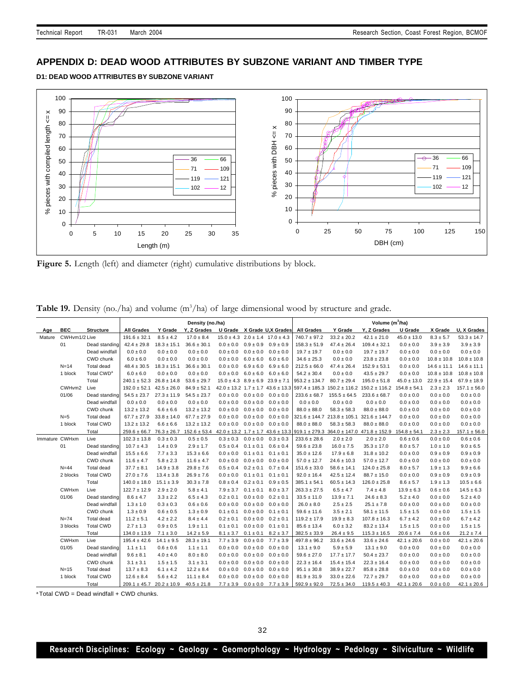# **APPENDIX D: DEAD WOOD ATTRIBUTES BY SUBZONE VARIANT AND TIMBER TYPE**

**D1: DEAD WOOD ATTRIBUTES BY SUBZONE VARIANT**



Figure 5. Length (left) and diameter (right) cumulative distributions by block.

|  |  |  |  | <b>Table 19.</b> Density (no./ha) and volume $(m^3/ha)$ of large dimensional wood by structure and grade. |
|--|--|--|--|-----------------------------------------------------------------------------------------------------------|
|--|--|--|--|-----------------------------------------------------------------------------------------------------------|

|                |               |                        | Density (no./ha)                 |                 |                                        |                                             | Volume $(m^3/ha)$ |                                               |                   |                                                       |                                                                                                                      |                  |                 |                  |
|----------------|---------------|------------------------|----------------------------------|-----------------|----------------------------------------|---------------------------------------------|-------------------|-----------------------------------------------|-------------------|-------------------------------------------------------|----------------------------------------------------------------------------------------------------------------------|------------------|-----------------|------------------|
| Age            | <b>BEC</b>    | <b>Structure</b>       | <b>All Grades</b>                | Y Grade         | Y. Z Grades U Grade X Grade U.X Grades |                                             |                   |                                               | <b>All Grades</b> | Y Grade                                               | Y, Z Grades                                                                                                          | U Grade          | X Grade         | U, X Grades      |
| Mature         | CWHym1/2 Live |                        | $191.6 \pm 32.1$                 | $8.5 \pm 4.2$   | $17.0 \pm 8.4$                         |                                             |                   | $15.0 \pm 4.3$ $2.0 \pm 1.4$ $17.0 \pm 4.3$   | $740.7 \pm 97.2$  | $33.2 \pm 20.2$                                       | $42.1 \pm 21.0$                                                                                                      | $45.0 \pm 13.0$  | $8.3 \pm 5.7$   | $53.3 \pm 14.7$  |
|                | 01            | Dead standing          | $42.4 \pm 29.8$                  | $18.3 \pm 15.1$ | $36.6 \pm 30.1$                        | $0.0 \pm 0.0$ $0.9 \pm 0.9$                 |                   | $0.9 \pm 0.9$                                 | $158.3 \pm 51.9$  | $47.4 \pm 26.4$                                       | $109.4 \pm 32.1$                                                                                                     | $0.0 \pm 0.0$    | $3.9 \pm 3.9$   | $3.9 \pm 3.9$    |
|                |               | Dead windfall          | $0.0 \pm 0.0$                    | $0.0 \pm 0.0$   | $0.0\pm0.0$                            | $0.0 \pm 0.0$                               | $0.0 \pm 0.0$     | $0.0 \pm 0.0$                                 | $19.7 \pm 19.7$   | $0.0\pm0.0$                                           | $19.7 \pm 19.7$                                                                                                      | $0.0 \pm 0.0$    | $0.0 \pm 0.0$   | $0.0 \pm 0.0$    |
|                |               | CWD chunk              | $6.0 \pm 6.0$                    | $0.0 \pm 0.0$   | $0.0 \pm 0.0$                          | $0.0 \pm 0.0$                               | $6.0 \pm 6.0$     | $6.0 \pm 6.0$                                 | $34.6 \pm 25.3$   | $0.0 \pm 0.0$                                         | $23.8 \pm 23.8$                                                                                                      | $0.0 \pm 0.0$    | $10.8 \pm 10.8$ | $10.8 \pm 10.8$  |
|                | $N=14$        | Total dead             | $48.4 \pm 30.5$                  | $18.3 \pm 15.1$ | $36.6 \pm 30.1$                        | $0.0 \pm 0.0$                               | $6.9 \pm 6.0$     | $6.9 \pm 6.0$                                 | $212.5 \pm 66.0$  | $47.4 \pm 26.4$                                       | $152.9 \pm 53.1$                                                                                                     | $0.0 \pm 0.0$    | $14.6 \pm 11.1$ | $14.6 \pm 11.1$  |
|                | 1 block       | Total CWD <sup>a</sup> | $6.0 \pm 6.0$                    | $0.0 \pm 0.0$   | $0.0 \pm 0.0$                          | $0.0 \pm 0.0$                               | $6.0 \pm 6.0$     | $6.0 \pm 6.0$                                 | $54.2 \pm 30.4$   | $0.0 \pm 0.0$                                         | $43.5 \pm 29.7$                                                                                                      | $0.0 \pm 0.0$    | $10.8 \pm 10.8$ | $10.8 \pm 10.8$  |
|                |               | Total                  | $240.1 \pm 52.3$ $26.8 \pm 14.8$ |                 | $53.6 \pm 29.7$                        | $15.0 \pm 4.3$ $8.9 \pm 6.9$ $23.9 \pm 7.1$ |                   |                                               | $953.2 \pm 134.7$ | $80.7 \pm 29.4$                                       | $195.0 \pm 51.8$                                                                                                     | $45.0 \pm 13.0$  | $22.9 \pm 15.4$ | $67.9 \pm 18.9$  |
|                | CWHvm2        | Live                   | $192.0 \pm 52.1$ $42.5 \pm 26.0$ |                 | $84.9 \pm 52.1$                        |                                             |                   | $42.0 \pm 13.2$ 1.7 $\pm$ 1.7 43.6 $\pm$ 13.3 | $597.4 \pm 185.3$ |                                                       | $150.2 \pm 116.2$ $150.2 \pm 116.2$                                                                                  | $154.8 \pm 54.1$ | $2.3 \pm 2.3$   | $157.1 \pm 56.0$ |
|                | 01/06         | Dead standing          | $54.5 \pm 23.7$                  | $27.3 \pm 11.9$ | $54.5 \pm 23.7$                        | $0.0 \pm 0.0$ $0.0 \pm 0.0$                 |                   | $0.0 \pm 0.0$                                 | $233.6 \pm 68.7$  | $155.5 \pm 64.5$                                      | $233.6 \pm 68.7$                                                                                                     | $0.0 \pm 0.0$    | $0.0 \pm 0.0$   | $0.0\pm0.0$      |
|                |               | Dead windfall          | $0.0 \pm 0.0$                    | $0.0 \pm 0.0$   | $0.0 \pm 0.0$                          | $0.0 \pm 0.0$                               | $0.0 \pm 0.0$     | $0.0 \pm 0.0$                                 | $0.0 \pm 0.0$     | $0.0 \pm 0.0$                                         | $0.0 \pm 0.0$                                                                                                        | $0.0 \pm 0.0$    | $0.0 \pm 0.0$   | $0.0 \pm 0.0$    |
|                |               | CWD chunk              | $13.2 \pm 13.2$                  | $6.6 \pm 6.6$   | $13.2 \pm 13.2$                        | $0.0 \pm 0.0$                               | $0.0 \pm 0.0$     | $0.0 \pm 0.0$                                 | $88.0 \pm 88.0$   | $58.3 \pm 58.3$                                       | $88.0 \pm 88.0$                                                                                                      | $0.0 \pm 0.0$    | $0.0 \pm 0.0$   | $0.0 \pm 0.0$    |
|                | $N=5$         | Total dead             | $67.7 \pm 27.9$                  | $33.8 \pm 14.0$ | $67.7 \pm 27.9$                        | $0.0 \pm 0.0$                               | $0.0 \pm 0.0$     | $0.0\pm0.0$                                   |                   | $321.6 \pm 144.7$ $213.8 \pm 105.1$ $321.6 \pm 144.7$ |                                                                                                                      | $0.0 \pm 0.0$    | $0.0 \pm 0.0$   | $0.0 \pm 0.0$    |
|                | 1 block       | <b>Total CWD</b>       | $13.2 \pm 13.2$                  | $6.6 \pm 6.6$   | $13.2 \pm 13.2$                        | $0.0 \pm 0.0$                               | $0.0 \pm 0.0$     | $0.0 \pm 0.0$                                 | $88.0 \pm 88.0$   | $58.3 \pm 58.3$                                       | $88.0 \pm 88.0$                                                                                                      | $0.0 \pm 0.0$    | $0.0 \pm 0.0$   | $0.0\pm0.0$      |
|                |               | Total                  | $259.6 \pm 66.7$ 76.3 $\pm 26.7$ |                 |                                        |                                             |                   |                                               |                   |                                                       | $152.6 \pm 53.4$ 42.0 $\pm$ 13.2 1.7 $\pm$ 1.7 43.6 $\pm$ 13.3 919.1 $\pm$ 279.3 364.0 $\pm$ 147.0 471.8 $\pm$ 152.9 | $154.8 \pm 54.1$ | $2.3 \pm 2.3$   | $157.1 \pm 56.0$ |
| Immature CWHxm |               | Live                   | $102.3 \pm 13.8$                 | $0.3 \pm 0.3$   | $0.5 \pm 0.5$                          | $0.3 \pm 0.3$ $0.0 \pm 0.0$                 |                   | $0.3 \pm 0.3$                                 | $233.6 \pm 28.6$  | $2.0 \pm 2.0$                                         | $2.0 \pm 2.0$                                                                                                        | $0.6 \pm 0.6$    | $0.0 \pm 0.0$   | $0.6 \pm 0.6$    |
|                | 01            | Dead standing          | $10.7 \pm 4.3$                   | $1.4 \pm 0.9$   | $2.9 \pm 1.7$                          | $0.5 \pm 0.4$ $0.1 \pm 0.1$                 |                   | $0.6 \pm 0.4$                                 | $59.6 \pm 23.8$   | $16.0 \pm 7.5$                                        | $35.3 \pm 17.0$                                                                                                      | $8.0 \pm 5.7$    | $1.0 \pm 1.0$   | $9.0 \pm 6.5$    |
|                |               | Dead windfall          | $15.5 \pm 6.6$                   | $7.7 \pm 3.3$   | $15.3 \pm 6.6$                         | $0.0 \pm 0.0$                               | $0.1 \pm 0.1$     | $0.1 \pm 0.1$                                 | $35.0 \pm 12.6$   | $17.9 \pm 6.8$                                        | $31.8 \pm 10.2$                                                                                                      | $0.0 \pm 0.0$    | $0.9 \pm 0.9$   | $0.9 \pm 0.9$    |
|                |               | CWD chunk              | $11.6 \pm 4.7$                   | $5.8 \pm 2.3$   | $11.6 \pm 4.7$                         | $0.0 \pm 0.0$                               | $0.0 \pm 0.0$     | $0.0 \pm 0.0$                                 | $57.0 \pm 12.7$   | $24.6 \pm 10.3$                                       | $57.0 \pm 12.7$                                                                                                      | $0.0 \pm 0.0$    | $0.0 \pm 0.0$   | $0.0 \pm 0.0$    |
|                | $N=44$        | Total dead             | $37.7 \pm 8.1$                   | $14.9 \pm 3.8$  | $29.8 \pm 7.6$                         | $0.5 \pm 0.4$                               | $0.2 \pm 0.1$     | $0.7 \pm 0.4$                                 | $151.6 \pm 33.0$  | $58.6 \pm 14.1$                                       | $124.0 \pm 25.8$                                                                                                     | $8.0 \pm 5.7$    | $1.9 \pm 1.3$   | $9.9 \pm 6.6$    |
|                | 2 blocks      | <b>Total CWD</b>       | $27.0 \pm 7.6$                   | $13.4 \pm 3.8$  | $26.9 \pm 7.6$                         | $0.0 \pm 0.0$                               | $0.1 \pm 0.1$     | $0.1 \pm 0.1$                                 | $92.0 \pm 16.4$   | $42.5 \pm 12.4$                                       | $88.7 \pm 15.0$                                                                                                      | $0.0 \pm 0.0$    | $0.9 \pm 0.9$   | $0.9 \pm 0.9$    |
|                |               | Total                  | $140.0 \pm 18.0$                 | $15.1 \pm 3.9$  | $30.3 \pm 7.8$                         | $0.8 \pm 0.4$                               | $0.2 \pm 0.1$     | $0.9 \pm 0.5$                                 | $385.1 \pm 54.1$  | $60.5 \pm 14.3$                                       | $126.0 \pm 25.8$                                                                                                     | $8.6 \pm 5.7$    | $1.9 \pm 1.3$   | $10.5 \pm 6.6$   |
|                | CWHxm         | Live                   | $122.7 \pm 12.9$                 | $2.9 \pm 2.0$   | $5.8 \pm 4.1$                          | $7.9 \pm 3.7$                               | $0.1 \pm 0.1$     | $8.0 \pm 3.7$                                 | $263.3 \pm 27.5$  | $6.5 \pm 4.7$                                         | $7.4 \pm 4.8$                                                                                                        | $13.9 \pm 6.3$   | $0.6 \pm 0.6$   | $14.5 \pm 6.3$   |
|                | 01/06         | Dead standing          | $8.6 \pm 4.7$                    | $3.3 \pm 2.2$   | $6.5 \pm 4.3$                          | $0.2 \pm 0.1$                               | $0.0 \pm 0.0$     | $0.2 \pm 0.1$                                 | $33.5 \pm 11.0$   | $13.9 \pm 7.1$                                        | $24.6 \pm 8.3$                                                                                                       | $5.2 \pm 4.0$    | $0.0 \pm 0.0$   | $5.2 \pm 4.0$    |
|                |               | Dead windfall          | $1.3 \pm 1.0$                    | $0.3 \pm 0.3$   | $0.6 \pm 0.6$                          | $0.0 \pm 0.0$                               | $0.0 \pm 0.0$     | $0.0 \pm 0.0$                                 | $26.0 \pm 8.0$    | $2.5 \pm 2.5$                                         | $25.1 \pm 7.8$                                                                                                       | $0.0 \pm 0.0$    | $0.0 \pm 0.0$   | $0.0 \pm 0.0$    |
|                |               | CWD chunk              | $1.3 \pm 0.9$                    | $0.6 \pm 0.5$   | $1.3 \pm 0.9$                          | $0.1 \pm 0.1$                               | $0.0 \pm 0.0$     | $0.1 \pm 0.1$                                 | $59.6 \pm 11.6$   | $3.5 \pm 2.1$                                         | $58.1 \pm 11.5$                                                                                                      | $1.5 \pm 1.5$    | $0.0 \pm 0.0$   | $1.5 \pm 1.5$    |
|                | $N = 74$      | Total dead             | $11.2 \pm 5.1$                   | $4.2 \pm 2.2$   | $8.4 \pm 4.4$                          | $0.2 \pm 0.1$                               | $0.0 \pm 0.0$     | $0.2 \pm 0.1$                                 | $119.2 \pm 17.9$  | $19.9 \pm 8.3$                                        | $107.8 \pm 16.3$                                                                                                     | $6.7 \pm 4.2$    | $0.0 \pm 0.0$   | $6.7 \pm 4.2$    |
|                | 3 blocks      | <b>Total CWD</b>       | $2.7 \pm 1.3$                    | $0.9 \pm 0.5$   | $1.9 \pm 1.1$                          | $0.1 \pm 0.1$                               | $0.0 \pm 0.0$     | $0.1 \pm 0.1$                                 | $85.6 \pm 13.4$   | $6.0 \pm 3.2$                                         | $83.2 \pm 13.4$                                                                                                      | $1.5 \pm 1.5$    | $0.0 \pm 0.0$   | $1.5 \pm 1.5$    |
|                |               | Total                  | $134.0 \pm 13.9$                 | $7.1 \pm 3.0$   | $14.2 \pm 5.9$                         | $8.1 \pm 3.7$                               | $0.1 \pm 0.1$     | $8.2 \pm 3.7$                                 | $382.5 \pm 33.9$  | $26.4 \pm 9.5$                                        | $115.3 \pm 16.5$                                                                                                     | $20.6 \pm 7.4$   | $0.6 \pm 0.6$   | $21.2 \pm 7.4$   |
|                | <b>CWHxm</b>  | Live                   | $195.4 \pm 42.6$                 | $14.1 \pm 9.5$  | $28.3 \pm 19.1$                        | $7.7 \pm 3.9$                               | $0.0 \pm 0.0$     | $7.7 \pm 3.9$                                 | $497.8 \pm 96.2$  | $33.6 \pm 24.6$                                       | $33.6 \pm 24.6$                                                                                                      | $42.1 \pm 20.6$  | $0.0 \pm 0.0$   | $42.1 \pm 20.6$  |
|                | 01/05         | Dead standing          | $1.1 \pm 1.1$                    | $0.6 \pm 0.6$   | $1.1 \pm 1.1$                          | $0.0 \pm 0.0$                               | $0.0 \pm 0.0$     | $0.0 \pm 0.0$                                 | $13.1 \pm 9.0$    | $5.9 \pm 5.9$                                         | $13.1 \pm 9.0$                                                                                                       | $0.0 \pm 0.0$    | $0.0 \pm 0.0$   | $0.0 \pm 0.0$    |
|                |               | Dead windfall          | $9.6 \pm 8.1$                    | $4.0 \pm 4.0$   | $8.0 \pm 8.0$                          | $0.0 \pm 0.0$                               | $0.0 \pm 0.0$     | $0.0 \pm 0.0$                                 | $59.6 \pm 27.0$   | $17.7 \pm 17.7$                                       | $50.4 \pm 23.7$                                                                                                      | $0.0 \pm 0.0$    | $0.0 \pm 0.0$   | $0.0\pm0.0$      |
|                |               | CWD chunk              | $3.1 \pm 3.1$                    | $1.5 \pm 1.5$   | $3.1 \pm 3.1$                          | $0.0 \pm 0.0$                               | $0.0 \pm 0.0$     | $0.0 \pm 0.0$                                 | $22.3 \pm 16.4$   | $15.4 \pm 15.4$                                       | $22.3 \pm 16.4$                                                                                                      | $0.0 \pm 0.0$    | $0.0 \pm 0.0$   | $0.0 \pm 0.0$    |
|                | $N = 15$      | Total dead             | $13.7 \pm 8.3$                   | $6.1 \pm 4.2$   | $12.2 \pm 8.4$                         | $0.0 \pm 0.0$                               | $0.0 \pm 0.0$     | $0.0 \pm 0.0$                                 | $95.1 \pm 30.8$   | $38.9 \pm 22.7$                                       | $85.8 \pm 28.8$                                                                                                      | $0.0 \pm 0.0$    | $0.0 \pm 0.0$   | $0.0\pm0.0$      |
|                | 1 block       | <b>Total CWD</b>       | $12.6 \pm 8.4$                   | $5.6 \pm 4.2$   | $11.1 \pm 8.4$                         | $0.0 \pm 0.0$ $0.0 \pm 0.0$                 |                   | $0.0 \pm 0.0$                                 | $81.9 \pm 31.9$   | $33.0 \pm 22.6$                                       | $72.7 \pm 29.7$                                                                                                      | $0.0 \pm 0.0$    | $0.0 \pm 0.0$   | $0.0 \pm 0.0$    |
|                |               | Total                  | $209.1 \pm 45.7$ $20.2 \pm 10.9$ |                 | $40.5 \pm 21.8$                        |                                             |                   | $7.7 \pm 3.9$ $0.0 \pm 0.0$ $7.7 \pm 3.9$     | $592.9 \pm 92.0$  | $72.5 \pm 34.0$                                       | $119.5 \pm 40.3$                                                                                                     | $42.1 \pm 20.6$  | $0.0 \pm 0.0$   | $42.1 \pm 20.6$  |

 $a$ <sup>a</sup> Total CWD = Dead windfall + CWD chunks.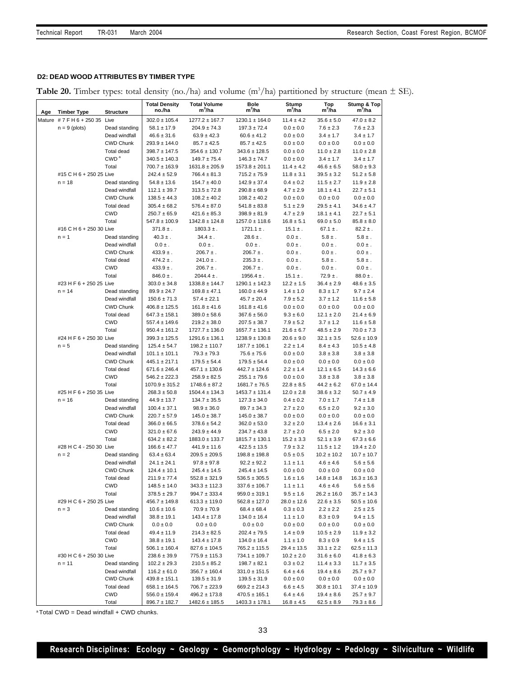## **D2: DEAD WOOD ATTRIBUTES BY TIMBER TYPE**

Table 20. Timber types: total density (no./ha) and volume (m<sup>3</sup>/ha) partitioned by structure (mean  $\pm$  SE).

| Age | <b>Timber Type</b>            | <b>Structure</b>                  | <b>Total Density</b><br>no./ha        | <b>Total Volume</b><br>m <sup>3</sup> /ha | <b>Bole</b><br>m <sup>3</sup> /ha     | Stump<br>$m^3/ha$              | Top<br>m <sup>3</sup> /ha       | Stump & Top<br>m <sup>3</sup> /ha |
|-----|-------------------------------|-----------------------------------|---------------------------------------|-------------------------------------------|---------------------------------------|--------------------------------|---------------------------------|-----------------------------------|
|     | Mature #7 F H 6 + 250 35 Live |                                   | $302.0 \pm 105.4$                     | $1277.2 \pm 167.7$                        | $1230.1 \pm 164.0$                    | $11.4 \pm 4.2$                 | $35.6 \pm 5.0$                  | $47.0 \pm 8.2$                    |
|     | $n = 9$ (plots)               | Dead standing                     | $58.1 \pm 17.9$                       | $204.9 \pm 74.3$                          | $197.3 \pm 72.4$                      | $0.0 \pm 0.0$                  | $7.6 \pm 2.3$                   | $7.6 \pm 2.3$                     |
|     |                               | Dead windfall                     | $46.6 \pm 31.6$                       | $63.9 \pm 42.3$                           | $60.6 \pm 41.2$                       | $0.0 \pm 0.0$                  | $3.4 \pm 1.7$                   | $3.4 \pm 1.7$                     |
|     |                               | <b>CWD Chunk</b>                  | $293.9 \pm 144.0$                     | $85.7 \pm 42.5$                           | $85.7 \pm 42.5$                       | $0.0 \pm 0.0$                  | $0.0 \pm 0.0$                   | $0.0 \pm 0.0$                     |
|     |                               | <b>Total dead</b>                 | $398.7 \pm 147.5$                     | $354.6 \pm 130.7$                         | $343.6 \pm 128.5$                     | $0.0 \pm 0.0$                  | $11.0 \pm 2.8$                  | $11.0 \pm 2.8$                    |
|     |                               | CWD <sup>a</sup>                  | $340.5 \pm 140.3$                     | $149.7 \pm 75.4$                          | $146.3 \pm 74.7$                      | $0.0 \pm 0.0$                  | $3.4 \pm 1.7$                   | $3.4 \pm 1.7$                     |
|     |                               | Total                             | $700.7 \pm 163.9$                     | $1631.8 \pm 205.9$                        | $1573.8 \pm 201.1$                    | $11.4 \pm 4.2$                 | $46.6 \pm 6.5$                  | $58.0 \pm 9.3$                    |
|     | #15 C H 6 + 250 25 Live       |                                   | $242.4 \pm 52.9$                      | $766.4 \pm 81.3$                          | $715.2 \pm 75.9$                      | $11.8 \pm 3.1$                 | $39.5 \pm 3.2$                  | $51.2 \pm 5.8$                    |
|     | $n = 18$                      | Dead standing                     | $54.8 \pm 13.6$                       | $154.7 \pm 40.0$                          | $142.9 \pm 37.4$                      | $0.4 \pm 0.2$                  | $11.5 \pm 2.7$                  | $11.9 \pm 2.8$                    |
|     |                               | Dead windfall                     | $112.1 \pm 39.7$                      | $313.5 \pm 72.8$                          | $290.8 \pm 68.9$                      | $4.7 \pm 2.9$                  | $18.1 \pm 4.1$                  | $22.7 \pm 5.1$                    |
|     |                               | <b>CWD Chunk</b>                  | $138.5 \pm 44.3$                      | $108.2 \pm 40.2$                          | $108.2 \pm 40.2$                      | $0.0 \pm 0.0$                  | $0.0 \pm 0.0$                   | $0.0\pm0.0$                       |
|     |                               | <b>Total dead</b>                 | $305.4 \pm 68.2$                      | $576.4 \pm 87.0$                          | $541.8 \pm 83.8$                      | $5.1 \pm 2.9$                  | $29.5 \pm 4.1$                  | $34.6 \pm 4.7$                    |
|     |                               | <b>CWD</b>                        | $250.7 \pm 65.9$                      | $421.6 \pm 85.3$                          | $398.9 \pm 81.9$                      | $4.7 \pm 2.9$                  | $18.1 \pm 4.1$                  | $22.7 \pm 5.1$                    |
|     |                               | Total                             | $547.8 \pm 100.9$                     | $1342.8 \pm 124.8$                        | $1257.0 \pm 118.6$                    | $16.8 \pm 5.1$                 | $69.0 \pm 5.0$                  | $85.8 \pm 8.0$                    |
|     | #16 C H 6 + 250 30 Live       |                                   | $371.8 \pm .$<br>$40.3 \pm .$         | $1803.3 \pm .$<br>$34.4 \pm .$            | $1721.1 \pm .$<br>$28.6 \pm .$        | $15.1 \pm .$<br>$0.0 \pm .$    | $67.1 \pm .$<br>$5.8 \pm .$     | $82.2 \pm .$<br>$5.8 \pm .$       |
|     | $n = 1$                       | Dead standing<br>Dead windfall    | $0.0 \pm$ .                           | $0.0 \pm .$                               | $0.0 \pm$ .                           | $0.0 \pm .$                    | $0.0 \pm$ .                     | $0.0 \pm .$                       |
|     |                               | <b>CWD Chunk</b>                  | $433.9 \pm .$                         | $206.7 \pm .$                             | $206.7 \pm .$                         | $0.0 \pm .$                    | $0.0 \pm .$                     | $0.0 \pm .$                       |
|     |                               | <b>Total dead</b>                 | $474.2 \pm .$                         | $241.0 \pm .$                             | $235.3 \pm .$                         | $0.0 \pm .$                    | $5.8 \pm .$                     | $5.8 \pm .$                       |
|     |                               | <b>CWD</b>                        | $433.9 \pm .$                         | $206.7 \pm .$                             | $206.7 \pm .$                         | $0.0 \pm .$                    | $0.0 \pm .$                     | $0.0 \pm .$                       |
|     |                               | Total                             | $846.0 \pm .$                         | $2044.4 \pm$ .                            | $1956.4 \pm .$                        | $15.1 \pm .$                   | $72.9 \pm .$                    | $88.0 \pm .$                      |
|     | #23 H F 6 + 250 25 Live       |                                   | $303.0 \pm 34.8$                      | $1338.8 \pm 144.7$                        | $1290.1 \pm 142.3$                    | $12.2 \pm 1.5$                 | $36.4 \pm 2.9$                  | $48.6 \pm 3.5$                    |
|     | $n = 14$                      | Dead standing                     | $89.9 \pm 24.7$                       | $169.8 \pm 47.1$                          | $160.0 \pm 44.9$                      | $1.4 \pm 1.0$                  | $8.3 \pm 1.7$                   | $9.7 \pm 2.4$                     |
|     |                               | Dead windfall                     | $150.6 \pm 71.3$                      | $57.4 \pm 22.1$                           | $45.7 \pm 20.4$                       | $7.9 \pm 5.2$                  | $3.7 \pm 1.2$                   | $11.6 \pm 5.8$                    |
|     |                               | <b>CWD Chunk</b>                  | $406.8 \pm 125.5$                     | $161.8 \pm 41.6$                          | $161.8 \pm 41.6$                      | $0.0 \pm 0.0$                  | $0.0 \pm 0.0$                   | $0.0 \pm 0.0$                     |
|     |                               | <b>Total dead</b>                 | $647.3 \pm 158.1$                     | $389.0 \pm 58.6$                          | $367.6 \pm 56.0$                      | $9.3 \pm 6.0$                  | $12.1 \pm 2.0$                  | $21.4 \pm 6.9$                    |
|     |                               | <b>CWD</b>                        | $557.4 \pm 149.6$                     | $219.2 \pm 38.0$                          | $207.5 \pm 38.7$                      | $7.9 \pm 5.2$                  | $3.7 \pm 1.2$                   | $11.6 \pm 5.8$                    |
|     |                               | Total                             | $950.4 \pm 161.2$                     | $1727.7 \pm 136.0$                        | $1657.7 \pm 136.1$                    | $21.6 \pm 6.7$                 | $48.5 \pm 2.9$                  | $70.0 \pm 7.3$                    |
|     | #24 H F 6 + 250 30 Live       |                                   | $399.3 \pm 125.5$                     | $1291.6 \pm 136.1$                        | $1238.9 \pm 130.8$                    | $20.6 \pm 9.0$                 | $32.1 \pm 3.5$                  | $52.6 \pm 10.9$                   |
|     | $n = 5$                       | Dead standing                     | $125.4 \pm 54.7$                      | $198.2 \pm 110.7$                         | $187.7 \pm 106.1$                     | $2.2 \pm 1.4$                  | $8.4 \pm 4.3$                   | $10.5 \pm 4.8$                    |
|     |                               | Dead windfall                     | $101.1 \pm 101.1$                     | $79.3 \pm 79.3$                           | $75.6 \pm 75.6$                       | $0.0 \pm 0.0$                  | $3.8 \pm 3.8$                   | $3.8 \pm 3.8$                     |
|     |                               | <b>CWD Chunk</b>                  | $445.1 \pm 217.1$                     | $179.5 \pm 54.4$                          | $179.5 \pm 54.4$                      | $0.0 \pm 0.0$                  | $0.0 \pm 0.0$                   | $0.0 \pm 0.0$                     |
|     |                               | <b>Total dead</b>                 | $671.6 \pm 246.4$                     | $457.1 \pm 130.6$                         | $442.7 \pm 124.6$                     | $2.2 \pm 1.4$                  | $12.1 \pm 6.5$                  | $14.3 \pm 6.6$                    |
|     |                               | <b>CWD</b>                        | $546.2 \pm 222.3$                     | $258.9 \pm 82.5$                          | $255.1 \pm 79.6$                      | $0.0\pm0.0$                    | $3.8 \pm 3.8$                   | $3.8 \pm 3.8$                     |
|     |                               | Total                             | $1070.9 \pm 315.2$                    | $1748.6 \pm 87.2$                         | $1681.7 \pm 76.5$                     | $22.8 \pm 8.5$                 | $44.2 \pm 6.2$                  | $67.0 \pm 14.4$                   |
|     | #25 H F 6 + 250 35 Live       |                                   | $268.3 \pm 50.8$                      | $1504.4 \pm 134.3$                        | $1453.7 \pm 131.4$                    | $12.0 \pm 2.8$                 | $38.6 \pm 3.2$                  | $50.7 \pm 4.9$                    |
|     | $n = 16$                      | Dead standing                     | $44.9 \pm 13.7$                       | $134.7 \pm 35.5$                          | $127.3 \pm 34.0$                      | $0.4\pm0.2$                    | $7.0 \pm 1.7$                   | $7.4 \pm 1.8$                     |
|     |                               | Dead windfall<br><b>CWD Chunk</b> | $100.4 \pm 37.1$                      | $98.9 \pm 36.0$                           | $89.7 \pm 34.3$                       | $2.7 \pm 2.0$<br>$0.0\pm0.0$   | $6.5 \pm 2.0$                   | $9.2 \pm 3.0$                     |
|     |                               | <b>Total dead</b>                 | $220.7 \pm 57.9$<br>$366.0 \pm 66.5$  | $145.0 \pm 38.7$<br>$378.6 \pm 54.2$      | $145.0 \pm 38.7$<br>$362.0 \pm 53.0$  | $3.2 \pm 2.0$                  | $0.0 \pm 0.0$<br>$13.4 \pm 2.6$ | $0.0 \pm 0.0$<br>$16.6 \pm 3.1$   |
|     |                               | <b>CWD</b>                        | $321.0 \pm 67.6$                      | $243.9 \pm 44.9$                          | $234.7 \pm 43.8$                      | $2.7 \pm 2.0$                  | $6.5 \pm 2.0$                   | $9.2 \pm 3.0$                     |
|     |                               | Total                             | $634.2 \pm 82.2$                      | $1883.0 \pm 133.7$                        | $1815.7 \pm 130.1$                    | $15.2 \pm 3.3$                 | $52.1 \pm 3.9$                  | $67.3 \pm 6.6$                    |
|     | #28 H C 4 - 250 30 Live       |                                   | $166.6 \pm 47.7$                      | $441.9 \pm 11.6$                          | $422.5 \pm 13.5$                      | $7.9 \pm 3.2$                  | $11.5 \pm 1.2$                  | $19.4 \pm 2.0$                    |
|     | $n = 2$                       | Dead standing                     | $63.4 \pm 63.4$                       | $209.5 \pm 209.5$                         | $198.8 \pm 198.8$                     | $0.5 \pm 0.5$                  | $10.2 \pm 10.2$                 | $10.7 \pm 10.7$                   |
|     |                               | Dead windfall                     | $24.1 \pm 24.1$                       | $97.8 \pm 97.8$                           | $92.2 \pm 92.2$                       | $1.1 \pm 1.1$                  | $4.6 \pm 4.6$                   | $5.6 \pm 5.6$                     |
|     |                               | <b>CWD Chunk</b>                  | $124.4 \pm 10.1$                      | $245.4 \pm 14.5$                          | $245.4 \pm 14.5$                      | $0.0 \pm 0.0$                  | $0.0 \pm 0.0$                   | $0.0 \pm 0.0$                     |
|     |                               | Total dead                        | $211.9 \pm 77.4$                      | $552.8 \pm 321.9$                         | $536.5 \pm 305.5$                     | $1.6 \pm 1.6$                  | $14.8 \pm 14.8$                 | $16.3 \pm 16.3$                   |
|     |                               | CWD                               | $148.5 \pm 14.0$                      | $343.3 \pm 112.3$                         | $337.6 \pm 106.7$                     | $1.1 \pm 1.1$                  | $4.6 \pm 4.6$                   | $5.6 \pm 5.6$                     |
|     |                               | Total                             | $378.5 \pm 29.7$                      | $994.7 \pm 333.4$                         | $959.0 \pm 319.1$                     | $9.5 \pm 1.6$                  | $26.2 \pm 16.0$                 | $35.7 \pm 14.3$                   |
|     | #29 H C 6 + 250 25 Live       |                                   | $456.7 \pm 149.8$                     | $613.3 \pm 119.0$                         | $562.8 \pm 127.0$                     | $28.0 \pm 12.6$                | $22.6 \pm 3.5$                  | $50.5 \pm 10.6$                   |
|     | $n = 3$                       | Dead standing                     | $10.6 \pm 10.6$                       | $70.9 \pm 70.9$                           | $68.4 \pm 68.4$                       | $0.3 \pm 0.3$                  | $2.2 \pm 2.2$                   | $2.5 \pm 2.5$                     |
|     |                               | Dead windfall                     | $38.8 \pm 19.1$                       | $143.4 \pm 17.8$                          | $134.0 \pm 16.4$                      | $1.1 \pm 1.0$                  | $8.3 \pm 0.9$                   | $9.4 \pm 1.5$                     |
|     |                               | CWD Chunk                         | $0.0 \pm 0.0$                         | $0.0 \pm 0.0$                             | $0.0 \pm 0.0$                         | $0.0 \pm 0.0$                  | $0.0 \pm 0.0$                   | $0.0 \pm 0.0$                     |
|     |                               | Total dead                        | $49.4 \pm 11.9$                       | $214.3 \pm 82.5$                          | $202.4 \pm 79.5$                      | $1.4 \pm 0.9$                  | $10.5 \pm 2.9$                  | $11.9 \pm 3.2$                    |
|     |                               | CWD                               | $38.8 \pm 19.1$                       | $143.4 \pm 17.8$                          | $134.0 \pm 16.4$                      | $1.1 \pm 1.0$                  | $8.3 \pm 0.9$                   | $9.4 \pm 1.5$                     |
|     |                               | Total                             | $506.1 \pm 160.4$                     | $827.6 \pm 104.5$                         | $765.2 \pm 115.5$                     | $29.4 \pm 13.5$                | $33.1 \pm 2.2$                  | $62.5 \pm 11.3$                   |
|     | #30 H C 6 + 250 30 Live       |                                   | $238.6 \pm 39.9$                      | $775.9 \pm 115.3$                         | $734.1 \pm 109.7$                     | $10.2 \pm 2.0$                 | $31.6 \pm 6.0$                  | $41.8 \pm 6.3$                    |
|     | $n = 11$                      | Dead standing                     | $102.2 \pm 29.3$                      | $210.5 \pm 85.2$                          | $198.7 \pm 82.1$                      | $0.3 \pm 0.2$                  | $11.4 \pm 3.3$                  | $11.7 \pm 3.5$<br>$25.7 \pm 9.7$  |
|     |                               | Dead windfall<br>CWD Chunk        | $116.2 \pm 61.0$<br>$439.8 \pm 151.1$ | $356.7 \pm 160.4$<br>$139.5 \pm 31.9$     | $331.0 \pm 151.5$<br>$139.5 \pm 31.9$ | $6.4 \pm 4.6$<br>$0.0 \pm 0.0$ | $19.4 \pm 8.6$<br>$0.0 \pm 0.0$ | $0.0 \pm 0.0$                     |
|     |                               | Total dead                        | $658.1 \pm 164.5$                     | $706.7 \pm 223.9$                         | $669.2 \pm 214.3$                     | $6.6 \pm 4.5$                  | $30.8 \pm 10.1$                 | $37.4 \pm 10.9$                   |
|     |                               | CWD                               | $556.0 \pm 159.4$                     | $496.2 \pm 173.8$                         | $470.5 \pm 165.1$                     | $6.4 \pm 4.6$                  | $19.4 \pm 8.6$                  | $25.7 \pm 9.7$                    |
|     |                               | Total                             | $896.7 \pm 182.7$                     | $1482.6 \pm 185.5$                        | $1403.3 \pm 178.1$                    | $16.8 \pm 4.5$                 | $62.5 \pm 8.9$                  | $79.3 \pm 8.6$                    |

 $a$ Total CWD = Dead windfall + CWD chunks.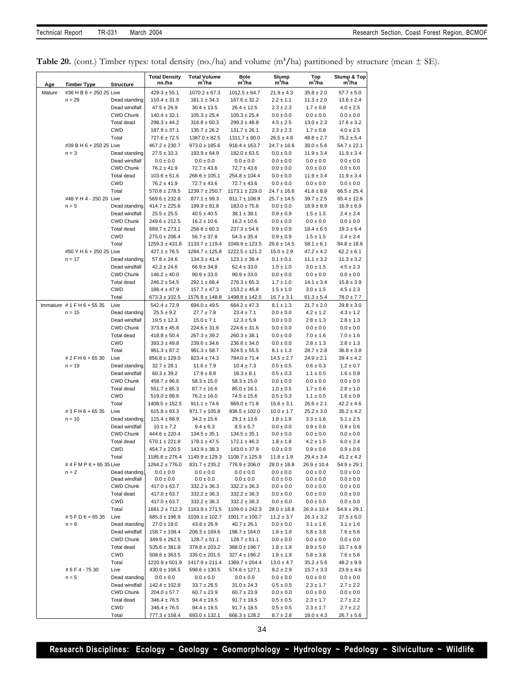|  |  | <b>Table 20.</b> (cont.) Timber types: total density (no./ha) and volume ( $m^3/ha$ ) partitioned by structure (mean $\pm$ SE). |  |  |  |  |  |  |  |
|--|--|---------------------------------------------------------------------------------------------------------------------------------|--|--|--|--|--|--|--|
|--|--|---------------------------------------------------------------------------------------------------------------------------------|--|--|--|--|--|--|--|

| Age    | <b>Timber Type</b>              | <b>Structure</b>                      | <b>Total Density</b><br>no./ha           | <b>Total Volume</b><br>m'/ha            | <b>Bole</b><br>m'/ha                    | Stump<br>$m^3/ha$                 | Top<br>m <sup>3</sup> /ha         | Stump & Top<br>m'/ha              |
|--------|---------------------------------|---------------------------------------|------------------------------------------|-----------------------------------------|-----------------------------------------|-----------------------------------|-----------------------------------|-----------------------------------|
| Mature | #36 H B 6 + 250 25 Live         |                                       | $429.3 \pm 55.1$                         | $1070.2 \pm 67.3$                       | $1012.5 \pm 64.7$                       | $21.9 \pm 4.3$                    | $35.8 \pm 2.0$                    | $57.7 \pm 5.0$                    |
|        | $n = 29$                        | Dead standing                         | $110.4 \pm 31.9$                         | $181.1 \pm 34.3$                        | $167.6 \pm 32.2$                        | $2.2 \pm 1.1$                     | $11.3 \pm 2.0$                    | $13.6 \pm 2.4$                    |
|        |                                 | Dead windfall                         | $47.5 \pm 26.9$                          | $30.4 \pm 13.5$                         | $26.4 \pm 12.5$                         | $2.3 \pm 2.3$                     | $1.7 \pm 0.8$                     | $4.0 \pm 2.5$                     |
|        |                                 | <b>CWD Chunk</b>                      | $140.4 \pm 32.1$                         | $105.3 \pm 25.4$                        | $105.3 \pm 25.4$                        | $0.0 \pm 0.0$                     | $0.0 \pm 0.0$                     | $0.0 \pm 0.0$                     |
|        |                                 | <b>Total dead</b>                     | $298.3 \pm 44.2$                         | $316.8 \pm 50.3$                        | $299.3 \pm 48.8$                        | $4.5 \pm 2.5$                     | $13.0 \pm 2.3$                    | $17.6 \pm 3.2$                    |
|        |                                 | <b>CWD</b>                            | $187.9 \pm 37.1$                         | $135.7 \pm 26.2$                        | $131.7 \pm 26.1$                        | $2.3 \pm 2.3$                     | $1.7 \pm 0.8$                     | $4.0 \pm 2.5$                     |
|        | #39 B H 6 + 250 25 Live         | Total                                 | $727.6 \pm 72.5$                         | $1387.0 \pm 82.5$                       | $1311.7 \pm 80.0$                       | $26.5 \pm 4.8$                    | $48.8 \pm 2.7$                    | $75.2 \pm 5.4$                    |
|        | $n = 3$                         | Dead standing                         | $467.2 \pm 230.7$<br>$27.5 \pm 10.3$     | $973.0 \pm 185.6$<br>$193.9 \pm 64.9$   | $918.4 \pm 163.7$<br>$182.0 \pm 63.5$   | $24.7 \pm 16.6$<br>$0.0 \pm 0.0$  | $30.0 \pm 5.6$<br>$11.9 \pm 3.4$  | $54.7 \pm 22.1$<br>$11.9 \pm 3.4$ |
|        |                                 | Dead windfall                         | $0.0 \pm 0.0$                            | $0.0 \pm 0.0$                           | $0.0 \pm 0.0$                           | $0.0 \pm 0.0$                     | $0.0 \pm 0.0$                     | $0.0 \pm 0.0$                     |
|        |                                 | <b>CWD Chunk</b>                      | $76.2 \pm 41.9$                          | $72.7 \pm 43.6$                         | $72.7 \pm 43.6$                         | $0.0 \pm 0.0$                     | $0.0 \pm 0.0$                     | $0.0 \pm 0.0$                     |
|        |                                 | <b>Total dead</b>                     | $103.6 \pm 51.6$                         | $266.6 \pm 105.1$                       | $254.8 \pm 104.4$                       | $0.0 \pm 0.0$                     | $11.9 \pm 3.4$                    | $11.9 \pm 3.4$                    |
|        |                                 | CWD                                   | $76.2 \pm 41.9$                          | $72.7 \pm 43.6$                         | $72.7 \pm 43.6$                         | $0.0 \pm 0.0$                     | $0.0\pm0.0$                       | $0.0 \pm 0.0$                     |
|        |                                 | Total                                 | $570.8 \pm 278.5$                        | $1239.7 \pm 250.7$                      | $1173.1 \pm 229.0$                      | $24.7 \pm 16.6$                   | $41.8 \pm 8.9$                    | $66.5 \pm 25.4$                   |
|        | #48 Y H 4 - 250 20 Live         |                                       | $569.6 \pm 232.8$                        | $877.1 \pm 99.3$                        | $811.7 \pm 108.9$                       | $25.7 \pm 14.5$                   | $39.7 \pm 2.5$                    | $65.4 \pm 12.6$                   |
|        | $n = 5$                         | Dead standing                         | $414.7 \pm 225.6$                        | $199.9 \pm 81.8$                        | $183.0 \pm 75.6$                        | $0.0 \pm 0.0$                     | $16.9 \pm 6.9$                    | $16.9 \pm 6.9$                    |
|        |                                 | Dead windfall                         | $25.5 \pm 25.5$                          | $40.5 \pm 40.5$                         | $38.1 \pm 38.1$                         | $0.9 \pm 0.9$                     | $1.5 \pm 1.5$                     | $2.4 \pm 2.4$                     |
|        |                                 | <b>CWD Chunk</b>                      | $249.6 \pm 212.5$                        | $16.2 \pm 10.6$                         | $16.2 \pm 10.6$                         | $0.0 \pm 0.0$                     | $0.0 \pm 0.0$                     | $0.0 \pm 0.0$                     |
|        |                                 | <b>Total dead</b><br><b>CWD</b>       | $689.7 \pm 273.1$<br>$275.0 \pm 206.4$   | $256.6 \pm 60.3$<br>$56.7 \pm 37.8$     | $237.3 \pm 54.6$<br>$54.3 \pm 35.4$     | $0.9 \pm 0.9$<br>$0.9 \pm 0.9$    | $18.4 \pm 6.5$<br>$1.5 \pm 1.5$   | $19.3 \pm 6.4$<br>$2.4 \pm 2.4$   |
|        |                                 | Total                                 | $1259.3 \pm 431.8$                       | $1133.7 \pm 119.4$                      | $1048.9 \pm 123.5$                      | $26.6 \pm 14.5$                   | $58.1 \pm 6.1$                    | $84.8 \pm 18.6$                   |
|        | #50 Y H 6 + 250 25 Live         |                                       | $427.1 \pm 76.5$                         | $1284.7 \pm 125.8$                      | $1222.5 \pm 121.2$                      | $15.0 \pm 2.9$                    | $47.2 \pm 4.2$                    | $62.2 \pm 6.1$                    |
|        | $n = 17$                        | Dead standing                         | $57.8 \pm 24.6$                          | $134.3 \pm 41.4$                        | $123.1 \pm 38.4$                        | $0.1 \pm 0.1$                     | $11.1 \pm 3.2$                    | $11.3 \pm 3.2$                    |
|        |                                 | Dead windfall                         | $42.2 \pm 24.6$                          | $66.9 \pm 34.8$                         | $62.4 \pm 33.0$                         | $1.5 \pm 1.0$                     | $3.0 \pm 1.5$                     | $4.5 \pm 2.3$                     |
|        |                                 | <b>CWD Chunk</b>                      | $146.2 \pm 40.0$                         | $90.9 \pm 33.0$                         | $90.9 \pm 33.0$                         | $0.0 \pm 0.0$                     | $0.0 \pm 0.0$                     | $0.0 \pm 0.0$                     |
|        |                                 | <b>Total dead</b>                     | $246.2 \pm 54.5$                         | $292.1 \pm 68.4$                        | $276.3 \pm 65.3$                        | $1.7 \pm 1.0$                     | $14.1 \pm 3.4$                    | $15.8 \pm 3.9$                    |
|        |                                 | CWD                                   | $188.4 \pm 47.9$                         | $157.7 \pm 47.3$                        | $153.2 \pm 45.8$                        | $1.5 \pm 1.0$                     | $3.0 \pm 1.5$                     | $4.5 \pm 2.3$                     |
|        |                                 | Total                                 | 673.3 ± 102.5                            | $1576.8 \pm 148.8$                      | $1498.8 \pm 142.5$                      | $16.7 \pm 3.1$                    | $61.3 \pm 5.4$                    | $78.0 \pm 7.7$                    |
|        | Immature #1FH6+5535<br>$n = 15$ | Live<br>Dead standing                 | $542.4 \pm 72.9$<br>$25.5 \pm 9.2$       | $694.0 \pm 49.5$                        | $664.2 \pm 47.3$<br>$23.4 \pm 7.1$      | $8.1 \pm 1.3$                     | $21.7 \pm 2.0$<br>$4.2 \pm 1.2$   | $29.8 \pm 3.0$<br>$4.3 \pm 1.2$   |
|        |                                 | Dead windfall                         | $19.5 \pm 12.3$                          | $27.7 \pm 7.8$<br>$15.0 \pm 7.1$        | $12.3 \pm 5.9$                          | $0.0 \pm 0.0$<br>$0.0 \pm 0.0$    | $2.8 \pm 1.3$                     | $2.8 \pm 1.3$                     |
|        |                                 | <b>CWD Chunk</b>                      | $373.8 \pm 45.8$                         | $224.6 \pm 31.6$                        | $224.6 \pm 31.6$                        | $0.0 \pm 0.0$                     | $0.0 \pm 0.0$                     | $0.0 \pm 0.0$                     |
|        |                                 | <b>Total dead</b>                     | $418.8 \pm 50.4$                         | $267.3 \pm 39.2$                        | $260.3 \pm 38.1$                        | $0.0 \pm 0.0$                     | $7.0 \pm 1.6$                     | $7.0 \pm 1.6$                     |
|        |                                 | <b>CWD</b>                            | $393.3 \pm 49.8$                         | $239.6 \pm 34.6$                        | $236.8 \pm 34.0$                        | $0.0 \pm 0.0$                     | $2.8 \pm 1.3$                     | $2.8 \pm 1.3$                     |
|        |                                 | Total                                 | $961.3 \pm 87.2$                         | $961.3 \pm 58.7$                        | $924.5 \pm 55.5$                        | $8.1 \pm 1.3$                     | $28.7 \pm 2.8$                    | $36.8 \pm 3.8$                    |
|        | # 2 F H 6 + 65 30               | Live                                  | $856.8 \pm 129.0$                        | $823.4 \pm 74.3$                        | $784.0 \pm 71.4$                        | $14.5 \pm 2.7$                    | $24.9 \pm 2.1$                    | $39.4 \pm 4.2$                    |
|        | $n = 19$                        | Dead standing                         | $32.7 \pm 28.1$                          | $11.6 \pm 7.9$                          | $10.4 \pm 7.3$                          | $0.5 \pm 0.5$                     | $0.6 \pm 0.3$                     | $1.2 \pm 0.7$                     |
|        |                                 | Dead windfall                         | $60.3 \pm 39.2$                          | $17.9 \pm 8.9$                          | $16.3 \pm 8.1$                          | $0.5 \pm 0.3$                     | $1.1 \pm 0.5$                     | $1.6 \pm 0.8$                     |
|        |                                 | <b>CWD Chunk</b><br><b>Total dead</b> | $458.7 \pm 96.6$                         | $58.3 \pm 15.0$                         | $58.3 \pm 15.0$                         | $0.0 \pm 0.0$                     | $0.0 \pm 0.0$                     | $0.0 \pm 0.0$                     |
|        |                                 | CWD                                   | $551.7 \pm 85.3$<br>$519.0 \pm 89.6$     | $87.7 \pm 16.6$<br>$76.2 \pm 16.0$      | $85.0 \pm 16.1$<br>$74.5 \pm 15.6$      | $1.0 \pm 0.5$<br>$0.5 \pm 0.3$    | $1.7 \pm 0.6$<br>$1.1 \pm 0.5$    | $2.8 \pm 1.0$<br>$1.6 \pm 0.8$    |
|        |                                 | Total                                 | $1408.5 \pm 152.5$                       | $911.1 \pm 74.6$                        | $869.0 \pm 71.8$                        | $15.6 \pm 3.1$                    | $26.6 \pm 2.1$                    | $42.2 \pm 4.6$                    |
|        | # 3 F H 6 + 65 35               | Live                                  | $615.8 \pm 93.3$                         | $971.7 \pm 105.8$                       | $936.5 \pm 102.0$                       | $10.0 \pm 1.7$                    | $25.2 \pm 3.0$                    | $35.2 \pm 4.2$                    |
|        | $n = 10$                        | Dead standing                         | $115.4 \pm 88.9$                         | $34.2 \pm 15.6$                         | $29.1 \pm 13.6$                         | $1.8 \pm 1.8$                     | $3.3 \pm 1.6$                     | $5.1 \pm 2.5$                     |
|        |                                 | Dead windfall                         | $10.1 \pm 7.2$                           | $9.4 \pm 6.3$                           | $8.5 \pm 5.7$                           | $0.0 \pm 0.0$                     | $0.9 \pm 0.6$                     | $0.9 \pm 0.6$                     |
|        |                                 | <b>CWD Chunk</b>                      | $444.6 \pm 220.4$                        | $134.5 \pm 35.1$                        | $134.5 \pm 35.1$                        | $0.0 \pm 0.0$                     | $0.0 \pm 0.0$                     | $0.0 \pm 0.0$                     |
|        |                                 | <b>Total dead</b>                     | $570.1 \pm 221.8$                        | $178.1 \pm 47.5$                        | $172.1 \pm 46.3$                        | $1.8 \pm 1.8$                     | $4.2 \pm 1.5$                     | $6.0 \pm 2.4$                     |
|        |                                 | CWD                                   | $454.7 \pm 220.5$                        | $143.9 \pm 38.3$                        | $143.0 \pm 37.9$                        | $0.0 \pm 0.0$                     | $0.9 \pm 0.6$                     | $0.9 \pm 0.6$                     |
|        | #4 F M P 6 + 65 35 Live         | Total                                 | $1185.8 \pm 276.4$<br>$1264.2 \pm 776.0$ | $1149.9 \pm 129.3$<br>$831.7 \pm 235.2$ | $1108.7 \pm 125.9$<br>$776.9 \pm 206.0$ | $11.8 \pm 1.9$<br>$28.0 \pm 18.8$ | $29.4 \pm 3.4$<br>$26.9 \pm 10.4$ | $41.2 \pm 4.2$<br>$54.9 \pm 29.1$ |
|        | $n = 2$                         | Dead standing                         | $0.0 \pm 0.0$                            | $0.0 \pm 0.0$                           | $0.0 \pm 0.0$                           | $0.0\pm0.0$                       | $0.0 \pm 0.0$                     | $0.0\pm0.0$                       |
|        |                                 | Dead windfall                         | $0.0 \pm 0.0$                            | $0.0 \pm 0.0$                           | $0.0 \pm 0.0$                           | $0.0 \pm 0.0$                     | $0.0 \pm 0.0$                     | $0.0 \pm 0.0$                     |
|        |                                 | CWD Chunk                             | $417.0 \pm 63.7$                         | $332.2 \pm 36.3$                        | $332.2 \pm 36.3$                        | $0.0 \pm 0.0$                     | $0.0 \pm 0.0$                     | $0.0\pm0.0$                       |
|        |                                 | Total dead                            | $417.0 \pm 63.7$                         | $332.2 \pm 36.3$                        | $332.2 \pm 36.3$                        | $0.0 \pm 0.0$                     | $0.0 \pm 0.0$                     | $0.0 \pm 0.0$                     |
|        |                                 | CWD                                   | $417.0 \pm 63.7$                         | $332.2 \pm 36.3$                        | $332.2 \pm 36.3$                        | $0.0 \pm 0.0$                     | $0.0 \pm 0.0$                     | $0.0 \pm 0.0$                     |
|        |                                 | Total                                 | $1681.2 \pm 712.3$                       | $1163.9 \pm 271.5$                      | $1109.0 \pm 242.3$                      | $28.0 \pm 18.8$                   | $26.9 \pm 10.4$                   | $54.9 \pm 29.1$                   |
|        | #5FD6+6535                      | Live                                  | $685.3 \pm 196.9$                        | $1039.1 \pm 102.7$                      | $1001.7 \pm 100.7$                      | $11.2 \pm 3.7$                    | $26.3 \pm 3.2$                    | $37.5 \pm 6.0$                    |
|        | $n = 6$                         | Dead standing<br>Dead windfall        | $27.0 \pm 19.0$<br>$158.7 \pm 108.4$     | $43.8 \pm 26.9$<br>$206.3 \pm 169.6$    | $40.7 \pm 26.1$<br>$198.7 \pm 164.0$    | $0.0 \pm 0.0$<br>$1.8 \pm 1.8$    | $3.1 \pm 1.6$<br>$5.8 \pm 3.8$    | $3.1 \pm 1.6$<br>$7.6 \pm 5.6$    |
|        |                                 | CWD Chunk                             | $349.9 \pm 262.5$                        | $128.7 \pm 51.1$                        | $128.7 \pm 51.1$                        | $0.0 \pm 0.0$                     | $0.0 \pm 0.0$                     | $0.0 \pm 0.0$                     |
|        |                                 | <b>Total dead</b>                     | $535.6 \pm 381.8$                        | $378.8 \pm 203.2$                       | $368.0 \pm 196.7$                       | $1.8 \pm 1.8$                     | $8.9 \pm 5.0$                     | $10.7 \pm 6.8$                    |
|        |                                 | CWD                                   | $508.6 \pm 363.5$                        | $335.0 \pm 201.5$                       | 327.4 ± 196.2                           | $1.8 \pm 1.8$                     | $5.8 \pm 3.8$                     | $7.6 \pm 5.6$                     |
|        |                                 | Total                                 | $1220.9 \pm 501.9$                       | $1417.9 \pm 211.4$                      | $1369.7 \pm 204.4$                      | $13.0 \pm 4.7$                    | $35.2 \pm 5.6$                    | $48.2 \pm 9.9$                    |
|        | #6F4-7530                       | Live                                  | $430.9 \pm 106.5$                        | $598.6 \pm 130.5$                       | $574.6 \pm 127.1$                       | $8.2 \pm 2.9$                     | $15.7 \pm 3.3$                    | $23.9 \pm 4.6$                    |
|        | $n = 5$                         | Dead standing                         | $0.0 \pm 0.0$                            | $0.0 \pm 0.0$                           | $0.0 \pm 0.0$                           | $0.0 \pm 0.0$                     | $0.0 \pm 0.0$                     | $0.0 \pm 0.0$                     |
|        |                                 | Dead windfall                         | $142.4 \pm 102.8$                        | $33.7 \pm 26.5$                         | $31.0 \pm 24.3$                         | $0.5 \pm 0.5$                     | $2.3 \pm 1.7$                     | $2.7 \pm 2.2$                     |
|        |                                 | CWD Chunk                             | $204.0 \pm 57.7$                         | $60.7 \pm 23.9$                         | $60.7 \pm 23.9$                         | $0.0 \pm 0.0$                     | $0.0 \pm 0.0$                     | $0.0 \pm 0.0$                     |
|        |                                 | Total dead<br>CWD                     | $346.4 \pm 76.5$<br>$346.4 \pm 76.5$     | $94.4 \pm 19.5$<br>$94.4 \pm 19.5$      | $91.7 \pm 18.5$<br>$91.7 \pm 18.5$      | $0.5 \pm 0.5$<br>$0.5 \pm 0.5$    | $2.3 \pm 1.7$<br>$2.3 \pm 1.7$    | $2.7 \pm 2.2$<br>$2.7 \pm 2.2$    |
|        |                                 | Total                                 | 777.3 ± 158.4                            | $693.0 \pm 132.1$                       | $666.3 \pm 128.2$                       | $8.7 \pm 2.8$                     | $18.0 \pm 4.3$                    | $26.7 \pm 5.6$                    |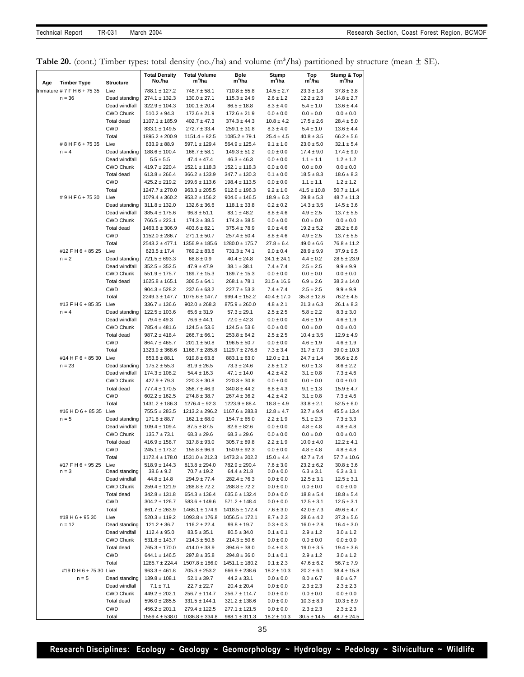|  |  |  |  |  |  | <b>Table 20.</b> (cont.) Timber types: total density (no./ha) and volume ( $m^3/ha$ ) partitioned by structure (mean $\pm$ SE). |  |  |  |  |  |
|--|--|--|--|--|--|---------------------------------------------------------------------------------------------------------------------------------|--|--|--|--|--|
|--|--|--|--|--|--|---------------------------------------------------------------------------------------------------------------------------------|--|--|--|--|--|

| <b>Timber Type</b>              | <b>Structure</b>               | <b>Total Density</b><br>No /ha           | <b>Total Volume</b><br>m <sup>3</sup> /ha | Bole<br>$m^3/ha$                       | Stump<br>$m^3/ha$               | Top<br>m <sup>3</sup> /ha       | <b>Stump &amp; Top</b><br>m'/ha   |
|---------------------------------|--------------------------------|------------------------------------------|-------------------------------------------|----------------------------------------|---------------------------------|---------------------------------|-----------------------------------|
| Age<br>mmature #7 F H 6 + 75 35 | Live                           | $788.1 \pm 127.2$                        | $748.7 \pm 58.1$                          |                                        |                                 | $23.3 \pm 1.8$                  | $37.8 \pm 3.8$                    |
| $n = 36$                        | Dead standing                  | $274.1 \pm 132.3$                        | $130.0 \pm 27.1$                          | $710.8 \pm 55.8$<br>$115.3 \pm 24.9$   | $14.5 \pm 2.7$<br>$2.6 \pm 1.2$ | $12.2 \pm 2.3$                  | $14.8 \pm 2.7$                    |
|                                 | Dead windfall                  | $322.9 \pm 104.3$                        | $100.1 \pm 20.4$                          | $86.5 \pm 18.8$                        | $8.3 \pm 4.0$                   | $5.4 \pm 1.0$                   | $13.6 \pm 4.4$                    |
|                                 | CWD Chunk                      | $510.2 \pm 94.3$                         | $172.6 \pm 21.9$                          | $172.6 \pm 21.9$                       | $0.0 \pm 0.0$                   | $0.0 \pm 0.0$                   | $0.0 \pm 0.0$                     |
|                                 | <b>Total dead</b>              | $1107.1 \pm 185.9$                       | $402.7 \pm 47.3$                          | $374.3\pm44.3$                         | $10.8 \pm 4.2$                  | $17.5 \pm 2.6$                  | $28.4 \pm 5.0$                    |
|                                 | <b>CWD</b>                     | $833.1 \pm 149.5$                        | $272.7 \pm 33.4$                          | $259.1 \pm 31.8$                       | $8.3 \pm 4.0$                   | $5.4 \pm 1.0$                   | $13.6 \pm 4.4$                    |
|                                 | Total                          | $1895.2 \pm 200.9$                       | $1151.4 \pm 82.5$                         | $1085.2 \pm 79.1$                      | $25.4 \pm 4.5$                  | $40.8 \pm 3.5$                  | $66.2 \pm 5.6$                    |
| #8HF6+7535                      | Live                           | $633.9 \pm 88.9$                         | 597.1 ± 129.4                             | $564.9 \pm 125.4$                      | $9.1 \pm 1.0$                   | $23.0 \pm 5.0$                  | $32.1 \pm 5.4$                    |
| $n = 4$                         | Dead standing                  | $188.6 \pm 100.4$                        | $166.7 \pm 58.1$                          | $149.3 \pm 51.2$                       | $0.0 \pm 0.0$                   | $17.4 \pm 9.0$                  | $17.4 \pm 9.0$                    |
|                                 | Dead windfall                  | $5.5 \pm 5.5$                            | $47.4 \pm 47.4$                           | $46.3 \pm 46.3$                        | $0.0 \pm 0.0$                   | $1.1 \pm 1.1$                   | $1.2 \pm 1.2$                     |
|                                 | CWD Chunk                      | $419.7 \pm 220.4$                        | $152.1 \pm 118.3$                         | $152.1 \pm 118.3$                      | $0.0 \pm 0.0$                   | $0.0 \pm 0.0$                   | $0.0 \pm 0.0$                     |
|                                 | <b>Total dead</b>              | $613.8 \pm 266.4$                        | $366.2 \pm 133.9$                         | $347.7 \pm 130.3$                      | $0.1 \pm 0.0$                   | $18.5 \pm 8.3$                  | $18.6 \pm 8.3$                    |
|                                 | <b>CWD</b>                     | $425.2 \pm 219.2$                        | $199.6 \pm 113.6$                         | $198.4 \pm 113.5$                      | $0.0 \pm 0.0$                   | $1.1 \pm 1.1$                   | $1.2 \pm 1.2$                     |
|                                 | Total                          | $1247.7 \pm 270.0$                       | $963.3 \pm 205.5$                         | $912.6 \pm 196.3$                      | $9.2 \pm 1.0$                   | $41.5 \pm 10.8$                 | $50.7 \pm 11.4$                   |
| #9HF6+7530                      | Live                           | $1079.4 \pm 360.2$                       | $953.2 \pm 156.2$                         | $904.6 \pm 146.5$                      | $18.9 \pm 6.3$                  | $29.8 \pm 5.3$                  | $48.7 \pm 11.3$                   |
|                                 | Dead standing                  | $311.8 \pm 132.0$                        | $132.6 \pm 36.6$                          | $118.1 \pm 33.8$                       | $0.2 \pm 0.2$                   | $14.3 \pm 3.5$                  | $14.5 \pm 3.6$                    |
|                                 | Dead windfall                  | $385.4 \pm 175.6$                        | $96.8 \pm 51.1$                           | $83.1 \pm 48.2$                        | $8.8 \pm 4.6$                   | $4.9 \pm 2.5$                   | $13.7 \pm 5.5$                    |
|                                 | <b>CWD Chunk</b>               | $766.5 \pm 223.1$                        | $174.3 \pm 38.5$                          | $174.3 \pm 38.5$                       | $0.0 \pm 0.0$                   | $0.0 \pm 0.0$                   | $0.0 \pm 0.0$                     |
|                                 | Total dead<br><b>CWD</b>       | $1463.8 \pm 306.9$                       | $403.6 \pm 82.1$                          | $375.4 \pm 78.9$                       | $9.0 \pm 4.6$                   | $19.2 \pm 5.2$<br>$4.9 \pm 2.5$ | $28.2 \pm 6.8$                    |
|                                 | Total                          | $1152.0 \pm 286.7$<br>$2543.2 \pm 477.1$ | $271.1 \pm 50.7$<br>$1356.9 \pm 185.6$    | $257.4 \pm 50.4$                       | $8.8 \pm 4.6$<br>$27.8 \pm 6.4$ | $49.0 \pm 6.6$                  | $13.7 \pm 5.5$<br>$76.8 \pm 11.2$ |
| #12 F H 6 + 85 25 Live          |                                | $623.5 \pm 17.4$                         | $769.2 \pm 83.6$                          | $1280.0 \pm 175.7$<br>$731.3 \pm 74.1$ | $9.0 \pm 0.4$                   | $28.9 \pm 9.9$                  | $37.9 \pm 9.5$                    |
| $n = 2$                         | Dead standing                  | $721.5 \pm 693.3$                        | $68.8 \pm 0.9$                            | $40.4 \pm 24.8$                        | $24.1 \pm 24.1$                 | $4.4 \pm 0.2$                   | $28.5 \pm 23.9$                   |
|                                 | Dead windfall                  | $352.5 \pm 352.5$                        | $47.9 \pm 47.9$                           | $38.1 \pm 38.1$                        | $7.4 \pm 7.4$                   | $2.5 \pm 2.5$                   | $9.9 \pm 9.9$                     |
|                                 | CWD Chunk                      | $551.9 \pm 175.7$                        | $189.7 \pm 15.3$                          | $189.7 \pm 15.3$                       | $0.0 \pm 0.0$                   | $0.0 \pm 0.0$                   | $0.0\pm0.0$                       |
|                                 | <b>Total dead</b>              | $1625.8 \pm 165.1$                       | $306.5 \pm 64.1$                          | $268.1 \pm 78.1$                       | $31.5 \pm 16.6$                 | $6.9 \pm 2.6$                   | $38.3 \pm 14.0$                   |
|                                 | <b>CWD</b>                     | $904.3 \pm 528.2$                        | $237.6 \pm 63.2$                          | $227.7 \pm 53.3$                       | $7.4 \pm 7.4$                   | $2.5 \pm 2.5$                   | $9.9 \pm 9.9$                     |
|                                 | Total                          | 2249.3 ± 147.7                           | $1075.6 \pm 147.7$                        | $999.4 \pm 152.2$                      | $40.4 \pm 17.0$                 | $35.8 \pm 12.6$                 | $76.2 \pm 4.5$                    |
| #13 F H 6 + 85 35               | Live                           | $336.7 \pm 136.6$                        | $902.0 \pm 268.3$                         | $875.9 \pm 260.0$                      | $4.8 \pm 2.1$                   | $21.3 \pm 6.3$                  | $26.1 \pm 8.3$                    |
| $n = 4$                         | Dead standing                  | $122.5 \pm 103.6$                        | $65.6 \pm 31.9$                           | $57.3 \pm 29.1$                        | $2.5 \pm 2.5$                   | $5.8 \pm 2.2$                   | $8.3 \pm 3.0$                     |
|                                 | Dead windfall                  | $79.4 \pm 49.3$                          | $76.6 \pm 44.1$                           | $72.0 \pm 42.3$                        | $0.0 \pm 0.0$                   | $4.6 \pm 1.9$                   | $4.6 \pm 1.9$                     |
|                                 | <b>CWD Chunk</b>               | $785.4 \pm 481.6$                        | $124.5 \pm 53.6$                          | $124.5 \pm 53.6$                       | $0.0 \pm 0.0$                   | $0.0 \pm 0.0$                   | $0.0 \pm 0.0$                     |
|                                 | Total dead                     | $987.2 \pm 418.4$                        | $266.7 \pm 66.1$                          | $253.8 \pm 64.2$                       | $2.5 \pm 2.5$                   | $10.4 \pm 3.5$                  | $12.9 \pm 4.9$                    |
|                                 | <b>CWD</b>                     | $864.7 \pm 465.7$                        | $201.1 \pm 50.8$                          | $196.5 \pm 50.7$                       | $0.0 \pm 0.0$                   | $4.6 \pm 1.9$                   | $4.6 \pm 1.9$                     |
|                                 | Total                          | $1323.9 \pm 368.6$                       | $1168.7 \pm 285.8$                        | $1129.7 \pm 276.8$                     | $7.3 \pm 3.4$                   | $31.7 \pm 7.3$                  | $39.0 \pm 10.3$                   |
| #14 H F 6 + 85 30 Live          |                                | $653.8 \pm 88.1$                         | $919.8 \pm 63.8$                          | $883.1 \pm 63.0$                       | $12.0 \pm 2.1$                  | $24.7 \pm 1.4$                  | $36.6 \pm 2.6$                    |
| $n = 23$                        | Dead standing<br>Dead windfall | $175.2 \pm 55.3$<br>$174.3 \pm 108.2$    | $81.9 \pm 26.5$<br>$54.4 \pm 16.3$        | $73.3 \pm 24.6$<br>$47.1 \pm 14.0$     | $2.6 \pm 1.2$<br>$4.2 \pm 4.2$  | $6.0 \pm 1.3$<br>$3.1 \pm 0.8$  | $8.6 \pm 2.2$<br>$7.3 \pm 4.6$    |
|                                 | <b>CWD Chunk</b>               | $427.9 \pm 79.3$                         | $220.3 \pm 30.8$                          | $220.3\pm30.8$                         | $0.0 \pm 0.0$                   | $0.0 \pm 0.0$                   | $0.0 \pm 0.0$                     |
|                                 | Total dead                     | $777.4 \pm 170.5$                        | $356.7 \pm 46.9$                          | $340.8\pm44.2$                         | $6.8 \pm 4.3$                   | $9.1 \pm 1.3$                   | $15.9 \pm 4.7$                    |
|                                 | <b>CWD</b>                     | $602.2 \pm 162.5$                        | $274.8 \pm 38.7$                          | $267.4 \pm 36.2$                       | $4.2 \pm 4.2$                   | $3.1 \pm 0.8$                   | $7.3 \pm 4.6$                     |
|                                 | Total                          | $1431.2 \pm 186.3$                       | $1276.4 \pm 92.3$                         | $1223.9 \pm 88.4$                      | $18.8 \pm 4.9$                  | $33.8 \pm 2.1$                  | $52.5 \pm 6.0$                    |
| #16 H D 6 + 85 35 Live          |                                | $755.5 \pm 283.5$                        | $1213.2 \pm 296.2$                        | $1167.6 \pm 283.8$                     | $12.8 \pm 4.7$                  | $32.7 \pm 9.4$                  | $45.5 \pm 13.4$                   |
| $n = 5$                         | Dead standing                  | $171.8 \pm 88.7$                         | $162.1 \pm 68.0$                          | $154.7 \pm 65.0$                       | $2.2 \pm 1.9$                   | $5.1 \pm 2.3$                   | $7.3 \pm 3.3$                     |
|                                 | Dead windfall                  | $109.4 \pm 109.4$                        | $87.5 \pm 87.5$                           | $82.6 \pm 82.6$                        | $0.0 \pm 0.0$                   | $4.8 \pm 4.8$                   | $4.8 \pm 4.8$                     |
|                                 | CWD Chunk                      | $135.7\pm73.1$                           | $68.3 \pm 29.6$                           | $68.3 \pm 29.6$                        | $0.0 \pm 0.0$                   | $0.0 \pm 0.0$                   | $0.0\pm0.0$                       |
|                                 | <b>Total dead</b>              | $416.9 \pm 158.7$                        | $317.8 \pm 93.0$                          | $305.7 \pm 89.8$                       | $2.2 \pm 1.9$                   | $10.0 \pm 4.0$                  | $12.2 \pm 4.1$                    |
|                                 | <b>CWD</b>                     | $245.1 \pm 173.2$                        | $155.8 \pm 96.9$                          | $150.9 \pm 92.3$                       | $0.0 \pm 0.0$                   | $4.8 \pm 4.8$                   | $4.8 \pm 4.8$                     |
|                                 | Total                          | 1172.4 ± 178.0                           | $1531.0 \pm 212.3$                        | $1473.3 \pm 202.2$                     | $15.0 \pm 4.4$                  | $42.7 \pm 7.4$                  | $57.7 \pm 10.6$                   |
| #17 F H 6 + 95 25<br>$n = 3$    | Live<br>Dead standing          | $518.9 \pm 144.3$<br>$38.6 \pm 9.2$      | $813.8 \pm 294.0$<br>$70.7 \pm 19.2$      | $782.9 \pm 290.4$<br>$64.4 \pm 21.8$   | $7.6 \pm 3.0$<br>$0.0 \pm 0.0$  | $23.2 \pm 6.2$<br>$6.3 \pm 3.1$ | $30.8 \pm 3.6$<br>$6.3 \pm 3.1$   |
|                                 | Dead windfall                  | $44.8 \pm 14.8$                          | $294.9 \pm 77.4$                          | $282.4 \pm 76.3$                       | $0.0 \pm 0.0$                   | $12.5 \pm 3.1$                  | $12.5 \pm 3.1$                    |
|                                 | <b>CWD Chunk</b>               | $259.4 \pm 121.9$                        | $288.8 \pm 72.2$                          | $288.8 \pm 72.2$                       | $0.0 \pm 0.0$                   | $0.0 \pm 0.0$                   | $0.0 \pm 0.0$                     |
|                                 | Total dead                     | $342.8 \pm 131.8$                        | $654.3 \pm 136.4$                         | $635.6 \pm 132.4$                      | $0.0 \pm 0.0$                   | $18.8 \pm 5.4$                  | $18.8 \pm 5.4$                    |
|                                 | CWD                            | $304.2 \pm 126.7$                        | $583.6 \pm 149.6$                         | $571.2 \pm 148.4$                      | $0.0 \pm 0.0$                   | $12.5 \pm 3.1$                  | $12.5 \pm 3.1$                    |
|                                 | Total                          | $861.7 \pm 263.9$                        | $1468.1 \pm 174.9$                        | $1418.5 \pm 172.4$                     | $7.6 \pm 3.0$                   | $42.0 \pm 7.3$                  | $49.6 \pm 4.7$                    |
| #18 H 6 + 95 30                 | Live                           | $520.3 \pm 119.2$                        | $1093.8 \pm 176.8$                        | $1056.5 \pm 172.1$                     | $8.7 \pm 2.3$                   | $28.6 \pm 4.2$                  | $37.3 \pm 5.6$                    |
| $n = 12$                        | Dead standing                  | $121.2 \pm 36.7$                         | $116.2 \pm 22.4$                          | $99.8 \pm 19.7$                        | $0.3 \pm 0.3$                   | $16.0 \pm 2.8$                  | $16.4 \pm 3.0$                    |
|                                 | Dead windfall                  | $112.4 \pm 95.0$                         | $83.5 \pm 35.1$                           | $80.5 \pm 34.0$                        | $0.1 \pm 0.1$                   | $2.9 \pm 1.2$                   | $3.0 \pm 1.2$                     |
|                                 | CWD Chunk                      | $531.8 \pm 143.7$                        | $214.3 \pm 50.6$                          | $214.3 \pm 50.6$                       | $0.0 \pm 0.0$                   | $0.0 \pm 0.0$                   | $0.0 \pm 0.0$                     |
|                                 | Total dead                     | $765.3 \pm 170.0$                        | $414.0 \pm 38.9$                          | $394.6 \pm 38.0$                       | $0.4 \pm 0.3$                   | $19.0 \pm 3.5$                  | $19.4 \pm 3.6$                    |
|                                 | <b>CWD</b>                     | $644.1 \pm 146.5$                        | $297.8 \pm 35.8$                          | $294.8 \pm 36.0$                       | $0.1 \pm 0.1$                   | $2.9 \pm 1.2$                   | $3.0 \pm 1.2$                     |
|                                 | Total                          | 1285.7 ± 224.4                           | $1507.8 \pm 186.0$                        | $1451.1 \pm 180.2$                     | $9.1 \pm 2.3$                   | $47.6 \pm 6.2$                  | $56.7 \pm 7.9$                    |
| #19 D H 6 + 75 30 Live          |                                | $963.3 \pm 461.8$                        | $705.3 \pm 253.2$                         | $666.9 \pm 238.6$                      | $18.2 \pm 10.3$                 | $20.2 \pm 6.1$                  | $38.4 \pm 15.8$                   |
| $n = 5$                         | Dead standing                  | $139.8 \pm 108.1$                        | $52.1 \pm 39.7$                           | $44.2 \pm 33.1$                        | $0.0 \pm 0.0$                   | $8.0 \pm 6.7$                   | $8.0 \pm 6.7$                     |
|                                 | Dead windfall<br>CWD Chunk     | $7.1 \pm 7.1$                            | $22.7 \pm 22.7$                           | $20.4 \pm 20.4$                        | $0.0 \pm 0.0$                   | $2.3 \pm 2.3$                   | $2.3 \pm 2.3$                     |
|                                 | Total dead                     | $449.2 \pm 202.1$<br>$596.0 \pm 285.5$   | 256.7 ± 114.7<br>$331.5 \pm 144.1$        | $256.7 \pm 114.7$<br>$321.2 \pm 138.6$ | $0.0 \pm 0.0$<br>$0.0 \pm 0.0$  | $0.0 \pm 0.0$<br>$10.3 \pm 8.9$ | $0.0 \pm 0.0$<br>$10.3 \pm 8.9$   |
|                                 | <b>CWD</b>                     | $456.2 \pm 201.1$                        | 279.4 ± 122.5                             | $277.1 \pm 121.5$                      | $0.0 \pm 0.0$                   | $2.3 \pm 2.3$                   | $2.3 \pm 2.3$                     |
|                                 | Total                          | $1559.4 \pm 538.0$                       | $1036.8 \pm 334.8$                        | $988.1 \pm 311.3$                      | $18.2 \pm 10.3$                 | $30.5 \pm 14.5$                 | $48.7 \pm 24.5$                   |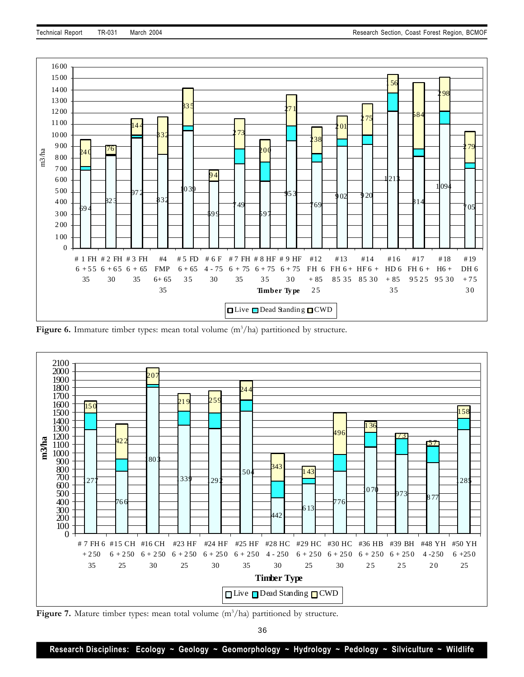

**Figure 6.** Immature timber types: mean total volume (m<sup>3</sup>/ha) partitioned by structure.



Figure 7. Mature timber types: mean total volume (m<sup>3</sup>/ha) partitioned by structure.

36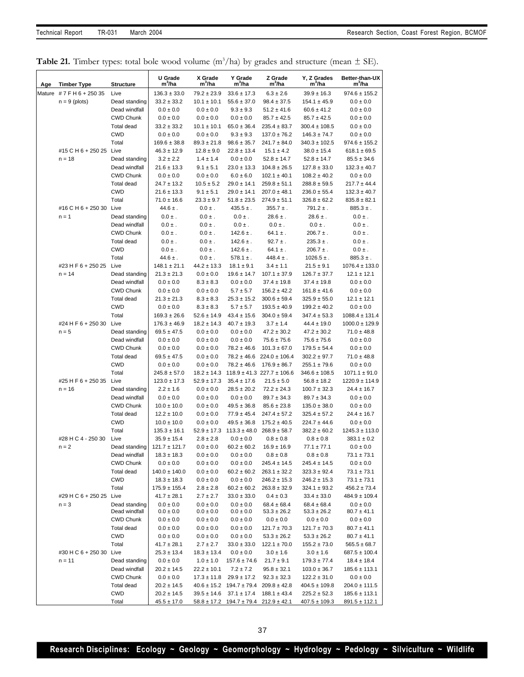| <b>Table 21.</b> Timber types: total bole wood volume $(m^3/ha)$ by grades and structure (mean $\pm$ SE). |  |  |  |  |  |
|-----------------------------------------------------------------------------------------------------------|--|--|--|--|--|
|-----------------------------------------------------------------------------------------------------------|--|--|--|--|--|

| Age | <b>Timber Type</b>            | <b>Structure</b>               | U Grade<br>m'/ha                     | X Grade<br>m'/ha               | Y Grade<br>m'/ha                       | Z Grade<br>m <sup>3</sup> /ha      | Y, Z Grades<br>m'/ha             | Better-than-UX<br>m <sup>3</sup> /ha  |
|-----|-------------------------------|--------------------------------|--------------------------------------|--------------------------------|----------------------------------------|------------------------------------|----------------------------------|---------------------------------------|
|     | Mature #7FH6+25035            | Live                           | $136.3 \pm 33.0$                     | $79.2 \pm 23.9$                | $33.6 \pm 17.3$                        | $6.3 \pm 2.6$                      | $39.9 \pm 16.3$                  | $974.6 \pm 155.2$                     |
|     | $n = 9$ (plots)               | Dead standing                  | $33.2 \pm 33.2$                      | $10.1 \pm 10.1$                | $55.6 \pm 37.0$                        | $98.4 \pm 37.5$                    | $154.1 \pm 45.9$                 | $0.0 \pm 0.0$                         |
|     |                               | Dead windfall                  | $0.0 \pm 0.0$                        | $0.0 \pm 0.0$                  | $9.3 \pm 9.3$                          | $51.2 \pm 41.6$                    | $60.6 \pm 41.2$                  | $0.0 \pm 0.0$                         |
|     |                               | <b>CWD Chunk</b>               | $0.0 \pm 0.0$                        | $0.0 \pm 0.0$                  | $0.0 \pm 0.0$                          | $85.7 \pm 42.5$                    | $85.7 \pm 42.5$                  | $0.0 \pm 0.0$                         |
|     |                               | <b>Total dead</b>              | $33.2 \pm 33.2$                      | $10.1 \pm 10.1$                | $65.0 \pm 36.4$                        | $235.4 \pm 83.7$                   | $300.4 \pm 108.5$                | $0.0 \pm 0.0$                         |
|     |                               | <b>CWD</b>                     | $0.0 \pm 0.0$                        | $0.0 \pm 0.0$                  | $9.3 \pm 9.3$                          | $137.0 \pm 76.2$                   | $146.3 \pm 74.7$                 | $0.0 \pm 0.0$                         |
|     |                               | Total                          | $169.6 \pm 38.8$                     | $89.3 \pm 21.8$                | $98.6 \pm 35.7$                        | $241.7 \pm 84.0$                   | $340.3 \pm 102.5$                | $974.6 \pm 155.2$                     |
|     | #15 C H 6 + 250 25 Live       |                                | $46.3 \pm 12.9$                      | $12.8 \pm 9.0$                 | $22.8 \pm 13.4$                        | $15.1 \pm 4.2$                     | $38.0 \pm 15.4$                  | $618.1 \pm 69.5$                      |
|     | $n = 18$                      | Dead standing                  | $3.2 \pm 2.2$                        | $1.4 \pm 1.4$                  | $0.0 \pm 0.0$                          | $52.8 \pm 14.7$                    | $52.8 \pm 14.7$                  | $85.5 \pm 34.6$                       |
|     |                               | Dead windfall                  | $21.6 \pm 13.3$                      | $9.1 \pm 5.1$                  | $23.0 \pm 13.3$                        | $104.8 \pm 26.5$                   | $127.8 \pm 33.0$                 | $132.3 \pm 40.7$                      |
|     |                               | <b>CWD Chunk</b>               | $0.0 \pm 0.0$                        | $0.0 \pm 0.0$                  | $6.0 \pm 6.0$                          | $102.1 \pm 40.1$                   | $108.2 \pm 40.2$                 | $0.0 \pm 0.0$                         |
|     |                               | <b>Total dead</b>              | $24.7 \pm 13.2$                      | $10.5 \pm 5.2$                 | $29.0 \pm 14.1$                        | $259.8 \pm 51.1$                   | $288.8 \pm 59.5$                 | $217.7 \pm 44.4$                      |
|     |                               | <b>CWD</b>                     | $21.6 \pm 13.3$                      | $9.1 \pm 5.1$                  | $29.0 \pm 14.1$                        | $207.0 \pm 48.1$                   | $236.0 \pm 55.4$                 | $132.3 \pm 40.7$                      |
|     |                               | Total                          | $71.0 \pm 16.6$                      | $23.3 \pm 9.7$<br>$0.0 \pm .$  | $51.8 \pm 23.5$                        | $274.9 \pm 51.1$                   | $326.8 \pm 62.2$                 | $835.8 \pm 82.1$                      |
|     | #16 C H 6 + 250 30<br>$n = 1$ | Live                           | $44.6 \pm .$                         |                                | $435.5 \pm .$<br>$0.0 \pm .$           | $355.7 \pm .$                      | $791.2 \pm .$<br>$28.6 \pm .$    | $885.3 \pm .$                         |
|     |                               | Dead standing<br>Dead windfall | $0.0 \pm .$<br>$0.0 \pm .$           | $0.0 \pm .$<br>$0.0 \pm .$     | $0.0 \pm .$                            | $28.6 \pm .$<br>$0.0 \pm .$        | $0.0 \pm .$                      | $0.0 \pm .$<br>$0.0 \pm .$            |
|     |                               | <b>CWD Chunk</b>               | $0.0 \pm .$                          | $0.0 \pm .$                    | $142.6 \pm .$                          | $64.1 \pm .$                       | $206.7 \pm .$                    | $0.0 \pm .$                           |
|     |                               | <b>Total dead</b>              | $0.0 \pm .$                          | $0.0 \pm .$                    | $142.6 \pm .$                          | $92.7 \pm .$                       | $235.3 \pm .$                    | $0.0 \pm .$                           |
|     |                               | <b>CWD</b>                     | $0.0 \pm .$                          | $0.0 \pm .$                    | $142.6 \pm .$                          | $64.1 \pm .$                       | $206.7 \pm .$                    | $0.0 \pm .$                           |
|     |                               | Total                          | $44.6 \pm .$                         | $0.0 \pm .$                    | $578.1 \pm .$                          | $448.4 \pm .$                      | $1026.5 \pm .$                   | $885.3 \pm .$                         |
|     | #23 H F 6 + 250 25            | Live                           | $148.1 \pm 21.1$                     | $44.2 \pm 13.3$                | $18.1 \pm 9.1$                         | $3.4 \pm 1.1$                      | $21.5 \pm 9.1$                   | $1076.4 \pm 133.0$                    |
|     | $n = 14$                      | Dead standing                  | $21.3 \pm 21.3$                      | $0.0\pm0.0$                    | $19.6 \pm 14.7$                        | $107.1 \pm 37.9$                   | $126.7 \pm 37.7$                 | $12.1 \pm 12.1$                       |
|     |                               | Dead windfall                  | $0.0\pm0.0$                          | $8.3 \pm 8.3$                  | $0.0 \pm 0.0$                          | $37.4 \pm 19.8$                    | $37.4 \pm 19.8$                  | $0.0 \pm 0.0$                         |
|     |                               | <b>CWD Chunk</b>               | $0.0 \pm 0.0$                        | $0.0 \pm 0.0$                  | $5.7 \pm 5.7$                          | $156.2 \pm 42.2$                   | $161.8 \pm 41.6$                 | $0.0 \pm 0.0$                         |
|     |                               | <b>Total dead</b>              | $21.3 \pm 21.3$                      | $8.3 \pm 8.3$                  | $25.3 \pm 15.2$                        | $300.6 \pm 59.4$                   | $325.9\pm55.0$                   | $12.1 \pm 12.1$                       |
|     |                               | <b>CWD</b>                     | $0.0 \pm 0.0$                        | $8.3 \pm 8.3$                  | $5.7 \pm 5.7$                          | $193.5 \pm 40.9$                   | $199.2 \pm 40.2$                 | $0.0 \pm 0.0$                         |
|     |                               | Total                          | $169.3 \pm 26.6$                     | $52.6 \pm 14.9$                | $43.4 \pm 15.6$                        | $304.0 \pm 59.4$                   | $347.4 \pm 53.3$                 | $1088.4 \pm 131.4$                    |
|     | #24 H F 6 + 250 30            | Live                           | $176.3 \pm 46.9$                     | $18.2 \pm 14.3$                | $40.7 \pm 19.3$                        | $3.7 \pm 1.4$                      | $44.4 \pm 19.0$                  | $1000.0 \pm 129.9$                    |
|     | $n = 5$                       | Dead standing                  | $69.5 \pm 47.5$                      | $0.0 \pm 0.0$                  | $0.0 \pm 0.0$                          | $47.2 \pm 30.2$                    | $47.2 \pm 30.2$                  | $71.0 \pm 48.8$                       |
|     |                               | Dead windfall                  | $0.0 \pm 0.0$                        | $0.0 \pm 0.0$                  | $0.0 \pm 0.0$                          | $75.6 \pm 75.6$                    | $75.6 \pm 75.6$                  | $0.0 \pm 0.0$                         |
|     |                               | <b>CWD Chunk</b>               | $0.0 \pm 0.0$                        | $0.0 \pm 0.0$                  | $78.2 \pm 46.6$                        | $101.3 \pm 67.0$                   | $179.5 \pm 54.4$                 | $0.0 \pm 0.0$                         |
|     |                               | Total dead                     | $69.5 \pm 47.5$                      | $0.0 \pm 0.0$                  | $78.2 \pm 46.6$                        | $224.0 \pm 106.4$                  | $302.2 \pm 97.7$                 | $71.0 \pm 48.8$                       |
|     |                               | <b>CWD</b>                     | $0.0 \pm 0.0$                        | $0.0 \pm 0.0$                  | $78.2 \pm 46.6$                        | $176.9 \pm 86.7$                   | $255.1 \pm 79.6$                 | $0.0 \pm 0.0$                         |
|     |                               | Total                          | $245.8 \pm 57.0$                     | $18.2 \pm 14.3$                |                                        | $118.9 \pm 41.3$ 227.7 $\pm 106.6$ | $346.6 \pm 108.5$                | $1071.1 \pm 91.0$                     |
|     | #25 H F 6 + 250 35 Live       |                                | $123.0 \pm 17.3$                     | $52.9 \pm 17.3$                | $35.4 \pm 17.6$                        | $21.5 \pm 5.0$                     | $56.8 \pm 18.2$                  | $1220.9 \pm 114.9$                    |
|     | $n = 16$                      | Dead standing                  | $2.2 \pm 1.6$                        | $0.0 \pm 0.0$                  | $28.5 \pm 20.2$                        | $72.2 \pm 24.3$                    | $100.7 \pm 32.3$                 | $24.4 \pm 16.7$                       |
|     |                               | Dead windfall                  | $0.0 \pm 0.0$                        | $0.0 \pm 0.0$                  | $0.0 \pm 0.0$                          | $89.7 \pm 34.3$                    | $89.7 \pm 34.3$                  | $0.0 \pm 0.0$                         |
|     |                               | <b>CWD Chunk</b>               | $10.0 \pm 10.0$                      | $0.0 \pm 0.0$                  | $49.5 \pm 36.8$                        | $85.6 \pm 23.8$                    | $135.0 \pm 38.0$                 | $0.0 \pm 0.0$                         |
|     |                               | Total dead                     | $12.2 \pm 10.0$                      | $0.0 \pm 0.0$                  | $77.9 \pm 45.4$                        | $247.4 \pm 57.2$                   | $325.4 \pm 57.2$                 | $24.4 \pm 16.7$                       |
|     |                               | <b>CWD</b>                     | $10.0 \pm 10.0$                      | $0.0 \pm 0.0$                  | $49.5 \pm 36.8$                        | $175.2 \pm 40.5$                   | $224.7 \pm 44.6$                 | $0.0 \pm 0.0$                         |
|     | #28 H C 4 - 250 30            | Total                          | $135.3 \pm 16.1$                     | $52.9 \pm 17.3$                | $113.3 \pm 48.0$                       | $268.9 \pm 58.7$                   | $382.2 \pm 60.2$                 | $1245.3 \pm 113.0$<br>$383.1 \pm 0.2$ |
|     | $n = 2$                       | Live<br>Dead standing          | $35.9 \pm 15.4$<br>$121.7 \pm 121.7$ | $2.8 \pm 2.8$<br>$0.0 \pm 0.0$ | $0.0 \pm 0.0$<br>$60.2 \pm 60.2$       | $0.8 \pm 0.8$<br>$16.9 \pm 16.9$   | $0.8 \pm 0.8$<br>$77.1 \pm 77.1$ | $0.0 \pm 0.0$                         |
|     |                               | Dead windfall                  | $18.3 \pm 18.3$                      | $0.0 \pm 0.0$                  | $0.0 \pm 0.0$                          | $0.8 \pm 0.8$                      | $0.8 \pm 0.8$                    | $73.1 \pm 73.1$                       |
|     |                               | <b>CWD Chunk</b>               | $0.0 \pm 0.0$                        | $0.0 \pm 0.0$                  | $0.0 \pm 0.0$                          | $245.4 \pm 14.5$                   | $245.4 \pm 14.5$                 | $0.0 \pm 0.0$                         |
|     |                               | Total dead                     | $140.0 \pm 140.0$                    | $0.0 \pm 0.0$                  | $60.2 \pm 60.2$                        | $263.1 \pm 32.2$                   | $323.3 \pm 92.4$                 | $73.1 \pm 73.1$                       |
|     |                               | <b>CWD</b>                     | $18.3 \pm 18.3$                      | $0.0 \pm 0.0$                  | $0.0 \pm 0.0$                          | $246.2 \pm 15.3$                   | $246.2 \pm 15.3$                 | $73.1 \pm 73.1$                       |
|     |                               | Total                          | $175.9 \pm 155.4$                    | $2.8 \pm 2.8$                  | $60.2 \pm 60.2$                        | $263.8 \pm 32.9$                   | $324.1 \pm 93.2$                 | $456.2 \pm 73.4$                      |
|     | #29 H C 6 + 250 25            | Live                           | $41.7 \pm 28.1$                      | $2.7 \pm 2.7$                  | $33.0 \pm 33.0$                        | $0.4 \pm 0.3$                      | $33.4 \pm 33.0$                  | $484.9 \pm 109.4$                     |
|     | $n = 3$                       | Dead standing                  | $0.0 \pm 0.0$                        | $0.0 \pm 0.0$                  | $0.0 \pm 0.0$                          | $68.4 \pm 68.4$                    | $68.4 \pm 68.4$                  | $0.0 \pm 0.0$                         |
|     |                               | Dead windfall                  | $0.0\pm0.0$                          | $0.0 \pm 0.0$                  | $0.0 \pm 0.0$                          | $53.3 \pm 26.2$                    | $53.3 \pm 26.2$                  | $80.7 \pm 41.1$                       |
|     |                               | <b>CWD Chunk</b>               | $0.0 \pm 0.0$                        | $0.0 \pm 0.0$                  | $0.0 \pm 0.0$                          | $0.0 \pm 0.0$                      | $0.0 \pm 0.0$                    | $0.0 \pm 0.0$                         |
|     |                               | Total dead                     | $0.0 \pm 0.0$                        | $0.0 \pm 0.0$                  | $0.0 \pm 0.0$                          | $121.7 \pm 70.3$                   | $121.7 \pm 70.3$                 | $80.7 \pm 41.1$                       |
|     |                               | CWD                            | $0.0 \pm 0.0$                        | $0.0 \pm 0.0$                  | $0.0 \pm 0.0$                          | $53.3 \pm 26.2$                    | $53.3 \pm 26.2$                  | $80.7 \pm 41.1$                       |
|     |                               | Total                          | $41.7 \pm 28.1$                      | $2.7 \pm 2.7$                  | $33.0 \pm 33.0$                        | $122.1 \pm 70.0$                   | $155.2 \pm 73.0$                 | $565.5 \pm 68.7$                      |
|     | #30 H C 6 + 250 30            | Live                           | $25.3 \pm 13.4$                      | $18.3 \pm 13.4$                | $0.0 \pm 0.0$                          | $3.0 \pm 1.6$                      | $3.0 \pm 1.6$                    | $687.5 \pm 100.4$                     |
|     | $n = 11$                      | Dead standing                  | $0.0 \pm 0.0$                        | $1.0 \pm 1.0$                  | $157.6 \pm 74.6$                       | $21.7 \pm 9.1$                     | $179.3 \pm 77.4$                 | $18.4 \pm 18.4$                       |
|     |                               | Dead windfall                  | $20.2 \pm 14.5$                      | $22.2 \pm 10.1$                | $7.2 \pm 7.2$                          | $95.8 \pm 32.1$                    | $103.0 \pm 36.7$                 | $185.6 \pm 113.1$                     |
|     |                               | <b>CWD Chunk</b>               | $0.0 \pm 0.0$                        | $17.3 \pm 11.8$                | $29.9 \pm 17.2$                        | $92.3 \pm 32.3$                    | $122.2 \pm 31.0$                 | $0.0 \pm 0.0$                         |
|     |                               | Total dead                     | $20.2 \pm 14.5$                      |                                | $40.6 \pm 15.2$ 194.7 $\pm 79.4$       | $209.8 \pm 42.8$                   | $404.5 \pm 109.8$                | $204.0 \pm 111.5$                     |
|     |                               | <b>CWD</b>                     | $20.2 \pm 14.5$                      | $39.5 \pm 14.6$                | $37.1 \pm 17.4$                        | $188.1 \pm 43.4$                   | $225.2 \pm 52.3$                 | $185.6 \pm 113.1$                     |
|     |                               | Total                          | $45.5 \pm 17.0$                      |                                | $\frac{58.8 \pm 17.2}{194.7 \pm 79.4}$ | $212.9 \pm 42.1$                   | $407.5 \pm 109.3$                | $891.5 \pm 112.1$                     |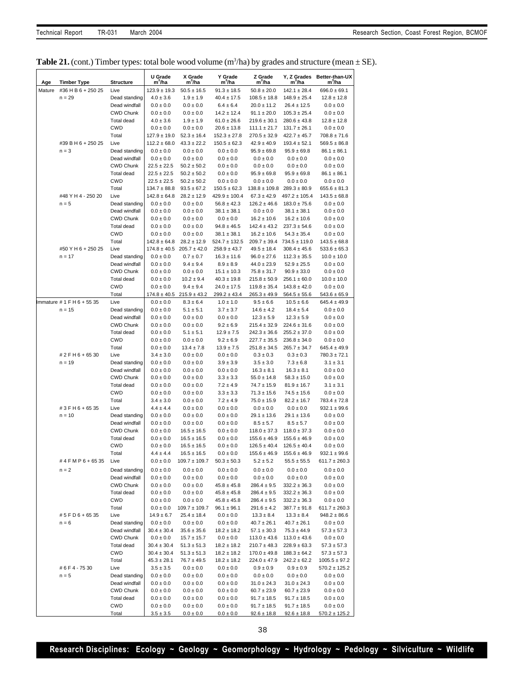|  |  | <b>Table 21.</b> (cont.) Timber types: total bole wood volume $(m^3/ha)$ by grades and structure (mean $\pm$ SE). |  |  |  |  |  |  |  |
|--|--|-------------------------------------------------------------------------------------------------------------------|--|--|--|--|--|--|--|
|--|--|-------------------------------------------------------------------------------------------------------------------|--|--|--|--|--|--|--|

| Age    | <b>Timber Type</b>             | <b>Structure</b>                      | U Grade<br>m <sup>3</sup> /ha       | X Grade<br>m <sup>3</sup> /ha      | Y Grade<br>m <sup>3</sup> /ha         | Z Grade<br>m'/ha                     | Y, Z Grades<br>m <sup>3</sup> /ha     | Better-than-UX<br>m <sup>3</sup> /ha |
|--------|--------------------------------|---------------------------------------|-------------------------------------|------------------------------------|---------------------------------------|--------------------------------------|---------------------------------------|--------------------------------------|
| Mature | #36 H B 6 + 250 25             | Live                                  | $123.9 \pm 19.3$                    | $50.5 \pm 16.5$                    | $91.3 \pm 18.5$                       | $50.8 \pm 20.0$                      | $142.1 \pm 28.4$                      | $696.0 \pm 69.1$                     |
|        | $n = 29$                       | Dead standing                         | $4.0 \pm 3.6$                       | $1.9 \pm 1.9$                      | $40.4 \pm 17.5$                       | $108.5 \pm 18.8$                     | $148.9 \pm 25.4$                      | $12.8 \pm 12.8$                      |
|        |                                | Dead windfall                         | $0.0 \pm 0.0$                       | $0.0 \pm 0.0$                      | $6.4 \pm 6.4$                         | $20.0 \pm 11.2$                      | $26.4 \pm 12.5$                       | $0.0 \pm 0.0$                        |
|        |                                | <b>CWD Chunk</b>                      | $0.0 \pm 0.0$                       | $0.0 \pm 0.0$                      | $14.2 \pm 12.4$                       | $91.1 \pm 20.0$                      | $105.3 \pm 25.4$                      | $0.0\pm0.0$                          |
|        |                                | Total dead                            | $4.0 \pm 3.6$                       | $1.9 \pm 1.9$                      | $61.0 \pm 26.6$                       | $219.6 \pm 30.1$                     | $280.6 \pm 43.8$                      | $12.8 \pm 12.8$                      |
|        |                                | <b>CWD</b><br>Total                   | $0.0 \pm 0.0$<br>$127.9 \pm 19.0$   | $0.0 \pm 0.0$<br>$52.3 \pm 16.4$   | $20.6 \pm 13.8$<br>$152.3 \pm 27.8$   | $111.1 \pm 21.7$<br>$270.5 \pm 32.9$ | $131.7 \pm 26.1$<br>$422.7 \pm 45.7$  | $0.0 \pm 0.0$<br>$708.8 \pm 71.6$    |
|        | #39 B H 6 + 250 25             | Live                                  | $112.2 \pm 68.0$                    | $43.3 \pm 22.2$                    | $150.5 \pm 62.3$                      | $42.9 \pm 40.9$                      | $193.4 \pm 52.1$                      | $569.5 \pm 86.8$                     |
|        | $n = 3$                        | Dead standing                         | $0.0 \pm 0.0$                       | $0.0 \pm 0.0$                      | $0.0 \pm 0.0$                         | $95.9 \pm 69.8$                      | $95.9 \pm 69.8$                       | $86.1 \pm 86.1$                      |
|        |                                | Dead windfall                         | $0.0 \pm 0.0$                       | $0.0 \pm 0.0$                      | $0.0 \pm 0.0$                         | $0.0 \pm 0.0$                        | $0.0 \pm 0.0$                         | $0.0 \pm 0.0$                        |
|        |                                | <b>CWD Chunk</b>                      | $22.5 \pm 22.5$                     | $50.2 \pm 50.2$                    | $0.0 \pm 0.0$                         | $0.0 \pm 0.0$                        | $0.0 \pm 0.0$                         | $0.0 \pm 0.0$                        |
|        |                                | Total dead                            | $22.5 \pm 22.5$                     | $50.2 \pm 50.2$                    | $0.0 \pm 0.0$                         | $95.9 \pm 69.8$                      | $95.9 \pm 69.8$                       | $86.1 \pm 86.1$                      |
|        |                                | <b>CWD</b>                            | $22.5 \pm 22.5$<br>$134.7 \pm 88.8$ | $50.2 \pm 50.2$                    | $0.0 \pm 0.0$                         | $0.0 \pm 0.0$                        | $0.0 \pm 0.0$                         | $0.0 \pm 0.0$                        |
|        | #48 Y H 4 - 250 20             | Total<br>Live                         | $142.8 \pm 64.8$                    | $93.5 \pm 67.2$<br>$28.2 \pm 12.9$ | $150.5 \pm 62.3$<br>$429.9 \pm 100.4$ | $138.8 \pm 109.8$<br>$67.3 \pm 42.9$ | $289.3 \pm 80.9$<br>$497.2 \pm 105.4$ | $655.6 \pm 81.3$<br>$143.5 \pm 68.8$ |
|        | $n = 5$                        | Dead standing                         | $0.0 \pm 0.0$                       | $0.0 \pm 0.0$                      | $56.8 \pm 42.3$                       | $126.2 \pm 46.6$                     | $183.0 \pm 75.6$                      | $0.0 \pm 0.0$                        |
|        |                                | Dead windfall                         | $0.0 \pm 0.0$                       | $0.0 \pm 0.0$                      | $38.1 \pm 38.1$                       | $0.0 \pm 0.0$                        | $38.1 \pm 38.1$                       | $0.0 \pm 0.0$                        |
|        |                                | <b>CWD Chunk</b>                      | $0.0 \pm 0.0$                       | $0.0 \pm 0.0$                      | $0.0 \pm 0.0$                         | $16.2 \pm 10.6$                      | $16.2 \pm 10.6$                       | $0.0 \pm 0.0$                        |
|        |                                | <b>Total dead</b>                     | $0.0 \pm 0.0$                       | $0.0 \pm 0.0$                      | $94.8 \pm 46.5$                       | $142.4 \pm 43.2$                     | $237.3 \pm 54.6$                      | $0.0 \pm 0.0$                        |
|        |                                | <b>CWD</b>                            | $0.0 \pm 0.0$                       | $0.0 \pm 0.0$                      | $38.1 \pm 38.1$                       | $16.2 \pm 10.6$                      | $54.3 \pm 35.4$                       | $0.0 \pm 0.0$                        |
|        |                                | Total                                 | $142.8 \pm 64.8$                    | $28.2 \pm 12.9$                    | $524.7 \pm 132.5$                     | $209.7 \pm 39.4$                     | $734.5 \pm 119.0$                     | $143.5 \pm 68.8$                     |
|        | #50 Y H 6 + 250 25<br>$n = 17$ | Live<br>Dead standing                 | $174.8 \pm 40.5$<br>$0.0 \pm 0.0$   | $205.7 \pm 42.0$<br>$0.7 \pm 0.7$  | $258.9 \pm 43.7$<br>$16.3 \pm 11.6$   | $49.5 \pm 18.4$<br>$96.0 \pm 27.6$   | $308.4 \pm 45.6$<br>$112.3 \pm 35.5$  | $533.6 \pm 65.3$<br>$10.0 \pm 10.0$  |
|        |                                | Dead windfall                         | $0.0 \pm 0.0$                       | $9.4 \pm 9.4$                      | $8.9 \pm 8.9$                         | $44.0 \pm 23.9$                      | $52.9 \pm 25.5$                       | $0.0 \pm 0.0$                        |
|        |                                | <b>CWD Chunk</b>                      | $0.0 \pm 0.0$                       | $0.0 \pm 0.0$                      | $15.1 \pm 10.3$                       | $75.8 \pm 31.7$                      | $90.9 \pm 33.0$                       | $0.0 \pm 0.0$                        |
|        |                                | Total dead                            | $0.0 \pm 0.0$                       | $10.2 \pm 9.4$                     | $40.3 \pm 19.8$                       | $215.8 \pm 50.9$                     | $256.1 \pm 60.0$                      | $10.0 \pm 10.0$                      |
|        |                                | <b>CWD</b>                            | $0.0 \pm 0.0$                       | $9.4 \pm 9.4$                      | $24.0 \pm 17.5$                       | $119.8 \pm 35.4$                     | $143.8 \pm 42.0$                      | $0.0 \pm 0.0$                        |
|        |                                | Total                                 | $174.8 \pm 40.5$                    | $215.9 \pm 43.2$                   | $299.2 \pm 43.4$                      | $265.3 \pm 49.9$                     | $564.5 \pm 55.6$                      | $543.6 \pm 65.9$                     |
|        | Immature # 1 F H 6 + 55 35     | Live                                  | $0.0 \pm 0.0$                       | $8.3 \pm 6.4$                      | $1.0 \pm 1.0$                         | $9.5 \pm 6.6$                        | $10.5 \pm 6.6$                        | $645.4 \pm 49.9$                     |
|        | $n = 15$                       | Dead standing                         | $0.0 \pm 0.0$                       | $5.1 \pm 5.1$                      | $3.7 \pm 3.7$                         | $14.6 \pm 4.2$                       | $18.4 \pm 5.4$                        | $0.0 \pm 0.0$                        |
|        |                                | Dead windfall<br><b>CWD Chunk</b>     | $0.0 \pm 0.0$<br>$0.0 \pm 0.0$      | $0.0 \pm 0.0$<br>$0.0 \pm 0.0$     | $0.0 \pm 0.0$<br>$9.2 \pm 6.9$        | $12.3 \pm 5.9$<br>$215.4 \pm 32.9$   | $12.3 \pm 5.9$<br>$224.6 \pm 31.6$    | $0.0 \pm 0.0$<br>$0.0 \pm 0.0$       |
|        |                                | Total dead                            | $0.0 \pm 0.0$                       | $5.1 \pm 5.1$                      | $12.9 \pm 7.5$                        | $242.3 \pm 36.6$                     | $255.2 \pm 37.0$                      | $0.0 \pm 0.0$                        |
|        |                                | <b>CWD</b>                            | $0.0 \pm 0.0$                       | $0.0 \pm 0.0$                      | $9.2 \pm 6.9$                         | $227.7 \pm 35.5$                     | $236.8 \pm 34.0$                      | $0.0 \pm 0.0$                        |
|        |                                | Total                                 | $0.0 \pm 0.0$                       | $13.4 \pm 7.8$                     | $13.9 \pm 7.5$                        | $251.8 \pm 34.5$                     | $265.7 \pm 34.7$                      | $645.4 \pm 49.9$                     |
|        | # 2 F H 6 + 65 30              | Live                                  | $3.4 \pm 3.0$                       | $0.0 \pm 0.0$                      | $0.0 \pm 0.0$                         | $0.3 \pm 0.3$                        | $0.3 \pm 0.3$                         | $780.3 \pm 72.1$                     |
|        | $n = 19$                       | Dead standing                         | $0.0 \pm 0.0$                       | $0.0 \pm 0.0$                      | $3.9 \pm 3.9$                         | $3.5 \pm 3.0$                        | $7.3 \pm 6.8$                         | $3.1 \pm 3.1$                        |
|        |                                | Dead windfall                         | $0.0 \pm 0.0$                       | $0.0 \pm 0.0$                      | $0.0 \pm 0.0$                         | $16.3 \pm 8.1$                       | $16.3 \pm 8.1$                        | $0.0 \pm 0.0$                        |
|        |                                | <b>CWD Chunk</b><br><b>Total dead</b> | $0.0 \pm 0.0$<br>$0.0 \pm 0.0$      | $0.0 \pm 0.0$<br>$0.0 \pm 0.0$     | $3.3 \pm 3.3$<br>$7.2 \pm 4.9$        | $55.0 \pm 14.8$<br>$74.7 \pm 15.9$   | $58.3 \pm 15.0$<br>$81.9 \pm 16.7$    | $0.0 \pm 0.0$<br>$3.1 \pm 3.1$       |
|        |                                | <b>CWD</b>                            | $0.0 \pm 0.0$                       | $0.0 \pm 0.0$                      | $3.3 \pm 3.3$                         | $71.3 \pm 15.6$                      | $74.5 \pm 15.6$                       | $0.0 \pm 0.0$                        |
|        |                                | Total                                 | $3.4 \pm 3.0$                       | $0.0 \pm 0.0$                      | $7.2 \pm 4.9$                         | $75.0 \pm 15.9$                      | $82.2 \pm 16.7$                       | $783.4 \pm 72.8$                     |
|        | #3FH6+6535                     | Live                                  | $4.4 \pm 4.4$                       | $0.0 \pm 0.0$                      | $0.0 \pm 0.0$                         | $0.0 \pm 0.0$                        | $0.0 \pm 0.0$                         | $932.1 \pm 99.6$                     |
|        | $n = 10$                       | Dead standing                         | $0.0 \pm 0.0$                       | $0.0 \pm 0.0$                      | $0.0 \pm 0.0$                         | $29.1 \pm 13.6$                      | $29.1 \pm 13.6$                       | $0.0 \pm 0.0$                        |
|        |                                | Dead windfall                         | $0.0 \pm 0.0$                       | $0.0 \pm 0.0$                      | $0.0 \pm 0.0$                         | $8.5 \pm 5.7$                        | $8.5 \pm 5.7$                         | $0.0 \pm 0.0$                        |
|        |                                | <b>CWD Chunk</b>                      | $0.0 \pm 0.0$                       | $16.5 \pm 16.5$                    | $0.0 \pm 0.0$                         | $118.0 \pm 37.3$                     | $118.0 \pm 37.3$                      | $0.0 \pm 0.0$                        |
|        |                                | Total dead<br><b>CWD</b>              | $0.0 \pm 0.0$<br>$0.0 \pm 0.0$      | $16.5 \pm 16.5$<br>$16.5 \pm 16.5$ | $0.0 \pm 0.0$<br>$0.0 \pm 0.0$        | $155.6 \pm 46.9$<br>$126.5 \pm 40.4$ | $155.6 \pm 46.9$<br>$126.5 \pm 40.4$  | $0.0 \pm 0.0$<br>$0.0 \pm 0.0$       |
|        |                                | Total                                 | $4.4 \pm 4.4$                       | $16.5 \pm 16.5$                    | $0.0 \pm 0.0$                         | $155.6 \pm 46.9$                     | $155.6 \pm 46.9$                      | $932.1 \pm 99.6$                     |
|        | #4FMP6+6535                    | Live                                  | $0.0 \pm 0.0$                       | $109.7 \pm 109.7$                  | $50.3 \pm 50.3$                       | $5.2 \pm 5.2$                        | $55.5 \pm 55.5$                       | $611.7 \pm 260.3$                    |
|        | $n = 2$                        | Dead standing                         | $0.0 \pm 0.0$                       | $0.0 \pm 0.0$                      | $0.0 \pm 0.0$                         | $0.0 \pm 0.0$                        | $0.0 \pm 0.0$                         | $0.0 \pm 0.0$                        |
|        |                                | Dead windfall                         | $0.0 \pm 0.0$                       | $0.0 \pm 0.0$                      | $0.0 \pm 0.0$                         | $0.0 \pm 0.0$                        | $0.0 \pm 0.0$                         | $0.0 \pm 0.0$                        |
|        |                                | <b>CWD Chunk</b>                      | $0.0 \pm 0.0$                       | $0.0 \pm 0.0$                      | $45.8 \pm 45.8$                       | $286.4 \pm 9.5$                      | $332.2 \pm 36.3$                      | $0.0 \pm 0.0$                        |
|        |                                | Total dead                            | $0.0 \pm 0.0$                       | $0.0 \pm 0.0$                      | $45.8 \pm 45.8$                       | $286.4 \pm 9.5$                      | $332.2 \pm 36.3$                      | $0.0 \pm 0.0$                        |
|        |                                | CWD                                   | $0.0 \pm 0.0$                       | $0.0 \pm 0.0$                      | $45.8 \pm 45.8$                       | $286.4 \pm 9.5$                      | $332.2 \pm 36.3$                      | $0.0 \pm 0.0$                        |
|        |                                | Total                                 | $0.0 \pm 0.0$                       | $109.7 \pm 109.7$                  | $96.1 \pm 96.1$                       | $291.6 \pm 4.2$                      | $387.7 \pm 91.8$                      | $611.7 \pm 260.3$                    |
|        | # 5 F D 6 + 65 35<br>$n = 6$   | Live<br>Dead standing                 | $14.9 \pm 6.7$<br>$0.0 \pm 0.0$     | $25.4 \pm 18.4$<br>$0.0 \pm 0.0$   | $0.0 \pm 0.0$<br>$0.0 \pm 0.0$        | $13.3 \pm 8.4$<br>$40.7 \pm 26.1$    | $13.3 \pm 8.4$<br>$40.7 \pm 26.1$     | $948.2 \pm 86.6$<br>$0.0 \pm 0.0$    |
|        |                                | Dead windfall                         | $30.4 \pm 30.4$                     | $35.6 \pm 35.6$                    | $18.2 \pm 18.2$                       | $57.1 \pm 30.3$                      | $75.3 \pm 44.9$                       | $57.3 \pm 57.3$                      |
|        |                                | <b>CWD Chunk</b>                      | $0.0 \pm 0.0$                       | $15.7 \pm 15.7$                    | $0.0 \pm 0.0$                         | $113.0 \pm 43.6$                     | $113.0 \pm 43.6$                      | $0.0 \pm 0.0$                        |
|        |                                | Total dead                            | $30.4 \pm 30.4$                     | $51.3 \pm 51.3$                    | $18.2 \pm 18.2$                       | $210.7 \pm 48.3$                     | $228.9 \pm 63.3$                      | $57.3 \pm 57.3$                      |
|        |                                | CWD                                   | $30.4 \pm 30.4$                     | $51.3 \pm 51.3$                    | $18.2 \pm 18.2$                       | $170.0 \pm 49.8$                     | $188.3 \pm 64.2$                      | $57.3 \pm 57.3$                      |
|        |                                | Total                                 | $45.3 \pm 28.1$                     | $76.7 \pm 49.5$                    | $18.2 \pm 18.2$                       | $224.0 \pm 47.9$                     | $242.2 \pm 62.2$                      | $1005.5 \pm 97.2$                    |
|        | #6F4-7530                      | Live                                  | $3.5 \pm 3.5$                       | $0.0 \pm 0.0$                      | $0.0 \pm 0.0$                         | $0.9 \pm 0.9$                        | $0.9 \pm 0.9$                         | $570.2 \pm 125.2$                    |
|        | $n = 5$                        | Dead standing                         | $0.0 \pm 0.0$                       | $0.0 \pm 0.0$                      | $0.0 \pm 0.0$                         | $0.0 \pm 0.0$                        | $0.0 \pm 0.0$                         | $0.0 \pm 0.0$                        |
|        |                                | Dead windfall<br><b>CWD Chunk</b>     | $0.0 \pm 0.0$<br>$0.0 \pm 0.0$      | $0.0 \pm 0.0$<br>$0.0 \pm 0.0$     | $0.0 \pm 0.0$<br>$0.0 \pm 0.0$        | $31.0 \pm 24.3$<br>$60.7 \pm 23.9$   | $31.0 \pm 24.3$<br>$60.7 \pm 23.9$    | $0.0 \pm 0.0$<br>$0.0 \pm 0.0$       |
|        |                                | Total dead                            | $0.0 \pm 0.0$                       | $0.0 \pm 0.0$                      | $0.0 \pm 0.0$                         | $91.7 \pm 18.5$                      | $91.7 \pm 18.5$                       | $0.0 \pm 0.0$                        |
|        |                                | CWD                                   | $0.0 \pm 0.0$                       | $0.0 \pm 0.0$                      | $0.0 \pm 0.0$                         | $91.7 \pm 18.5$                      | $91.7 \pm 18.5$                       | $0.0 \pm 0.0$                        |
|        |                                | Total                                 | $3.5 \pm 3.5$                       | $0.0 \pm 0.0$                      | $0.0 \pm 0.0$                         | $92.6 \pm 18.8$                      | $92.6 \pm 18.8$                       | $570.2 \pm 125.2$                    |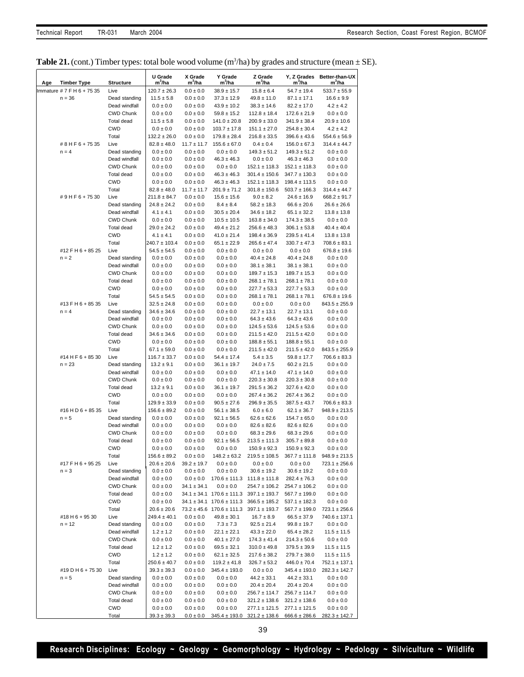|  | <b>Table 21.</b> (cont.) Timber types: total bole wood volume $(m^3/na)$ by grades and structure (mean $\pm$ SE). |  |  |  |  |
|--|-------------------------------------------------------------------------------------------------------------------|--|--|--|--|
|  |                                                                                                                   |  |  |  |  |

| Age<br><b>Timber Type</b>    | <b>Structure</b>                  | U Grade<br>m <sup>3</sup> /ha       | X Grade<br>$m^3/ha$              | Y Grade<br>m'/ha                                     | Z Grade<br>$m^3/ha$                   | m <sup>3</sup> /ha                   | Y, Z Grades Better-than-UX<br>m <sup>3</sup> /ha |
|------------------------------|-----------------------------------|-------------------------------------|----------------------------------|------------------------------------------------------|---------------------------------------|--------------------------------------|--------------------------------------------------|
| Immature # 7 F H 6 + 75 35   | Live                              | $120.7 \pm 26.3$                    | $0.0 \pm 0.0$                    | $38.9 \pm 15.7$                                      | $15.8 \pm 6.4$                        | $54.7 \pm 19.4$                      | $533.7 \pm 55.9$                                 |
| $n = 36$                     | Dead standing                     | $11.5 \pm 5.8$                      | $0.0 \pm 0.0$                    | $37.3 \pm 12.9$                                      | $49.8 \pm 11.0$                       | $87.1 \pm 17.1$                      | $16.6 \pm 9.9$                                   |
|                              | Dead windfall                     | $0.0 \pm 0.0$                       | $0.0 \pm 0.0$                    | $43.9 \pm 10.2$                                      | $38.3 \pm 14.6$                       | $82.2 \pm 17.0$                      | $4.2 \pm 4.2$                                    |
|                              | <b>CWD Chunk</b>                  | $0.0 \pm 0.0$                       | $0.0 \pm 0.0$                    | $59.8 \pm 15.2$                                      | $112.8 \pm 18.4$                      | $172.6 \pm 21.9$                     | $0.0 \pm 0.0$                                    |
|                              | Total dead                        | $11.5 \pm 5.8$                      | $0.0 \pm 0.0$                    | $141.0 \pm 20.8$                                     | $200.9 \pm 33.0$                      | $341.9 \pm 38.4$                     | $20.9 \pm 10.6$                                  |
|                              | <b>CWD</b>                        | $0.0 \pm 0.0$                       | $0.0 \pm 0.0$                    | $103.7 \pm 17.8$                                     | $151.1 \pm 27.0$                      | $254.8 \pm 30.4$                     | $4.2 \pm 4.2$                                    |
| #8HF6+7535                   | Total<br>Live                     | $132.2 \pm 26.0$<br>$82.8 \pm 48.0$ | $0.0 \pm 0.0$<br>$11.7 \pm 11.7$ | $179.8 \pm 28.4$<br>$155.6 \pm 67.0$                 | $216.8 \pm 33.5$<br>$0.4 \pm 0.4$     | $396.6 \pm 43.6$<br>$156.0 \pm 67.3$ | $554.6 \pm 56.9$<br>314.4 ± 44.7                 |
| $n = 4$                      | Dead standing                     | $0.0 \pm 0.0$                       | $0.0 \pm 0.0$                    | $0.0 \pm 0.0$                                        | $149.3 \pm 51.2$                      | $149.3 \pm 51.2$                     | $0.0 \pm 0.0$                                    |
|                              | Dead windfall                     | $0.0 \pm 0.0$                       | $0.0 \pm 0.0$                    | $46.3 \pm 46.3$                                      | $0.0 \pm 0.0$                         | $46.3 \pm 46.3$                      | $0.0 \pm 0.0$                                    |
|                              | <b>CWD Chunk</b>                  | $0.0 \pm 0.0$                       | $0.0 \pm 0.0$                    | $0.0 \pm 0.0$                                        | $152.1 \pm 118.3$                     | $152.1 \pm 118.3$                    | $0.0 \pm 0.0$                                    |
|                              | Total dead                        | $0.0 \pm 0.0$                       | $0.0 \pm 0.0$                    | $46.3 \pm 46.3$                                      | $301.4 \pm 150.6$                     | $347.7 \pm 130.3$                    | $0.0 \pm 0.0$                                    |
|                              | <b>CWD</b>                        | $0.0 \pm 0.0$                       | $0.0 \pm 0.0$                    | $46.3 \pm 46.3$                                      | $152.1 \pm 118.3$                     | $198.4 \pm 113.5$                    | $0.0 \pm 0.0$                                    |
| #9HF6+7530                   | Total<br>Live                     | $82.8 \pm 48.0$<br>$211.8 \pm 84.7$ | $11.7 \pm 11.7$<br>$0.0 \pm 0.0$ | $201.9 \pm 71.2$<br>$15.6 \pm 15.6$                  | $301.8 \pm 150.6$<br>$9.0 \pm 8.2$    | $503.7 \pm 166.3$<br>$24.6 \pm 16.9$ | $314.4 \pm 44.7$<br>$668.2 \pm 91.7$             |
|                              | Dead standing                     | $24.8 \pm 24.2$                     | $0.0 \pm 0.0$                    | $8.4 \pm 8.4$                                        | $58.2 \pm 18.3$                       | $66.6 \pm 20.6$                      | $26.6 \pm 26.6$                                  |
|                              | Dead windfall                     | $4.1 \pm 4.1$                       | $0.0 \pm 0.0$                    | $30.5 \pm 20.4$                                      | $34.6 \pm 18.2$                       | $65.1 \pm 32.2$                      | $13.8 \pm 13.8$                                  |
|                              | <b>CWD Chunk</b>                  | $0.0 \pm 0.0$                       | $0.0 \pm 0.0$                    | $10.5 \pm 10.5$                                      | $163.8 \pm 34.0$                      | $174.3 \pm 38.5$                     | $0.0 \pm 0.0$                                    |
|                              | Total dead                        | $29.0 \pm 24.2$                     | $0.0 \pm 0.0$                    | $49.4 \pm 21.2$                                      | $256.6 \pm 48.3$                      | $306.1 \pm 53.8$                     | $40.4 \pm 40.4$                                  |
|                              | <b>CWD</b>                        | $4.1 \pm 4.1$                       | $0.0 \pm 0.0$                    | $41.0 \pm 21.4$                                      | $198.4 \pm 36.9$                      | $239.5 \pm 41.4$                     | $13.8 \pm 13.8$                                  |
|                              | Total                             | $240.7 \pm 103.4$                   | $0.0 \pm 0.0$                    | $65.1 \pm 22.9$                                      | $265.6 \pm 47.4$                      | $330.7 \pm 47.3$                     | $708.6 \pm 83.1$                                 |
| #12 F H 6 + 85 25<br>$n = 2$ | Live                              | $54.5 \pm 54.5$<br>$0.0 \pm 0.0$    | $0.0 \pm 0.0$<br>$0.0 \pm 0.0$   | $0.0 \pm 0.0$                                        | $0.0 \pm 0.0$                         | $0.0 \pm 0.0$                        | $676.8 \pm 19.6$                                 |
|                              | Dead standing<br>Dead windfall    | $0.0 \pm 0.0$                       | $0.0 \pm 0.0$                    | $0.0 \pm 0.0$<br>$0.0 \pm 0.0$                       | $40.4 \pm 24.8$<br>$38.1 \pm 38.1$    | $40.4 \pm 24.8$<br>$38.1 \pm 38.1$   | $0.0 \pm 0.0$<br>$0.0 \pm 0.0$                   |
|                              | <b>CWD Chunk</b>                  | $0.0 \pm 0.0$                       | $0.0 \pm 0.0$                    | $0.0 \pm 0.0$                                        | $189.7 \pm 15.3$                      | $189.7 \pm 15.3$                     | $0.0 \pm 0.0$                                    |
|                              | Total dead                        | $0.0 \pm 0.0$                       | $0.0 \pm 0.0$                    | $0.0 \pm 0.0$                                        | $268.1 \pm 78.1$                      | $268.1 \pm 78.1$                     | $0.0 \pm 0.0$                                    |
|                              | <b>CWD</b>                        | $0.0 \pm 0.0$                       | $0.0 \pm 0.0$                    | $0.0 \pm 0.0$                                        | $227.7 \pm 53.3$                      | $227.7 \pm 53.3$                     | $0.0 \pm 0.0$                                    |
|                              | Total                             | $54.5 \pm 54.5$                     | $0.0 \pm 0.0$                    | $0.0 \pm 0.0$                                        | $268.1 \pm 78.1$                      | $268.1 \pm 78.1$                     | $676.8 \pm 19.6$                                 |
| #13 F H 6 + 85 35            | Live                              | $32.5 \pm 24.8$                     | $0.0 \pm 0.0$                    | $0.0 \pm 0.0$                                        | $0.0 \pm 0.0$                         | $0.0 \pm 0.0$                        | $843.5 \pm 255.9$                                |
| $n = 4$                      | Dead standing                     | $34.6 \pm 34.6$                     | $0.0 \pm 0.0$                    | $0.0 \pm 0.0$                                        | $22.7 \pm 13.1$                       | $22.7 \pm 13.1$                      | $0.0 \pm 0.0$                                    |
|                              | Dead windfall<br><b>CWD Chunk</b> | $0.0 \pm 0.0$<br>$0.0 \pm 0.0$      | $0.0 \pm 0.0$<br>$0.0\pm0.0$     | $0.0 \pm 0.0$<br>$0.0 \pm 0.0$                       | $64.3 \pm 43.6$<br>$124.5 \pm 53.6$   | $64.3 \pm 43.6$<br>$124.5 \pm 53.6$  | $0.0 \pm 0.0$<br>$0.0\pm0.0$                     |
|                              | Total dead                        | $34.6 \pm 34.6$                     | $0.0 \pm 0.0$                    | $0.0 \pm 0.0$                                        | $211.5 \pm 42.0$                      | $211.5 \pm 42.0$                     | $0.0 \pm 0.0$                                    |
|                              | <b>CWD</b>                        | $0.0 \pm 0.0$                       | $0.0 \pm 0.0$                    | $0.0 \pm 0.0$                                        | $188.8 \pm 55.1$                      | $188.8 \pm 55.1$                     | $0.0 \pm 0.0$                                    |
|                              | Total                             | $67.1 \pm 59.0$                     | $0.0 \pm 0.0$                    | $0.0 \pm 0.0$                                        | $211.5 \pm 42.0$                      | $211.5 \pm 42.0$                     | $843.5 \pm 255.9$                                |
| #14 H F 6 + 85 30            | Live                              | $116.7 \pm 33.7$                    | $0.0 \pm 0.0$                    | $54.4 \pm 17.4$                                      | $5.4 \pm 3.5$                         | $59.8 \pm 17.7$                      | $706.6 \pm 83.3$                                 |
| $n = 23$                     | Dead standing                     | $13.2 \pm 9.1$                      | $0.0 \pm 0.0$                    | $36.1 \pm 19.7$                                      | $24.0 \pm 7.5$                        | $60.2 \pm 21.5$                      | $0.0 \pm 0.0$                                    |
|                              | Dead windfall                     | $0.0 \pm 0.0$                       | $0.0 \pm 0.0$                    | $0.0 \pm 0.0$                                        | $47.1 \pm 14.0$                       | $47.1 \pm 14.0$                      | $0.0 \pm 0.0$                                    |
|                              | <b>CWD Chunk</b><br>Total dead    | $0.0 \pm 0.0$<br>$13.2 \pm 9.1$     | $0.0 \pm 0.0$<br>$0.0 \pm 0.0$   | $0.0 \pm 0.0$<br>$36.1 \pm 19.7$                     | $220.3 \pm 30.8$<br>$291.5 \pm 36.2$  | $220.3 \pm 30.8$<br>$327.6 \pm 42.0$ | $0.0 \pm 0.0$<br>$0.0 \pm 0.0$                   |
|                              | <b>CWD</b>                        | $0.0 \pm 0.0$                       | $0.0 \pm 0.0$                    | $0.0 \pm 0.0$                                        | $267.4 \pm 36.2$                      | $267.4 \pm 36.2$                     | $0.0 \pm 0.0$                                    |
|                              | Total                             | $129.9 \pm 33.9$                    | $0.0 \pm 0.0$                    | $90.5 \pm 27.6$                                      | $296.9 \pm 35.5$                      | $387.5 \pm 43.7$                     | $706.6 \pm 83.3$                                 |
| #16 H D 6 + 85 35            | Live                              | $156.6 \pm 89.2$                    | $0.0 \pm 0.0$                    | $56.1 \pm 38.5$                                      | $6.0 \pm 6.0$                         | $62.1 \pm 36.7$                      | $948.9 \pm 213.5$                                |
| $n = 5$                      | Dead standing                     | $0.0 \pm 0.0$                       | $0.0 \pm 0.0$                    | $92.1 \pm 56.5$                                      | $62.6 \pm 62.6$                       | $154.7 \pm 65.0$                     | $0.0 \pm 0.0$                                    |
|                              | Dead windfall                     | $0.0 \pm 0.0$                       | $0.0 \pm 0.0$                    | $0.0 \pm 0.0$                                        | $82.6 \pm 82.6$                       | $82.6 \pm 82.6$                      | $0.0\pm0.0$                                      |
|                              | <b>CWD Chunk</b>                  | $0.0 \pm 0.0$                       | $0.0 \pm 0.0$                    | $0.0 \pm 0.0$                                        | $68.3 \pm 29.6$                       | $68.3 \pm 29.6$                      | $0.0 \pm 0.0$                                    |
|                              | Total dead                        | $0.0 \pm 0.0$                       | $0.0 \pm 0.0$                    | $92.1 \pm 56.5$<br>$0.0 \pm 0.0$                     | $213.5 \pm 111.3$                     | $305.7 \pm 89.8$<br>$150.9 \pm 92.3$ | $0.0 \pm 0.0$                                    |
|                              | <b>CWD</b><br>Total               | $0.0 \pm 0.0$<br>$156.6 \pm 89.2$   | $0.0 \pm 0.0$<br>$0.0 \pm 0.0$   | $148.2 \pm 63.2$                                     | $150.9 \pm 92.3$<br>$219.5 \pm 108.5$ | $367.7 \pm 111.8$                    | $0.0 \pm 0.0$<br>$948.9 \pm 213.5$               |
| #17 F H 6 + 95 25            | Live                              | $20.6 \pm 20.6$                     | $39.2 \pm 19.7$                  | $0.0 \pm 0.0$                                        | $0.0 \pm 0.0$                         | $0.0 \pm 0.0$                        | $723.1 \pm 256.6$                                |
| $n = 3$                      | Dead standing                     | $0.0 \pm 0.0$                       | $0.0 \pm 0.0$                    | $0.0 \pm 0.0$                                        | $30.6 \pm 19.2$                       | $30.6 \pm 19.2$                      | $0.0 \pm 0.0$                                    |
|                              | Dead windfall                     | $0.0 \pm 0.0$                       | $0.0 \pm 0.0$                    | $170.6 \pm 111.3$                                    | $111.8 \pm 111.8$                     | $282.4 \pm 76.3$                     | $0.0 \pm 0.0$                                    |
|                              | CWD Chunk                         | $0.0 \pm 0.0$                       | $34.1 \pm 34.1$                  | $0.0 \pm 0.0$                                        | $254.7 \pm 106.2$                     | $254.7 \pm 106.2$                    | $0.0\pm0.0$                                      |
|                              | Total dead                        | $0.0 \pm 0.0$                       |                                  | $34.1 \pm 34.1$ 170.6 $\pm$ 111.3                    | $397.1 \pm 193.7$                     | $567.7 \pm 199.0$                    | $0.0 \pm 0.0$                                    |
|                              | CWD                               | $0.0 \pm 0.0$                       |                                  | $34.1 \pm 34.1$ 170.6 $\pm$ 111.3                    | $366.5 \pm 185.2$                     | $537.1 \pm 182.3$                    | $0.0\pm0.0$                                      |
| #18 H 6 + 95 30              | Total<br>Live                     | $20.6 \pm 20.6$<br>$249.4 \pm 40.1$ | $0.0 \pm 0.0$                    | $73.2 \pm 45.6$ 170.6 $\pm$ 111.3<br>$49.8 \pm 30.1$ | $397.1 \pm 193.7$<br>$16.7 \pm 8.9$   | $567.7 \pm 199.0$<br>$66.5 \pm 37.9$ | $723.1 \pm 256.6$<br>740.6 ± 137.1               |
| $n = 12$                     | Dead standing                     | $0.0 \pm 0.0$                       | $0.0 \pm 0.0$                    | $7.3 \pm 7.3$                                        | $92.5 \pm 21.4$                       | $99.8 \pm 19.7$                      | $0.0 \pm 0.0$                                    |
|                              | Dead windfall                     | $1.2 \pm 1.2$                       | $0.0 \pm 0.0$                    | $22.1 \pm 22.1$                                      | $43.3 \pm 22.0$                       | $65.4 \pm 28.2$                      | $11.5 \pm 11.5$                                  |
|                              | <b>CWD Chunk</b>                  | $0.0 \pm 0.0$                       | $0.0 \pm 0.0$                    | $40.1 \pm 27.0$                                      | $174.3 \pm 41.4$                      | $214.3 \pm 50.6$                     | $0.0 \pm 0.0$                                    |
|                              | Total dead                        | $1.2 \pm 1.2$                       | $0.0 \pm 0.0$                    | $69.5 \pm 32.1$                                      | $310.0 \pm 49.8$                      | $379.5 \pm 39.9$                     | $11.5 \pm 11.5$                                  |
|                              | CWD                               | $1.2 \pm 1.2$                       | $0.0 \pm 0.0$                    | $62.1 \pm 32.5$                                      | $217.6 \pm 38.2$                      | $279.7 \pm 38.0$                     | $11.5 \pm 11.5$                                  |
|                              | Total                             | $250.6 \pm 40.7$                    | $0.0 \pm 0.0$                    | $119.2 \pm 41.8$                                     | $326.7 \pm 53.2$                      | $446.0 \pm 70.4$                     | $752.1 \pm 137.1$                                |
| #19 D H 6 + 75 30            | Live                              | $39.3 \pm 39.3$                     | $0.0 \pm 0.0$                    | $345.4 \pm 193.0$                                    | $0.0 \pm 0.0$                         | $345.4 \pm 193.0$                    | $282.3 \pm 142.7$                                |
| $n = 5$                      | Dead standing<br>Dead windfall    | $0.0 \pm 0.0$<br>$0.0 \pm 0.0$      | $0.0 \pm 0.0$<br>$0.0 \pm 0.0$   | $0.0 \pm 0.0$<br>$0.0 \pm 0.0$                       | $44.2 \pm 33.1$<br>$20.4 \pm 20.4$    | $44.2 \pm 33.1$<br>$20.4 \pm 20.4$   | $0.0\pm0.0$<br>$0.0\pm0.0$                       |
|                              | CWD Chunk                         | $0.0 \pm 0.0$                       | $0.0 \pm 0.0$                    | $0.0 \pm 0.0$                                        | $256.7 \pm 114.7$                     | $256.7 \pm 114.7$                    | $0.0 \pm 0.0$                                    |
|                              | Total dead                        | $0.0 \pm 0.0$                       | $0.0 \pm 0.0$                    | $0.0 \pm 0.0$                                        | $321.2 \pm 138.6$                     | $321.2 \pm 138.6$                    | $0.0 \pm 0.0$                                    |
|                              | <b>CWD</b>                        | $0.0 \pm 0.0$                       | $0.0 \pm 0.0$                    | $0.0 \pm 0.0$                                        | $277.1 \pm 121.5$                     | $277.1 \pm 121.5$                    | $0.0\pm0.0$                                      |
|                              | Total                             | $39.3 \pm 39.3$                     | $0.0 \pm 0.0$                    | $345.4 \pm 193.0$                                    | $321.2 \pm 138.6$                     | $666.6 \pm 286.6$                    | $282.3 \pm 142.7$                                |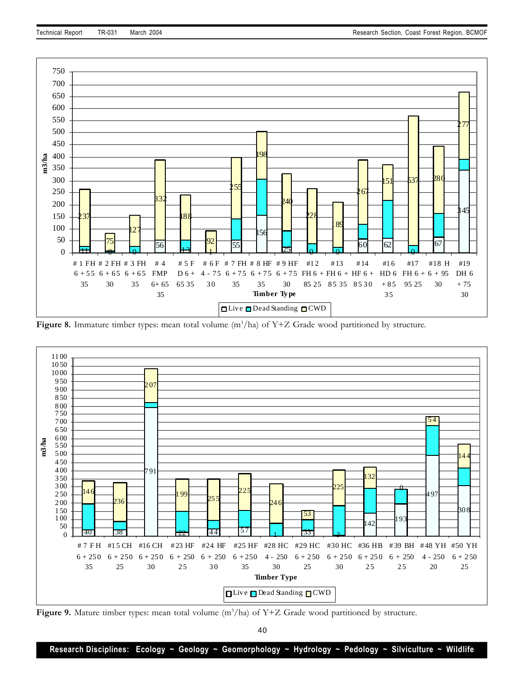

Figure 8. Immature timber types: mean total volume (m<sup>3</sup>/ha) of Y+Z Grade wood partitioned by structure.



Figure 9. Mature timber types: mean total volume (m<sup>3</sup>/ha) of Y+Z Grade wood partitioned by structure.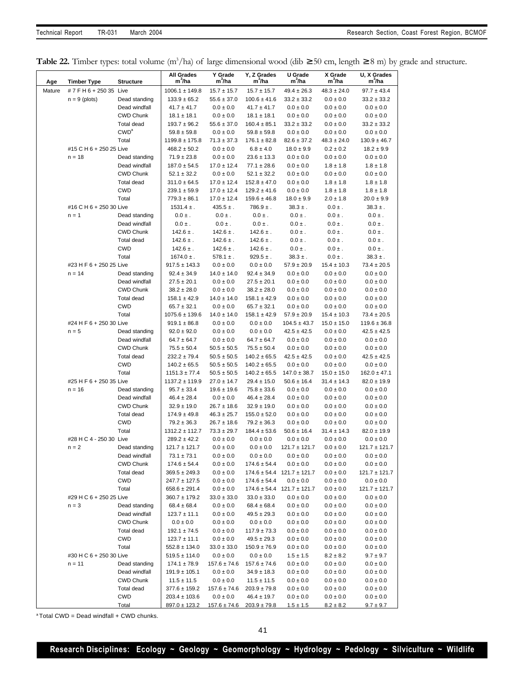| Table 22. Timber types: total volume (m <sup>3</sup> /ha) of large dimensional wood (dib $\geq$ 50 cm, length $\geq$ 8 m) by grade and structure. |  |  |  |  |
|---------------------------------------------------------------------------------------------------------------------------------------------------|--|--|--|--|
|---------------------------------------------------------------------------------------------------------------------------------------------------|--|--|--|--|

| Age    | <b>Timber Type</b>      | <b>Structure</b>                  | <b>All Grades</b><br>$m^3/ha$          | Y Grade<br>$m^3/ha$                | Y, Z Grades<br>m <sup>3</sup> /ha    | U Grade<br>$m^3/ha$                                 | X Grade<br>m <sup>3</sup> /ha  | U, X Grades<br>m <sup>3</sup> /ha  |
|--------|-------------------------|-----------------------------------|----------------------------------------|------------------------------------|--------------------------------------|-----------------------------------------------------|--------------------------------|------------------------------------|
| Mature | #7FH6+25035 Live        |                                   | $1006.1 \pm 149.8$                     | $15.7 \pm 15.7$                    | $15.7 \pm 15.7$                      | $49.4 \pm 26.3$                                     | $48.3 \pm 24.0$                | $97.7 \pm 43.4$                    |
|        | $n = 9$ (plots)         | Dead standing                     | $133.9 \pm 65.2$                       | $55.6 \pm 37.0$                    | $100.6 \pm 41.6$                     | $33.2 \pm 33.2$                                     | $0.0 \pm 0.0$                  | $33.2 \pm 33.2$                    |
|        |                         | Dead windfall                     | $41.7 \pm 41.7$                        | $0.0 \pm 0.0$                      | $41.7 \pm 41.7$                      | $0.0 \pm 0.0$                                       | $0.0 \pm 0.0$                  | $0.0 \pm 0.0$                      |
|        |                         | <b>CWD Chunk</b>                  | $18.1 \pm 18.1$                        | $0.0 \pm 0.0$                      | $18.1 \pm 18.1$                      | $0.0 \pm 0.0$                                       | $0.0 \pm 0.0$                  | $0.0 \pm 0.0$                      |
|        |                         | Total dead                        | $193.7 \pm 96.2$                       | $55.6 \pm 37.0$                    | $160.4 \pm 85.1$                     | $33.2 \pm 33.2$                                     | $0.0 \pm 0.0$                  | $33.2 \pm 33.2$                    |
|        |                         | CWD <sup>a</sup>                  | $59.8 \pm 59.8$                        | $0.0 \pm 0.0$                      | $59.8 \pm 59.8$                      | $0.0 \pm 0.0$                                       | $0.0 \pm 0.0$                  | $0.0 \pm 0.0$                      |
|        |                         | Total                             | $1199.8 \pm 175.8$                     | $71.3 \pm 37.3$                    | $176.1 \pm 82.8$                     | $82.6 \pm 37.2$                                     | $48.3 \pm 24.0$                | $130.9 \pm 46.7$                   |
|        | #15 C H 6 + 250 25 Live |                                   | $468.2 \pm 50.2$                       | $0.0 \pm 0.0$                      | $6.8 \pm 4.0$                        | $18.0 \pm 9.9$                                      | $0.2 \pm 0.2$                  | $18.2 \pm 9.9$                     |
|        | $n = 18$                | Dead standing                     | $71.9 \pm 23.8$                        | $0.0 \pm 0.0$                      | $23.6 \pm 13.3$                      | $0.0 \pm 0.0$                                       | $0.0 \pm 0.0$                  | $0.0 \pm 0.0$                      |
|        |                         | Dead windfall                     | $187.0 \pm 54.5$                       | $17.0 \pm 12.4$                    | $77.1 \pm 28.6$                      | $0.0 \pm 0.0$                                       | $1.8 \pm 1.8$                  | $1.8 \pm 1.8$                      |
|        |                         | <b>CWD Chunk</b>                  | $52.1 \pm 32.2$                        | $0.0 \pm 0.0$                      | $52.1 \pm 32.2$                      | $0.0 \pm 0.0$                                       | $0.0 \pm 0.0$                  | $0.0 \pm 0.0$                      |
|        |                         | Total dead                        | $311.0 \pm 64.5$                       | $17.0 \pm 12.4$                    | $152.8 \pm 47.0$<br>$129.2 \pm 41.6$ | $0.0 \pm 0.0$                                       | $1.8 \pm 1.8$                  | $1.8 \pm 1.8$                      |
|        |                         | <b>CWD</b><br>Total               | $239.1 \pm 59.9$<br>$779.3 \pm 86.1$   | $17.0 \pm 12.4$<br>$17.0 \pm 12.4$ | $159.6 \pm 46.8$                     | $0.0 \pm 0.0$<br>$18.0 \pm 9.9$                     | $1.8 \pm 1.8$<br>$2.0 \pm 1.8$ | $1.8 \pm 1.8$<br>$20.0 \pm 9.9$    |
|        | #16 C H 6 + 250 30 Live |                                   | $1531.4 \pm .$                         | $435.5 \pm .$                      | $786.9 \pm .$                        | $38.3 \pm .$                                        | $0.0 \pm .$                    | $38.3 \pm .$                       |
|        | $n = 1$                 | Dead standing                     | $0.0 \pm .$                            | $0.0 \pm$ .                        | $0.0 \pm .$                          | $0.0 \pm$ .                                         | $0.0 \pm .$                    | $0.0 \pm .$                        |
|        |                         | Dead windfall                     | $0.0 \pm$ .                            | $0.0 \pm$ .                        | $0.0 \pm .$                          | $0.0 \pm$ .                                         | $0.0 \pm$ .                    | $0.0 \pm .$                        |
|        |                         | <b>CWD Chunk</b>                  | $142.6\pm.$                            | $142.6 \pm .$                      | $142.6 \pm .$                        | $0.0 \pm$ .                                         | $0.0 \pm$ .                    | $0.0\,\pm$ .                       |
|        |                         | Total dead                        | $142.6 \pm .$                          | $142.6 \pm .$                      | $142.6 \pm .$                        | $0.0 \pm$ .                                         | $0.0 \pm .$                    | $0.0 \pm .$                        |
|        |                         | <b>CWD</b>                        | $142.6 \pm .$                          | $142.6 \pm .$                      | $142.6 \pm .$                        | $0.0 \pm$ .                                         | $0.0 \pm .$                    | $0.0 \pm .$                        |
|        |                         | Total                             | $1674.0 \pm .$                         | $578.1 \pm .$                      | $929.5 \pm .$                        | $38.3 \pm .$                                        | $0.0 \pm .$                    | $38.3 \pm .$                       |
|        | #23 H F 6 + 250 25 Live |                                   | $917.5 \pm 143.3$                      | $0.0 \pm 0.0$                      | $0.0 \pm 0.0$                        | $57.9 \pm 20.9$                                     | $15.4 \pm 10.3$                | $73.4 \pm 20.5$                    |
|        | $n = 14$                | Dead standing                     | $92.4 \pm 34.9$                        | $14.0 \pm 14.0$                    | $92.4 \pm 34.9$                      | $0.0 \pm 0.0$                                       | $0.0 \pm 0.0$                  | $0.0 \pm 0.0$                      |
|        |                         | Dead windfall                     | $27.5 \pm 20.1$                        | $0.0 \pm 0.0$                      | $27.5 \pm 20.1$                      | $0.0 \pm 0.0$                                       | $0.0 \pm 0.0$                  | $0.0 \pm 0.0$                      |
|        |                         | <b>CWD Chunk</b>                  | $38.2 \pm 28.0$                        | $0.0 \pm 0.0$                      | $38.2 \pm 28.0$                      | $0.0 \pm 0.0$                                       | $0.0 \pm 0.0$                  | $0.0 \pm 0.0$                      |
|        |                         | Total dead                        | $158.1 \pm 42.9$                       | $14.0 \pm 14.0$                    | $158.1 \pm 42.9$                     | $0.0 \pm 0.0$                                       | $0.0 \pm 0.0$                  | $0.0 \pm 0.0$                      |
|        |                         | <b>CWD</b>                        | $65.7 \pm 32.1$                        | $0.0 \pm 0.0$                      | $65.7 \pm 32.1$                      | $0.0 \pm 0.0$                                       | $0.0 \pm 0.0$                  | $0.0 \pm 0.0$                      |
|        |                         | Total                             | $1075.6 \pm 139.6$                     | $14.0 \pm 14.0$                    | $158.1 \pm 42.9$                     | $57.9 \pm 20.9$                                     | $15.4 \pm 10.3$                | $73.4 \pm 20.5$                    |
|        | #24 H F 6 + 250 30 Live |                                   | $919.1 \pm 86.8$                       | $0.0 \pm 0.0$                      | $0.0 \pm 0.0$                        | $104.5 \pm 43.7$                                    | $15.0 \pm 15.0$                | $119.6 \pm 36.8$                   |
|        | $n = 5$                 | Dead standing                     | $92.0 \pm 92.0$                        | $0.0 \pm 0.0$                      | $0.0 \pm 0.0$                        | $42.5 \pm 42.5$                                     | $0.0 \pm 0.0$                  | $42.5 \pm 42.5$                    |
|        |                         | Dead windfall<br><b>CWD Chunk</b> | $64.7 \pm 64.7$<br>$75.5 \pm 50.4$     | $0.0 \pm 0.0$<br>$50.5 \pm 50.5$   | $64.7 \pm 64.7$<br>$75.5 \pm 50.4$   | $0.0 \pm 0.0$<br>$0.0 \pm 0.0$                      | $0.0 \pm 0.0$<br>$0.0\pm0.0$   | $0.0 \pm 0.0$                      |
|        |                         | Total dead                        | $232.2 \pm 79.4$                       | $50.5 \pm 50.5$                    | $140.2 \pm 65.5$                     | $42.5 \pm 42.5$                                     | $0.0 \pm 0.0$                  | $0.0 \pm 0.0$<br>$42.5 \pm 42.5$   |
|        |                         | <b>CWD</b>                        | $140.2 \pm 65.5$                       | $50.5 \pm 50.5$                    | $140.2 \pm 65.5$                     | $0.0 \pm 0.0$                                       | $0.0 \pm 0.0$                  | $0.0 \pm 0.0$                      |
|        |                         | Total                             | $1151.3 \pm 77.4$                      | $50.5 \pm 50.5$                    | $140.2 \pm 65.5$                     | $147.0 \pm 38.7$                                    | $15.0 \pm 15.0$                | $162.0 \pm 47.1$                   |
|        | #25 H F 6 + 250 35 Live |                                   | $1137.2 \pm 119.9$                     | $27.0 \pm 14.7$                    | $29.4 \pm 15.0$                      | $50.6 \pm 16.4$                                     | $31.4 \pm 14.3$                | $82.0 \pm 19.9$                    |
|        | $n = 16$                | Dead standing                     | $95.7 \pm 33.4$                        | $19.6 \pm 19.6$                    | $75.8 \pm 33.6$                      | $0.0 \pm 0.0$                                       | $0.0 \pm 0.0$                  | $0.0 \pm 0.0$                      |
|        |                         | Dead windfall                     | $46.4 \pm 28.4$                        | $0.0 \pm 0.0$                      | $46.4 \pm 28.4$                      | $0.0 \pm 0.0$                                       | $0.0\pm0.0$                    | $0.0\pm0.0$                        |
|        |                         | <b>CWD Chunk</b>                  | $32.9 \pm 19.0$                        | $26.7 \pm 18.6$                    | $32.9 \pm 19.0$                      | $0.0 \pm 0.0$                                       | $0.0 \pm 0.0$                  | $0.0\pm0.0$                        |
|        |                         | Total dead                        | $174.9 \pm 49.8$                       | $46.3 \pm 25.7$                    | $155.0 \pm 52.0$                     | $0.0 \pm 0.0$                                       | $0.0 \pm 0.0$                  | $0.0 \pm 0.0$                      |
|        |                         | <b>CWD</b>                        | $79.2 \pm 36.3$                        | $26.7 \pm 18.6$                    | $79.2 \pm 36.3$                      | $0.0 \pm 0.0$                                       | $0.0 \pm 0.0$                  | $0.0 \pm 0.0$                      |
|        |                         | Total                             | $1312.2 \pm 112.7$                     | $73.3 \pm 29.7$                    | $184.4 \pm 53.6$                     | $50.6 \pm 16.4$                                     | $31.4 \pm 14.3$                | $82.0 \pm 19.9$                    |
|        | #28 H C 4 - 250 30 Live |                                   | $289.2 \pm 42.2$                       | $0.0 \pm 0.0$                      | $0.0 \pm 0.0$                        | $0.0 \pm 0.0$                                       | $0.0 \pm 0.0$                  | $0.0 \pm 0.0$                      |
|        | $n = 2$                 | Dead standing                     | $121.7 \pm 121.7$                      | $0.0 \pm 0.0$                      | $0.0 \pm 0.0$                        | $121.7 \pm 121.7$                                   | $0.0\pm0.0$                    | $121.7 \pm 121.7$                  |
|        |                         | Dead windfall                     | $73.1 \pm 73.1$                        | $0.0 \pm 0.0$                      | $0.0 \pm 0.0$                        | $0.0 \pm 0.0$                                       | $0.0 \pm 0.0$                  | $0.0 \pm 0.0$                      |
|        |                         | <b>CWD Chunk</b><br>Total dead    | $174.6 \pm 54.4$<br>$369.5 \pm 249.3$  | $0.0 \pm 0.0$<br>$0.0 \pm 0.0$     | $174.6 \pm 54.4$                     | $0.0 \pm 0.0$<br>$174.6 \pm 54.4$ 121.7 $\pm$ 121.7 | $0.0 \pm 0.0$<br>$0.0 \pm 0.0$ | $0.0 \pm 0.0$<br>$121.7 \pm 121.7$ |
|        |                         | <b>CWD</b>                        | $247.7 \pm 127.5$                      | $0.0 \pm 0.0$                      | $174.6 \pm 54.4$                     | $0.0 \pm 0.0$                                       | $0.0 \pm 0.0$                  | $0.0 \pm 0.0$                      |
|        |                         | Total                             | $658.6 \pm 291.4$                      | $0.0 \pm 0.0$                      |                                      | $174.6 \pm 54.4$ 121.7 $\pm$ 121.7                  | $0.0 \pm 0.0$                  | $121.7 \pm 121.7$                  |
|        | #29 H C 6 + 250 25 Live |                                   | $360.7 \pm 179.2$                      | $33.0 \pm 33.0$                    | $33.0 \pm 33.0$                      | $0.0 \pm 0.0$                                       | $0.0 \pm 0.0$                  | $0.0 \pm 0.0$                      |
|        | $n = 3$                 | Dead standing                     | $68.4 \pm 68.4$                        | $0.0 \pm 0.0$                      | $68.4 \pm 68.4$                      | $0.0 \pm 0.0$                                       | $0.0 \pm 0.0$                  | $0.0 \pm 0.0$                      |
|        |                         | Dead windfall                     | $123.7 \pm 11.1$                       | $0.0 \pm 0.0$                      | $49.5 \pm 29.3$                      | $0.0 \pm 0.0$                                       | $0.0 \pm 0.0$                  | $0.0 \pm 0.0$                      |
|        |                         | <b>CWD Chunk</b>                  | $0.0 \pm 0.0$                          | $0.0 \pm 0.0$                      | $0.0 \pm 0.0$                        | $0.0 \pm 0.0$                                       | $0.0 \pm 0.0$                  | $0.0 \pm 0.0$                      |
|        |                         | Total dead                        | $192.1 \pm 74.5$                       | $0.0 \pm 0.0$                      | $117.9 \pm 73.3$                     | $0.0 \pm 0.0$                                       | $0.0 \pm 0.0$                  | $0.0 \pm 0.0$                      |
|        |                         | <b>CWD</b>                        | $123.7 \pm 11.1$                       | $0.0 \pm 0.0$                      | $49.5 \pm 29.3$                      | $0.0 \pm 0.0$                                       | $0.0 \pm 0.0$                  | $0.0 \pm 0.0$                      |
|        |                         | Total                             | $552.8 \pm 134.0$                      | $33.0 \pm 33.0$                    | $150.9 \pm 76.9$                     | $0.0 \pm 0.0$                                       | $0.0 \pm 0.0$                  | $0.0 \pm 0.0$                      |
|        | #30 H C 6 + 250 30 Live |                                   | $519.5 \pm 114.0$                      | $0.0 \pm 0.0$                      | $0.0 \pm 0.0$                        | $1.5 \pm 1.5$                                       | $8.2 \pm 8.2$                  | $9.7 \pm 9.7$                      |
|        | $n = 11$                | Dead standing                     | $174.1 \pm 78.9$                       | $157.6 \pm 74.6$                   | $157.6 \pm 74.6$                     | $0.0 \pm 0.0$                                       | $0.0 \pm 0.0$                  | $0.0 \pm 0.0$                      |
|        |                         | Dead windfall                     | $191.9 \pm 105.1$                      | $0.0 \pm 0.0$                      | $34.9 \pm 18.3$                      | $0.0 \pm 0.0$                                       | $0.0 \pm 0.0$                  | $0.0 \pm 0.0$                      |
|        |                         | <b>CWD Chunk</b>                  | $11.5 \pm 11.5$                        | $0.0 \pm 0.0$                      | $11.5 \pm 11.5$                      | $0.0 \pm 0.0$                                       | $0.0 \pm 0.0$                  | $0.0 \pm 0.0$                      |
|        |                         | Total dead                        | $377.6 \pm 159.2$                      | $157.6 \pm 74.6$                   | $203.9 \pm 79.8$                     | $0.0 \pm 0.0$                                       | $0.0 \pm 0.0$                  | $0.0 \pm 0.0$                      |
|        |                         | CWD<br>Total                      | $203.4 \pm 103.6$<br>$897.0 \pm 123.2$ | $0.0 \pm 0.0$<br>$157.6 \pm 74.6$  | $46.4 \pm 19.7$<br>$203.9 \pm 79.8$  | $0.0 \pm 0.0$<br>$1.5 \pm 1.5$                      | $0.0 \pm 0.0$<br>$8.2 \pm 8.2$ | $0.0 \pm 0.0$<br>$9.7 \pm 9.7$     |
|        |                         |                                   |                                        |                                    |                                      |                                                     |                                |                                    |

 $a$  Total CWD = Dead windfall + CWD chunks.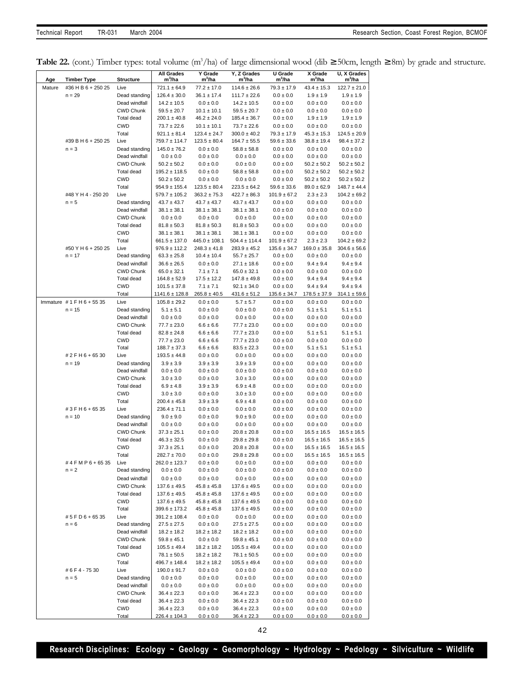**Table 22.** (cont.) Timber types: total volume (m<sup>3</sup>/ha) of large dimensional wood (dib ≥ 50cm, length ≥ 8m) by grade and structure.

| Age    | <b>Timber Type</b>                       | <b>Structure</b>                  | <b>All Grades</b><br>m <sup>3</sup> /ha | Y Grade<br>m <sup>3</sup> /ha         | Y, Z Grades<br>m <sup>3</sup> /ha     | U Grade<br>$m^3/ha$                  | X Grade<br>m <sup>3</sup> /ha     | U, X Grades<br>m <sup>3</sup> /ha    |
|--------|------------------------------------------|-----------------------------------|-----------------------------------------|---------------------------------------|---------------------------------------|--------------------------------------|-----------------------------------|--------------------------------------|
| Mature | #36 H B 6 + 250 25                       | Live                              | $721.1 \pm 64.9$                        | $77.2 \pm 17.0$                       | $114.6 \pm 26.6$                      | $79.3 \pm 17.9$                      | $43.4 \pm 15.3$                   | $122.7 \pm 21.0$                     |
|        | $n = 29$                                 | Dead standing                     | $126.4 \pm 30.0$                        | $36.1 \pm 17.4$                       | $111.7 \pm 22.6$                      | $0.0 \pm 0.0$                        | $1.9 \pm 1.9$                     | $1.9 \pm 1.9$                        |
|        |                                          | Dead windfall                     | $14.2 \pm 10.5$                         | $0.0 \pm 0.0$                         | $14.2 \pm 10.5$                       | $0.0 \pm 0.0$                        | $0.0 \pm 0.0$                     | $0.0 \pm 0.0$                        |
|        |                                          | <b>CWD Chunk</b>                  | $59.5 \pm 20.7$                         | $10.1 \pm 10.1$                       | $59.5 \pm 20.7$                       | $0.0 \pm 0.0$                        | $0.0 \pm 0.0$                     | $0.0 \pm 0.0$                        |
|        |                                          | Total dead                        | $200.1 \pm 40.8$                        | $46.2 \pm 24.0$                       | $185.4 \pm 36.7$                      | $0.0 \pm 0.0$                        | $1.9 \pm 1.9$                     | $1.9 \pm 1.9$                        |
|        |                                          | <b>CWD</b><br>Total               | $73.7 \pm 22.6$<br>$921.1 \pm 81.4$     | $10.1 \pm 10.1$<br>$123.4 \pm 24.7$   | $73.7 \pm 22.6$<br>$300.0 \pm 40.2$   | $0.0 \pm 0.0$<br>$79.3 \pm 17.9$     | $0.0 \pm 0.0$<br>$45.3 \pm 15.3$  | $0.0 \pm 0.0$<br>$124.5 \pm 20.9$    |
|        | #39 B H 6 + 250 25                       | Live                              | 759.7 ± 114.7                           | $123.5 \pm 80.4$                      | $164.7 \pm 55.5$                      | $59.6 \pm 33.6$                      | $38.8 \pm 19.4$                   | $98.4 \pm 37.2$                      |
|        | $n = 3$                                  | Dead standing                     | $145.0 \pm 76.2$                        | $0.0 \pm 0.0$                         | $58.8 \pm 58.8$                       | $0.0 \pm 0.0$                        | $0.0 \pm 0.0$                     | $0.0 \pm 0.0$                        |
|        |                                          | Dead windfall                     | $0.0 \pm 0.0$                           | $0.0 \pm 0.0$                         | $0.0 \pm 0.0$                         | $0.0\pm0.0$                          | $0.0 \pm 0.0$                     | $0.0 \pm 0.0$                        |
|        |                                          | <b>CWD Chunk</b>                  | $50.2 \pm 50.2$                         | $0.0 \pm 0.0$                         | $0.0 \pm 0.0$                         | $0.0 \pm 0.0$                        | $50.2 \pm 50.2$                   | $50.2 \pm 50.2$                      |
|        |                                          | Total dead                        | $195.2 \pm 118.5$                       | $0.0 \pm 0.0$                         | $58.8 \pm 58.8$                       | $0.0 \pm 0.0$                        | $50.2 \pm 50.2$                   | $50.2 \pm 50.2$                      |
|        |                                          | <b>CWD</b>                        | $50.2 \pm 50.2$                         | $0.0 \pm 0.0$                         | $0.0 \pm 0.0$<br>$223.5 \pm 64.2$     | $0.0 \pm 0.0$                        | $50.2 \pm 50.2$                   | $50.2 \pm 50.2$                      |
|        | #48 Y H 4 - 250 20                       | Total<br>Live                     | $954.9 \pm 155.4$<br>$579.7 \pm 105.2$  | $123.5 \pm 80.4$<br>$363.2 \pm 75.3$  | $422.7 \pm 86.3$                      | $59.6 \pm 33.6$<br>$101.9 \pm 67.2$  | $89.0 \pm 62.9$<br>$2.3 \pm 2.3$  | $148.7 \pm 44.4$<br>$104.2 \pm 69.2$ |
|        | $n = 5$                                  | Dead standing                     | $43.7 \pm 43.7$                         | $43.7 \pm 43.7$                       | $43.7 \pm 43.7$                       | $0.0 \pm 0.0$                        | $0.0 \pm 0.0$                     | $0.0 \pm 0.0$                        |
|        |                                          | Dead windfall                     | $38.1 \pm 38.1$                         | $38.1 \pm 38.1$                       | $38.1 \pm 38.1$                       | $0.0 \pm 0.0$                        | $0.0 \pm 0.0$                     | $0.0 \pm 0.0$                        |
|        |                                          | <b>CWD Chunk</b>                  | $0.0 \pm 0.0$                           | $0.0 \pm 0.0$                         | $0.0 \pm 0.0$                         | $0.0 \pm 0.0$                        | $0.0 \pm 0.0$                     | $0.0 \pm 0.0$                        |
|        |                                          | Total dead                        | $81.8 \pm 50.3$                         | $81.8 \pm 50.3$                       | $81.8 \pm 50.3$                       | $0.0 \pm 0.0$                        | $0.0 \pm 0.0$                     | $0.0 \pm 0.0$                        |
|        |                                          | <b>CWD</b>                        | $38.1 \pm 38.1$                         | $38.1 \pm 38.1$                       | $38.1 \pm 38.1$                       | $0.0 \pm 0.0$                        | $0.0 \pm 0.0$                     | $0.0 \pm 0.0$                        |
|        | #50 Y H 6 + 250 25                       | Total<br>Live                     | $661.5 \pm 137.0$<br>$976.9 \pm 112.2$  | $445.0 \pm 108.1$<br>$248.3 \pm 41.8$ | $504.4 \pm 114.4$<br>$283.9 \pm 45.2$ | $101.9 \pm 67.2$<br>$135.6 \pm 34.7$ | $2.3 \pm 2.3$<br>$169.0 \pm 35.8$ | $104.2 \pm 69.2$<br>$304.6 \pm 56.6$ |
|        | $n = 17$                                 | Dead standing                     | $63.3 \pm 25.8$                         | $10.4 \pm 10.4$                       | $55.7 \pm 25.7$                       | $0.0 \pm 0.0$                        | $0.0 \pm 0.0$                     | $0.0 \pm 0.0$                        |
|        |                                          | Dead windfall                     | $36.6 \pm 26.5$                         | $0.0 \pm 0.0$                         | $27.1 \pm 18.6$                       | $0.0 \pm 0.0$                        | $9.4 \pm 9.4$                     | $9.4 \pm 9.4$                        |
|        |                                          | <b>CWD Chunk</b>                  | $65.0 \pm 32.1$                         | $7.1 \pm 7.1$                         | $65.0 \pm 32.1$                       | $0.0 \pm 0.0$                        | $0.0 \pm 0.0$                     | $0.0 \pm 0.0$                        |
|        |                                          | Total dead                        | $164.8 \pm 52.9$                        | $17.5 \pm 12.2$                       | $147.8 \pm 49.8$                      | $0.0 \pm 0.0$                        | $9.4 \pm 9.4$                     | $9.4 \pm 9.4$                        |
|        |                                          | <b>CWD</b>                        | $101.5 \pm 37.8$                        | $7.1 \pm 7.1$                         | $92.1 \pm 34.0$                       | $0.0 \pm 0.0$                        | $9.4 \pm 9.4$                     | $9.4 \pm 9.4$                        |
|        |                                          | Total                             | 1141.6 ± 128.8                          | $265.8 \pm 40.5$                      | $431.6 \pm 51.2$                      | $135.6 \pm 34.7$                     | $178.5 \pm 37.9$                  | $314.1 \pm 59.6$                     |
|        | Immature $# 1$ F H 6 + 55 35<br>$n = 15$ | Live<br>Dead standing             | $105.8 \pm 29.2$<br>$5.1 \pm 5.1$       | $0.0 \pm 0.0$                         | $5.7 \pm 5.7$<br>$0.0 \pm 0.0$        | $0.0 \pm 0.0$<br>$0.0 \pm 0.0$       | $0.0 \pm 0.0$                     | $0.0 \pm 0.0$                        |
|        |                                          | Dead windfall                     | $0.0 \pm 0.0$                           | $0.0 \pm 0.0$<br>$0.0 \pm 0.0$        | $0.0 \pm 0.0$                         | $0.0 \pm 0.0$                        | $5.1 \pm 5.1$<br>$0.0 \pm 0.0$    | $5.1 \pm 5.1$<br>$0.0 \pm 0.0$       |
|        |                                          | <b>CWD Chunk</b>                  | $77.7 \pm 23.0$                         | $6.6 \pm 6.6$                         | $77.7 \pm 23.0$                       | $0.0 \pm 0.0$                        | $0.0 \pm 0.0$                     | $0.0 \pm 0.0$                        |
|        |                                          | Total dead                        | $82.8 \pm 24.8$                         | $6.6 \pm 6.6$                         | $77.7 \pm 23.0$                       | $0.0 \pm 0.0$                        | $5.1 \pm 5.1$                     | $5.1 \pm 5.1$                        |
|        |                                          | <b>CWD</b>                        | $77.7 \pm 23.0$                         | $6.6 \pm 6.6$                         | $77.7 \pm 23.0$                       | $0.0 \pm 0.0$                        | $0.0 \pm 0.0$                     | $0.0 \pm 0.0$                        |
|        |                                          | Total                             | $188.7 \pm 37.3$                        | $6.6 \pm 6.6$                         | $83.5 \pm 22.3$                       | $0.0 \pm 0.0$                        | $5.1 \pm 5.1$                     | $5.1 \pm 5.1$                        |
|        | # 2 F H 6 + 65 30                        | Live                              | $193.5 \pm 44.8$                        | $0.0 \pm 0.0$                         | $0.0 \pm 0.0$                         | $0.0 \pm 0.0$                        | $0.0 \pm 0.0$                     | $0.0 \pm 0.0$                        |
|        | $n = 19$                                 | Dead standing<br>Dead windfall    | $3.9 \pm 3.9$<br>$0.0 \pm 0.0$          | $3.9 \pm 3.9$<br>$0.0 \pm 0.0$        | $3.9 \pm 3.9$<br>$0.0 \pm 0.0$        | $0.0 \pm 0.0$<br>$0.0 \pm 0.0$       | $0.0 \pm 0.0$<br>$0.0 \pm 0.0$    | $0.0 \pm 0.0$<br>$0.0 \pm 0.0$       |
|        |                                          | <b>CWD Chunk</b>                  | $3.0 \pm 3.0$                           | $0.0 \pm 0.0$                         | $3.0 \pm 3.0$                         | $0.0 \pm 0.0$                        | $0.0 \pm 0.0$                     | $0.0 \pm 0.0$                        |
|        |                                          | Total dead                        | $6.9 \pm 4.8$                           | $3.9 \pm 3.9$                         | $6.9 \pm 4.8$                         | $0.0 \pm 0.0$                        | $0.0 \pm 0.0$                     | $0.0 \pm 0.0$                        |
|        |                                          | <b>CWD</b>                        | $3.0 \pm 3.0$                           | $0.0 \pm 0.0$                         | $3.0 \pm 3.0$                         | $0.0 \pm 0.0$                        | $0.0 \pm 0.0$                     | $0.0 \pm 0.0$                        |
|        |                                          | Total                             | $200.4 \pm 45.8$                        | $3.9 \pm 3.9$                         | $6.9 \pm 4.8$                         | $0.0 \pm 0.0$                        | $0.0 \pm 0.0$                     | $0.0 \pm 0.0$                        |
|        | #3FH6+6535                               | Live                              | $236.4 \pm 71.1$                        | $0.0 \pm 0.0$                         | $0.0 \pm 0.0$                         | $0.0 \pm 0.0$                        | $0.0 \pm 0.0$                     | $0.0 \pm 0.0$                        |
|        | $n = 10$                                 | Dead standing<br>Dead windfall    | $9.0 \pm 9.0$<br>$0.0 \pm 0.0$          | $0.0 \pm 0.0$<br>$0.0 \pm 0.0$        | $9.0 \pm 9.0$<br>$0.0 \pm 0.0$        | $0.0 \pm 0.0$<br>$0.0 \pm 0.0$       | $0.0 \pm 0.0$<br>$0.0 \pm 0.0$    | $0.0 \pm 0.0$<br>$0.0 \pm 0.0$       |
|        |                                          | <b>CWD Chunk</b>                  | $37.3 \pm 25.1$                         | $0.0 \pm 0.0$                         | $20.8 \pm 20.8$                       | $0.0 \pm 0.0$                        | $16.5 \pm 16.5$                   | $16.5 \pm 16.5$                      |
|        |                                          | Total dead                        | $46.3 \pm 32.5$                         | $0.0 \pm 0.0$                         | $29.8 \pm 29.8$                       | $0.0 \pm 0.0$                        | $16.5 \pm 16.5$                   | $16.5 \pm 16.5$                      |
|        |                                          | <b>CWD</b>                        | $37.3 \pm 25.1$                         | $0.0 \pm 0.0$                         | $20.8 \pm 20.8$                       | $0.0 \pm 0.0$                        | $16.5 \pm 16.5$                   | $16.5 \pm 16.5$                      |
|        |                                          | Total                             | $282.7 \pm 70.0$                        | $0.0 \pm 0.0$                         | $29.8 \pm 29.8$                       | $0.0 \pm 0.0$                        | $16.5 \pm 16.5$                   | $16.5 \pm 16.5$                      |
|        | #4FMP6+6535                              | Live                              | $262.0 \pm 123.7$                       | $0.0 \pm 0.0$                         | $0.0 \pm 0.0$                         | $0.0 \pm 0.0$                        | $0.0 \pm 0.0$                     | $0.0 \pm 0.0$                        |
|        | $n = 2$                                  | Dead standing                     | $0.0 \pm 0.0$                           | $0.0 \pm 0.0$                         | $0.0 \pm 0.0$                         | $0.0 \pm 0.0$                        | $0.0 \pm 0.0$                     | $0.0 \pm 0.0$                        |
|        |                                          | Dead windfall<br><b>CWD Chunk</b> | $0.0 \pm 0.0$<br>$137.6 \pm 49.5$       | $0.0 \pm 0.0$<br>$45.8 \pm 45.8$      | $0.0 \pm 0.0$<br>$137.6 \pm 49.5$     | $0.0 \pm 0.0$<br>$0.0 \pm 0.0$       | $0.0 \pm 0.0$<br>$0.0 \pm 0.0$    | $0.0 \pm 0.0$<br>$0.0 \pm 0.0$       |
|        |                                          | Total dead                        | $137.6 \pm 49.5$                        | $45.8 \pm 45.8$                       | $137.6 \pm 49.5$                      | $0.0 \pm 0.0$                        | $0.0 \pm 0.0$                     | $0.0 \pm 0.0$                        |
|        |                                          | <b>CWD</b>                        | $137.6 \pm 49.5$                        | $45.8 \pm 45.8$                       | $137.6 \pm 49.5$                      | $0.0 \pm 0.0$                        | $0.0 \pm 0.0$                     | $0.0 \pm 0.0$                        |
|        |                                          | Total                             | $399.6 \pm 173.2$                       | $45.8 \pm 45.8$                       | $137.6 \pm 49.5$                      | $0.0 \pm 0.0$                        | $0.0 \pm 0.0$                     | $0.0 \pm 0.0$                        |
|        | #5FD6+6535                               | Live                              | $391.2 \pm 108.4$                       | $0.0 \pm 0.0$                         | $0.0 \pm 0.0$                         | $0.0 \pm 0.0$                        | $0.0 \pm 0.0$                     | $0.0\pm0.0$                          |
|        | $n = 6$                                  | Dead standing                     | $27.5 \pm 27.5$                         | $0.0 \pm 0.0$                         | $27.5 \pm 27.5$                       | $0.0 \pm 0.0$                        | $0.0 \pm 0.0$                     | $0.0 \pm 0.0$                        |
|        |                                          | Dead windfall<br>CWD Chunk        | $18.2 \pm 18.2$                         | $18.2 \pm 18.2$                       | $18.2 \pm 18.2$                       | $0.0 \pm 0.0$                        | $0.0 \pm 0.0$<br>$0.0 \pm 0.0$    | $0.0 \pm 0.0$                        |
|        |                                          | Total dead                        | $59.8 \pm 45.1$<br>$105.5 \pm 49.4$     | $0.0 \pm 0.0$<br>$18.2 \pm 18.2$      | $59.8 \pm 45.1$<br>$105.5 \pm 49.4$   | $0.0 \pm 0.0$<br>$0.0 \pm 0.0$       | $0.0 \pm 0.0$                     | $0.0 \pm 0.0$<br>$0.0 \pm 0.0$       |
|        |                                          | CWD                               | $78.1 \pm 50.5$                         | $18.2 \pm 18.2$                       | $78.1 \pm 50.5$                       | $0.0 \pm 0.0$                        | $0.0 \pm 0.0$                     | $0.0 \pm 0.0$                        |
|        |                                          | Total                             | $496.7 \pm 148.4$                       | $18.2 \pm 18.2$                       | $105.5 \pm 49.4$                      | $0.0 \pm 0.0$                        | $0.0 \pm 0.0$                     | $0.0 \pm 0.0$                        |
|        | #6F4-7530                                | Live                              | $190.0 \pm 91.7$                        | $0.0 \pm 0.0$                         | $0.0 \pm 0.0$                         | $0.0 \pm 0.0$                        | $0.0 \pm 0.0$                     | $0.0 \pm 0.0$                        |
|        | $n = 5$                                  | Dead standing                     | $0.0 \pm 0.0$                           | $0.0 \pm 0.0$                         | $0.0 \pm 0.0$                         | $0.0 \pm 0.0$                        | $0.0 \pm 0.0$                     | $0.0 \pm 0.0$                        |
|        |                                          | Dead windfall                     | $0.0 \pm 0.0$                           | $0.0 \pm 0.0$                         | $0.0 \pm 0.0$                         | $0.0 \pm 0.0$                        | $0.0 \pm 0.0$                     | $0.0 \pm 0.0$                        |
|        |                                          | CWD Chunk                         | $36.4 \pm 22.3$                         | $0.0 \pm 0.0$                         | $36.4 \pm 22.3$                       | $0.0 \pm 0.0$                        | $0.0 \pm 0.0$                     | $0.0 \pm 0.0$                        |
|        |                                          | Total dead<br><b>CWD</b>          | $36.4 \pm 22.3$<br>$36.4 \pm 22.3$      | $0.0 \pm 0.0$<br>$0.0 \pm 0.0$        | $36.4 \pm 22.3$<br>$36.4 \pm 22.3$    | $0.0 \pm 0.0$<br>$0.0 \pm 0.0$       | $0.0 \pm 0.0$<br>$0.0 \pm 0.0$    | $0.0 \pm 0.0$<br>$0.0 \pm 0.0$       |
|        |                                          | Total                             | $226.4 \pm 104.3$                       | $0.0 \pm 0.0$                         | $36.4 \pm 22.3$                       | $0.0 \pm 0.0$                        | $0.0 \pm 0.0$                     | $0.0 \pm 0.0$                        |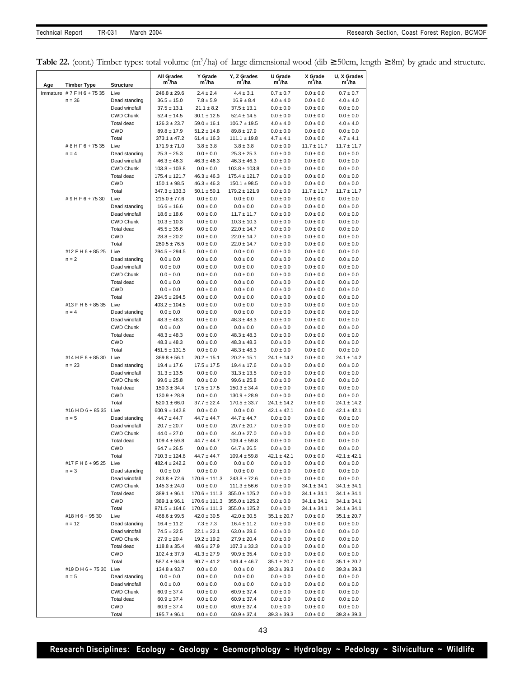|  |  | Table 22. (cont.) Timber types: total volume (m <sup>3</sup> /ha) of large dimensional wood (dib $\geq$ 50cm, length $\geq$ 8m) by grade and structure. |  |  |  |  |  |  |  |  |  |  |
|--|--|---------------------------------------------------------------------------------------------------------------------------------------------------------|--|--|--|--|--|--|--|--|--|--|
|--|--|---------------------------------------------------------------------------------------------------------------------------------------------------------|--|--|--|--|--|--|--|--|--|--|

| Age | <b>Timber Type</b>  | <b>Structure</b>               | <b>All Grades</b><br>m'/ha            | Y Grade<br>m'/ha                   | Y, Z Grades<br>m <sup>3</sup> /ha   | U Grade<br>m <sup>3</sup> /ha      | X Grade<br>m <sup>3</sup> /ha  | U, X Grades<br>$m^3/ha$          |
|-----|---------------------|--------------------------------|---------------------------------------|------------------------------------|-------------------------------------|------------------------------------|--------------------------------|----------------------------------|
|     | Immature #7FH6+7535 | Live                           | $246.8 \pm 29.6$                      | $2.4 \pm 2.4$                      | $4.4 \pm 3.1$                       | $0.7 \pm 0.7$                      | $0.0 \pm 0.0$                  | $0.7 \pm 0.7$                    |
|     | $n = 36$            | Dead standing                  | $36.5 \pm 15.0$                       | $7.8 \pm 5.9$                      | $16.9 \pm 8.4$                      | $4.0 \pm 4.0$                      | $0.0 \pm 0.0$                  | $4.0 \pm 4.0$                    |
|     |                     | Dead windfall                  | $37.5 \pm 13.1$                       | $21.1 \pm 8.2$                     | $37.5 \pm 13.1$                     | $0.0 \pm 0.0$                      | $0.0 \pm 0.0$                  | $0.0 \pm 0.0$                    |
|     |                     | <b>CWD Chunk</b>               | $52.4 \pm 14.5$                       | $30.1 \pm 12.5$                    | $52.4 \pm 14.5$                     | $0.0 \pm 0.0$                      | $0.0 \pm 0.0$                  | $0.0 \pm 0.0$                    |
|     |                     | Total dead                     | $126.3 \pm 23.7$                      | $59.0 \pm 16.1$                    | $106.7 \pm 19.5$                    | $4.0 \pm 4.0$                      | $0.0 \pm 0.0$                  | $4.0 \pm 4.0$                    |
|     |                     | <b>CWD</b>                     | $89.8 \pm 17.9$                       | $51.2 \pm 14.8$                    | $89.8 \pm 17.9$                     | $0.0 \pm 0.0$                      | $0.0 \pm 0.0$                  | $0.0 \pm 0.0$                    |
|     |                     | Total                          | $373.1 \pm 47.2$                      | $61.4 \pm 16.3$                    | $111.1 \pm 19.8$                    | $4.7 \pm 4.1$                      | $0.0 \pm 0.0$                  | $4.7 \pm 4.1$                    |
|     | #8HF6+7535          | Live                           | $171.9 \pm 71.0$                      | $3.8 \pm 3.8$                      | $3.8 \pm 3.8$                       | $0.0 \pm 0.0$                      | $11.7 \pm 11.7$                | $11.7 \pm 11.7$                  |
|     | $n = 4$             | Dead standing                  | $25.3 \pm 25.3$                       | $0.0 \pm 0.0$                      | $25.3 \pm 25.3$                     | $0.0 \pm 0.0$                      | $0.0 \pm 0.0$                  | $0.0 \pm 0.0$                    |
|     |                     | Dead windfall                  | $46.3 \pm 46.3$                       | $46.3 \pm 46.3$                    | $46.3 \pm 46.3$                     | $0.0 \pm 0.0$                      | $0.0 \pm 0.0$                  | $0.0 \pm 0.0$                    |
|     |                     | <b>CWD Chunk</b>               | $103.8 \pm 103.8$                     | $0.0 \pm 0.0$                      | $103.8 \pm 103.8$                   | $0.0 \pm 0.0$                      | $0.0 \pm 0.0$                  | $0.0 \pm 0.0$                    |
|     |                     | <b>Total dead</b>              | $175.4 \pm 121.7$                     | $46.3 \pm 46.3$                    | $175.4 \pm 121.7$                   | $0.0 \pm 0.0$                      | $0.0 \pm 0.0$                  | $0.0 \pm 0.0$                    |
|     |                     | <b>CWD</b>                     | $150.1 \pm 98.5$                      | $46.3 \pm 46.3$                    | $150.1 \pm 98.5$                    | $0.0 \pm 0.0$                      | $0.0 \pm 0.0$                  | $0.0 \pm 0.0$                    |
|     |                     | Total                          | $347.3 \pm 133.3$                     | $50.1 \pm 50.1$                    | $179.2 \pm 121.9$                   | $0.0 \pm 0.0$                      | $11.7 \pm 11.7$                | $11.7 \pm 11.7$                  |
|     | #9HF6+7530          | Live                           | $215.0 \pm 77.6$                      | $0.0 \pm 0.0$                      | $0.0 \pm 0.0$                       | $0.0 \pm 0.0$                      | $0.0 \pm 0.0$                  | $0.0 \pm 0.0$                    |
|     |                     | Dead standing                  | $16.6 \pm 16.6$                       | $0.0 \pm 0.0$                      | $0.0 \pm 0.0$                       | $0.0 \pm 0.0$                      | $0.0 \pm 0.0$                  | $0.0 \pm 0.0$                    |
|     |                     | Dead windfall                  | $18.6 \pm 18.6$                       | $0.0 \pm 0.0$                      | $11.7 \pm 11.7$                     | $0.0 \pm 0.0$                      | $0.0 \pm 0.0$                  | $0.0 \pm 0.0$                    |
|     |                     | <b>CWD Chunk</b>               | $10.3 \pm 10.3$                       | $0.0 \pm 0.0$                      | $10.3 \pm 10.3$                     | $0.0 \pm 0.0$                      | $0.0 \pm 0.0$                  | $0.0 \pm 0.0$                    |
|     |                     | <b>Total dead</b><br>CWD       | $45.5 \pm 35.6$                       | $0.0 \pm 0.0$                      | $22.0 \pm 14.7$                     | $0.0 \pm 0.0$                      | $0.0 \pm 0.0$                  | $0.0 \pm 0.0$                    |
|     |                     | Total                          | $28.8 \pm 20.2$                       | $0.0 \pm 0.0$                      | $22.0 \pm 14.7$<br>$22.0 \pm 14.7$  | $0.0 \pm 0.0$                      | $0.0 \pm 0.0$                  | $0.0 \pm 0.0$                    |
|     | #12 F H 6 + 85 25   | Live                           | $260.5 \pm 76.5$<br>$294.5 \pm 294.5$ | $0.0 \pm 0.0$                      | $0.0 \pm 0.0$                       | $0.0 \pm 0.0$<br>$0.0 \pm 0.0$     | $0.0 \pm 0.0$<br>$0.0 \pm 0.0$ | $0.0 \pm 0.0$                    |
|     | $n = 2$             | Dead standing                  | $0.0 \pm 0.0$                         | $0.0 \pm 0.0$<br>$0.0 \pm 0.0$     | $0.0 \pm 0.0$                       | $0.0 \pm 0.0$                      | $0.0 \pm 0.0$                  | $0.0 \pm 0.0$<br>$0.0 \pm 0.0$   |
|     |                     | Dead windfall                  | $0.0 \pm 0.0$                         | $0.0 \pm 0.0$                      | $0.0 \pm 0.0$                       | $0.0 \pm 0.0$                      | $0.0 \pm 0.0$                  | $0.0 \pm 0.0$                    |
|     |                     | <b>CWD Chunk</b>               | $0.0 \pm 0.0$                         | $0.0 \pm 0.0$                      | $0.0 \pm 0.0$                       | $0.0 \pm 0.0$                      | $0.0 \pm 0.0$                  | $0.0 \pm 0.0$                    |
|     |                     | Total dead                     | $0.0 \pm 0.0$                         | $0.0 \pm 0.0$                      | $0.0 \pm 0.0$                       | $0.0 \pm 0.0$                      | $0.0 \pm 0.0$                  | $0.0 \pm 0.0$                    |
|     |                     | <b>CWD</b>                     | $0.0 \pm 0.0$                         | $0.0 \pm 0.0$                      | $0.0 \pm 0.0$                       | $0.0 \pm 0.0$                      | $0.0 \pm 0.0$                  | $0.0 \pm 0.0$                    |
|     |                     | Total                          | 294.5 ± 294.5                         | $0.0 \pm 0.0$                      | $0.0 \pm 0.0$                       | $0.0 \pm 0.0$                      | $0.0 \pm 0.0$                  | $0.0 \pm 0.0$                    |
|     | #13 F H 6 + 85 35   | Live                           | $403.2 \pm 104.5$                     | $0.0 \pm 0.0$                      | $0.0 \pm 0.0$                       | $0.0 \pm 0.0$                      | $0.0 \pm 0.0$                  | $0.0 \pm 0.0$                    |
|     | $n = 4$             | Dead standing                  | $0.0 \pm 0.0$                         | $0.0 \pm 0.0$                      | $0.0 \pm 0.0$                       | $0.0 \pm 0.0$                      | $0.0 \pm 0.0$                  | $0.0 \pm 0.0$                    |
|     |                     | Dead windfall                  | $48.3 \pm 48.3$                       | $0.0 \pm 0.0$                      | $48.3 \pm 48.3$                     | $0.0 \pm 0.0$                      | $0.0 \pm 0.0$                  | $0.0 \pm 0.0$                    |
|     |                     | <b>CWD Chunk</b>               | $0.0 \pm 0.0$                         | $0.0 \pm 0.0$                      | $0.0 \pm 0.0$                       | $0.0 \pm 0.0$                      | $0.0 \pm 0.0$                  | $0.0 \pm 0.0$                    |
|     |                     | Total dead                     | $48.3 \pm 48.3$                       | $0.0 \pm 0.0$                      | $48.3 \pm 48.3$                     | $0.0 \pm 0.0$                      | $0.0 \pm 0.0$                  | $0.0 \pm 0.0$                    |
|     |                     | <b>CWD</b>                     | $48.3 \pm 48.3$                       | $0.0 \pm 0.0$                      | $48.3 \pm 48.3$                     | $0.0 \pm 0.0$                      | $0.0 \pm 0.0$                  | $0.0 \pm 0.0$                    |
|     |                     | Total                          | 451.5 ± 131.5                         | $0.0 \pm 0.0$                      | $48.3 \pm 48.3$                     | $0.0 \pm 0.0$                      | $0.0 \pm 0.0$                  | $0.0 \pm 0.0$                    |
|     | #14 H F 6 + 85 30   | Live                           | $369.8 \pm 56.1$                      | $20.2 \pm 15.1$                    | $20.2 \pm 15.1$                     | $24.1 \pm 14.2$                    | $0.0 \pm 0.0$                  | $24.1 \pm 14.2$                  |
|     | $n = 23$            | Dead standing                  | $19.4 \pm 17.6$                       | $17.5 \pm 17.5$                    | $19.4 \pm 17.6$                     | $0.0 \pm 0.0$                      | $0.0 \pm 0.0$                  | $0.0 \pm 0.0$                    |
|     |                     | Dead windfall                  | $31.3 \pm 13.5$                       | $0.0 \pm 0.0$                      | $31.3 \pm 13.5$                     | $0.0 \pm 0.0$                      | $0.0 \pm 0.0$                  | $0.0 \pm 0.0$                    |
|     |                     | <b>CWD Chunk</b>               | $99.6 \pm 25.8$                       | $0.0 \pm 0.0$                      | $99.6 \pm 25.8$                     | $0.0 \pm 0.0$                      | $0.0 \pm 0.0$                  | $0.0 \pm 0.0$                    |
|     |                     | <b>Total dead</b>              | $150.3 \pm 34.4$                      | $17.5 \pm 17.5$                    | $150.3 \pm 34.4$                    | $0.0 \pm 0.0$                      | $0.0 \pm 0.0$                  | $0.0 \pm 0.0$                    |
|     |                     | <b>CWD</b>                     | $130.9 \pm 28.9$                      | $0.0 \pm 0.0$                      | $130.9 \pm 28.9$                    | $0.0 \pm 0.0$                      | $0.0 \pm 0.0$                  | $0.0 \pm 0.0$                    |
|     |                     | Total                          | $520.1 \pm 66.0$                      | $37.7 \pm 22.4$                    | $170.5 \pm 33.7$                    | $24.1 \pm 14.2$                    | $0.0 \pm 0.0$                  | $24.1 \pm 14.2$                  |
|     | #16 H D 6 + 85 35   | Live                           | $600.9 \pm 142.8$                     | $0.0 \pm 0.0$                      | $0.0 \pm 0.0$                       | $42.1 \pm 42.1$                    | $0.0 \pm 0.0$                  | $42.1 \pm 42.1$                  |
|     | $n = 5$             | Dead standing<br>Dead windfall | $44.7 \pm 44.7$                       | $44.7 \pm 44.7$                    | $44.7 \pm 44.7$                     | $0.0 \pm 0.0$<br>$0.0 \pm 0.0$     | $0.0 \pm 0.0$                  | $0.0 \pm 0.0$<br>$0.0 \pm 0.0$   |
|     |                     | <b>CWD Chunk</b>               | $20.7 \pm 20.7$<br>$44.0 \pm 27.0$    | $0.0 \pm 0.0$<br>$0.0 \pm 0.0$     | $20.7 \pm 20.7$<br>$44.0 \pm 27.0$  | $0.0 \pm 0.0$                      | $0.0 \pm 0.0$<br>$0.0 \pm 0.0$ | $0.0 \pm 0.0$                    |
|     |                     | Total dead                     | $109.4 \pm 59.8$                      | $44.7 \pm 44.7$                    | $109.4 \pm 59.8$                    | $0.0 \pm 0.0$                      | $0.0 \pm 0.0$                  | $0.0 \pm 0.0$                    |
|     |                     | CWD                            | $64.7 \pm 26.5$                       | $0.0 \pm 0.0$                      | $64.7 \pm 26.5$                     | $0.0 \pm 0.0$                      | $0.0 \pm 0.0$                  | $0.0 \pm 0.0$                    |
|     |                     | Total                          | 710.3 ± 124.8                         | $44.7 \pm 44.7$                    | $109.4 \pm 59.8$                    | $42.1 \pm 42.1$                    | $0.0 \pm 0.0$                  | $42.1 \pm 42.1$                  |
|     | #17 F H 6 + 95 25   | Live                           | $482.4 \pm 242.2$                     | $0.0 \pm 0.0$                      | $0.0 \pm 0.0$                       | $0.0 \pm 0.0$                      | $0.0 \pm 0.0$                  | $0.0\pm0.0$                      |
|     | $n = 3$             | Dead standing                  | $0.0 \pm 0.0$                         | $0.0 \pm 0.0$                      | $0.0 \pm 0.0$                       | $0.0\pm0.0$                        | $0.0 \pm 0.0$                  | $0.0 \pm 0.0$                    |
|     |                     | Dead windfall                  | $243.8 \pm 72.6$                      | $170.6 \pm 111.3$                  | $243.8 \pm 72.6$                    | $0.0 \pm 0.0$                      | $0.0 \pm 0.0$                  | $0.0 \pm 0.0$                    |
|     |                     | <b>CWD Chunk</b>               | $145.3 \pm 24.0$                      | $0.0 \pm 0.0$                      | $111.3 \pm 56.6$                    | $0.0 \pm 0.0$                      | $34.1 \pm 34.1$                | $34.1 \pm 34.1$                  |
|     |                     | Total dead                     | $389.1 \pm 96.1$                      | $170.6 \pm 111.3$                  | $355.0 \pm 125.2$                   | $0.0\pm0.0$                        | $34.1 \pm 34.1$                | $34.1 \pm 34.1$                  |
|     |                     | <b>CWD</b>                     | $389.1 \pm 96.1$                      | $170.6 \pm 111.3$                  | $355.0 \pm 125.2$                   | $0.0\pm0.0$                        | $34.1 \pm 34.1$                | $34.1 \pm 34.1$                  |
|     |                     | Total                          | $871.5 \pm 164.6$                     | $170.6 \pm 111.3$                  | $355.0 \pm 125.2$                   | $0.0 \pm 0.0$                      | $34.1 \pm 34.1$                | $34.1 \pm 34.1$                  |
|     | #18 H 6 + 95 30     | Live                           | $468.6 \pm 99.5$                      | $42.0 \pm 30.5$                    | $42.0 \pm 30.5$                     | $35.1 \pm 20.7$                    | $0.0\pm0.0$                    | $35.1 \pm 20.7$                  |
|     | $n = 12$            | Dead standing                  | $16.4 \pm 11.2$                       | $7.3 \pm 7.3$                      | $16.4 \pm 11.2$                     | $0.0 \pm 0.0$                      | $0.0 \pm 0.0$                  | $0.0 \pm 0.0$                    |
|     |                     | Dead windfall                  | $74.5 \pm 32.5$                       | $22.1 \pm 22.1$                    | $63.0 \pm 28.6$                     | $0.0 \pm 0.0$                      | $0.0 \pm 0.0$                  | $0.0\pm0.0$                      |
|     |                     | <b>CWD Chunk</b>               | $27.9 \pm 20.4$                       | $19.2 \pm 19.2$                    | $27.9 \pm 20.4$                     | $0.0 \pm 0.0$                      | $0.0 \pm 0.0$                  | $0.0 \pm 0.0$                    |
|     |                     | Total dead                     | $118.8 \pm 35.4$                      | $48.6 \pm 27.9$                    | $107.3 \pm 33.3$                    | $0.0 \pm 0.0$                      | $0.0 \pm 0.0$                  | $0.0 \pm 0.0$                    |
|     |                     | CWD<br>Total                   | $102.4 \pm 37.9$<br>$587.4 \pm 94.9$  | $41.3 \pm 27.9$<br>$90.7 \pm 41.2$ | $90.9 \pm 35.4$<br>$149.4 \pm 46.7$ | $0.0 \pm 0.0$                      | $0.0 \pm 0.0$<br>$0.0 \pm 0.0$ | $0.0 \pm 0.0$<br>$35.1 \pm 20.7$ |
|     | #19 D H 6 + 75 30   | Live                           | $134.8 \pm 93.7$                      | $0.0 \pm 0.0$                      | $0.0 \pm 0.0$                       | $35.1 \pm 20.7$<br>$39.3 \pm 39.3$ | $0.0 \pm 0.0$                  | $39.3 \pm 39.3$                  |
|     | $n = 5$             | Dead standing                  | $0.0 \pm 0.0$                         | $0.0 \pm 0.0$                      | $0.0 \pm 0.0$                       | $0.0 \pm 0.0$                      | $0.0 \pm 0.0$                  | $0.0\pm0.0$                      |
|     |                     | Dead windfall                  | $0.0 \pm 0.0$                         | $0.0 \pm 0.0$                      | $0.0 \pm 0.0$                       | $0.0 \pm 0.0$                      | $0.0 \pm 0.0$                  | $0.0 \pm 0.0$                    |
|     |                     | <b>CWD Chunk</b>               | $60.9 \pm 37.4$                       | $0.0 \pm 0.0$                      | $60.9 \pm 37.4$                     | $0.0 \pm 0.0$                      | $0.0 \pm 0.0$                  | $0.0 \pm 0.0$                    |
|     |                     | Total dead                     | $60.9 \pm 37.4$                       | $0.0 \pm 0.0$                      | $60.9 \pm 37.4$                     | $0.0 \pm 0.0$                      | $0.0 \pm 0.0$                  | $0.0 \pm 0.0$                    |
|     |                     | CWD                            | $60.9 \pm 37.4$                       | $0.0 \pm 0.0$                      | $60.9 \pm 37.4$                     | $0.0 \pm 0.0$                      | $0.0 \pm 0.0$                  | $0.0 \pm 0.0$                    |
|     |                     | Total                          | $195.7 \pm 96.1$                      | $0.0 \pm 0.0$                      | $60.9 \pm 37.4$                     | $39.3 \pm 39.3$                    | $0.0 \pm 0.0$                  | $39.3 \pm 39.3$                  |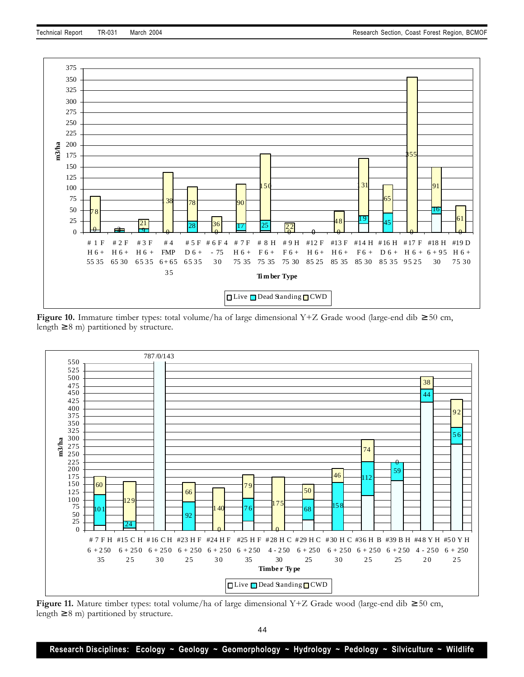

**Figure 10.** Immature timber types: total volume/ha of large dimensional Y+Z Grade wood (large-end dib ≥ 50 cm, length  $\geq$  8 m) partitioned by structure.



**Figure 11.** Mature timber types: total volume/ha of large dimensional Y+Z Grade wood (large-end dib ≥ 50 cm, length  $\geq 8$  m) partitioned by structure.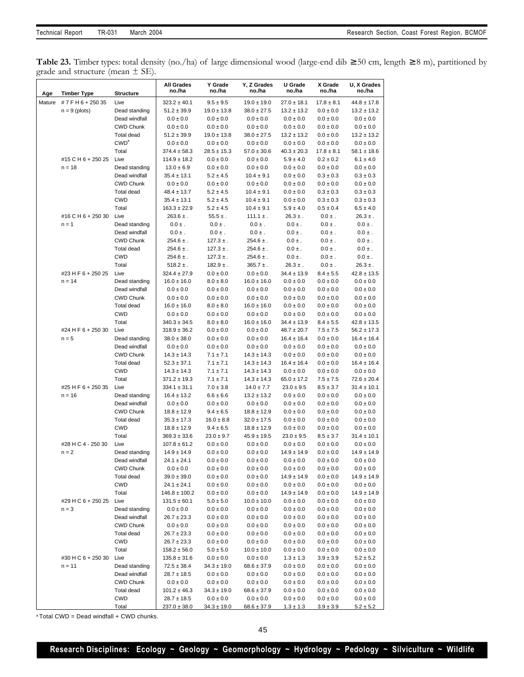**Table 23.** Timber types: total density (no./ha) of large dimensional wood (large-end dib ≥ 50 cm, length ≥ 8 m), partitioned by grade and structure (mean ± SE).

| Age    | <b>Timber Type</b> | Structure                      | <b>All Grades</b><br>no./ha         | Y Grade<br>no./ha              | Y, Z Grades<br>no./ha            | U Grade<br>no./ha               | X Grade<br>no./ha              | U, X Grades<br>no./ha              |
|--------|--------------------|--------------------------------|-------------------------------------|--------------------------------|----------------------------------|---------------------------------|--------------------------------|------------------------------------|
| Mature | #7FH6+25035        | Live                           | $323.2 \pm 40.1$                    | $9.5 \pm 9.5$                  | $19.0 \pm 19.0$                  | $27.0 \pm 18.1$                 | $17.8 \pm 8.1$                 | $44.8 \pm 17.8$                    |
|        | $n = 9$ (plots)    | Dead standing                  | $51.2 \pm 39.9$                     | $19.0 \pm 13.8$                | $38.0 \pm 27.5$                  | $13.2 \pm 13.2$                 | $0.0 \pm 0.0$                  | $13.2 \pm 13.2$                    |
|        |                    | Dead windfall                  | $0.0 \pm 0.0$                       | $0.0 \pm 0.0$                  | $0.0 \pm 0.0$                    | $0.0\pm0.0$                     | $0.0 \pm 0.0$                  | $0.0 \pm 0.0$                      |
|        |                    | <b>CWD Chunk</b>               | $0.0 \pm 0.0$                       | $0.0 \pm 0.0$                  | $0.0 \pm 0.0$                    | $0.0 \pm 0.0$                   | $0.0 \pm 0.0$                  | $0.0 \pm 0.0$                      |
|        |                    | Total dead                     | $51.2 \pm 39.9$                     | $19.0 \pm 13.8$                | $38.0 \pm 27.5$                  | $13.2 \pm 13.2$                 | $0.0 \pm 0.0$                  | $13.2 \pm 13.2$                    |
|        |                    | CWD <sup>a</sup>               | $0.0 \pm 0.0$                       | $0.0 \pm 0.0$                  | $0.0 \pm 0.0$                    | $0.0 \pm 0.0$                   | $0.0 \pm 0.0$                  | $0.0 \pm 0.0$                      |
|        |                    | Total                          | $374.4 \pm 58.3$                    | $28.5 \pm 15.3$                | $57.0 \pm 30.6$                  | $40.3 \pm 20.3$                 | $17.8 \pm 8.1$                 | $58.1 \pm 18.6$                    |
|        | #15 C H 6 + 250 25 | Live                           | $114.9 \pm 18.2$                    | $0.0 \pm 0.0$                  | $0.0 \pm 0.0$                    | $5.9 \pm 4.0$                   | $0.2 \pm 0.2$                  | $6.1 \pm 4.0$                      |
|        | $n = 18$           | Dead standing                  | $13.0 \pm 6.9$                      | $0.0 \pm 0.0$                  | $0.0 \pm 0.0$                    | $0.0 \pm 0.0$                   | $0.0 \pm 0.0$                  | $0.0 \pm 0.0$                      |
|        |                    | Dead windfall                  | $35.4 \pm 13.1$                     | $5.2 \pm 4.5$                  | $10.4 \pm 9.1$                   | $0.0 \pm 0.0$                   | $0.3 \pm 0.3$                  | $0.3 \pm 0.3$                      |
|        |                    | <b>CWD Chunk</b>               | $0.0 \pm 0.0$                       | $0.0 \pm 0.0$                  | $0.0\pm0.0$                      | $0.0 \pm 0.0$                   | $0.0 \pm 0.0$                  | $0.0 \pm 0.0$                      |
|        |                    | Total dead                     | $48.4 \pm 13.7$                     | $5.2 \pm 4.5$                  | $10.4 \pm 9.1$                   | $0.0 \pm 0.0$                   | $0.3 \pm 0.3$                  | $0.3 \pm 0.3$                      |
|        |                    | <b>CWD</b>                     | $35.4 \pm 13.1$                     | $5.2 \pm 4.5$                  | $10.4 \pm 9.1$                   | $0.0 \pm 0.0$                   | $0.3 \pm 0.3$                  | $0.3 \pm 0.3$                      |
|        |                    | Total                          | $163.3 \pm 22.9$                    | $5.2 \pm 4.5$                  | $10.4 \pm 9.1$                   | $5.9 \pm 4.0$                   | $0.5 \pm 0.4$                  | $6.5 \pm 4.0$                      |
|        | #16 C H 6 + 250 30 | Live                           | $263.6 \pm .$                       | $55.5 \pm .$                   | $111.1 \pm .$                    | $26.3 \pm .$                    | $0.0 \pm .$                    | $26.3 \pm .$                       |
|        | $n = 1$            | Dead standing                  | $0.0 \pm .$                         | $0.0 \pm .$                    | $0.0 \pm .$                      | $0.0 \pm .$                     | $0.0 \pm .$                    | $0.0 \pm .$                        |
|        |                    | Dead windfall                  | $0.0 \pm .$                         | $0.0 \pm .$                    | $0.0 \pm .$                      | $0.0 \pm .$                     | $0.0 \pm .$                    | $0.0 \pm .$                        |
|        |                    | <b>CWD Chunk</b>               | $254.6 \pm .$                       | $127.3 \pm .$                  | $254.6 \pm .$                    | $0.0 \pm .$                     | $0.0 \pm .$                    | $0.0 \pm .$                        |
|        |                    | Total dead                     | $254.6 \pm .$                       | $127.3 \pm .$                  | $254.6 \pm .$                    | $0.0 \pm .$                     | $0.0 \pm .$                    | $0.0 \pm .$                        |
|        |                    | <b>CWD</b>                     | $254.6 \pm .$                       | $127.3 \pm .$                  | $254.6 \pm .$                    | $0.0 \pm .$                     | $0.0 \pm .$                    | $0.0 \pm .$                        |
|        |                    | Total                          | $518.2 \pm .$                       | $182.9 \pm .$                  | $365.7 \pm .$                    | $26.3 \pm .$                    | $0.0 \pm .$                    | $26.3 \pm .$                       |
|        | #23 H F 6 + 250 25 | Live                           | $324.4 \pm 27.9$                    | $0.0 \pm 0.0$                  | $0.0 \pm 0.0$                    | $34.4 \pm 13.9$                 | $8.4 \pm 5.5$                  | $42.8 \pm 13.5$                    |
|        | $n = 14$           | Dead standing                  | $16.0 \pm 16.0$                     | $8.0 \pm 8.0$                  | $16.0 \pm 16.0$                  | $0.0 \pm 0.0$                   | $0.0 \pm 0.0$                  | $0.0 \pm 0.0$                      |
|        |                    | Dead windfall                  | $0.0\pm0.0$                         | $0.0 \pm 0.0$                  | $0.0 \pm 0.0$                    | $0.0 \pm 0.0$                   | $0.0 \pm 0.0$                  | $0.0 \pm 0.0$                      |
|        |                    | <b>CWD Chunk</b>               | $0.0 \pm 0.0$                       | $0.0 \pm 0.0$                  | $0.0 \pm 0.0$                    | $0.0\pm0.0$                     | $0.0 \pm 0.0$                  | $0.0 \pm 0.0$                      |
|        |                    | Total dead                     | $16.0 \pm 16.0$                     | $8.0 \pm 8.0$                  | $16.0 \pm 16.0$                  | $0.0 \pm 0.0$                   | $0.0 \pm 0.0$                  | $0.0 \pm 0.0$                      |
|        |                    | <b>CWD</b>                     | $0.0 \pm 0.0$                       | $0.0 \pm 0.0$                  | $0.0 \pm 0.0$                    | $0.0 \pm 0.0$                   | $0.0 \pm 0.0$                  | $0.0 \pm 0.0$                      |
|        |                    | Total                          | $340.3 \pm 34.5$                    | $8.0\pm8.0$                    | $16.0 \pm 16.0$                  | $34.4 \pm 13.9$                 | $8.4 \pm 5.5$                  | $42.8 \pm 13.5$                    |
|        | #24 H F 6 + 250 30 | Live                           | $318.9 \pm 36.2$                    | $0.0 \pm 0.0$                  | $0.0 \pm 0.0$                    | $48.7 \pm 20.7$                 | $7.5 \pm 7.5$                  | $56.2 \pm 17.3$                    |
|        | $n = 5$            | Dead standing                  | $38.0 \pm 38.0$                     | $0.0 \pm 0.0$                  | $0.0 \pm 0.0$                    | $16.4 \pm 16.4$                 | $0.0 \pm 0.0$                  | $16.4 \pm 16.4$                    |
|        |                    | Dead windfall                  | $0.0 \pm 0.0$                       | $0.0 \pm 0.0$                  | $0.0 \pm 0.0$                    | $0.0 \pm 0.0$                   | $0.0 \pm 0.0$                  | $0.0 \pm 0.0$                      |
|        |                    | <b>CWD Chunk</b>               | $14.3 \pm 14.3$                     | $7.1 \pm 7.1$                  | $14.3 \pm 14.3$                  | $0.0 \pm 0.0$                   | $0.0 \pm 0.0$                  | $0.0 \pm 0.0$                      |
|        |                    | Total dead                     | $52.3 \pm 37.1$                     | $7.1 \pm 7.1$                  | $14.3 \pm 14.3$                  | $16.4 \pm 16.4$                 | $0.0 \pm 0.0$                  | $16.4 \pm 16.4$                    |
|        |                    | <b>CWD</b><br>Total            | $14.3 \pm 14.3$<br>$371.2 \pm 19.3$ | $7.1 \pm 7.1$                  | $14.3 \pm 14.3$                  | $0.0 \pm 0.0$                   | $0.0 \pm 0.0$                  | $0.0 \pm 0.0$                      |
|        | #25 H F 6 + 250 35 | Live                           | $334.1 \pm 31.1$                    | $7.1 \pm 7.1$<br>$7.0 \pm 3.8$ | $14.3 \pm 14.3$                  | $65.0 \pm 17.2$                 | $7.5 \pm 7.5$<br>$8.5 \pm 3.7$ | $72.6 \pm 20.4$<br>$31.4 \pm 10.1$ |
|        | $n = 16$           |                                | $16.4 \pm 13.2$                     | $6.6 \pm 6.6$                  | $14.0 \pm 7.7$                   | $23.0 \pm 9.5$<br>$0.0 \pm 0.0$ | $0.0 \pm 0.0$                  | $0.0 \pm 0.0$                      |
|        |                    | Dead standing<br>Dead windfall | $0.0 \pm 0.0$                       | $0.0 \pm 0.0$                  | $13.2 \pm 13.2$<br>$0.0 \pm 0.0$ | $0.0 \pm 0.0$                   | $0.0 \pm 0.0$                  | $0.0 \pm 0.0$                      |
|        |                    | <b>CWD Chunk</b>               | $18.8 \pm 12.9$                     | $9.4 \pm 6.5$                  | $18.8 \pm 12.9$                  | $0.0 \pm 0.0$                   | $0.0 \pm 0.0$                  | $0.0 \pm 0.0$                      |
|        |                    | <b>Total dead</b>              | $35.3 \pm 17.3$                     | $16.0 \pm 8.8$                 | $32.0 \pm 17.5$                  | $0.0 \pm 0.0$                   | $0.0 \pm 0.0$                  | $0.0 \pm 0.0$                      |
|        |                    | CWD                            | $18.8 \pm 12.9$                     | $9.4 \pm 6.5$                  | $18.8 \pm 12.9$                  | $0.0 \pm 0.0$                   | $0.0 \pm 0.0$                  | $0.0 \pm 0.0$                      |
|        |                    | Total                          | $369.3 \pm 33.6$                    | $23.0 \pm 9.7$                 | $45.9 \pm 19.5$                  | $23.0 \pm 9.5$                  | $8.5 \pm 3.7$                  | $31.4 \pm 10.1$                    |
|        | #28 H C 4 - 250 30 | Live                           | $107.8 \pm 61.2$                    | $0.0 \pm 0.0$                  | $0.0 \pm 0.0$                    | $0.0 \pm 0.0$                   | $0.0 \pm 0.0$                  | $0.0\pm0.0$                        |
|        | $n = 2$            | Dead standing                  | $14.9 \pm 14.9$                     | $0.0 \pm 0.0$                  | $0.0 \pm 0.0$                    | $14.9 \pm 14.9$                 | $0.0 \pm 0.0$                  | $14.9 \pm 14.9$                    |
|        |                    | Dead windfall                  | $24.1 \pm 24.1$                     | $0.0 \pm 0.0$                  | $0.0 \pm 0.0$                    | $0.0 \pm 0.0$                   | $0.0 \pm 0.0$                  | $0.0 \pm 0.0$                      |
|        |                    | CWD Chunk                      | $0.0 \pm 0.0$                       | $0.0 \pm 0.0$                  | $0.0 \pm 0.0$                    | $0.0\pm0.0$                     | $0.0 \pm 0.0$                  | $0.0\pm0.0$                        |
|        |                    | Total dead                     | $39.0 \pm 39.0$                     | $0.0\pm0.0$                    | $0.0 \pm 0.0$                    | $14.9 \pm 14.9$                 | $0.0 \pm 0.0$                  | $14.9 \pm 14.9$                    |
|        |                    | CWD                            | $24.1 \pm 24.1$                     | $0.0 \pm 0.0$                  | $0.0 \pm 0.0$                    | $0.0 \pm 0.0$                   | $0.0 \pm 0.0$                  | $0.0 \pm 0.0$                      |
|        |                    | Total                          | $146.8 \pm 100.2$                   | $0.0 \pm 0.0$                  | $0.0 \pm 0.0$                    | $14.9 \pm 14.9$                 | $0.0 \pm 0.0$                  | $14.9 \pm 14.9$                    |
|        | #29 H C 6 + 250 25 | Live                           | $131.5 \pm 60.1$                    | $5.0 \pm 5.0$                  | $10.0 \pm 10.0$                  | $0.0 \pm 0.0$                   | $0.0 \pm 0.0$                  | $0.0 \pm 0.0$                      |
|        | $n = 3$            | Dead standing                  | $0.0 \pm 0.0$                       | $0.0 \pm 0.0$                  | $0.0 \pm 0.0$                    | $0.0 \pm 0.0$                   | $0.0 \pm 0.0$                  | $0.0 \pm 0.0$                      |
|        |                    | Dead windfall                  | $26.7 \pm 23.3$                     | $0.0 \pm 0.0$                  | $0.0 \pm 0.0$                    | $0.0 \pm 0.0$                   | $0.0 \pm 0.0$                  | $0.0 \pm 0.0$                      |
|        |                    | CWD Chunk                      | $0.0 \pm 0.0$                       | $0.0 \pm 0.0$                  | $0.0 \pm 0.0$                    | $0.0 \pm 0.0$                   | $0.0 \pm 0.0$                  | $0.0 \pm 0.0$                      |
|        |                    | Total dead                     | $26.7 \pm 23.3$                     | $0.0 \pm 0.0$                  | $0.0 \pm 0.0$                    | $0.0 \pm 0.0$                   | $0.0 \pm 0.0$                  | $0.0 \pm 0.0$                      |
|        |                    | CWD                            | $26.7 \pm 23.3$                     | $0.0 \pm 0.0$                  | $0.0\pm0.0$                      | $0.0 \pm 0.0$                   | $0.0 \pm 0.0$                  | $0.0 \pm 0.0$                      |
|        |                    | Total                          | $158.2 \pm 56.0$                    | $5.0 \pm 5.0$                  | $10.0 \pm 10.0$                  | $0.0 \pm 0.0$                   | $0.0 \pm 0.0$                  | $0.0 \pm 0.0$                      |
|        | #30 H C 6 + 250 30 | Live                           | $135.8 \pm 31.6$                    | $0.0 \pm 0.0$                  | $0.0 \pm 0.0$                    | $1.3 \pm 1.3$                   | $3.9 \pm 3.9$                  | $5.2 \pm 5.2$                      |
|        | $n = 11$           | Dead standing                  | $72.5 \pm 38.4$                     | $34.3 \pm 19.0$                | $68.6 \pm 37.9$                  | $0.0 \pm 0.0$                   | $0.0 \pm 0.0$                  | $0.0 \pm 0.0$                      |
|        |                    | Dead windfall                  | $28.7 \pm 18.5$                     | $0.0 \pm 0.0$                  | $0.0 \pm 0.0$                    | $0.0 \pm 0.0$                   | $0.0 \pm 0.0$                  | $0.0 \pm 0.0$                      |
|        |                    | CWD Chunk                      | $0.0 \pm 0.0$                       | $0.0 \pm 0.0$                  | $0.0\pm0.0$                      | $0.0 \pm 0.0$                   | $0.0 \pm 0.0$                  | $0.0 \pm 0.0$                      |
|        |                    | Total dead                     | $101.2 \pm 46.3$                    | $34.3 \pm 19.0$                | $68.6 \pm 37.9$                  | $0.0 \pm 0.0$                   | $0.0 \pm 0.0$                  | $0.0 \pm 0.0$                      |
|        |                    | CWD                            | $28.7 \pm 18.5$                     | $0.0 \pm 0.0$                  | $0.0 \pm 0.0$                    | $0.0 \pm 0.0$                   | $0.0 \pm 0.0$                  | $0.0 \pm 0.0$                      |
|        |                    | <b>Total</b>                   | $237.0 \pm 38.0$                    | $34.3 \pm 19.0$                | $68.6 \pm 37.9$                  | $1.3 \pm 1.3$                   | $3.9 \pm 3.9$                  | $5.2 \pm 5.2$                      |

 $a$  Total CWD = Dead windfall + CWD chunks.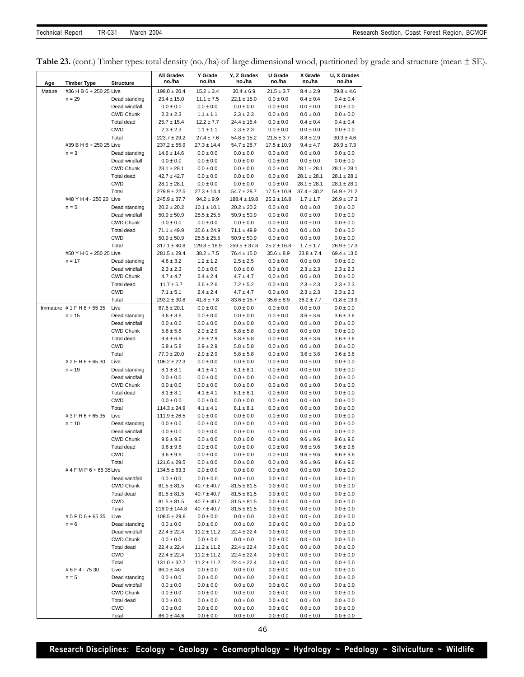Table 23. (cont.) Timber types: total density (no./ha) of large dimensional wood, partitioned by grade and structure (mean  $\pm$  SE).

|        |                         |                                | <b>All Grades</b>                    | Y Grade                           | Y, Z Grades                         | U Grade                            | X Grade                          | U, X Grades                        |
|--------|-------------------------|--------------------------------|--------------------------------------|-----------------------------------|-------------------------------------|------------------------------------|----------------------------------|------------------------------------|
| Age    | <b>Timber Type</b>      | <b>Structure</b>               | no./ha                               | no./ha                            | no./ha                              | no./ha                             | no./ha                           | no./ha                             |
| Mature | #36 H B 6 + 250 25 Live |                                | $198.0 \pm 20.4$                     | $15.2 \pm 3.4$                    | $30.4 \pm 6.9$                      | $21.5 \pm 3.7$                     | $8.4 \pm 2.9$                    | $29.8 \pm 4.6$                     |
|        | $n = 29$                | Dead standing                  | $23.4 \pm 15.0$                      | $11.1 \pm 7.5$                    | $22.1 \pm 15.0$                     | $0.0 \pm 0.0$                      | $0.4 \pm 0.4$                    | $0.4 \pm 0.4$                      |
|        |                         | Dead windfall                  | $0.0 \pm 0.0$                        | $0.0 \pm 0.0$                     | $0.0 \pm 0.0$                       | $0.0 \pm 0.0$                      | $0.0 \pm 0.0$                    | $0.0 \pm 0.0$                      |
|        |                         | <b>CWD Chunk</b>               | $2.3 \pm 2.3$                        | $1.1 \pm 1.1$                     | $2.3 \pm 2.3$                       | $0.0 \pm 0.0$                      | $0.0 \pm 0.0$                    | $0.0 \pm 0.0$                      |
|        |                         | Total dead                     | $25.7 \pm 15.4$                      | $12.2 \pm 7.7$                    | $24.4 \pm 15.4$                     | $0.0 \pm 0.0$                      | $0.4 \pm 0.4$                    | $0.4 \pm 0.4$                      |
|        |                         | <b>CWD</b>                     | $2.3 \pm 2.3$                        | $1.1 \pm 1.1$                     | $2.3 \pm 2.3$                       | $0.0 \pm 0.0$                      | $0.0 \pm 0.0$                    | $0.0 \pm 0.0$                      |
|        |                         | Total                          | $223.7 \pm 29.2$                     | $27.4 \pm 7.6$                    | $54.8 \pm 15.2$                     | $21.5 \pm 3.7$                     | $8.8 \pm 2.9$                    | $30.3 \pm 4.6$                     |
|        | #39 B H 6 + 250 25 Live |                                | $237.2 \pm 55.9$                     | $27.3 \pm 14.4$                   | $54.7 \pm 28.7$                     | $17.5 \pm 10.9$                    | $9.4 \pm 4.7$                    | $26.9 \pm 7.3$                     |
|        | $n = 3$                 | Dead standing                  | $14.6 \pm 14.6$                      | $0.0 \pm 0.0$                     | $0.0 \pm 0.0$                       | $0.0 \pm 0.0$                      | $0.0 \pm 0.0$                    | $0.0 \pm 0.0$                      |
|        |                         | Dead windfall                  | $0.0 \pm 0.0$                        | $0.0 \pm 0.0$                     | $0.0 \pm 0.0$                       | $0.0 \pm 0.0$                      | $0.0 \pm 0.0$                    | $0.0 \pm 0.0$                      |
|        |                         | <b>CWD Chunk</b>               | $28.1 \pm 28.1$                      | $0.0 \pm 0.0$                     | $0.0 \pm 0.0$                       | $0.0 \pm 0.0$                      | $28.1 \pm 28.1$                  | $28.1 \pm 28.1$                    |
|        |                         | Total dead                     | $42.7 \pm 42.7$                      | $0.0 \pm 0.0$                     | $0.0 \pm 0.0$                       | $0.0 \pm 0.0$                      | $28.1 \pm 28.1$                  | $28.1 \pm 28.1$                    |
|        |                         | <b>CWD</b>                     | $28.1 \pm 28.1$                      | $0.0 \pm 0.0$                     | $0.0 \pm 0.0$                       | $0.0 \pm 0.0$                      | $28.1 \pm 28.1$                  | $28.1 \pm 28.1$                    |
|        | #48 Y H 4 - 250 20 Live | Total                          | $279.9 \pm 22.5$<br>$245.9 \pm 37.7$ | $27.3 \pm 14.4$<br>$94.2 \pm 9.9$ | $54.7 \pm 28.7$<br>$188.4 \pm 19.8$ | $17.5 \pm 10.9$<br>$25.2 \pm 16.8$ | $37.4 \pm 30.2$<br>$1.7 \pm 1.7$ | $54.9 \pm 21.2$<br>$26.9 \pm 17.3$ |
|        | $n = 5$                 | Dead standing                  | $20.2 \pm 20.2$                      | $10.1 \pm 10.1$                   | $20.2 \pm 20.2$                     | $0.0 \pm 0.0$                      | $0.0 \pm 0.0$                    | $0.0 \pm 0.0$                      |
|        |                         | Dead windfall                  | $50.9 \pm 50.9$                      | $25.5 \pm 25.5$                   | $50.9 \pm 50.9$                     | $0.0 \pm 0.0$                      | $0.0 \pm 0.0$                    | $0.0 \pm 0.0$                      |
|        |                         | <b>CWD Chunk</b>               | $0.0 \pm 0.0$                        | $0.0 \pm 0.0$                     | $0.0 \pm 0.0$                       | $0.0 \pm 0.0$                      | $0.0 \pm 0.0$                    | $0.0 \pm 0.0$                      |
|        |                         | Total dead                     | $71.1 \pm 49.9$                      | $35.6 \pm 24.9$                   | $71.1 \pm 49.9$                     | $0.0 \pm 0.0$                      | $0.0 \pm 0.0$                    | $0.0 \pm 0.0$                      |
|        |                         | <b>CWD</b>                     | $50.9 \pm 50.9$                      | $25.5 \pm 25.5$                   | $50.9 \pm 50.9$                     | $0.0 \pm 0.0$                      | $0.0 \pm 0.0$                    | $0.0 \pm 0.0$                      |
|        |                         | Total                          | $317.1 \pm 40.8$                     | $129.8 \pm 18.9$                  | $259.5 \pm 37.8$                    | $25.2 \pm 16.8$                    | $1.7 \pm 1.7$                    | $26.9 \pm 17.3$                    |
|        | #50 Y H 6 + 250 25 Live |                                | $281.5 \pm 29.4$                     | $38.2 \pm 7.5$                    | $76.4 \pm 15.0$                     | $35.6 \pm 8.9$                     | $33.8 \pm 7.4$                   | $69.4 \pm 13.0$                    |
|        | $n = 17$                | Dead standing                  | $4.6 \pm 3.2$                        | $1.2 \pm 1.2$                     | $2.5 \pm 2.5$                       | $0.0 \pm 0.0$                      | $0.0\pm0.0$                      | $0.0 \pm 0.0$                      |
|        |                         | Dead windfall                  | $2.3 \pm 2.3$                        | $0.0 \pm 0.0$                     | $0.0 \pm 0.0$                       | $0.0 \pm 0.0$                      | $2.3 \pm 2.3$                    | $2.3 \pm 2.3$                      |
|        |                         | <b>CWD Chunk</b>               | $4.7 \pm 4.7$                        | $2.4 \pm 2.4$                     | $4.7 \pm 4.7$                       | $0.0 \pm 0.0$                      | $0.0\pm0.0$                      | $0.0 \pm 0.0$                      |
|        |                         | Total dead                     | $11.7 \pm 5.7$                       | $3.6 \pm 2.6$                     | $7.2 \pm 5.2$                       | $0.0 \pm 0.0$                      | $2.3 \pm 2.3$                    | $2.3 \pm 2.3$                      |
|        |                         | <b>CWD</b>                     | $7.1 \pm 5.1$                        | $2.4 \pm 2.4$                     | $4.7 \pm 4.7$                       | $0.0 \pm 0.0$                      | $2.3 \pm 2.3$                    | $2.3 \pm 2.3$                      |
|        |                         | Total                          | $293.2 \pm 30.8$                     | $41.8 \pm 7.8$                    | $83.6 \pm 15.7$                     | $35.6 \pm 8.9$                     | $36.2 \pm 7.7$                   | $71.8 \pm 13.9$                    |
|        | Immature #1FH6+5535     | Live                           | $67.6 \pm 20.1$                      | $0.0 \pm 0.0$                     | $0.0 \pm 0.0$                       | $0.0 \pm 0.0$                      | $0.0 \pm 0.0$                    | $0.0 \pm 0.0$                      |
|        | $n = 15$                | Dead standing                  | $3.6 \pm 3.6$                        | $0.0 \pm 0.0$                     | $0.0 \pm 0.0$                       | $0.0 \pm 0.0$                      | $3.6 \pm 3.6$                    | $3.6 \pm 3.6$                      |
|        |                         | Dead windfall                  | $0.0 \pm 0.0$                        | $0.0 \pm 0.0$                     | $0.0 \pm 0.0$                       | $0.0 \pm 0.0$                      | $0.0 \pm 0.0$                    | $0.0 \pm 0.0$                      |
|        |                         | <b>CWD Chunk</b><br>Total dead | $5.8 \pm 5.8$                        | $2.9 \pm 2.9$                     | $5.8 \pm 5.8$                       | $0.0 \pm 0.0$                      | $0.0 \pm 0.0$<br>$3.6 \pm 3.6$   | $0.0 \pm 0.0$<br>$3.6 \pm 3.6$     |
|        |                         | <b>CWD</b>                     | $9.4 \pm 6.6$<br>$5.8 \pm 5.8$       | $2.9 \pm 2.9$<br>$2.9 \pm 2.9$    | $5.8 \pm 5.8$<br>$5.8 \pm 5.8$      | $0.0 \pm 0.0$<br>$0.0 \pm 0.0$     | $0.0 \pm 0.0$                    | $0.0 \pm 0.0$                      |
|        |                         | Total                          | $77.0 \pm 20.0$                      | $2.9 \pm 2.9$                     | $5.8 \pm 5.8$                       | $0.0 \pm 0.0$                      | $3.6 \pm 3.6$                    | $3.6 \pm 3.6$                      |
|        | # 2 F H 6 + 65 30       | Live                           | $106.2 \pm 22.3$                     | $0.0 \pm 0.0$                     | $0.0 \pm 0.0$                       | $0.0 \pm 0.0$                      | $0.0 \pm 0.0$                    | $0.0 \pm 0.0$                      |
|        | $n = 19$                | Dead standing                  | $8.1 \pm 8.1$                        | $4.1 \pm 4.1$                     | $8.1 \pm 8.1$                       | $0.0 \pm 0.0$                      | $0.0 \pm 0.0$                    | $0.0 \pm 0.0$                      |
|        |                         | Dead windfall                  | $0.0\pm0.0$                          | $0.0\pm0.0$                       | $0.0 \pm 0.0$                       | $0.0 \pm 0.0$                      | $0.0 \pm 0.0$                    | $0.0\pm0.0$                        |
|        |                         | <b>CWD Chunk</b>               | $0.0 \pm 0.0$                        | $0.0 \pm 0.0$                     | $0.0 \pm 0.0$                       | $0.0 \pm 0.0$                      | $0.0\pm0.0$                      | $0.0 \pm 0.0$                      |
|        |                         | Total dead                     | $8.1 \pm 8.1$                        | $4.1 \pm 4.1$                     | $8.1 \pm 8.1$                       | $0.0 \pm 0.0$                      | $0.0\pm0.0$                      | $0.0 \pm 0.0$                      |
|        |                         | <b>CWD</b>                     | $0.0 \pm 0.0$                        | $0.0 \pm 0.0$                     | $0.0 \pm 0.0$                       | $0.0 \pm 0.0$                      | $0.0 \pm 0.0$                    | $0.0 \pm 0.0$                      |
|        |                         | Total                          | $114.3 \pm 24.9$                     | $4.1 \pm 4.1$                     | $8.1 \pm 8.1$                       | $0.0 \pm 0.0$                      | $0.0 \pm 0.0$                    | $0.0 \pm 0.0$                      |
|        | #3FH6+6535              | Live                           | $111.9 \pm 26.5$                     | $0.0 \pm 0.0$                     | $0.0 \pm 0.0$                       | $0.0 \pm 0.0$                      | $0.0 \pm 0.0$                    | $0.0 \pm 0.0$                      |
|        | $n = 10$                | Dead standing                  | $0.0 \pm 0.0$                        | $0.0 \pm 0.0$                     | $0.0 \pm 0.0$                       | $0.0 \pm 0.0$                      | $0.0 \pm 0.0$                    | $0.0 \pm 0.0$                      |
|        |                         | Dead windfall                  | $0.0 \pm 0.0$                        | $0.0 \pm 0.0$                     | $0.0 \pm 0.0$                       | $0.0 \pm 0.0$                      | $0.0 \pm 0.0$                    | $0.0 \pm 0.0$                      |
|        |                         | <b>CWD Chunk</b>               | $9.6 \pm 9.6$                        | $0.0 \pm 0.0$                     | $0.0 \pm 0.0$                       | $0.0 \pm 0.0$                      | $9.6 \pm 9.6$                    | $9.6 \pm 9.6$                      |
|        |                         | <b>Total dead</b>              | $9.6 \pm 9.6$                        | $0.0 \pm 0.0$                     | $0.0 \pm 0.0$                       | $0.0\pm0.0$                        | $9.6 \pm 9.6$                    | $9.6 \pm 9.6$                      |
|        |                         | CWD                            | $9.6 \pm 9.6$                        | $0.0 \pm 0.0$                     | $0.0\pm0.0$                         | $0.0 \pm 0.0$                      | $9.6 \pm 9.6$                    | $9.6 \pm 9.6$                      |
|        | #4 F M P 6 + 65 35 Live | Total                          | $121.6 \pm 29.5$                     | $0.0\pm0.0$                       | $0.0 \pm 0.0$<br>$0.0\pm0.0$        | $0.0 \pm 0.0$                      | $9.6 \pm 9.6$                    | $9.6 \pm 9.6$                      |
|        |                         | Dead windfall                  | $134.5 \pm 63.3$<br>$0.0 \pm 0.0$    | $0.0 \pm 0.0$<br>$0.0 \pm 0.0$    | $0.0 \pm 0.0$                       | $0.0 \pm 0.0$<br>$0.0 \pm 0.0$     | $0.0 \pm 0.0$<br>$0.0 \pm 0.0$   | $0.0 \pm 0.0$<br>$0.0 \pm 0.0$     |
|        |                         | CWD Chunk                      | $81.5 \pm 81.5$                      | $40.7 \pm 40.7$                   | $81.5 \pm 81.5$                     | $0.0\pm0.0$                        | $0.0\pm0.0$                      | $0.0 \pm 0.0$                      |
|        |                         | Total dead                     | $81.5 \pm 81.5$                      | $40.7 \pm 40.7$                   | $81.5 \pm 81.5$                     | $0.0 \pm 0.0$                      | $0.0 \pm 0.0$                    | $0.0 \pm 0.0$                      |
|        |                         | <b>CWD</b>                     | $81.5 \pm 81.5$                      | $40.7 \pm 40.7$                   | $81.5 \pm 81.5$                     | $0.0 \pm 0.0$                      | $0.0 \pm 0.0$                    | $0.0 \pm 0.0$                      |
|        |                         | Total                          | $216.0 \pm 144.8$                    | $40.7 \pm 40.7$                   | $81.5 \pm 81.5$                     | $0.0\pm0.0$                        | $0.0\pm0.0$                      | $0.0 \pm 0.0$                      |
|        | #5FD6+6535              | Live                           | $108.5 \pm 29.8$                     | $0.0 \pm 0.0$                     | $0.0 \pm 0.0$                       | $0.0\pm0.0$                        | $0.0 \pm 0.0$                    | $0.0\pm0.0$                        |
|        | $n = 6$                 | Dead standing                  | $0.0 \pm 0.0$                        | $0.0 \pm 0.0$                     | $0.0 \pm 0.0$                       | $0.0 \pm 0.0$                      | $0.0 \pm 0.0$                    | $0.0 \pm 0.0$                      |
|        |                         | Dead windfall                  | $22.4 \pm 22.4$                      | $11.2 \pm 11.2$                   | $22.4 \pm 22.4$                     | $0.0\pm0.0$                        | $0.0 \pm 0.0$                    | $0.0 \pm 0.0$                      |
|        |                         | CWD Chunk                      | $0.0 \pm 0.0$                        | $0.0 \pm 0.0$                     | $0.0 \pm 0.0$                       | $0.0 \pm 0.0$                      | $0.0 \pm 0.0$                    | $0.0 \pm 0.0$                      |
|        |                         | Total dead                     | $22.4 \pm 22.4$                      | $11.2 \pm 11.2$                   | $22.4 \pm 22.4$                     | $0.0 \pm 0.0$                      | $0.0\pm0.0$                      | $0.0 \pm 0.0$                      |
|        |                         | <b>CWD</b>                     | $22.4 \pm 22.4$                      | $11.2 \pm 11.2$                   | $22.4 \pm 22.4$                     | $0.0\pm0.0$                        | $0.0 \pm 0.0$                    | $0.0 \pm 0.0$                      |
|        |                         | Total                          | $131.0 \pm 32.7$                     | $11.2 \pm 11.2$                   | $22.4 \pm 22.4$                     | $0.0 \pm 0.0$                      | $0.0 \pm 0.0$                    | $0.0 \pm 0.0$                      |
|        | #6F4-7530               | Live                           | $86.0 \pm 44.6$                      | $0.0 \pm 0.0$                     | $0.0 \pm 0.0$                       | $0.0 \pm 0.0$                      | $0.0 \pm 0.0$                    | $0.0 \pm 0.0$                      |
|        | $n = 5$                 | Dead standing                  | $0.0 \pm 0.0$                        | $0.0\pm0.0$                       | $0.0\pm0.0$                         | $0.0\pm0.0$                        | $0.0 \pm 0.0$                    | $0.0 \pm 0.0$                      |
|        |                         | Dead windfall                  | $0.0 \pm 0.0$                        | $0.0 \pm 0.0$                     | $0.0 \pm 0.0$                       | $0.0 \pm 0.0$                      | $0.0 \pm 0.0$                    | $0.0 \pm 0.0$                      |
|        |                         | CWD Chunk<br>Total dead        | $0.0 \pm 0.0$<br>$0.0 \pm 0.0$       | $0.0\pm0.0$<br>$0.0 \pm 0.0$      | $0.0 \pm 0.0$<br>$0.0 \pm 0.0$      | $0.0\pm0.0$<br>$0.0 \pm 0.0$       | $0.0 \pm 0.0$<br>$0.0 \pm 0.0$   | $0.0 \pm 0.0$<br>$0.0 \pm 0.0$     |
|        |                         | <b>CWD</b>                     | $0.0 \pm 0.0$                        | $0.0\pm0.0$                       | $0.0\pm0.0$                         | $0.0 \pm 0.0$                      | $0.0 \pm 0.0$                    | $0.0 \pm 0.0$                      |
|        |                         | Total                          | $86.0 \pm 44.6$                      | $0.0 \pm 0.0$                     | $0.0 \pm 0.0$                       | $0.0 \pm 0.0$                      | $0.0 \pm 0.0$                    | $0.0 \pm 0.0$                      |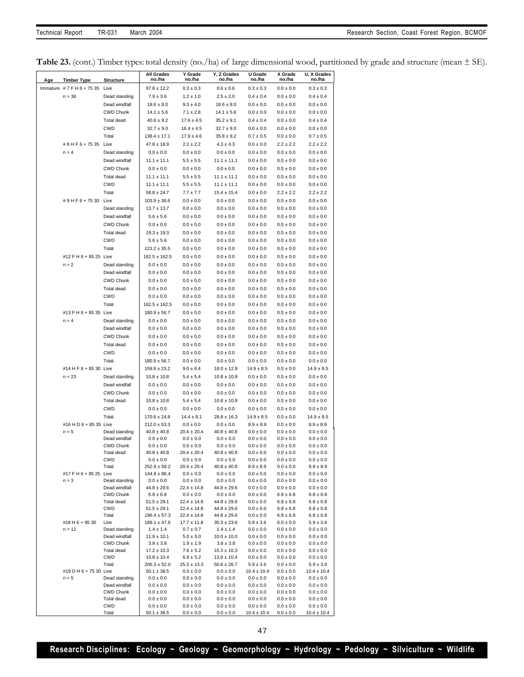Table 23. (cont.) Timber types: total density (no./ha) of large dimensional wood, partitioned by grade and structure (mean  $\pm$  SE).

| Age | <b>Timber Type</b>        | <b>Structure</b>                  | All Grades<br>no./ha               | Y Grade<br>no./ha                | Y, Z Grades<br>no./ha              | U Grade<br>no./ha              | X Grade<br>no./ha              | U, X Grades<br>no./ha            |
|-----|---------------------------|-----------------------------------|------------------------------------|----------------------------------|------------------------------------|--------------------------------|--------------------------------|----------------------------------|
|     | Immature #7 F H 6 + 75 35 | Live                              | $97.8 \pm 12.2$                    | $0.3 \pm 0.3$                    | $0.6 \pm 0.6$                      | $0.3 \pm 0.3$                  | $0.0 \pm 0.0$                  | $0.3 \pm 0.3$                    |
|     | $n = 36$                  | Dead standing                     | $7.9 \pm 3.6$                      | $1.2 \pm 1.0$                    | $2.5 \pm 2.0$                      | $0.4 \pm 0.4$                  | $0.0 \pm 0.0$                  | $0.4 \pm 0.4$                    |
|     |                           | Dead windfall                     | $18.6 \pm 8.0$                     | $9.3 \pm 4.0$                    | $18.6 \pm 8.0$                     | $0.0 \pm 0.0$                  | $0.0 \pm 0.0$                  | $0.0 \pm 0.0$                    |
|     |                           | <b>CWD Chunk</b>                  | $14.1 \pm 5.6$                     | $7.1 \pm 2.8$                    | $14.1 \pm 5.6$                     | $0.0 \pm 0.0$                  | $0.0 \pm 0.0$                  | $0.0 \pm 0.0$                    |
|     |                           | Total dead                        | $40.6 \pm 9.2$                     | $17.6 \pm 4.5$                   | $35.2 \pm 9.1$                     | $0.4 \pm 0.4$                  | $0.0 \pm 0.0$                  | $0.4 \pm 0.4$                    |
|     |                           | <b>CWD</b>                        | $32.7 \pm 9.0$                     | $16.4 \pm 4.5$                   | $32.7 \pm 9.0$                     | $0.0 \pm 0.0$                  | $0.0 \pm 0.0$                  | $0.0 \pm 0.0$                    |
|     |                           | Total                             | $138.4 \pm 17.1$                   | $17.9 \pm 4.6$                   | $35.8 \pm 9.2$                     | $0.7 \pm 0.5$                  | $0.0 \pm 0.0$                  | $0.7 \pm 0.5$                    |
|     | #8HF6+7535 Live           |                                   | $47.8 \pm 18.9$                    | $2.2 \pm 2.2$                    | $4.3 \pm 4.3$                      | $0.0 \pm 0.0$                  | $2.2 \pm 2.2$                  | $2.2 \pm 2.2$                    |
|     | $n = 4$                   | Dead standing                     | $0.0 \pm 0.0$                      | $0.0 \pm 0.0$                    | $0.0 \pm 0.0$                      | $0.0 \pm 0.0$                  | $0.0 \pm 0.0$                  | $0.0 \pm 0.0$                    |
|     |                           | Dead windfall                     | $11.1 \pm 11.1$                    | $5.5 \pm 5.5$                    | $11.1 \pm 11.1$                    | $0.0 \pm 0.0$                  | $0.0 \pm 0.0$                  | $0.0 \pm 0.0$                    |
|     |                           | <b>CWD Chunk</b>                  | $0.0 \pm 0.0$                      | $0.0 \pm 0.0$                    | $0.0 \pm 0.0$                      | $0.0 \pm 0.0$                  | $0.0 \pm 0.0$                  | $0.0 \pm 0.0$                    |
|     |                           | Total dead                        | $11.1 \pm 11.1$                    | $5.5 \pm 5.5$                    | $11.1 \pm 11.1$                    | $0.0 \pm 0.0$                  | $0.0 \pm 0.0$                  | $0.0 \pm 0.0$                    |
|     |                           | <b>CWD</b>                        | $11.1 \pm 11.1$                    | $5.5 \pm 5.5$                    | $11.1 \pm 11.1$                    | $0.0 \pm 0.0$                  | $0.0 \pm 0.0$                  | $0.0 \pm 0.0$                    |
|     |                           | Total                             | $58.8 \pm 24.7$                    | $7.7 \pm 7.7$                    | $15.4 \pm 15.4$                    | $0.0 \pm 0.0$                  | $2.2 \pm 2.2$                  | $2.2 \pm 2.2$                    |
|     | #9HF6+7530 Live           |                                   | $103.9 \pm 36.6$                   | $0.0 \pm 0.0$                    | $0.0 \pm 0.0$                      | $0.0 \pm 0.0$                  | $0.0 \pm 0.0$                  | $0.0 \pm 0.0$                    |
|     |                           | Dead standing                     | $13.7 \pm 13.7$                    | $0.0 \pm 0.0$                    | $0.0 \pm 0.0$                      | $0.0 \pm 0.0$                  | $0.0 \pm 0.0$                  | $0.0 \pm 0.0$                    |
|     |                           | Dead windfall                     | $5.6 \pm 5.6$                      | $0.0 \pm 0.0$                    | $0.0 \pm 0.0$                      | $0.0 \pm 0.0$                  | $0.0 \pm 0.0$                  | $0.0 \pm 0.0$                    |
|     |                           | <b>CWD Chunk</b>                  | $0.0 \pm 0.0$                      | $0.0 \pm 0.0$                    | $0.0 \pm 0.0$                      | $0.0 \pm 0.0$                  | $0.0 \pm 0.0$                  | $0.0 \pm 0.0$                    |
|     |                           | Total dead                        | $19.3 \pm 19.3$                    | $0.0 \pm 0.0$                    | $0.0 \pm 0.0$                      | $0.0 \pm 0.0$                  | $0.0 \pm 0.0$                  | $0.0 \pm 0.0$                    |
|     |                           | <b>CWD</b>                        | $5.6 \pm 5.6$                      | $0.0 \pm 0.0$                    | $0.0 \pm 0.0$                      | $0.0 \pm 0.0$                  | $0.0 \pm 0.0$                  | $0.0 \pm 0.0$                    |
|     |                           | Total                             | $123.2 \pm 35.5$                   | $0.0 \pm 0.0$                    | $0.0 \pm 0.0$                      | $0.0 \pm 0.0$                  | $0.0 \pm 0.0$                  | $0.0 \pm 0.0$                    |
|     | #12 F H 6 + 85 25 Live    |                                   | $162.5 \pm 162.5$                  | $0.0 \pm 0.0$                    | $0.0 \pm 0.0$                      | $0.0 \pm 0.0$                  | $0.0 \pm 0.0$                  | $0.0 \pm 0.0$                    |
|     | $n = 2$                   | Dead standing                     | $0.0 \pm 0.0$                      | $0.0 \pm 0.0$                    | $0.0 \pm 0.0$                      | $0.0 \pm 0.0$                  | $0.0 \pm 0.0$                  | $0.0 \pm 0.0$                    |
|     |                           | Dead windfall                     | $0.0 \pm 0.0$                      | $0.0 \pm 0.0$                    | $0.0 \pm 0.0$                      | $0.0 \pm 0.0$                  | $0.0 \pm 0.0$                  | $0.0 \pm 0.0$                    |
|     |                           | <b>CWD Chunk</b>                  | $0.0 \pm 0.0$                      | $0.0 \pm 0.0$                    | $0.0 \pm 0.0$                      | $0.0 \pm 0.0$                  | $0.0 \pm 0.0$                  | $0.0 \pm 0.0$                    |
|     |                           | <b>Total dead</b>                 | $0.0 \pm 0.0$                      | $0.0 \pm 0.0$                    | $0.0 \pm 0.0$                      | $0.0 \pm 0.0$                  | $0.0 \pm 0.0$                  | $0.0 \pm 0.0$                    |
|     |                           | <b>CWD</b>                        | $0.0 \pm 0.0$                      | $0.0 \pm 0.0$                    | $0.0 \pm 0.0$                      | $0.0 \pm 0.0$                  | $0.0 \pm 0.0$                  | $0.0 \pm 0.0$                    |
|     |                           | Total                             | $162.5 \pm 162.5$                  | $0.0 \pm 0.0$                    | $0.0 \pm 0.0$                      | $0.0 \pm 0.0$                  | $0.0 \pm 0.0$                  | $0.0 \pm 0.0$                    |
|     | #13 F H 6 + 85 35 Live    |                                   | $180.9 \pm 56.7$                   | $0.0 \pm 0.0$                    | $0.0 \pm 0.0$                      | $0.0 \pm 0.0$                  | $0.0 \pm 0.0$                  | $0.0 \pm 0.0$                    |
|     | $n = 4$                   | Dead standing                     | $0.0 \pm 0.0$                      | $0.0 \pm 0.0$                    | $0.0 \pm 0.0$                      | $0.0 \pm 0.0$                  | $0.0 \pm 0.0$                  | $0.0 \pm 0.0$                    |
|     |                           | Dead windfall                     | $0.0 \pm 0.0$                      | $0.0 \pm 0.0$                    | $0.0 \pm 0.0$                      | $0.0 \pm 0.0$                  | $0.0 \pm 0.0$                  | $0.0 \pm 0.0$                    |
|     |                           | <b>CWD Chunk</b>                  | $0.0 \pm 0.0$                      | $0.0 \pm 0.0$                    | $0.0 \pm 0.0$                      | $0.0 \pm 0.0$                  | $0.0 \pm 0.0$                  | $0.0 \pm 0.0$                    |
|     |                           | Total dead                        | $0.0 \pm 0.0$                      | $0.0 \pm 0.0$                    | $0.0 \pm 0.0$                      | $0.0 \pm 0.0$                  | $0.0 \pm 0.0$                  | $0.0 \pm 0.0$                    |
|     |                           | <b>CWD</b>                        | $0.0 \pm 0.0$                      | $0.0 \pm 0.0$                    | $0.0 \pm 0.0$                      | $0.0 \pm 0.0$                  | $0.0 \pm 0.0$                  | $0.0 \pm 0.0$                    |
|     |                           | Total                             | $180.9 \pm 56.7$                   | $0.0 \pm 0.0$                    | $0.0\pm0.0$                        | $0.0\pm0.0$                    | $0.0 \pm 0.0$                  | $0.0 \pm 0.0$                    |
|     | #14 H F 6 + 85 30 Live    |                                   | $159.8 \pm 23.2$                   | $9.0 \pm 6.4$                    | $18.0 \pm 12.9$                    | $14.9 \pm 8.5$                 | $0.0 \pm 0.0$                  | $14.9 \pm 8.5$                   |
|     | $n = 23$                  | Dead standing                     | $10.8 \pm 10.8$                    | $5.4 \pm 5.4$                    | $10.8 \pm 10.8$                    | $0.0 \pm 0.0$                  | $0.0 \pm 0.0$                  | $0.0 \pm 0.0$                    |
|     |                           | Dead windfall                     | $0.0 \pm 0.0$                      | $0.0 \pm 0.0$                    | $0.0 \pm 0.0$                      | $0.0 \pm 0.0$                  | $0.0 \pm 0.0$                  | $0.0 \pm 0.0$                    |
|     |                           | <b>CWD Chunk</b>                  | $0.0 \pm 0.0$                      | $0.0 \pm 0.0$                    | $0.0 \pm 0.0$                      | $0.0 \pm 0.0$                  | $0.0 \pm 0.0$                  | $0.0 \pm 0.0$                    |
|     |                           | Total dead                        | $10.8 \pm 10.8$                    | $5.4 \pm 5.4$                    | $10.8 \pm 10.8$                    | $0.0 \pm 0.0$                  | $0.0 \pm 0.0$                  | $0.0 \pm 0.0$                    |
|     |                           | <b>CWD</b>                        | $0.0 \pm 0.0$                      | $0.0 \pm 0.0$                    | $0.0 \pm 0.0$                      | $0.0 \pm 0.0$                  | $0.0 \pm 0.0$                  | $0.0 \pm 0.0$                    |
|     |                           | Total                             | $170.6 \pm 24.8$                   | $14.4 \pm 8.1$                   | $28.8 \pm 16.3$                    | $14.9 \pm 8.5$                 | $0.0 \pm 0.0$                  | $14.9 \pm 8.5$                   |
|     | #16 H D 6 + 85 35 Live    |                                   | $212.0 \pm 53.3$                   | $0.0 \pm 0.0$                    | $0.0 \pm 0.0$                      | $8.9 \pm 8.9$                  | $0.0 \pm 0.0$                  | $8.9 \pm 8.9$                    |
|     | $n = 5$                   | Dead standing                     | $40.8 \pm 40.8$                    | $20.4 \pm 20.4$                  | $40.8 \pm 40.8$                    | $0.0 \pm 0.0$                  | $0.0 \pm 0.0$                  | $0.0 \pm 0.0$                    |
|     |                           | Dead windfall<br><b>CWD Chunk</b> | $0.0 \pm 0.0$<br>$0.0 \pm 0.0$     | $0.0 \pm 0.0$<br>$0.0 \pm 0.0$   | $0.0 \pm 0.0$<br>$0.0 \pm 0.0$     | $0.0 \pm 0.0$<br>$0.0 \pm 0.0$ | $0.0 \pm 0.0$<br>$0.0 \pm 0.0$ | $0.0 \pm 0.0$<br>$0.0 \pm 0.0$   |
|     |                           | Total dead                        | $40.8 \pm 40.8$                    | $20.4 \pm 20.4$                  | $40.8 \pm 40.8$                    | $0.0 \pm 0.0$                  | $0.0 \pm 0.0$                  | $0.0 \pm 0.0$                    |
|     |                           | CWD                               | $0.0 \pm 0.0$                      | $0.0 \pm 0.0$                    | $0.0\pm0.0$                        | $0.0\pm0.0$                    | $0.0 \pm 0.0$                  | $0.0 \pm 0.0$                    |
|     |                           | Total                             | $252.8 \pm 58.2$                   | $20.4 \pm 20.4$                  | $40.8 \pm 40.8$                    | $8.9\pm8.9$                    | $0.0\pm0.0$                    | $8.9 \pm 8.9$                    |
|     | #17 F H 6 + 95 25 Live    |                                   | $144.8 \pm 86.4$                   | $0.0 \pm 0.0$                    | $0.0\pm0.0$                        | $0.0 \pm 0.0$                  | $0.0 \pm 0.0$                  | $0.0 \pm 0.0$                    |
|     | $n = 3$                   | Dead standing                     | $0.0 \pm 0.0$                      | $0.0 \pm 0.0$                    | $0.0\pm0.0$                        | $0.0\pm0.0$                    | $0.0 \pm 0.0$                  | $0.0 \pm 0.0$                    |
|     |                           | Dead windfall                     | $44.8 \pm 29.6$                    | $22.4 \pm 14.8$                  | $44.8 \pm 29.6$                    | $0.0 \pm 0.0$                  | $0.0 \pm 0.0$                  | $0.0 \pm 0.0$                    |
|     |                           | <b>CWD Chunk</b><br>Total dead    | $6.8 \pm 6.8$<br>$51.5 \pm 29.1$   | $0.0 \pm 0.0$<br>$22.4 \pm 14.8$ | $0.0 \pm 0.0$<br>$44.8 \pm 29.6$   | $0.0 \pm 0.0$<br>$0.0 \pm 0.0$ | $6.8 \pm 6.8$<br>$6.8 \pm 6.8$ | $6.8 \pm 6.8$<br>$6.8 \pm 6.8$   |
|     |                           | <b>CWD</b>                        | $51.5 \pm 29.1$                    | $22.4 \pm 14.8$                  | $44.8 \pm 29.6$                    | $0.0\pm0.0$                    | $6.8 \pm 6.8$                  | $6.8 \pm 6.8$                    |
|     |                           | Total                             | $196.4 \pm 57.3$                   | $22.4 \pm 14.8$                  | $44.8 \pm 29.6$                    | $0.0\pm0.0$                    | $6.8 \pm 6.8$                  | $6.8 \pm 6.8$                    |
|     | #18 H 6 + 95 30           | Live                              | $189.1 \pm 47.6$                   | $17.7 \pm 11.8$                  | $35.3 \pm 23.6$                    | $5.9 \pm 3.6$                  | $0.0 \pm 0.0$                  | $5.9 \pm 3.6$                    |
|     | $n = 12$                  | Dead standing                     | $1.4 \pm 1.4$                      | $0.7 \pm 0.7$                    | $1.4 \pm 1.4$                      | $0.0 \pm 0.0$                  | $0.0 \pm 0.0$                  | $0.0 \pm 0.0$                    |
|     |                           | Dead windfall                     | $11.9 \pm 10.1$                    | $5.0 \pm 5.0$                    | $10.0 \pm 10.0$                    | $0.0\pm0.0$                    | $0.0 \pm 0.0$                  | $0.0\pm0.0$                      |
|     |                           | <b>CWD Chunk</b>                  | $3.8 \pm 3.8$                      | $1.9 \pm 1.9$                    | $3.8 \pm 3.8$                      | $0.0\pm0.0$                    | $0.0 \pm 0.0$                  | $0.0 \pm 0.0$                    |
|     |                           | Total dead<br><b>CWD</b>          | $17.2 \pm 10.3$<br>$15.8 \pm 10.4$ | $7.6 \pm 5.2$<br>$6.9 \pm 5.2$   | $15.3 \pm 10.3$<br>$13.9 \pm 10.4$ | $0.0 \pm 0.0$<br>$0.0\pm0.0$   | $0.0 \pm 0.0$<br>$0.0 \pm 0.0$ | $0.0 \pm 0.0$<br>$0.0 \pm 0.0$   |
|     |                           | Total                             | $206.3 \pm 52.0$                   | $25.3 \pm 13.3$                  | $50.6 \pm 26.7$                    | $5.9 \pm 3.6$                  | $0.0 \pm 0.0$                  | $5.9 \pm 3.6$                    |
|     | #19 D H 6 + 75 30 Live    |                                   | $50.1 \pm 38.5$                    | $0.0 \pm 0.0$                    | $0.0\pm0.0$                        | $10.4 \pm 10.4$                | $0.0 \pm 0.0$                  | $10.4 \pm 10.4$                  |
|     | $n = 5$                   | Dead standing                     | $0.0\pm0.0$                        | $0.0 \pm 0.0$                    | $0.0\pm0.0$                        | $0.0\pm0.0$                    | $0.0 \pm 0.0$                  | $0.0 \pm 0.0$                    |
|     |                           | Dead windfall                     | $0.0 \pm 0.0$                      | $0.0 \pm 0.0$                    | $0.0 \pm 0.0$                      | $0.0 \pm 0.0$                  | $0.0 \pm 0.0$                  | $0.0 \pm 0.0$                    |
|     |                           | <b>CWD Chunk</b>                  | $0.0 \pm 0.0$                      | $0.0 \pm 0.0$                    | $0.0 \pm 0.0$                      | $0.0 \pm 0.0$                  | $0.0 \pm 0.0$                  | $0.0 \pm 0.0$                    |
|     |                           | Total dead                        | $0.0 \pm 0.0$                      | $0.0 \pm 0.0$                    | $0.0 \pm 0.0$                      | $0.0 \pm 0.0$                  | $0.0 \pm 0.0$                  | $0.0 \pm 0.0$                    |
|     |                           | <b>CWD</b><br>Total               | $0.0 \pm 0.0$<br>$50.1 \pm 38.5$   | $0.0 \pm 0.0$<br>$0.0 \pm 0.0$   | $0.0\pm0.0$<br>$0.0 \pm 0.0$       | $0.0\pm0.0$<br>$10.4 \pm 10.4$ | $0.0 \pm 0.0$<br>$0.0 \pm 0.0$ | $0.0 \pm 0.0$<br>$10.4 \pm 10.4$ |
|     |                           |                                   |                                    |                                  |                                    |                                |                                |                                  |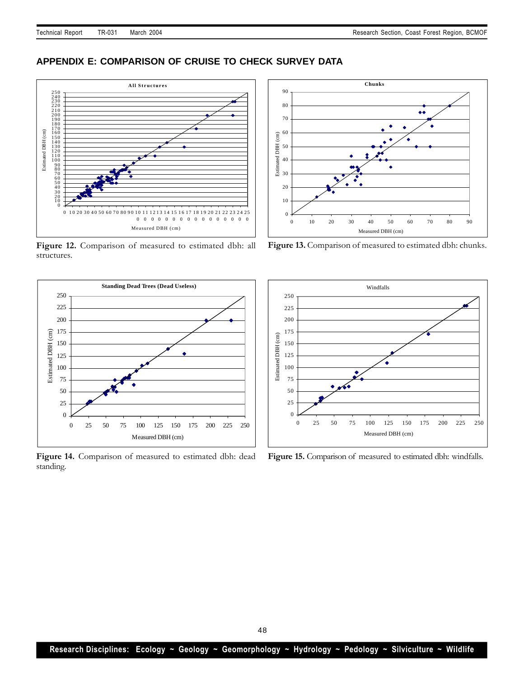# **APPENDIX E: COMPARISON OF CRUISE TO CHECK SURVEY DATA**



**Figure 12.** Comparison of measured to estimated dbh: all structures.



Figure 14. Comparison of measured to estimated dbh: dead standing.



Figure 13. Comparison of measured to estimated dbh: chunks.



Figure 15. Comparison of measured to estimated dbh: windfalls.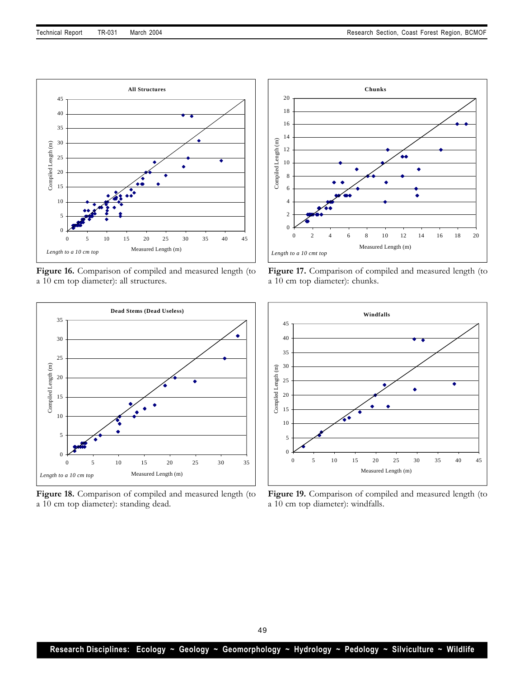

Figure 16. Comparison of compiled and measured length (to a 10 cm top diameter): all structures.



**Figure 18.** Comparison of compiled and measured length (to a 10 cm top diameter): standing dead.



Figure 17. Comparison of compiled and measured length (to a 10 cm top diameter): chunks.



**Figure 19.** Comparison of compiled and measured length (to a 10 cm top diameter): windfalls.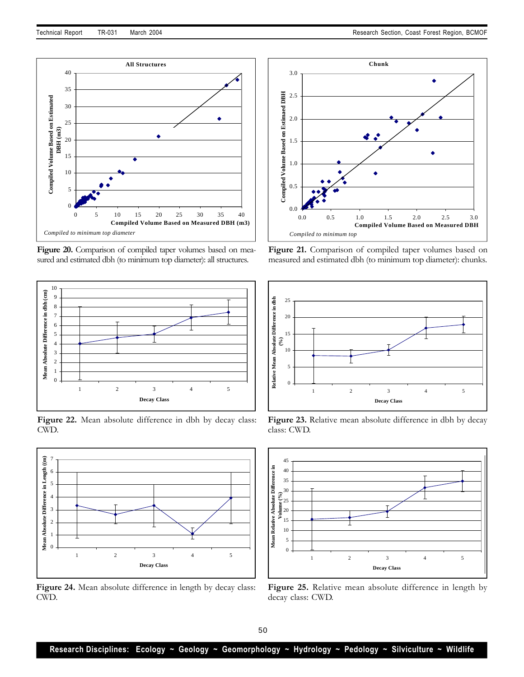



**Figure 20.** Comparison of compiled taper volumes based on measured and estimated dbh (to minimum top diameter): all structures.



Figure 22. Mean absolute difference in dbh by decay class: CWD.



**Figure 24.** Mean absolute difference in length by decay class: CWD.



**Figure 21.** Comparison of compiled taper volumes based on measured and estimated dbh (to minimum top diameter): chunks.



Figure 23. Relative mean absolute difference in dbh by decay class: CWD.



**Figure 25.** Relative mean absolute difference in length by decay class: CWD.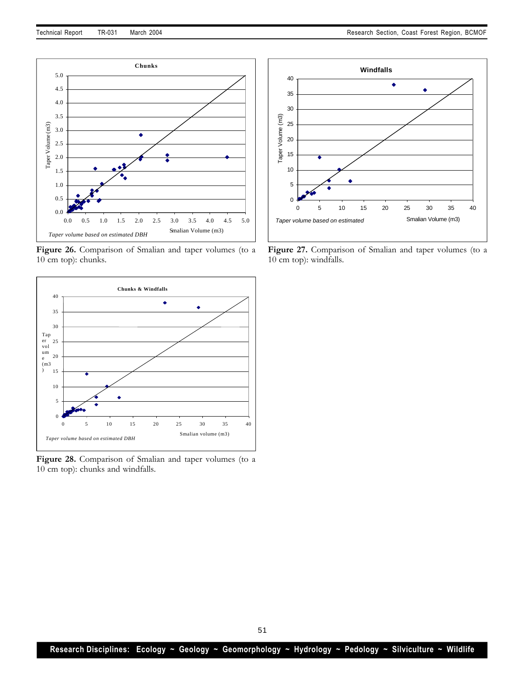

**Figure 26.** Comparison of Smalian and taper volumes (to a 10 cm top): chunks.



**Figure 28.** Comparison of Smalian and taper volumes (to a 10 cm top): chunks and windfalls.



**Figure 27.** Comparison of Smalian and taper volumes (to a 10 cm top): windfalls.